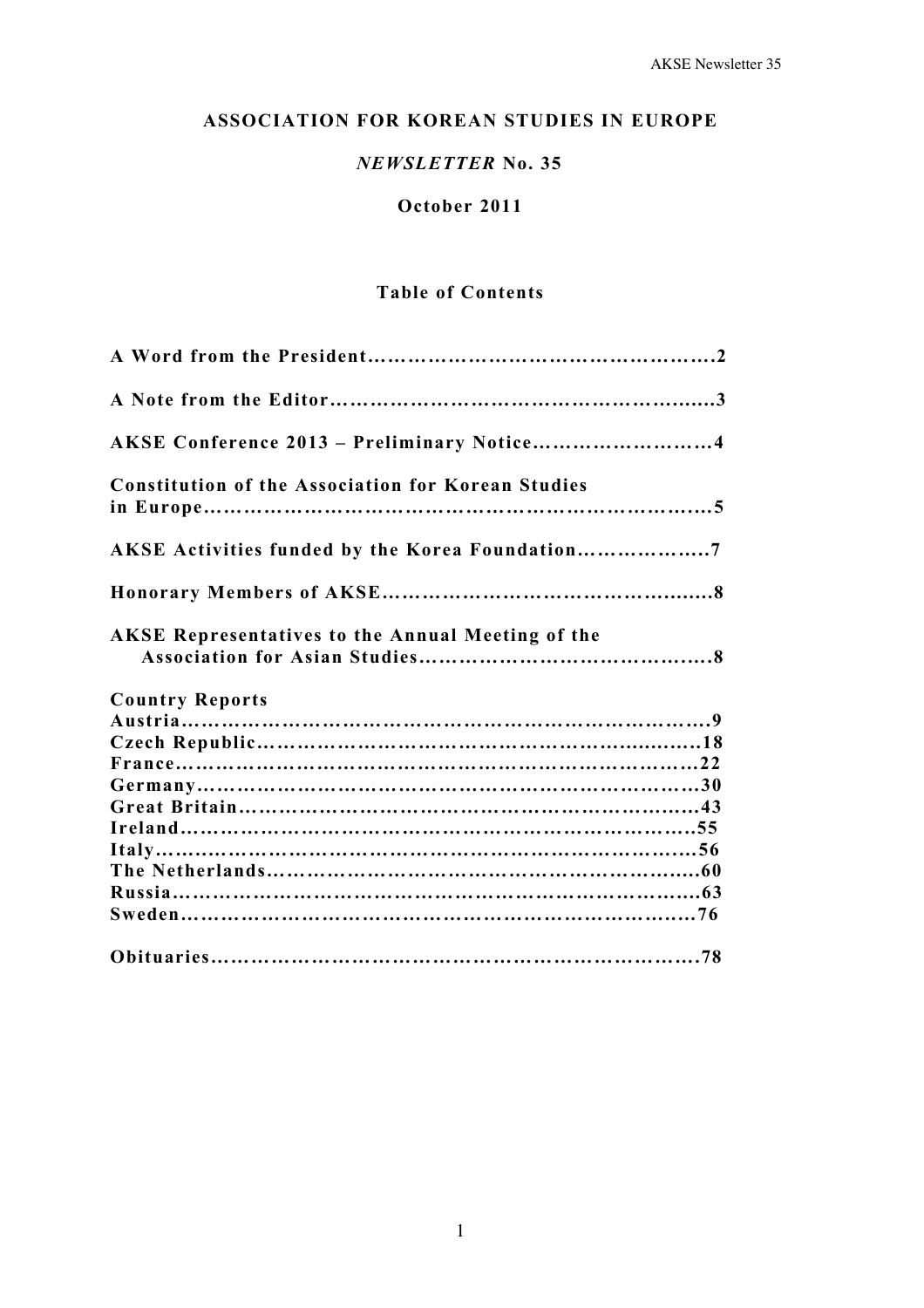# **ASSOCIATION FOR KOREAN STUDIES IN EUROPE**

# *NEWSLETTER* **No. 35**

# **October 2011**

# **Table of Contents**

| AKSE Conference 2013 - Preliminary Notice4                |
|-----------------------------------------------------------|
| <b>Constitution of the Association for Korean Studies</b> |
| AKSE Activities funded by the Korea Foundation7           |
|                                                           |
| <b>AKSE Representatives to the Annual Meeting of the</b>  |
| <b>Country Reports</b>                                    |
|                                                           |
|                                                           |
|                                                           |
|                                                           |
|                                                           |
|                                                           |
|                                                           |
|                                                           |
|                                                           |
|                                                           |
|                                                           |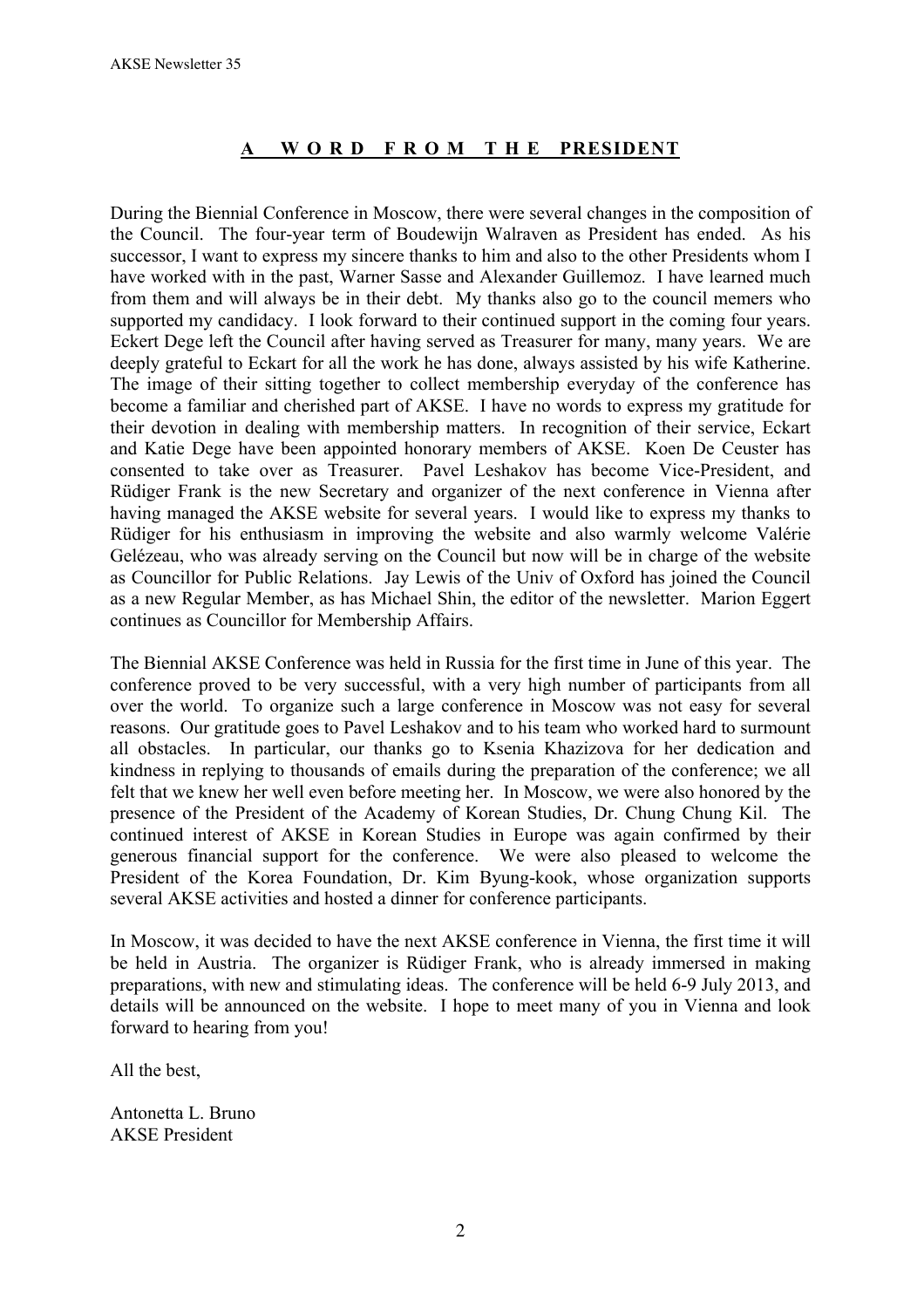# **A W O R D F R O M T H E PRESIDENT**

During the Biennial Conference in Moscow, there were several changes in the composition of the Council. The four-year term of Boudewijn Walraven as President has ended. As his successor, I want to express my sincere thanks to him and also to the other Presidents whom I have worked with in the past, Warner Sasse and Alexander Guillemoz. I have learned much from them and will always be in their debt. My thanks also go to the council memers who supported my candidacy. I look forward to their continued support in the coming four years. Eckert Dege left the Council after having served as Treasurer for many, many years. We are deeply grateful to Eckart for all the work he has done, always assisted by his wife Katherine. The image of their sitting together to collect membership everyday of the conference has become a familiar and cherished part of AKSE. I have no words to express my gratitude for their devotion in dealing with membership matters. In recognition of their service, Eckart and Katie Dege have been appointed honorary members of AKSE. Koen De Ceuster has consented to take over as Treasurer. Pavel Leshakov has become Vice-President, and Rüdiger Frank is the new Secretary and organizer of the next conference in Vienna after having managed the AKSE website for several years. I would like to express my thanks to Rüdiger for his enthusiasm in improving the website and also warmly welcome Valérie Gelézeau, who was already serving on the Council but now will be in charge of the website as Councillor for Public Relations. Jay Lewis of the Univ of Oxford has joined the Council as a new Regular Member, as has Michael Shin, the editor of the newsletter. Marion Eggert continues as Councillor for Membership Affairs.

The Biennial AKSE Conference was held in Russia for the first time in June of this year. The conference proved to be very successful, with a very high number of participants from all over the world. To organize such a large conference in Moscow was not easy for several reasons. Our gratitude goes to Pavel Leshakov and to his team who worked hard to surmount all obstacles. In particular, our thanks go to Ksenia Khazizova for her dedication and kindness in replying to thousands of emails during the preparation of the conference; we all felt that we knew her well even before meeting her. In Moscow, we were also honored by the presence of the President of the Academy of Korean Studies, Dr. Chung Chung Kil. The continued interest of AKSE in Korean Studies in Europe was again confirmed by their generous financial support for the conference. We were also pleased to welcome the President of the Korea Foundation, Dr. Kim Byung-kook, whose organization supports several AKSE activities and hosted a dinner for conference participants.

In Moscow, it was decided to have the next AKSE conference in Vienna, the first time it will be held in Austria. The organizer is Rüdiger Frank, who is already immersed in making preparations, with new and stimulating ideas. The conference will be held 6-9 July 2013, and details will be announced on the website. I hope to meet many of you in Vienna and look forward to hearing from you!

All the best,

Antonetta L. Bruno AKSE President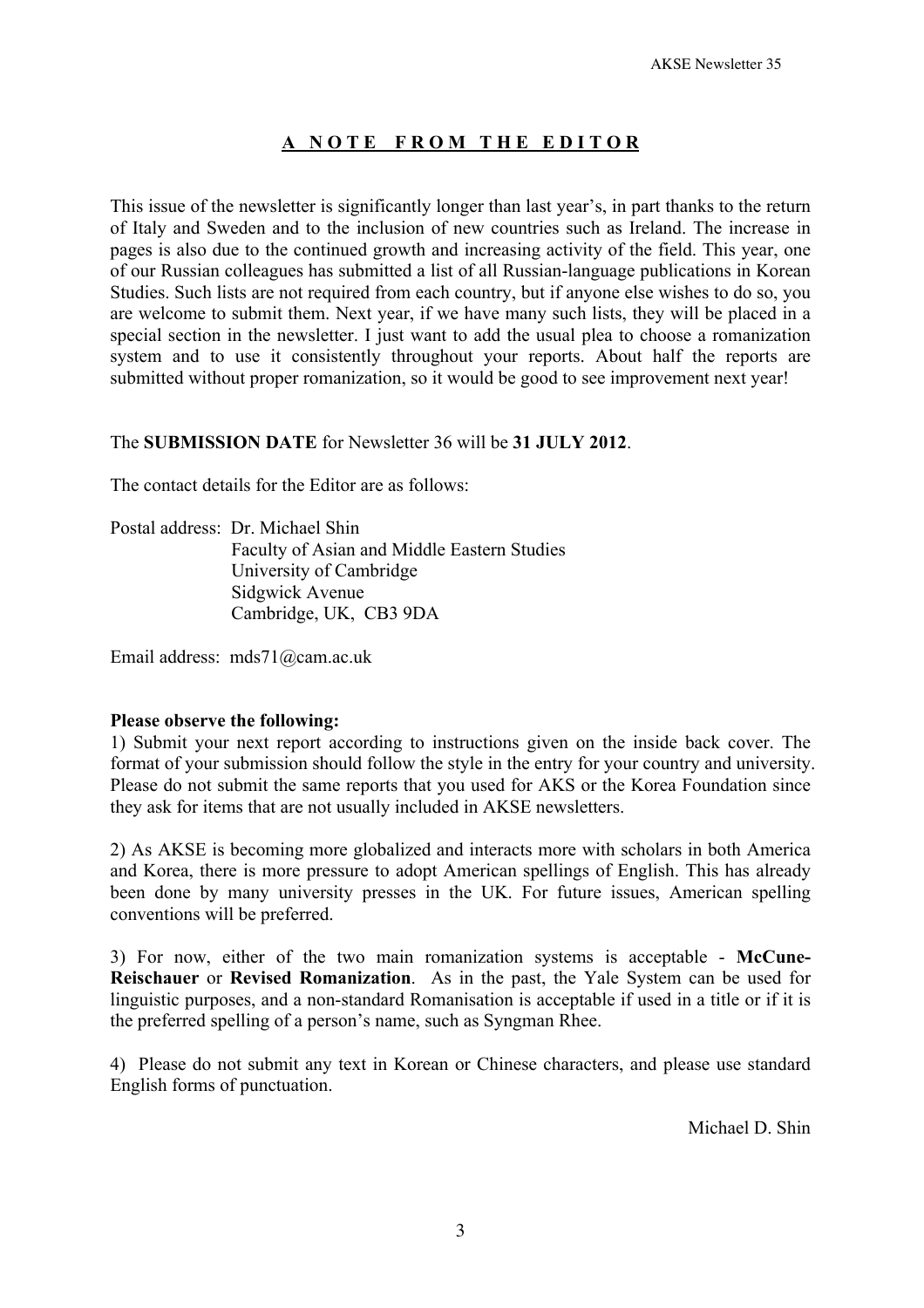# **A N O T E F R O M T H E E D I T O R**

This issue of the newsletter is significantly longer than last year's, in part thanks to the return of Italy and Sweden and to the inclusion of new countries such as Ireland. The increase in pages is also due to the continued growth and increasing activity of the field. This year, one of our Russian colleagues has submitted a list of all Russian-language publications in Korean Studies. Such lists are not required from each country, but if anyone else wishes to do so, you are welcome to submit them. Next year, if we have many such lists, they will be placed in a special section in the newsletter. I just want to add the usual plea to choose a romanization system and to use it consistently throughout your reports. About half the reports are submitted without proper romanization, so it would be good to see improvement next year!

The **SUBMISSION DATE** for Newsletter 36 will be **31 JULY 2012**.

The contact details for the Editor are as follows:

Postal address: Dr. Michael Shin Faculty of Asian and Middle Eastern Studies University of Cambridge Sidgwick Avenue Cambridge, UK, CB3 9DA

Email address: mds71@cam.ac.uk

#### **Please observe the following:**

1) Submit your next report according to instructions given on the inside back cover. The format of your submission should follow the style in the entry for your country and university. Please do not submit the same reports that you used for AKS or the Korea Foundation since they ask for items that are not usually included in AKSE newsletters.

2) As AKSE is becoming more globalized and interacts more with scholars in both America and Korea, there is more pressure to adopt American spellings of English. This has already been done by many university presses in the UK. For future issues, American spelling conventions will be preferred.

3) For now, either of the two main romanization systems is acceptable - **McCune-Reischauer** or **Revised Romanization**. As in the past, the Yale System can be used for linguistic purposes, and a non-standard Romanisation is acceptable if used in a title or if it is the preferred spelling of a person's name, such as Syngman Rhee.

4) Please do not submit any text in Korean or Chinese characters, and please use standard English forms of punctuation.

Michael D. Shin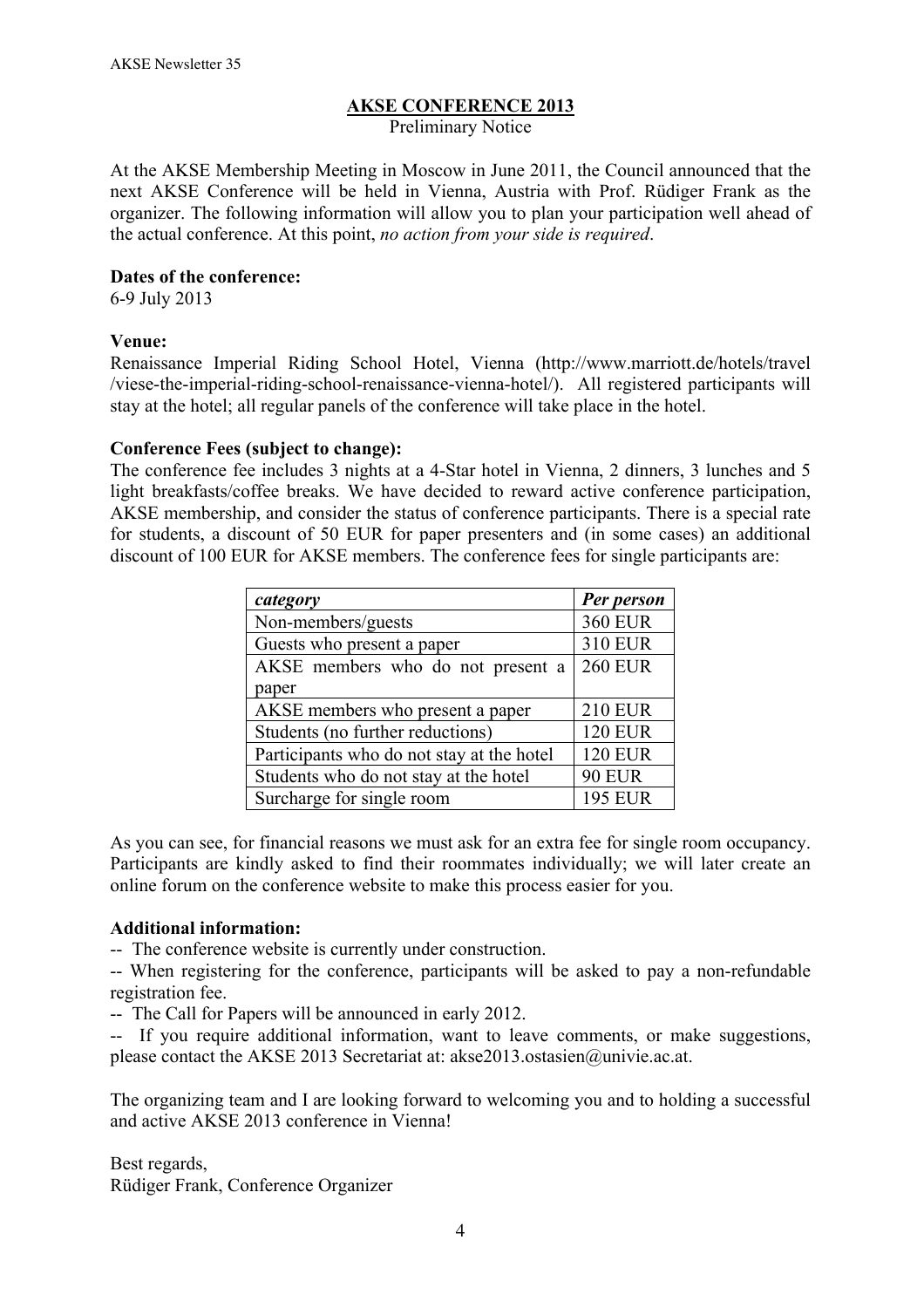# **AKSE CONFERENCE 2013**

Preliminary Notice

At the AKSE Membership Meeting in Moscow in June 2011, the Council announced that the next AKSE Conference will be held in Vienna, Austria with Prof. Rüdiger Frank as the organizer. The following information will allow you to plan your participation well ahead of the actual conference. At this point, *no action from your side is required*.

#### **Dates of the conference:**

6-9 July 2013

#### **Venue:**

Renaissance Imperial Riding School Hotel, Vienna (http://www.marriott.de/hotels/travel /viese-the-imperial-riding-school-renaissance-vienna-hotel/). All registered participants will stay at the hotel; all regular panels of the conference will take place in the hotel.

## **Conference Fees (subject to change):**

The conference fee includes 3 nights at a 4-Star hotel in Vienna, 2 dinners, 3 lunches and 5 light breakfasts/coffee breaks. We have decided to reward active conference participation, AKSE membership, and consider the status of conference participants. There is a special rate for students, a discount of 50 EUR for paper presenters and (in some cases) an additional discount of 100 EUR for AKSE members. The conference fees for single participants are:

| category                                  | Per person     |
|-------------------------------------------|----------------|
| Non-members/guests                        | <b>360 EUR</b> |
| Guests who present a paper                | <b>310 EUR</b> |
| AKSE members who do not present a         | <b>260 EUR</b> |
| paper                                     |                |
| AKSE members who present a paper          | <b>210 EUR</b> |
| Students (no further reductions)          | <b>120 EUR</b> |
| Participants who do not stay at the hotel | <b>120 EUR</b> |
| Students who do not stay at the hotel     | <b>90 EUR</b>  |
| Surcharge for single room                 | <b>195 EUR</b> |

As you can see, for financial reasons we must ask for an extra fee for single room occupancy. Participants are kindly asked to find their roommates individually; we will later create an online forum on the conference website to make this process easier for you.

#### **Additional information:**

-- The conference website is currently under construction.

-- When registering for the conference, participants will be asked to pay a non-refundable registration fee.

-- The Call for Papers will be announced in early 2012.

-- If you require additional information, want to leave comments, or make suggestions, please contact the AKSE 2013 Secretariat at: akse2013.ostasien@univie.ac.at.

The organizing team and I are looking forward to welcoming you and to holding a successful and active AKSE 2013 conference in Vienna!

Best regards, Rüdiger Frank, Conference Organizer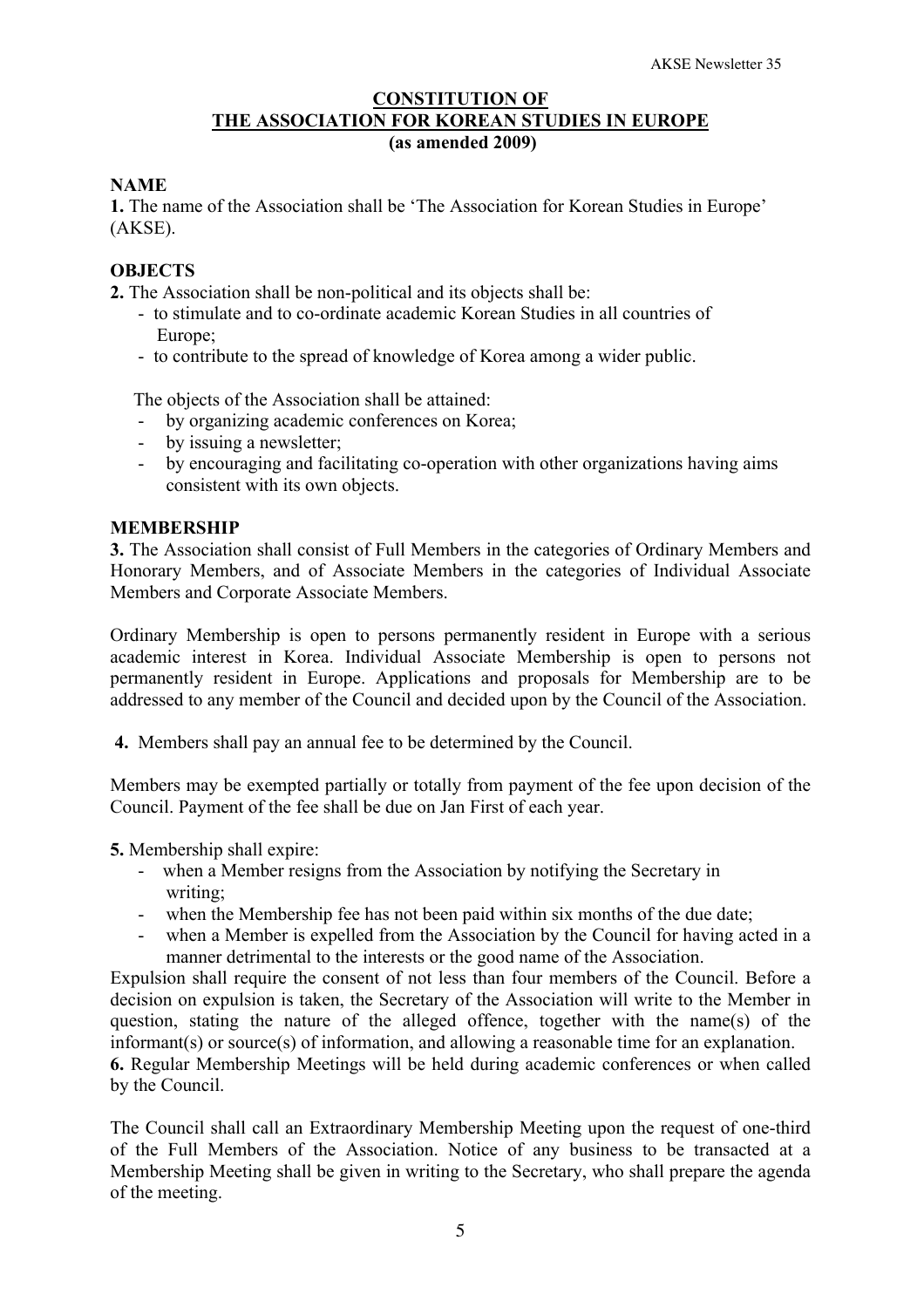### **CONSTITUTION OF THE ASSOCIATION FOR KOREAN STUDIES IN EUROPE (as amended 2009)**

# **NAME**

**1.** The name of the Association shall be 'The Association for Korean Studies in Europe' (AKSE).

# **OBJECTS**

**2.** The Association shall be non-political and its objects shall be:

- to stimulate and to co-ordinate academic Korean Studies in all countries of Europe<sup>-</sup>
- to contribute to the spread of knowledge of Korea among a wider public.

The objects of the Association shall be attained:

- by organizing academic conferences on Korea;
- by issuing a newsletter;
- by encouraging and facilitating co-operation with other organizations having aims consistent with its own objects.

#### **MEMBERSHIP**

**3.** The Association shall consist of Full Members in the categories of Ordinary Members and Honorary Members, and of Associate Members in the categories of Individual Associate Members and Corporate Associate Members.

Ordinary Membership is open to persons permanently resident in Europe with a serious academic interest in Korea. Individual Associate Membership is open to persons not permanently resident in Europe. Applications and proposals for Membership are to be addressed to any member of the Council and decided upon by the Council of the Association.

**4.** Members shall pay an annual fee to be determined by the Council.

Members may be exempted partially or totally from payment of the fee upon decision of the Council. Payment of the fee shall be due on Jan First of each year.

**5.** Membership shall expire:

- when a Member resigns from the Association by notifying the Secretary in writing;
- when the Membership fee has not been paid within six months of the due date;
- when a Member is expelled from the Association by the Council for having acted in a manner detrimental to the interests or the good name of the Association.

Expulsion shall require the consent of not less than four members of the Council. Before a decision on expulsion is taken, the Secretary of the Association will write to the Member in question, stating the nature of the alleged offence, together with the name(s) of the informant(s) or source(s) of information, and allowing a reasonable time for an explanation.

**6.** Regular Membership Meetings will be held during academic conferences or when called by the Council.

The Council shall call an Extraordinary Membership Meeting upon the request of one-third of the Full Members of the Association. Notice of any business to be transacted at a Membership Meeting shall be given in writing to the Secretary, who shall prepare the agenda of the meeting.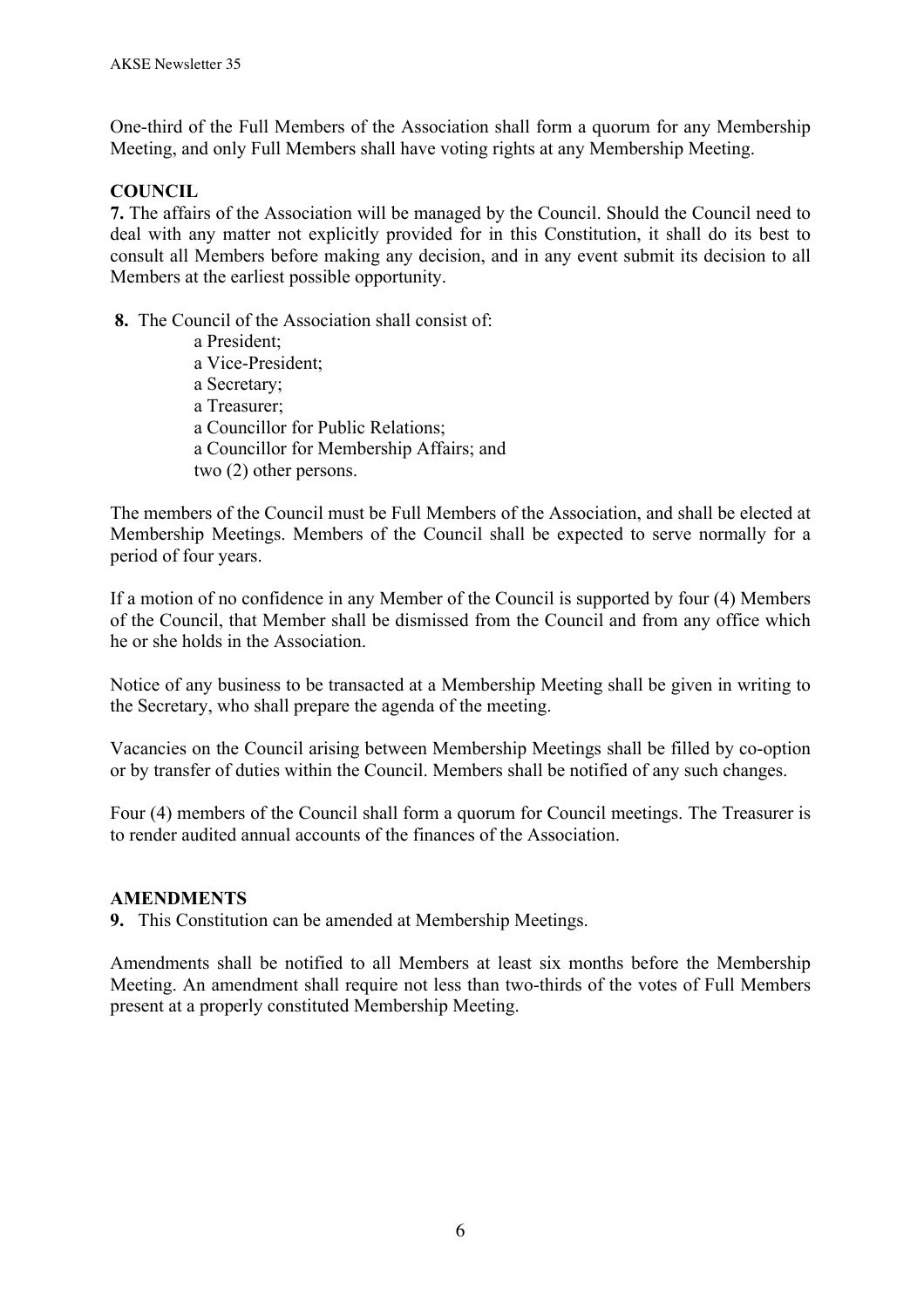One-third of the Full Members of the Association shall form a quorum for any Membership Meeting, and only Full Members shall have voting rights at any Membership Meeting.

# **COUNCIL**

**7.** The affairs of the Association will be managed by the Council. Should the Council need to deal with any matter not explicitly provided for in this Constitution, it shall do its best to consult all Members before making any decision, and in any event submit its decision to all Members at the earliest possible opportunity.

**8.** The Council of the Association shall consist of:

 a President; a Vice-President; a Secretary; a Treasurer; a Councillor for Public Relations; a Councillor for Membership Affairs; and two (2) other persons.

The members of the Council must be Full Members of the Association, and shall be elected at Membership Meetings. Members of the Council shall be expected to serve normally for a period of four years.

If a motion of no confidence in any Member of the Council is supported by four (4) Members of the Council, that Member shall be dismissed from the Council and from any office which he or she holds in the Association.

Notice of any business to be transacted at a Membership Meeting shall be given in writing to the Secretary, who shall prepare the agenda of the meeting.

Vacancies on the Council arising between Membership Meetings shall be filled by co-option or by transfer of duties within the Council. Members shall be notified of any such changes.

Four (4) members of the Council shall form a quorum for Council meetings. The Treasurer is to render audited annual accounts of the finances of the Association.

#### **AMENDMENTS**

**9.** This Constitution can be amended at Membership Meetings.

Amendments shall be notified to all Members at least six months before the Membership Meeting. An amendment shall require not less than two-thirds of the votes of Full Members present at a properly constituted Membership Meeting.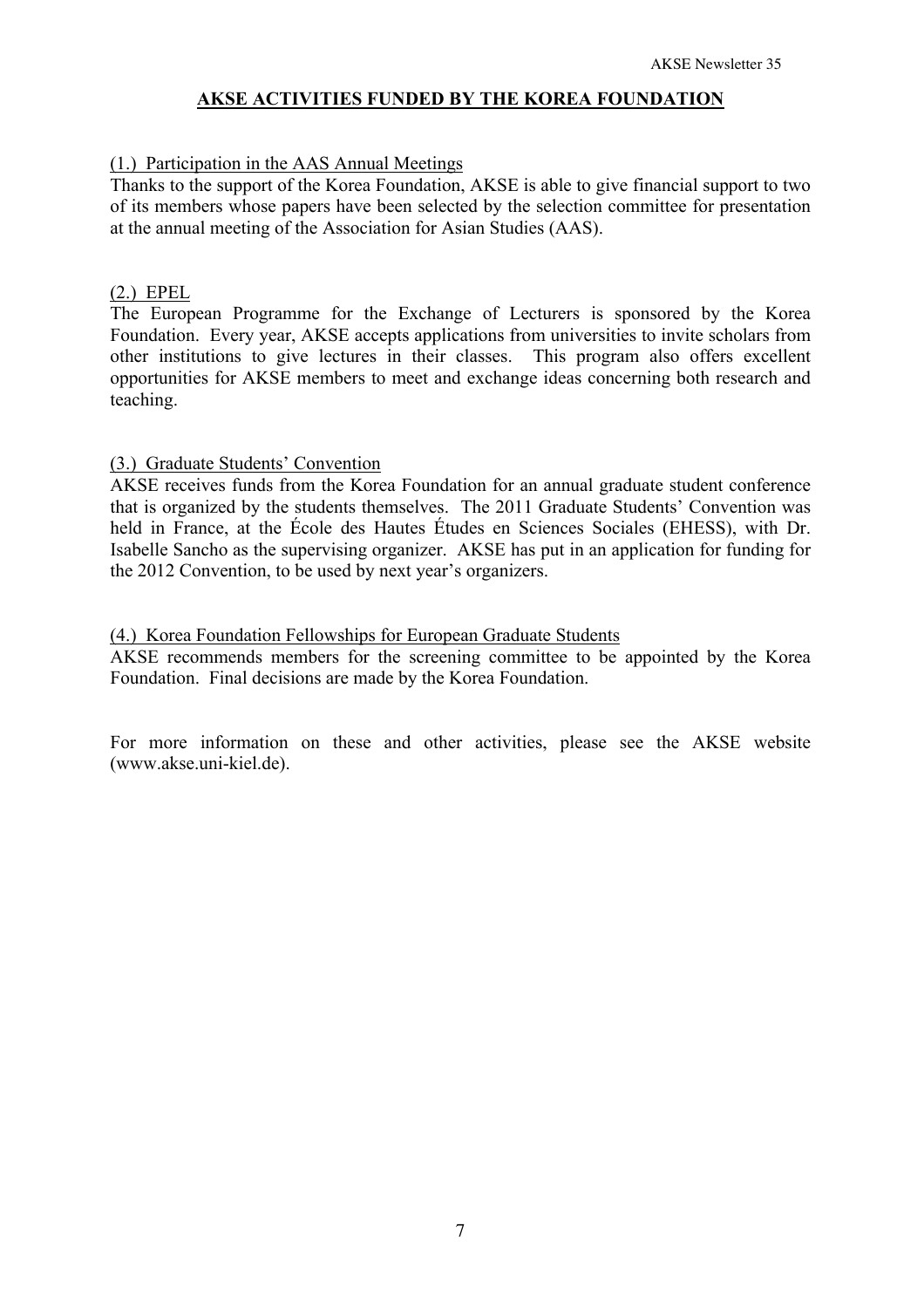## **AKSE ACTIVITIES FUNDED BY THE KOREA FOUNDATION**

## (1.) Participation in the AAS Annual Meetings

Thanks to the support of the Korea Foundation, AKSE is able to give financial support to two of its members whose papers have been selected by the selection committee for presentation at the annual meeting of the Association for Asian Studies (AAS).

### (2.) EPEL

The European Programme for the Exchange of Lecturers is sponsored by the Korea Foundation. Every year, AKSE accepts applications from universities to invite scholars from other institutions to give lectures in their classes. This program also offers excellent opportunities for AKSE members to meet and exchange ideas concerning both research and teaching.

## (3.) Graduate Students' Convention

AKSE receives funds from the Korea Foundation for an annual graduate student conference that is organized by the students themselves. The 2011 Graduate Students' Convention was held in France, at the École des Hautes Études en Sciences Sociales (EHESS), with Dr. Isabelle Sancho as the supervising organizer. AKSE has put in an application for funding for the 2012 Convention, to be used by next year's organizers.

## (4.) Korea Foundation Fellowships for European Graduate Students

AKSE recommends members for the screening committee to be appointed by the Korea Foundation. Final decisions are made by the Korea Foundation.

For more information on these and other activities, please see the AKSE website (www.akse.uni-kiel.de).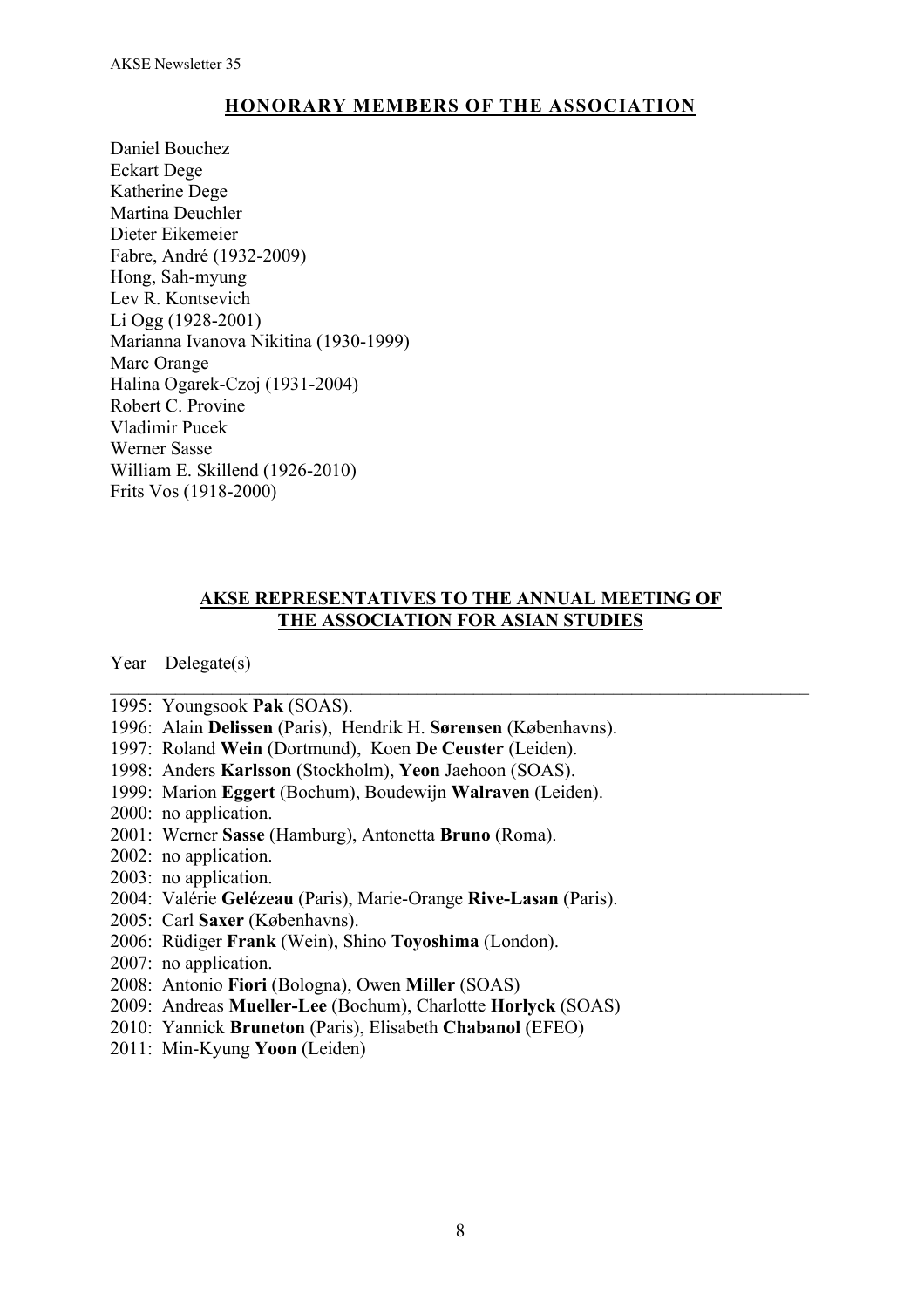# **HONORARY MEMBERS OF THE ASSOCIATION**

Daniel Bouchez Eckart Dege Katherine Dege Martina Deuchler Dieter Eikemeier Fabre, André (1932-2009) Hong, Sah-myung Lev R. Kontsevich Li Ogg (1928-2001) Marianna Ivanova Nikitina (1930-1999) Marc Orange Halina Ogarek-Czoj (1931-2004) Robert C. Provine Vladimir Pucek Werner Sasse William E. Skillend (1926-2010) Frits Vos (1918-2000)

# **AKSE REPRESENTATIVES TO THE ANNUAL MEETING OF THE ASSOCIATION FOR ASIAN STUDIES**

 $\mathcal{L}_\text{max}$  , and the contribution of the contribution of the contribution of the contribution of the contribution of the contribution of the contribution of the contribution of the contribution of the contribution of t

Year Delegate(s)

- 1995: Youngsook **Pak** (SOAS).
- 1996: Alain **Delissen** (Paris), Hendrik H. **Sørensen** (Københavns).
- 1997: Roland **Wein** (Dortmund), Koen **De Ceuster** (Leiden).
- 1998: Anders **Karlsson** (Stockholm), **Yeon** Jaehoon (SOAS).
- 1999: Marion **Eggert** (Bochum), Boudewijn **Walraven** (Leiden).
- 2000: no application.
- 2001: Werner **Sasse** (Hamburg), Antonetta **Bruno** (Roma).
- 2002: no application.
- 2003: no application.
- 2004: Valérie **Gelézeau** (Paris), Marie-Orange **Rive-Lasan** (Paris).
- 2005: Carl **Saxer** (Københavns).
- 2006: Rüdiger **Frank** (Wein), Shino **Toyoshima** (London).
- 2007: no application.
- 2008: Antonio **Fiori** (Bologna), Owen **Miller** (SOAS)
- 2009: Andreas **Mueller-Lee** (Bochum), Charlotte **Horlyck** (SOAS)
- 2010: Yannick **Bruneton** (Paris), Elisabeth **Chabanol** (EFEO)
- 2011: Min-Kyung **Yoon** (Leiden)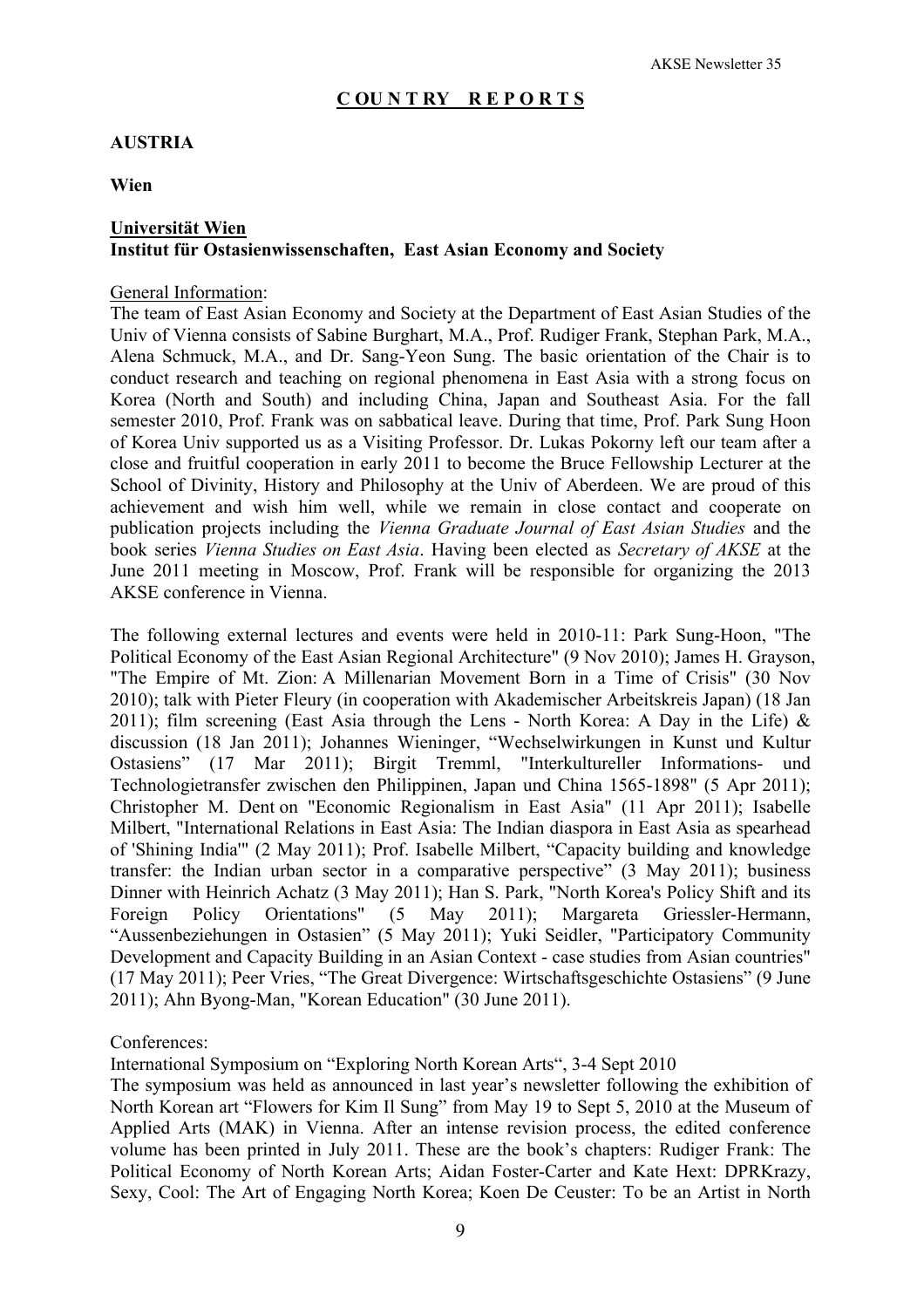#### **C OU N T RY R E P O R T S**

#### **AUSTRIA**

**Wien**

## **Universität Wien Institut für Ostasienwissenschaften, East Asian Economy and Society**

#### General Information:

The team of East Asian Economy and Society at the Department of East Asian Studies of the Univ of Vienna consists of Sabine Burghart, M.A., Prof. Rudiger Frank, Stephan Park, M.A., Alena Schmuck, M.A., and Dr. Sang-Yeon Sung. The basic orientation of the Chair is to conduct research and teaching on regional phenomena in East Asia with a strong focus on Korea (North and South) and including China, Japan and Southeast Asia. For the fall semester 2010, Prof. Frank was on sabbatical leave. During that time, Prof. Park Sung Hoon of Korea Univ supported us as a Visiting Professor. Dr. Lukas Pokorny left our team after a close and fruitful cooperation in early 2011 to become the Bruce Fellowship Lecturer at the School of Divinity, History and Philosophy at the Univ of Aberdeen. We are proud of this achievement and wish him well, while we remain in close contact and cooperate on publication projects including the *Vienna Graduate Journal of East Asian Studies* and the book series *Vienna Studies on East Asia*. Having been elected as *Secretary of AKSE* at the June 2011 meeting in Moscow, Prof. Frank will be responsible for organizing the 2013 AKSE conference in Vienna.

The following external lectures and events were held in 2010-11: Park Sung-Hoon, "The Political Economy of the East Asian Regional Architecture" (9 Nov 2010); James H. Grayson, "The Empire of Mt. Zion: A Millenarian Movement Born in a Time of Crisis" (30 Nov 2010); talk with Pieter Fleury (in cooperation with Akademischer Arbeitskreis Japan) (18 Jan 2011); film screening (East Asia through the Lens - North Korea: A Day in the Life)  $\&$ discussion (18 Jan 2011); Johannes Wieninger, "Wechselwirkungen in Kunst und Kultur Ostasiens" (17 Mar 2011); Birgit Tremml, "Interkultureller Informations- und Technologietransfer zwischen den Philippinen, Japan und China 1565-1898" (5 Apr 2011); Christopher M. Dent on "Economic Regionalism in East Asia" (11 Apr 2011); Isabelle Milbert, "International Relations in East Asia: The Indian diaspora in East Asia as spearhead of 'Shining India'" (2 May 2011); Prof. Isabelle Milbert, "Capacity building and knowledge transfer: the Indian urban sector in a comparative perspective" (3 May 2011); business Dinner with Heinrich Achatz (3 May 2011); Han S. Park, "North Korea's Policy Shift and its Foreign Policy Orientations" (5 May 2011); Margareta Griessler-Hermann, "Aussenbeziehungen in Ostasien" (5 May 2011); Yuki Seidler, "Participatory Community Development and Capacity Building in an Asian Context - case studies from Asian countries" (17 May 2011); Peer Vries, "The Great Divergence: Wirtschaftsgeschichte Ostasiens" (9 June 2011); Ahn Byong-Man, "Korean Education" (30 June 2011).

#### Conferences:

International Symposium on "Exploring North Korean Arts", 3-4 Sept 2010

The symposium was held as announced in last year's newsletter following the exhibition of North Korean art "Flowers for Kim Il Sung" from May 19 to Sept 5, 2010 at the Museum of Applied Arts (MAK) in Vienna. After an intense revision process, the edited conference volume has been printed in July 2011. These are the book's chapters: Rudiger Frank: The Political Economy of North Korean Arts; Aidan Foster-Carter and Kate Hext: DPRKrazy, Sexy, Cool: The Art of Engaging North Korea; Koen De Ceuster: To be an Artist in North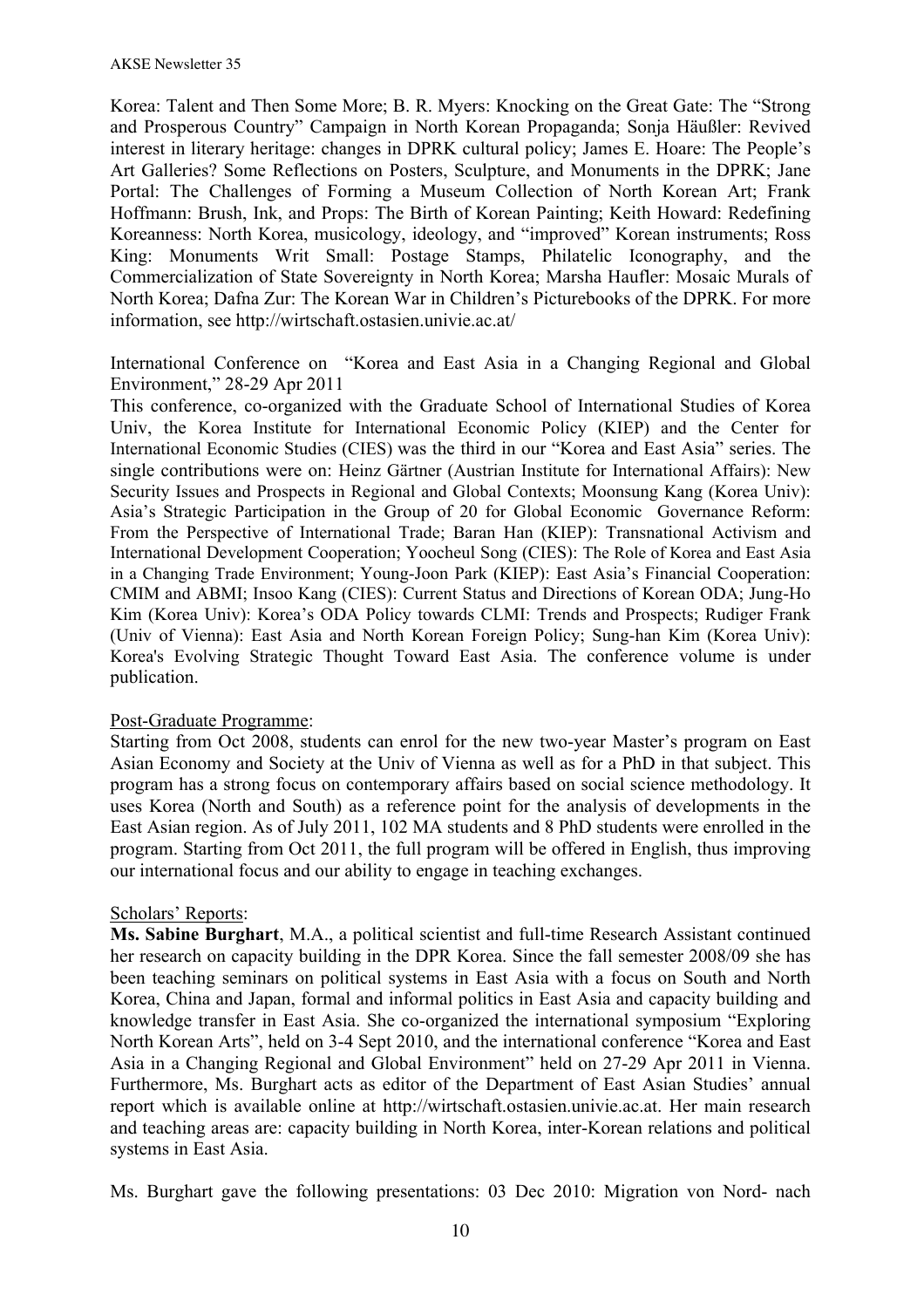Korea: Talent and Then Some More; B. R. Myers: Knocking on the Great Gate: The "Strong and Prosperous Country" Campaign in North Korean Propaganda; Sonja Häußler: Revived interest in literary heritage: changes in DPRK cultural policy; James E. Hoare: The People's Art Galleries? Some Reflections on Posters, Sculpture, and Monuments in the DPRK; Jane Portal: The Challenges of Forming a Museum Collection of North Korean Art; Frank Hoffmann: Brush, Ink, and Props: The Birth of Korean Painting; Keith Howard: Redefining Koreanness: North Korea, musicology, ideology, and "improved" Korean instruments; Ross King: Monuments Writ Small: Postage Stamps, Philatelic Iconography, and the Commercialization of State Sovereignty in North Korea; Marsha Haufler: Mosaic Murals of North Korea; Dafna Zur: The Korean War in Children's Picturebooks of the DPRK. For more information, see http://wirtschaft.ostasien.univie.ac.at/

International Conference on "Korea and East Asia in a Changing Regional and Global Environment," 28-29 Apr 2011

This conference, co-organized with the Graduate School of International Studies of Korea Univ, the Korea Institute for International Economic Policy (KIEP) and the Center for International Economic Studies (CIES) was the third in our "Korea and East Asia" series. The single contributions were on: Heinz Gärtner (Austrian Institute for International Affairs): New Security Issues and Prospects in Regional and Global Contexts; Moonsung Kang (Korea Univ): Asia's Strategic Participation in the Group of 20 for Global Economic Governance Reform: From the Perspective of International Trade; Baran Han (KIEP): Transnational Activism and International Development Cooperation; Yoocheul Song (CIES): The Role of Korea and East Asia in a Changing Trade Environment; Young-Joon Park (KIEP): East Asia's Financial Cooperation: CMIM and ABMI; Insoo Kang (CIES): Current Status and Directions of Korean ODA; Jung-Ho Kim (Korea Univ): Korea's ODA Policy towards CLMI: Trends and Prospects; Rudiger Frank (Univ of Vienna): East Asia and North Korean Foreign Policy; Sung-han Kim (Korea Univ): Korea's Evolving Strategic Thought Toward East Asia. The conference volume is under publication.

#### Post-Graduate Programme:

Starting from Oct 2008, students can enrol for the new two-year Master's program on East Asian Economy and Society at the Univ of Vienna as well as for a PhD in that subject. This program has a strong focus on contemporary affairs based on social science methodology. It uses Korea (North and South) as a reference point for the analysis of developments in the East Asian region. As of July 2011, 102 MA students and 8 PhD students were enrolled in the program. Starting from Oct 2011, the full program will be offered in English, thus improving our international focus and our ability to engage in teaching exchanges.

#### Scholars' Reports:

**Ms. Sabine Burghart**, M.A., a political scientist and full-time Research Assistant continued her research on capacity building in the DPR Korea. Since the fall semester 2008/09 she has been teaching seminars on political systems in East Asia with a focus on South and North Korea, China and Japan, formal and informal politics in East Asia and capacity building and knowledge transfer in East Asia. She co-organized the international symposium "Exploring North Korean Arts", held on 3-4 Sept 2010, and the international conference "Korea and East Asia in a Changing Regional and Global Environment" held on 27-29 Apr 2011 in Vienna. Furthermore, Ms. Burghart acts as editor of the Department of East Asian Studies' annual report which is available online at http://wirtschaft.ostasien.univie.ac.at. Her main research and teaching areas are: capacity building in North Korea, inter-Korean relations and political systems in East Asia.

Ms. Burghart gave the following presentations: 03 Dec 2010: Migration von Nord- nach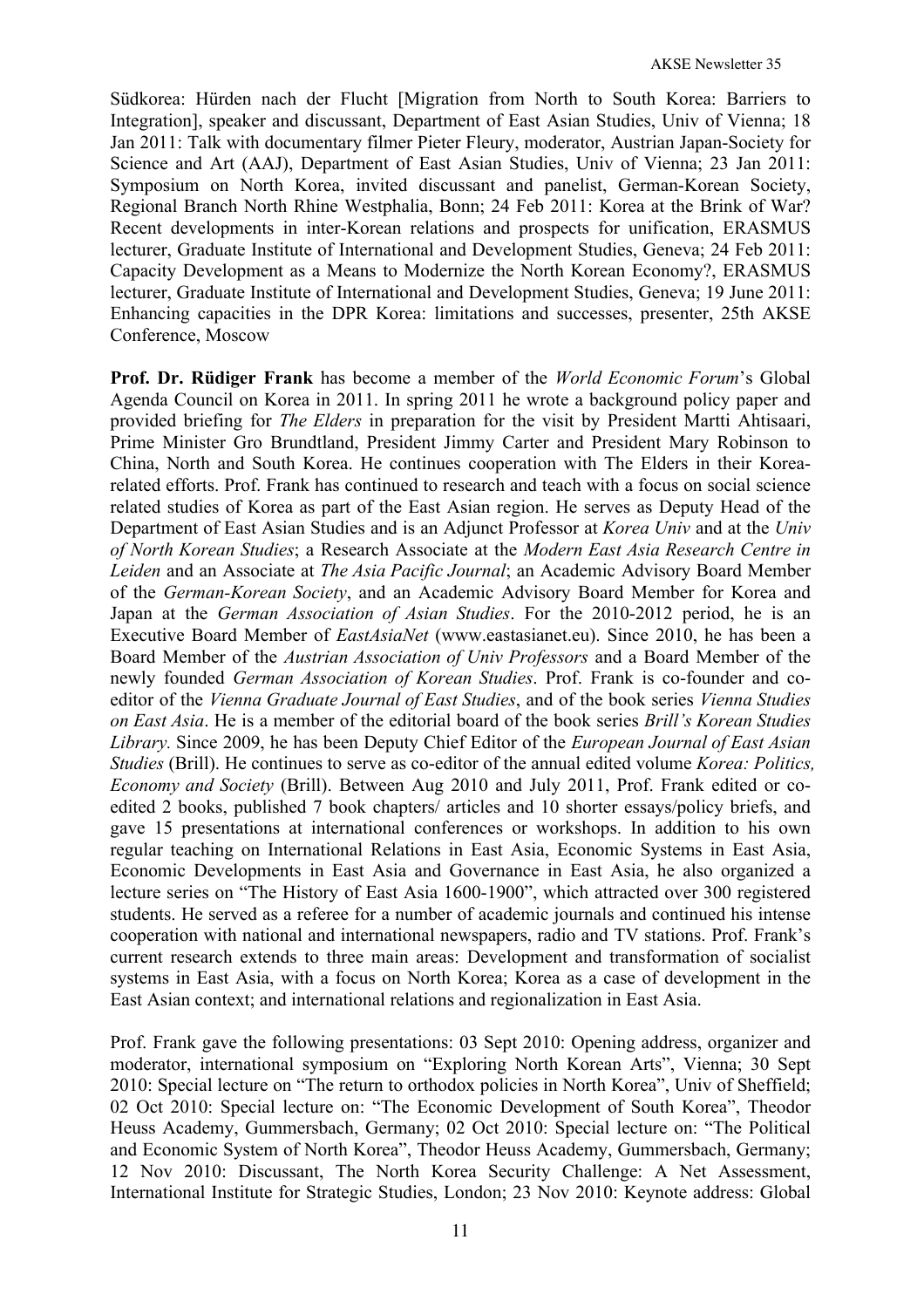Südkorea: Hürden nach der Flucht [Migration from North to South Korea: Barriers to Integration], speaker and discussant, Department of East Asian Studies, Univ of Vienna; 18 Jan 2011: Talk with documentary filmer Pieter Fleury, moderator, Austrian Japan-Society for Science and Art (AAJ), Department of East Asian Studies, Univ of Vienna; 23 Jan 2011: Symposium on North Korea, invited discussant and panelist, German-Korean Society, Regional Branch North Rhine Westphalia, Bonn; 24 Feb 2011: Korea at the Brink of War? Recent developments in inter-Korean relations and prospects for unification, ERASMUS lecturer, Graduate Institute of International and Development Studies, Geneva; 24 Feb 2011: Capacity Development as a Means to Modernize the North Korean Economy?, ERASMUS lecturer, Graduate Institute of International and Development Studies, Geneva; 19 June 2011: Enhancing capacities in the DPR Korea: limitations and successes, presenter, 25th AKSE Conference, Moscow

**Prof. Dr. Rüdiger Frank** has become a member of the *World Economic Forum*'s Global Agenda Council on Korea in 2011. In spring 2011 he wrote a background policy paper and provided briefing for *The Elders* in preparation for the visit by President Martti Ahtisaari, Prime Minister Gro Brundtland, President Jimmy Carter and President Mary Robinson to China, North and South Korea. He continues cooperation with The Elders in their Korearelated efforts. Prof. Frank has continued to research and teach with a focus on social science related studies of Korea as part of the East Asian region. He serves as Deputy Head of the Department of East Asian Studies and is an Adjunct Professor at *Korea Univ* and at the *Univ of North Korean Studies*; a Research Associate at the *Modern East Asia Research Centre in Leiden* and an Associate at *The Asia Pacific Journal*; an Academic Advisory Board Member of the *German-Korean Society*, and an Academic Advisory Board Member for Korea and Japan at the *German Association of Asian Studies*. For the 2010-2012 period, he is an Executive Board Member of *EastAsiaNet* (www.eastasianet.eu). Since 2010, he has been a Board Member of the *Austrian Association of Univ Professors* and a Board Member of the newly founded *German Association of Korean Studies*. Prof. Frank is co-founder and coeditor of the *Vienna Graduate Journal of East Studies*, and of the book series *Vienna Studies on East Asia*. He is a member of the editorial board of the book series *Brill's Korean Studies Library.* Since 2009, he has been Deputy Chief Editor of the *European Journal of East Asian Studies* (Brill). He continues to serve as co-editor of the annual edited volume *Korea: Politics, Economy and Society* (Brill). Between Aug 2010 and July 2011, Prof. Frank edited or coedited 2 books, published 7 book chapters/ articles and 10 shorter essays/policy briefs, and gave 15 presentations at international conferences or workshops. In addition to his own regular teaching on International Relations in East Asia, Economic Systems in East Asia, Economic Developments in East Asia and Governance in East Asia, he also organized a lecture series on "The History of East Asia 1600-1900", which attracted over 300 registered students. He served as a referee for a number of academic journals and continued his intense cooperation with national and international newspapers, radio and TV stations. Prof. Frank's current research extends to three main areas: Development and transformation of socialist systems in East Asia, with a focus on North Korea; Korea as a case of development in the East Asian context; and international relations and regionalization in East Asia.

Prof. Frank gave the following presentations: 03 Sept 2010: Opening address, organizer and moderator, international symposium on "Exploring North Korean Arts", Vienna; 30 Sept 2010: Special lecture on "The return to orthodox policies in North Korea", Univ of Sheffield; 02 Oct 2010: Special lecture on: "The Economic Development of South Korea", Theodor Heuss Academy, Gummersbach, Germany; 02 Oct 2010: Special lecture on: "The Political and Economic System of North Korea", Theodor Heuss Academy, Gummersbach, Germany; 12 Nov 2010: Discussant, The North Korea Security Challenge: A Net Assessment, International Institute for Strategic Studies, London; 23 Nov 2010: Keynote address: Global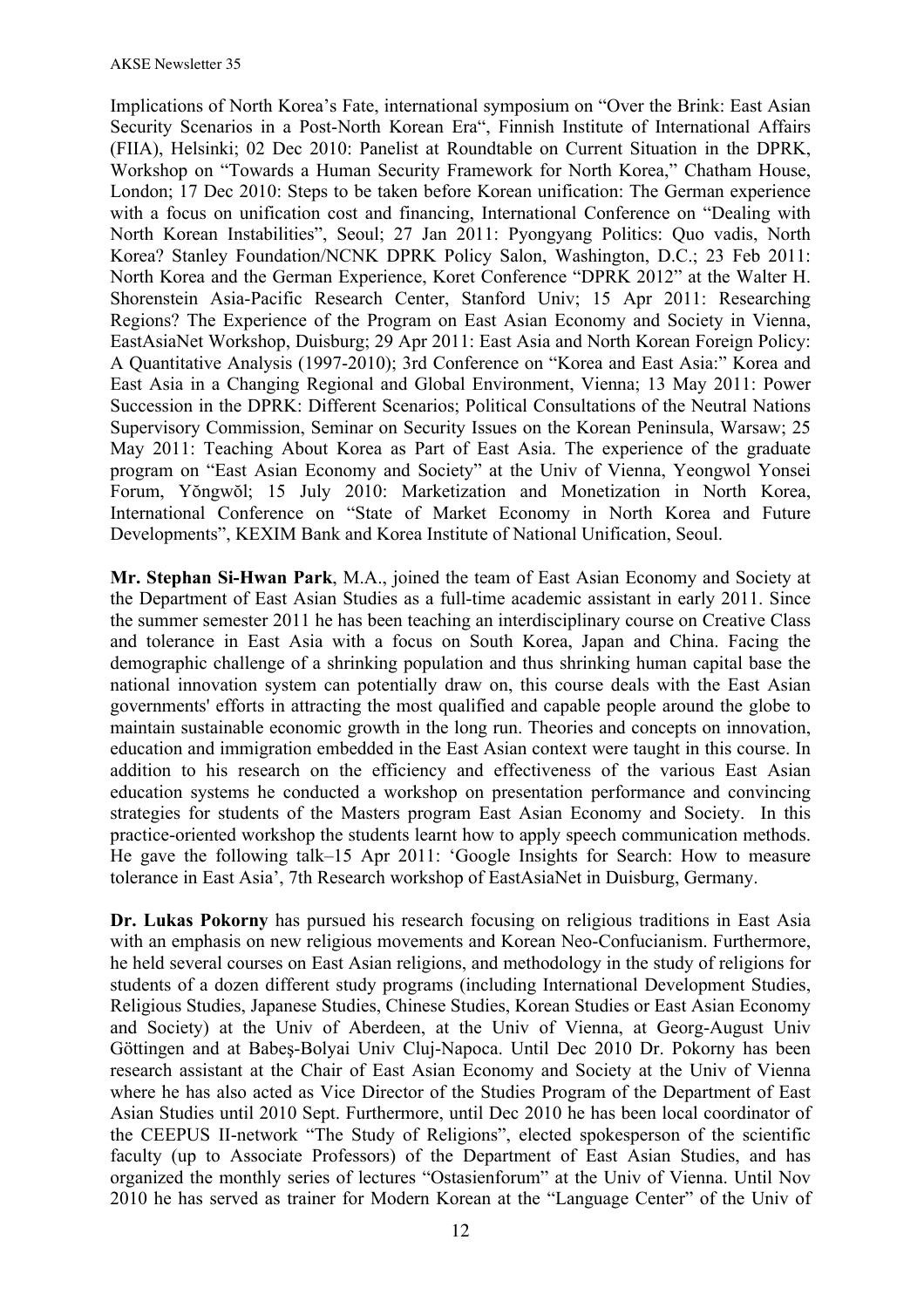Implications of North Korea's Fate, international symposium on "Over the Brink: East Asian Security Scenarios in a Post-North Korean Era", Finnish Institute of International Affairs (FIIA), Helsinki; 02 Dec 2010: Panelist at Roundtable on Current Situation in the DPRK, Workshop on "Towards a Human Security Framework for North Korea," Chatham House, London; 17 Dec 2010: Steps to be taken before Korean unification: The German experience with a focus on unification cost and financing, International Conference on "Dealing with North Korean Instabilities", Seoul; 27 Jan 2011: Pyongyang Politics: Quo vadis, North Korea? Stanley Foundation/NCNK DPRK Policy Salon, Washington, D.C.; 23 Feb 2011: North Korea and the German Experience, Koret Conference "DPRK 2012" at the Walter H. Shorenstein Asia-Pacific Research Center, Stanford Univ; 15 Apr 2011: Researching Regions? The Experience of the Program on East Asian Economy and Society in Vienna, EastAsiaNet Workshop, Duisburg; 29 Apr 2011: East Asia and North Korean Foreign Policy: A Quantitative Analysis (1997-2010); 3rd Conference on "Korea and East Asia:" Korea and East Asia in a Changing Regional and Global Environment, Vienna; 13 May 2011: Power Succession in the DPRK: Different Scenarios; Political Consultations of the Neutral Nations Supervisory Commission, Seminar on Security Issues on the Korean Peninsula, Warsaw; 25 May 2011: Teaching About Korea as Part of East Asia. The experience of the graduate program on "East Asian Economy and Society" at the Univ of Vienna, Yeongwol Yonsei Forum, Yŏngwŏl; 15 July 2010: Marketization and Monetization in North Korea, International Conference on "State of Market Economy in North Korea and Future Developments", KEXIM Bank and Korea Institute of National Unification, Seoul.

**Mr. Stephan Si-Hwan Park**, M.A., joined the team of East Asian Economy and Society at the Department of East Asian Studies as a full-time academic assistant in early 2011. Since the summer semester 2011 he has been teaching an interdisciplinary course on Creative Class and tolerance in East Asia with a focus on South Korea, Japan and China. Facing the demographic challenge of a shrinking population and thus shrinking human capital base the national innovation system can potentially draw on, this course deals with the East Asian governments' efforts in attracting the most qualified and capable people around the globe to maintain sustainable economic growth in the long run. Theories and concepts on innovation, education and immigration embedded in the East Asian context were taught in this course. In addition to his research on the efficiency and effectiveness of the various East Asian education systems he conducted a workshop on presentation performance and convincing strategies for students of the Masters program East Asian Economy and Society. In this practice-oriented workshop the students learnt how to apply speech communication methods. He gave the following talk–15 Apr 2011: 'Google Insights for Search: How to measure tolerance in East Asia', 7th Research workshop of EastAsiaNet in Duisburg, Germany.

**Dr. Lukas Pokorny** has pursued his research focusing on religious traditions in East Asia with an emphasis on new religious movements and Korean Neo-Confucianism. Furthermore, he held several courses on East Asian religions, and methodology in the study of religions for students of a dozen different study programs (including International Development Studies, Religious Studies, Japanese Studies, Chinese Studies, Korean Studies or East Asian Economy and Society) at the Univ of Aberdeen, at the Univ of Vienna, at Georg-August Univ Göttingen and at Babeş-Bolyai Univ Cluj-Napoca. Until Dec 2010 Dr. Pokorny has been research assistant at the Chair of East Asian Economy and Society at the Univ of Vienna where he has also acted as Vice Director of the Studies Program of the Department of East Asian Studies until 2010 Sept. Furthermore, until Dec 2010 he has been local coordinator of the CEEPUS II-network "The Study of Religions", elected spokesperson of the scientific faculty (up to Associate Professors) of the Department of East Asian Studies, and has organized the monthly series of lectures "Ostasienforum" at the Univ of Vienna. Until Nov 2010 he has served as trainer for Modern Korean at the "Language Center" of the Univ of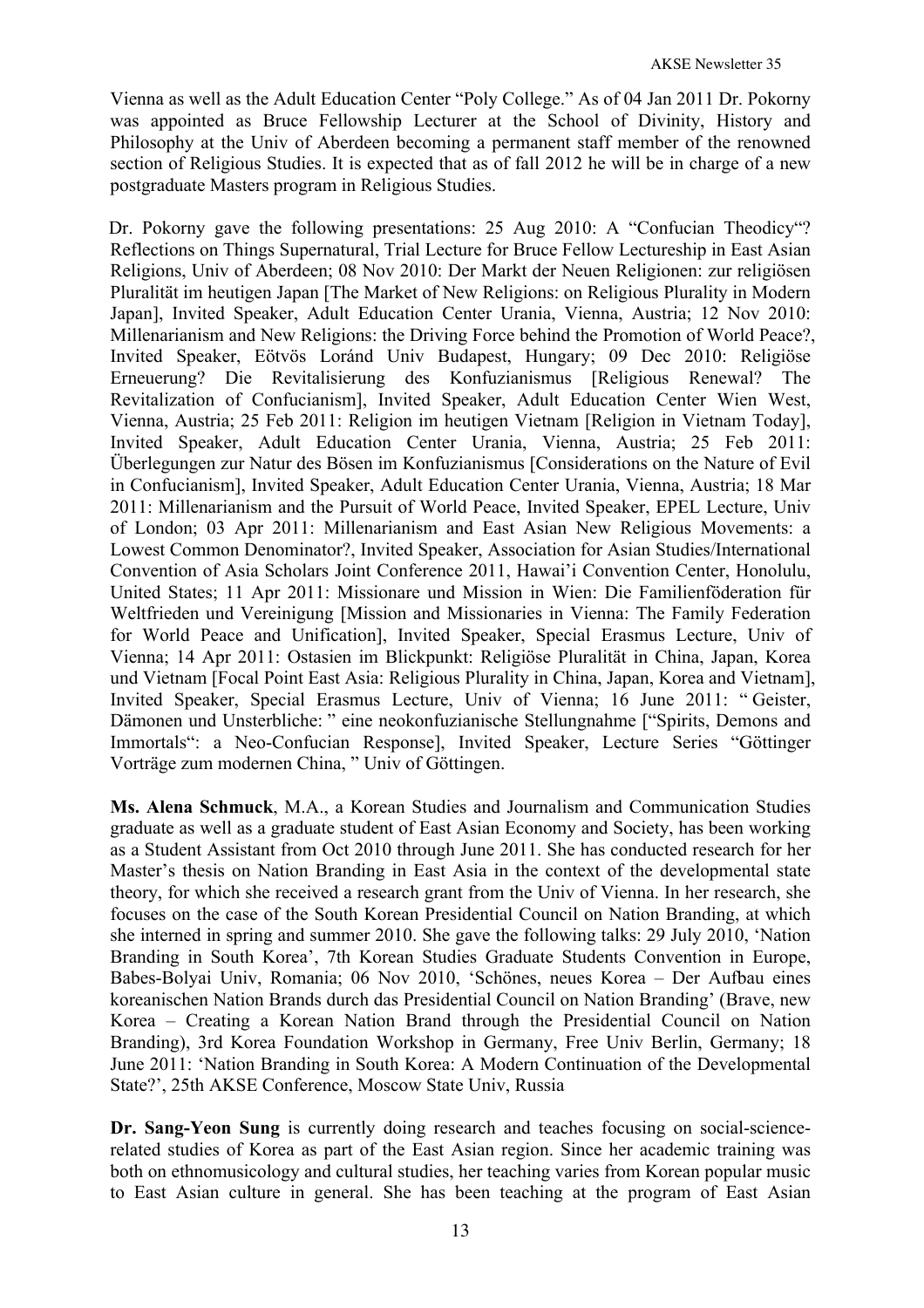Vienna as well as the Adult Education Center "Poly College." As of 04 Jan 2011 Dr. Pokorny was appointed as Bruce Fellowship Lecturer at the School of Divinity, History and Philosophy at the Univ of Aberdeen becoming a permanent staff member of the renowned section of Religious Studies. It is expected that as of fall 2012 he will be in charge of a new postgraduate Masters program in Religious Studies.

Dr. Pokorny gave the following presentations: 25 Aug 2010: A "Confucian Theodicy"? Reflections on Things Supernatural, Trial Lecture for Bruce Fellow Lectureship in East Asian Religions, Univ of Aberdeen; 08 Nov 2010: Der Markt der Neuen Religionen: zur religiösen Pluralität im heutigen Japan [The Market of New Religions: on Religious Plurality in Modern Japan], Invited Speaker, Adult Education Center Urania, Vienna, Austria; 12 Nov 2010: Millenarianism and New Religions: the Driving Force behind the Promotion of World Peace?, Invited Speaker, Eötvös Loránd Univ Budapest, Hungary; 09 Dec 2010: Religiöse Erneuerung? Die Revitalisierung des Konfuzianismus [Religious Renewal? The Revitalization of Confucianism], Invited Speaker, Adult Education Center Wien West, Vienna, Austria; 25 Feb 2011: Religion im heutigen Vietnam [Religion in Vietnam Today], Invited Speaker, Adult Education Center Urania, Vienna, Austria; 25 Feb 2011: Überlegungen zur Natur des Bösen im Konfuzianismus [Considerations on the Nature of Evil in Confucianism], Invited Speaker, Adult Education Center Urania, Vienna, Austria; 18 Mar 2011: Millenarianism and the Pursuit of World Peace, Invited Speaker, EPEL Lecture, Univ of London; 03 Apr 2011: Millenarianism and East Asian New Religious Movements: a Lowest Common Denominator?, Invited Speaker, Association for Asian Studies/International Convention of Asia Scholars Joint Conference 2011, Hawai'i Convention Center, Honolulu, United States; 11 Apr 2011: Missionare und Mission in Wien: Die Familienföderation für Weltfrieden und Vereinigung [Mission and Missionaries in Vienna: The Family Federation for World Peace and Unification], Invited Speaker, Special Erasmus Lecture, Univ of Vienna; 14 Apr 2011: Ostasien im Blickpunkt: Religiöse Pluralität in China, Japan, Korea und Vietnam [Focal Point East Asia: Religious Plurality in China, Japan, Korea and Vietnam], Invited Speaker, Special Erasmus Lecture, Univ of Vienna; 16 June 2011: " Geister, Dämonen und Unsterbliche: " eine neokonfuzianische Stellungnahme ["Spirits, Demons and Immortals": a Neo-Confucian Response], Invited Speaker, Lecture Series "Göttinger Vorträge zum modernen China, " Univ of Göttingen.

**Ms. Alena Schmuck**, M.A., a Korean Studies and Journalism and Communication Studies graduate as well as a graduate student of East Asian Economy and Society, has been working as a Student Assistant from Oct 2010 through June 2011. She has conducted research for her Master's thesis on Nation Branding in East Asia in the context of the developmental state theory, for which she received a research grant from the Univ of Vienna. In her research, she focuses on the case of the South Korean Presidential Council on Nation Branding, at which she interned in spring and summer 2010. She gave the following talks: 29 July 2010, 'Nation Branding in South Korea', 7th Korean Studies Graduate Students Convention in Europe, Babes-Bolyai Univ, Romania; 06 Nov 2010, 'Schönes, neues Korea – Der Aufbau eines koreanischen Nation Brands durch das Presidential Council on Nation Branding' (Brave, new Korea – Creating a Korean Nation Brand through the Presidential Council on Nation Branding), 3rd Korea Foundation Workshop in Germany, Free Univ Berlin, Germany; 18 June 2011: 'Nation Branding in South Korea: A Modern Continuation of the Developmental State?', 25th AKSE Conference, Moscow State Univ, Russia

**Dr. Sang-Yeon Sung** is currently doing research and teaches focusing on social-sciencerelated studies of Korea as part of the East Asian region. Since her academic training was both on ethnomusicology and cultural studies, her teaching varies from Korean popular music to East Asian culture in general. She has been teaching at the program of East Asian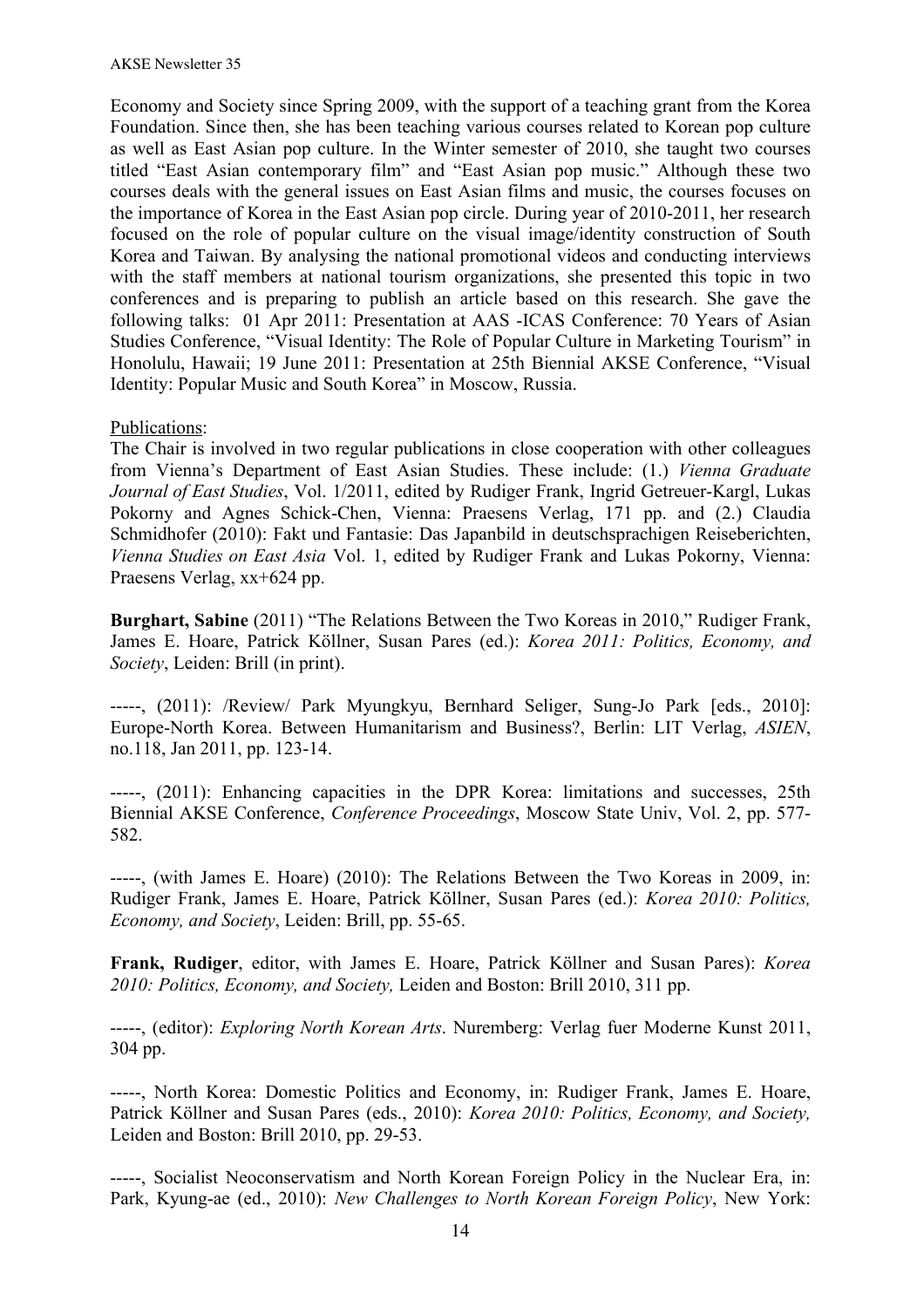Economy and Society since Spring 2009, with the support of a teaching grant from the Korea Foundation. Since then, she has been teaching various courses related to Korean pop culture as well as East Asian pop culture. In the Winter semester of 2010, she taught two courses titled "East Asian contemporary film" and "East Asian pop music." Although these two courses deals with the general issues on East Asian films and music, the courses focuses on the importance of Korea in the East Asian pop circle. During year of 2010-2011, her research focused on the role of popular culture on the visual image/identity construction of South Korea and Taiwan. By analysing the national promotional videos and conducting interviews with the staff members at national tourism organizations, she presented this topic in two conferences and is preparing to publish an article based on this research. She gave the following talks: 01 Apr 2011: Presentation at AAS -ICAS Conference: 70 Years of Asian Studies Conference, "Visual Identity: The Role of Popular Culture in Marketing Tourism" in Honolulu, Hawaii; 19 June 2011: Presentation at 25th Biennial AKSE Conference, "Visual Identity: Popular Music and South Korea" in Moscow, Russia.

## Publications:

The Chair is involved in two regular publications in close cooperation with other colleagues from Vienna's Department of East Asian Studies. These include: (1.) *Vienna Graduate Journal of East Studies*, Vol. 1/2011, edited by Rudiger Frank, Ingrid Getreuer-Kargl, Lukas Pokorny and Agnes Schick-Chen, Vienna: Praesens Verlag, 171 pp. and (2.) Claudia Schmidhofer (2010): Fakt und Fantasie: Das Japanbild in deutschsprachigen Reiseberichten, *Vienna Studies on East Asia* Vol. 1, edited by Rudiger Frank and Lukas Pokorny, Vienna: Praesens Verlag, xx+624 pp.

**Burghart, Sabine** (2011) "The Relations Between the Two Koreas in 2010," Rudiger Frank, James E. Hoare, Patrick Köllner, Susan Pares (ed.): *Korea 2011: Politics, Economy, and Society*, Leiden: Brill (in print).

-----, (2011): /Review/ Park Myungkyu, Bernhard Seliger, Sung-Jo Park [eds., 2010]: Europe-North Korea. Between Humanitarism and Business?, Berlin: LIT Verlag, *ASIEN*, no.118, Jan 2011, pp. 123-14.

-----, (2011): Enhancing capacities in the DPR Korea: limitations and successes, 25th Biennial AKSE Conference, *Conference Proceedings*, Moscow State Univ, Vol. 2, pp. 577- 582.

-----, (with James E. Hoare) (2010): The Relations Between the Two Koreas in 2009, in: Rudiger Frank, James E. Hoare, Patrick Köllner, Susan Pares (ed.): *Korea 2010: Politics, Economy, and Society*, Leiden: Brill, pp. 55-65.

**Frank, Rudiger**, editor, with James E. Hoare, Patrick Köllner and Susan Pares): *Korea 2010: Politics, Economy, and Society,* Leiden and Boston: Brill 2010, 311 pp.

-----, (editor): *Exploring North Korean Arts*. Nuremberg: Verlag fuer Moderne Kunst 2011, 304 pp.

-----, North Korea: Domestic Politics and Economy, in: Rudiger Frank, James E. Hoare, Patrick Köllner and Susan Pares (eds., 2010): *Korea 2010: Politics, Economy, and Society,*  Leiden and Boston: Brill 2010, pp. 29-53.

-----, Socialist Neoconservatism and North Korean Foreign Policy in the Nuclear Era, in: Park, Kyung-ae (ed., 2010): *New Challenges to North Korean Foreign Policy*, New York: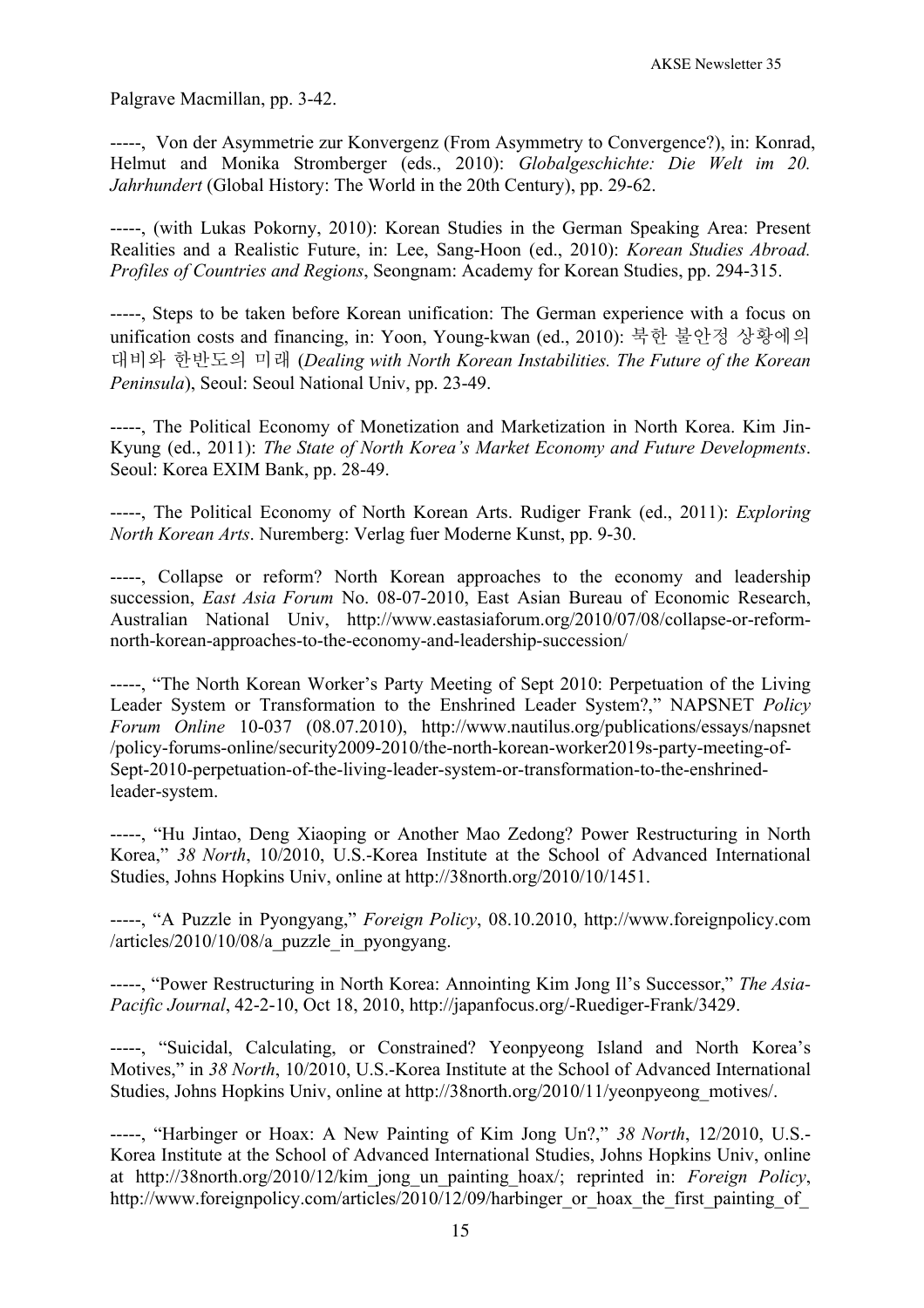Palgrave Macmillan, pp. 3-42.

-----, Von der Asymmetrie zur Konvergenz (From Asymmetry to Convergence?), in: Konrad, Helmut and Monika Stromberger (eds., 2010): *Globalgeschichte: Die Welt im 20. Jahrhundert* (Global History: The World in the 20th Century), pp. 29-62.

-----, (with Lukas Pokorny, 2010): Korean Studies in the German Speaking Area: Present Realities and a Realistic Future, in: Lee, Sang-Hoon (ed., 2010): *Korean Studies Abroad. Profiles of Countries and Regions*, Seongnam: Academy for Korean Studies, pp. 294-315.

-----, Steps to be taken before Korean unification: The German experience with a focus on unification costs and financing, in: Yoon, Young-kwan (ed., 2010): 북한 불안정 상황에의 대비와 한반도의 미래 (*Dealing with North Korean Instabilities. The Future of the Korean Peninsula*), Seoul: Seoul National Univ, pp. 23-49.

-----, The Political Economy of Monetization and Marketization in North Korea. Kim Jin-Kyung (ed., 2011): *The State of North Korea's Market Economy and Future Developments*. Seoul: Korea EXIM Bank, pp. 28-49.

-----, The Political Economy of North Korean Arts. Rudiger Frank (ed., 2011): *Exploring North Korean Arts*. Nuremberg: Verlag fuer Moderne Kunst, pp. 9-30.

-----, Collapse or reform? North Korean approaches to the economy and leadership succession, *East Asia Forum* No. 08-07-2010, East Asian Bureau of Economic Research, Australian National Univ, http://www.eastasiaforum.org/2010/07/08/collapse-or-reformnorth-korean-approaches-to-the-economy-and-leadership-succession/

-----, "The North Korean Worker's Party Meeting of Sept 2010: Perpetuation of the Living Leader System or Transformation to the Enshrined Leader System?," NAPSNET *Policy Forum Online* 10-037 (08.07.2010), http://www.nautilus.org/publications/essays/napsnet /policy-forums-online/security2009-2010/the-north-korean-worker2019s-party-meeting-of-Sept-2010-perpetuation-of-the-living-leader-system-or-transformation-to-the-enshrinedleader-system.

-----, "Hu Jintao, Deng Xiaoping or Another Mao Zedong? Power Restructuring in North Korea," *38 North*, 10/2010, U.S.-Korea Institute at the School of Advanced International Studies, Johns Hopkins Univ, online at http://38north.org/2010/10/1451.

-----, "A Puzzle in Pyongyang," *Foreign Policy*, 08.10.2010, http://www.foreignpolicy.com  $/$ articles $/2010/10/08/a$  puzzle in pyongyang.

-----, "Power Restructuring in North Korea: Annointing Kim Jong Il's Successor," *The Asia-Pacific Journal*, 42-2-10, Oct 18, 2010, http://japanfocus.org/-Ruediger-Frank/3429.

-----, "Suicidal, Calculating, or Constrained? Yeonpyeong Island and North Korea's Motives," in *38 North*, 10/2010, U.S.-Korea Institute at the School of Advanced International Studies, Johns Hopkins Univ, online at http://38north.org/2010/11/yeonpyeong\_motives/.

-----, "Harbinger or Hoax: A New Painting of Kim Jong Un?," *38 North*, 12/2010, U.S.- Korea Institute at the School of Advanced International Studies, Johns Hopkins Univ, online at http://38north.org/2010/12/kim\_jong\_un\_painting\_hoax/; reprinted in: *Foreign Policy*, http://www.foreignpolicy.com/articles/2010/12/09/harbinger\_or\_hoax\_the\_first\_painting\_of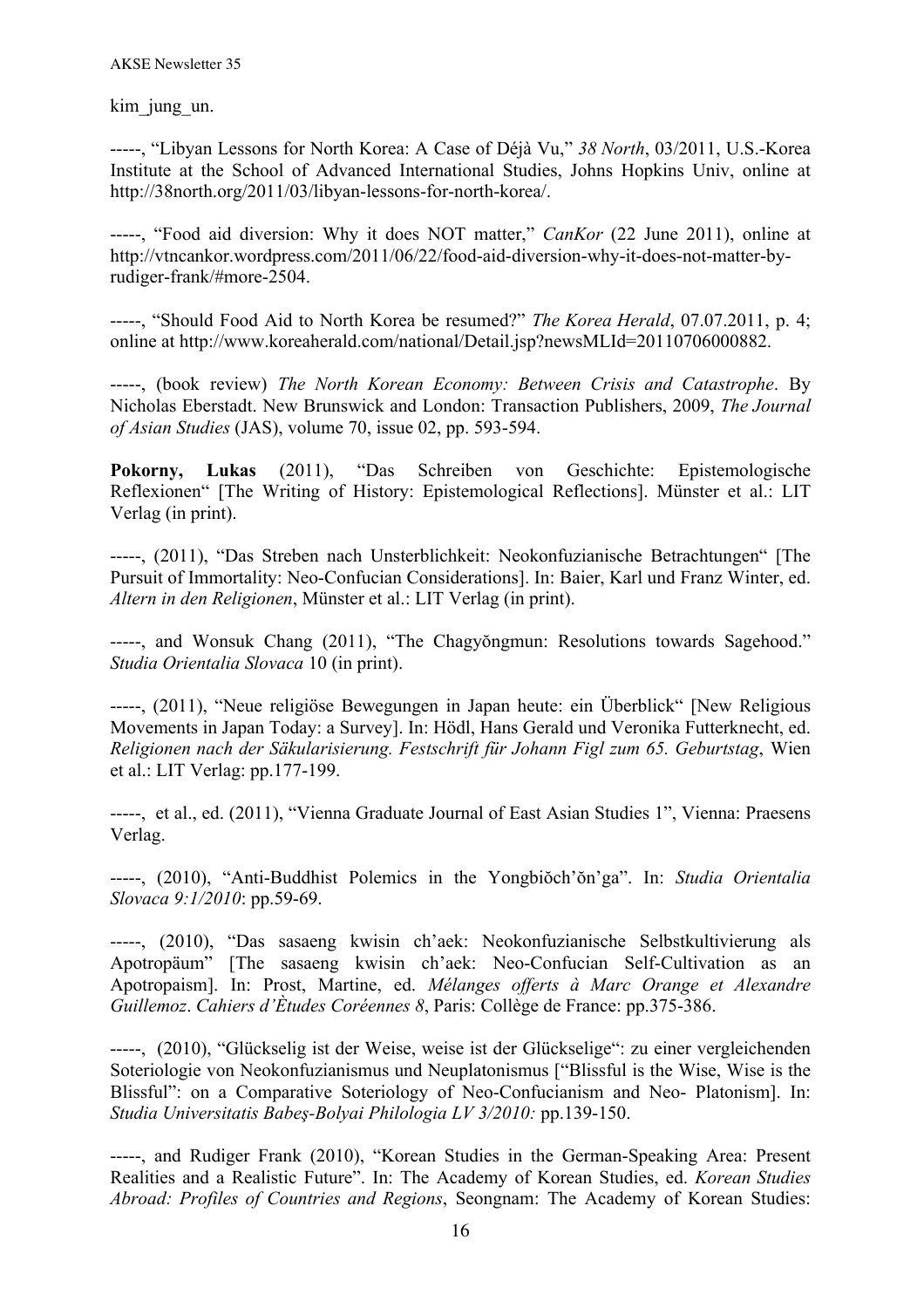kim jung un.

-----, "Libyan Lessons for North Korea: A Case of Déjà Vu," *38 North*, 03/2011, U.S.-Korea Institute at the School of Advanced International Studies, Johns Hopkins Univ, online at http://38north.org/2011/03/libyan-lessons-for-north-korea/.

-----, "Food aid diversion: Why it does NOT matter," *CanKor* (22 June 2011), online at http://vtncankor.wordpress.com/2011/06/22/food-aid-diversion-why-it-does-not-matter-byrudiger-frank/#more-2504.

-----, "Should Food Aid to North Korea be resumed?" *The Korea Herald*, 07.07.2011, p. 4; online at http://www.koreaherald.com/national/Detail.jsp?newsMLId=20110706000882.

-----, (book review) *The North Korean Economy: Between Crisis and Catastrophe*. By Nicholas Eberstadt. New Brunswick and London: Transaction Publishers, 2009, *The Journal of Asian Studies* (JAS), volume 70, issue 02, pp. 593-594.

**Pokorny, Lukas** (2011), "Das Schreiben von Geschichte: Epistemologische Reflexionen" [The Writing of History: Epistemological Reflections]. Münster et al.: LIT Verlag (in print).

-----, (2011), "Das Streben nach Unsterblichkeit: Neokonfuzianische Betrachtungen" [The Pursuit of Immortality: Neo-Confucian Considerations]. In: Baier, Karl und Franz Winter, ed. *Altern in den Religionen*, Münster et al.: LIT Verlag (in print).

-----, and Wonsuk Chang (2011), "The Chagyŏngmun: Resolutions towards Sagehood." *Studia Orientalia Slovaca* 10 (in print).

-----, (2011), "Neue religiöse Bewegungen in Japan heute: ein Überblick" [New Religious Movements in Japan Today: a Survey]. In: Hödl, Hans Gerald und Veronika Futterknecht, ed. *Religionen nach der Säkularisierung. Festschrift für Johann Figl zum 65. Geburtstag*, Wien et al.: LIT Verlag: pp.177-199.

-----, et al., ed. (2011), "Vienna Graduate Journal of East Asian Studies 1", Vienna: Praesens Verlag.

-----, (2010), "Anti-Buddhist Polemics in the Yongbiŏch'ŏn'ga". In: *Studia Orientalia Slovaca 9:1/2010*: pp.59-69.

-----, (2010), "Das sasaeng kwisin ch'aek: Neokonfuzianische Selbstkultivierung als Apotropäum" [The sasaeng kwisin ch'aek: Neo-Confucian Self-Cultivation as an Apotropaism]. In: Prost, Martine, ed. *Mélanges offerts à Marc Orange et Alexandre Guillemoz*. *Cahiers d'Ètudes Coréennes 8*, Paris: Collège de France: pp.375-386.

-----, (2010), "Glückselig ist der Weise, weise ist der Glückselige": zu einer vergleichenden Soteriologie von Neokonfuzianismus und Neuplatonismus ["Blissful is the Wise, Wise is the Blissful": on a Comparative Soteriology of Neo-Confucianism and Neo- Platonism]. In: *Studia Universitatis Babeş-Bolyai Philologia LV 3/2010:* pp.139-150.

-----, and Rudiger Frank (2010), "Korean Studies in the German-Speaking Area: Present Realities and a Realistic Future". In: The Academy of Korean Studies, ed. *Korean Studies Abroad: Profiles of Countries and Regions*, Seongnam: The Academy of Korean Studies: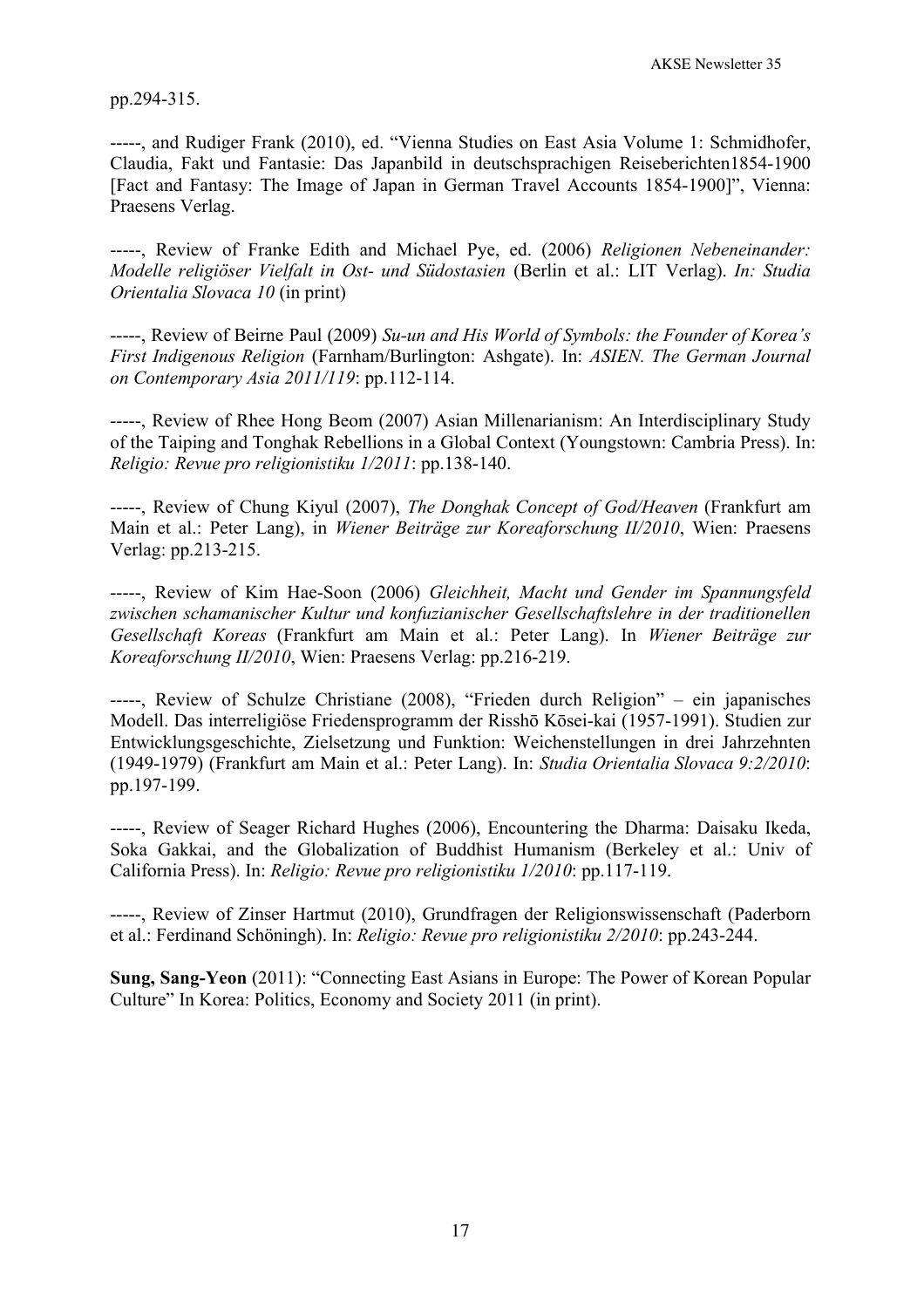pp.294-315.

-----, and Rudiger Frank (2010), ed. "Vienna Studies on East Asia Volume 1: Schmidhofer, Claudia, Fakt und Fantasie: Das Japanbild in deutschsprachigen Reiseberichten1854-1900 [Fact and Fantasy: The Image of Japan in German Travel Accounts 1854-1900]", Vienna: Praesens Verlag.

-----, Review of Franke Edith and Michael Pye, ed. (2006) *Religionen Nebeneinander: Modelle religiöser Vielfalt in Ost- und Südostasien* (Berlin et al.: LIT Verlag). *In: Studia Orientalia Slovaca 10* (in print)

-----, Review of Beirne Paul (2009) *Su-un and His World of Symbols: the Founder of Korea's First Indigenous Religion* (Farnham/Burlington: Ashgate). In: *ASIEN. The German Journal on Contemporary Asia 2011/119*: pp.112-114.

-----, Review of Rhee Hong Beom (2007) Asian Millenarianism: An Interdisciplinary Study of the Taiping and Tonghak Rebellions in a Global Context (Youngstown: Cambria Press). In: *Religio: Revue pro religionistiku 1/2011*: pp.138-140.

-----, Review of Chung Kiyul (2007), *The Donghak Concept of God/Heaven* (Frankfurt am Main et al.: Peter Lang), in *Wiener Beiträge zur Koreaforschung II/2010*, Wien: Praesens Verlag: pp.213-215.

-----, Review of Kim Hae-Soon (2006) *Gleichheit, Macht und Gender im Spannungsfeld zwischen schamanischer Kultur und konfuzianischer Gesellschaftslehre in der traditionellen Gesellschaft Koreas* (Frankfurt am Main et al.: Peter Lang). In *Wiener Beiträge zur Koreaforschung II/2010*, Wien: Praesens Verlag: pp.216-219.

-----, Review of Schulze Christiane (2008), "Frieden durch Religion" – ein japanisches Modell. Das interreligiöse Friedensprogramm der Risshō Kōsei-kai (1957-1991). Studien zur Entwicklungsgeschichte, Zielsetzung und Funktion: Weichenstellungen in drei Jahrzehnten (1949-1979) (Frankfurt am Main et al.: Peter Lang). In: *Studia Orientalia Slovaca 9:2/2010*: pp.197-199.

-----, Review of Seager Richard Hughes (2006), Encountering the Dharma: Daisaku Ikeda, Soka Gakkai, and the Globalization of Buddhist Humanism (Berkeley et al.: Univ of California Press). In: *Religio: Revue pro religionistiku 1/2010*: pp.117-119.

-----, Review of Zinser Hartmut (2010), Grundfragen der Religionswissenschaft (Paderborn et al.: Ferdinand Schöningh). In: *Religio: Revue pro religionistiku 2/2010*: pp.243-244.

**Sung, Sang-Yeon** (2011): "Connecting East Asians in Europe: The Power of Korean Popular Culture" In Korea: Politics, Economy and Society 2011 (in print).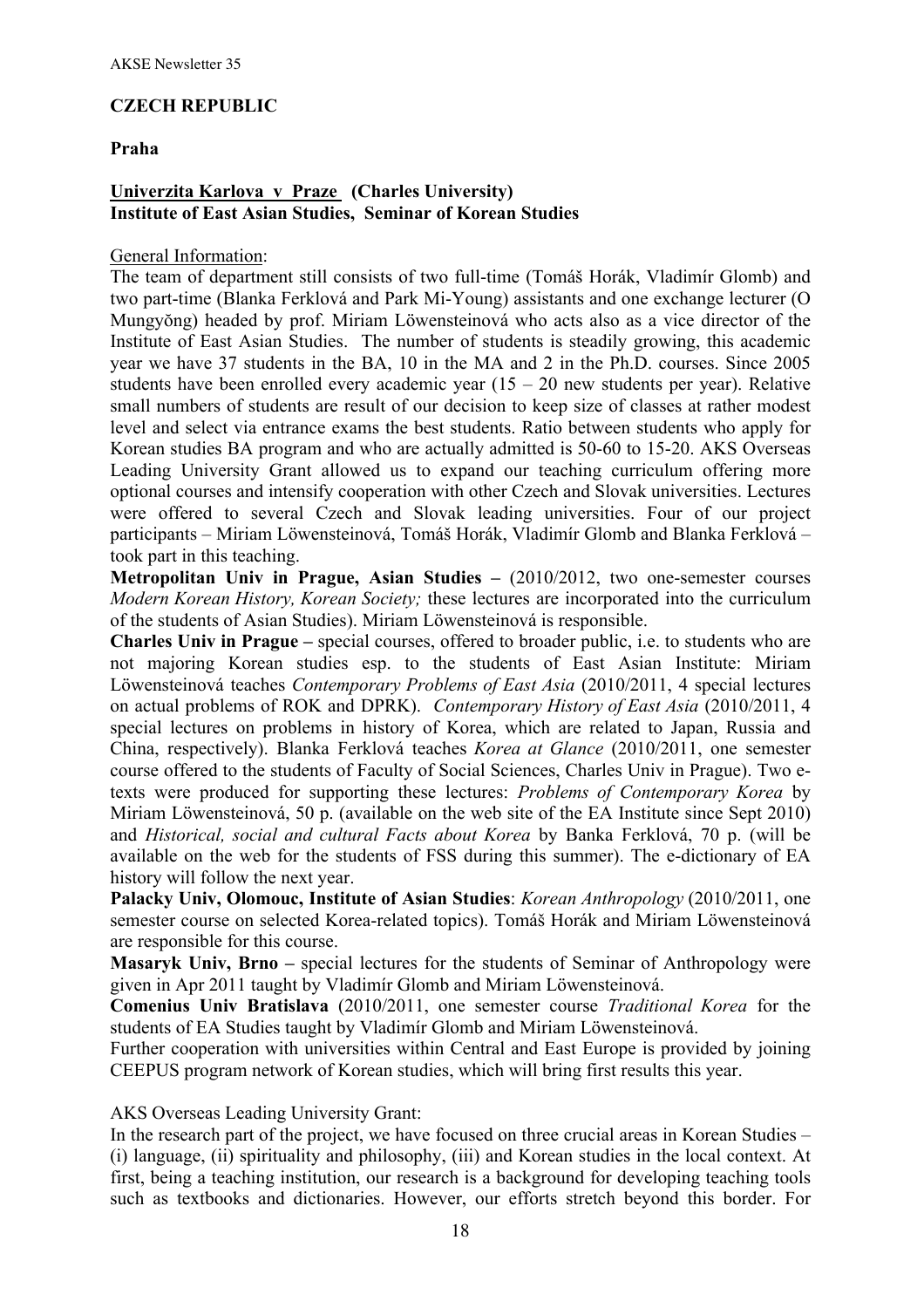# **CZECH REPUBLIC**

### **Praha**

# **Univerzita Karlova v Praze (Charles University) Institute of East Asian Studies, Seminar of Korean Studies**

#### General Information:

The team of department still consists of two full-time (Tomáš Horák, Vladimír Glomb) and two part-time (Blanka Ferklová and Park Mi-Young) assistants and one exchange lecturer (O Mungyŏng) headed by prof. Miriam Löwensteinová who acts also as a vice director of the Institute of East Asian Studies. The number of students is steadily growing, this academic year we have 37 students in the BA, 10 in the MA and 2 in the Ph.D. courses. Since 2005 students have been enrolled every academic year  $(15 - 20$  new students per year). Relative small numbers of students are result of our decision to keep size of classes at rather modest level and select via entrance exams the best students. Ratio between students who apply for Korean studies BA program and who are actually admitted is 50-60 to 15-20. AKS Overseas Leading University Grant allowed us to expand our teaching curriculum offering more optional courses and intensify cooperation with other Czech and Slovak universities. Lectures were offered to several Czech and Slovak leading universities. Four of our project participants – Miriam Löwensteinová, Tomáš Horák, Vladimír Glomb and Blanka Ferklová – took part in this teaching.

**Metropolitan Univ in Prague, Asian Studies –** (2010/2012, two one-semester courses *Modern Korean History, Korean Society;* these lectures are incorporated into the curriculum of the students of Asian Studies). Miriam Löwensteinová is responsible.

**Charles Univ in Prague –** special courses, offered to broader public, i.e. to students who are not majoring Korean studies esp. to the students of East Asian Institute: Miriam Löwensteinová teaches *Contemporary Problems of East Asia* (2010/2011, 4 special lectures on actual problems of ROK and DPRK). *Contemporary History of East Asia* (2010/2011, 4 special lectures on problems in history of Korea, which are related to Japan, Russia and China, respectively). Blanka Ferklová teaches *Korea at Glance* (2010/2011, one semester course offered to the students of Faculty of Social Sciences, Charles Univ in Prague). Two etexts were produced for supporting these lectures: *Problems of Contemporary Korea* by Miriam Löwensteinová, 50 p. (available on the web site of the EA Institute since Sept 2010) and *Historical, social and cultural Facts about Korea* by Banka Ferklová, 70 p. (will be available on the web for the students of FSS during this summer). The e-dictionary of EA history will follow the next year.

**Palacky Univ, Olomouc, Institute of Asian Studies**: *Korean Anthropology* (2010/2011, one semester course on selected Korea-related topics). Tomáš Horák and Miriam Löwensteinová are responsible for this course.

**Masaryk Univ, Brno –** special lectures for the students of Seminar of Anthropology were given in Apr 2011 taught by Vladimír Glomb and Miriam Löwensteinová.

**Comenius Univ Bratislava** (2010/2011, one semester course *Traditional Korea* for the students of EA Studies taught by Vladimír Glomb and Miriam Löwensteinová.

Further cooperation with universities within Central and East Europe is provided by joining CEEPUS program network of Korean studies, which will bring first results this year.

AKS Overseas Leading University Grant:

In the research part of the project, we have focused on three crucial areas in Korean Studies – (i) language, (ii) spirituality and philosophy, (iii) and Korean studies in the local context. At first, being a teaching institution, our research is a background for developing teaching tools such as textbooks and dictionaries. However, our efforts stretch beyond this border. For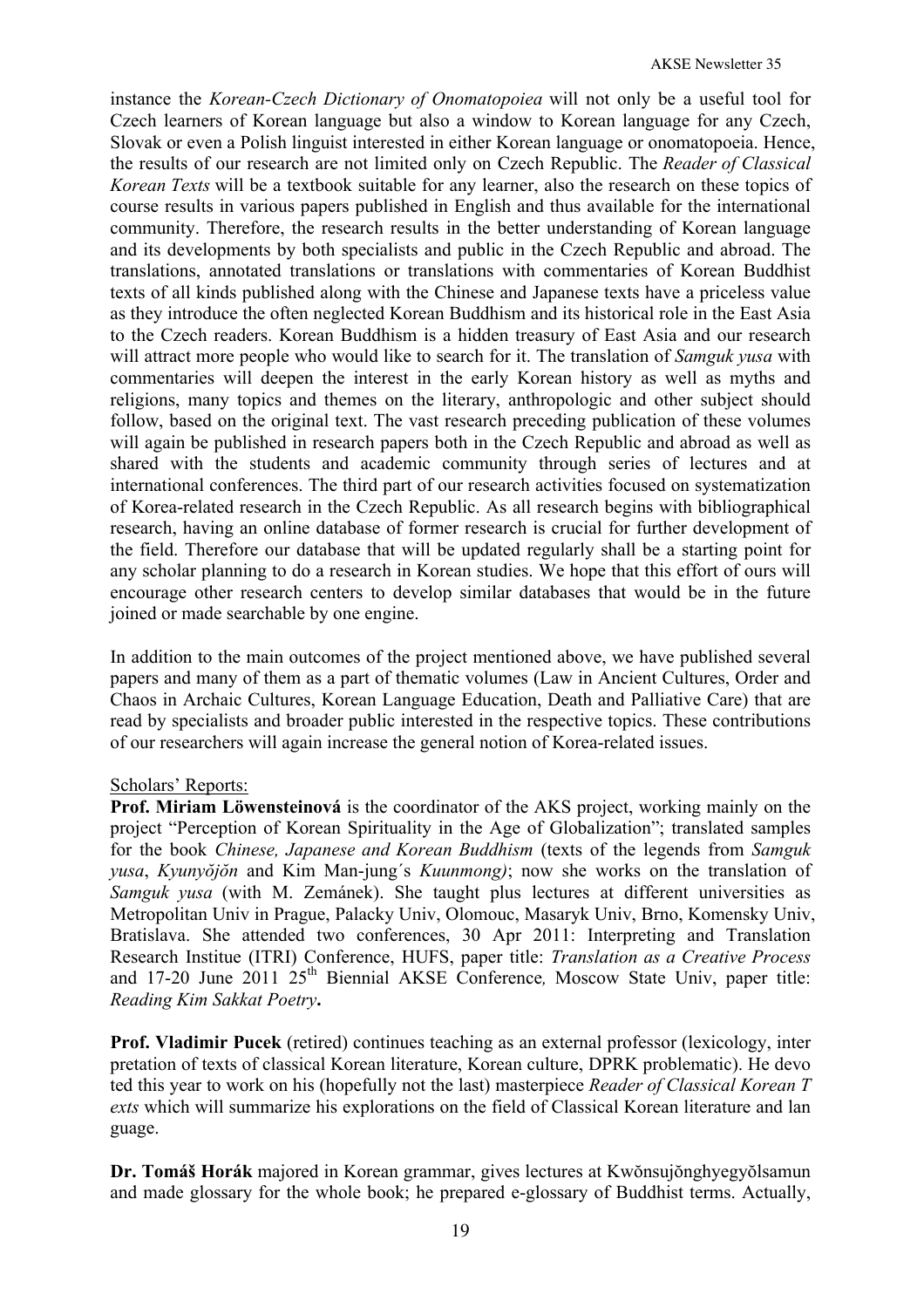instance the *Korean-Czech Dictionary of Onomatopoiea* will not only be a useful tool for Czech learners of Korean language but also a window to Korean language for any Czech, Slovak or even a Polish linguist interested in either Korean language or onomatopoeia. Hence, the results of our research are not limited only on Czech Republic. The *Reader of Classical Korean Texts* will be a textbook suitable for any learner, also the research on these topics of course results in various papers published in English and thus available for the international community. Therefore, the research results in the better understanding of Korean language and its developments by both specialists and public in the Czech Republic and abroad. The translations, annotated translations or translations with commentaries of Korean Buddhist texts of all kinds published along with the Chinese and Japanese texts have a priceless value as they introduce the often neglected Korean Buddhism and its historical role in the East Asia to the Czech readers. Korean Buddhism is a hidden treasury of East Asia and our research will attract more people who would like to search for it. The translation of *Samguk yusa* with commentaries will deepen the interest in the early Korean history as well as myths and religions, many topics and themes on the literary, anthropologic and other subject should follow, based on the original text. The vast research preceding publication of these volumes will again be published in research papers both in the Czech Republic and abroad as well as shared with the students and academic community through series of lectures and at international conferences. The third part of our research activities focused on systematization of Korea-related research in the Czech Republic. As all research begins with bibliographical research, having an online database of former research is crucial for further development of the field. Therefore our database that will be updated regularly shall be a starting point for any scholar planning to do a research in Korean studies. We hope that this effort of ours will encourage other research centers to develop similar databases that would be in the future joined or made searchable by one engine.

In addition to the main outcomes of the project mentioned above, we have published several papers and many of them as a part of thematic volumes (Law in Ancient Cultures, Order and Chaos in Archaic Cultures, Korean Language Education, Death and Palliative Care) that are read by specialists and broader public interested in the respective topics. These contributions of our researchers will again increase the general notion of Korea-related issues.

#### Scholars' Reports:

**Prof. Miriam Löwensteinová** is the coordinator of the AKS project, working mainly on the project "Perception of Korean Spirituality in the Age of Globalization"; translated samples for the book *Chinese, Japanese and Korean Buddhism* (texts of the legends from *Samguk yusa*, *Kyunyŏjŏn* and Kim Man-jung´s *Kuunmong)*; now she works on the translation of *Samguk yusa* (with M. Zemánek). She taught plus lectures at different universities as Metropolitan Univ in Prague, Palacky Univ, Olomouc, Masaryk Univ, Brno, Komensky Univ, Bratislava. She attended two conferences, 30 Apr 2011: Interpreting and Translation Research Institue (ITRI) Conference, HUFS, paper title: *Translation as a Creative Process* and 17-20 June 2011 25<sup>th</sup> Biennial AKSE Conference, Moscow State Univ, paper title: *Reading Kim Sakkat Poetry***.**

**Prof. Vladimir Pucek** (retired) continues teaching as an external professor (lexicology, inter pretation of texts of classical Korean literature, Korean culture, DPRK problematic). He devo ted this year to work on his (hopefully not the last) masterpiece *Reader of Classical Korean T exts* which will summarize his explorations on the field of Classical Korean literature and lan guage.

**Dr. Tomáš Horák** majored in Korean grammar, gives lectures at Kwŏnsujŏnghyegyŏlsamun and made glossary for the whole book; he prepared e-glossary of Buddhist terms. Actually,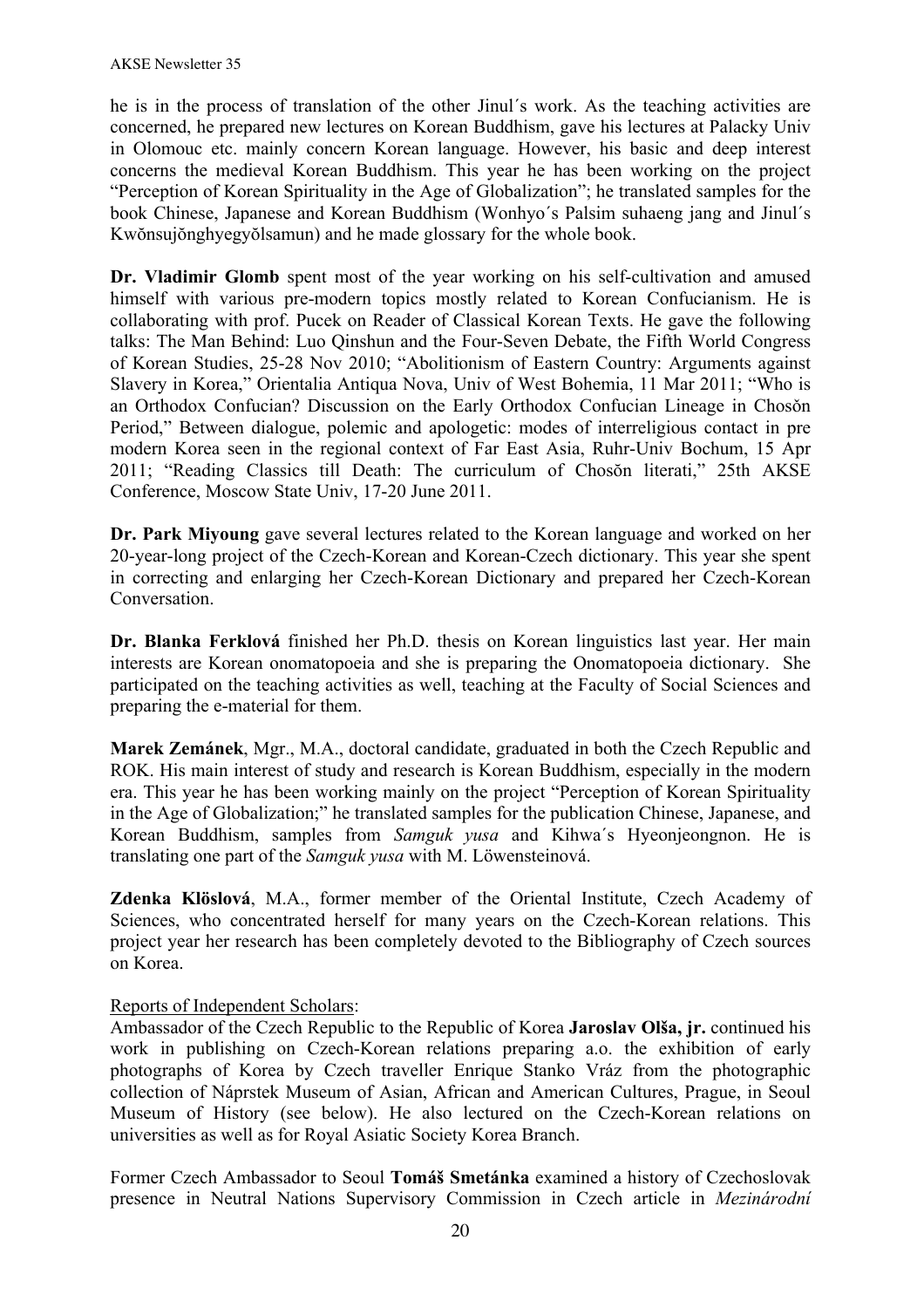he is in the process of translation of the other Jinul´s work. As the teaching activities are concerned, he prepared new lectures on Korean Buddhism, gave his lectures at Palacky Univ in Olomouc etc. mainly concern Korean language. However, his basic and deep interest concerns the medieval Korean Buddhism. This year he has been working on the project "Perception of Korean Spirituality in the Age of Globalization"; he translated samples for the book Chinese, Japanese and Korean Buddhism (Wonhyo´s Palsim suhaeng jang and Jinul´s Kwŏnsujŏnghyegyŏlsamun) and he made glossary for the whole book.

Dr. Vladimir Glomb spent most of the year working on his self-cultivation and amused himself with various pre-modern topics mostly related to Korean Confucianism. He is collaborating with prof. Pucek on Reader of Classical Korean Texts. He gave the following talks: The Man Behind: Luo Qinshun and the Four-Seven Debate, the Fifth World Congress of Korean Studies, 25-28 Nov 2010; "Abolitionism of Eastern Country: Arguments against Slavery in Korea," Orientalia Antiqua Nova, Univ of West Bohemia, 11 Mar 2011; "Who is an Orthodox Confucian? Discussion on the Early Orthodox Confucian Lineage in Chosǒn Period," Between dialogue, polemic and apologetic: modes of interreligious contact in pre modern Korea seen in the regional context of Far East Asia, Ruhr-Univ Bochum, 15 Apr 2011; "Reading Classics till Death: The curriculum of Chosŏn literati," 25th AKSE Conference, Moscow State Univ, 17-20 June 2011.

**Dr. Park Miyoung** gave several lectures related to the Korean language and worked on her 20-year-long project of the Czech-Korean and Korean-Czech dictionary. This year she spent in correcting and enlarging her Czech-Korean Dictionary and prepared her Czech-Korean **Conversation** 

**Dr. Blanka Ferklová** finished her Ph.D. thesis on Korean linguistics last year. Her main interests are Korean onomatopoeia and she is preparing the Onomatopoeia dictionary. She participated on the teaching activities as well, teaching at the Faculty of Social Sciences and preparing the e-material for them.

**Marek Zemánek**, Mgr., M.A., doctoral candidate, graduated in both the Czech Republic and ROK. His main interest of study and research is Korean Buddhism, especially in the modern era. This year he has been working mainly on the project "Perception of Korean Spirituality in the Age of Globalization;" he translated samples for the publication Chinese, Japanese, and Korean Buddhism, samples from *Samguk yusa* and Kihwa´s Hyeonjeongnon. He is translating one part of the *Samguk yusa* with M. Löwensteinová.

**Zdenka Klöslová**, M.A., former member of the Oriental Institute, Czech Academy of Sciences, who concentrated herself for many years on the Czech-Korean relations. This project year her research has been completely devoted to the Bibliography of Czech sources on Korea.

#### Reports of Independent Scholars:

Ambassador of the Czech Republic to the Republic of Korea **Jaroslav Olša, jr.** continued his work in publishing on Czech-Korean relations preparing a.o. the exhibition of early photographs of Korea by Czech traveller Enrique Stanko Vráz from the photographic collection of Náprstek Museum of Asian, African and American Cultures, Prague, in Seoul Museum of History (see below). He also lectured on the Czech-Korean relations on universities as well as for Royal Asiatic Society Korea Branch.

Former Czech Ambassador to Seoul **Tomáš Smetánka** examined a history of Czechoslovak presence in Neutral Nations Supervisory Commission in Czech article in *Mezinárodní*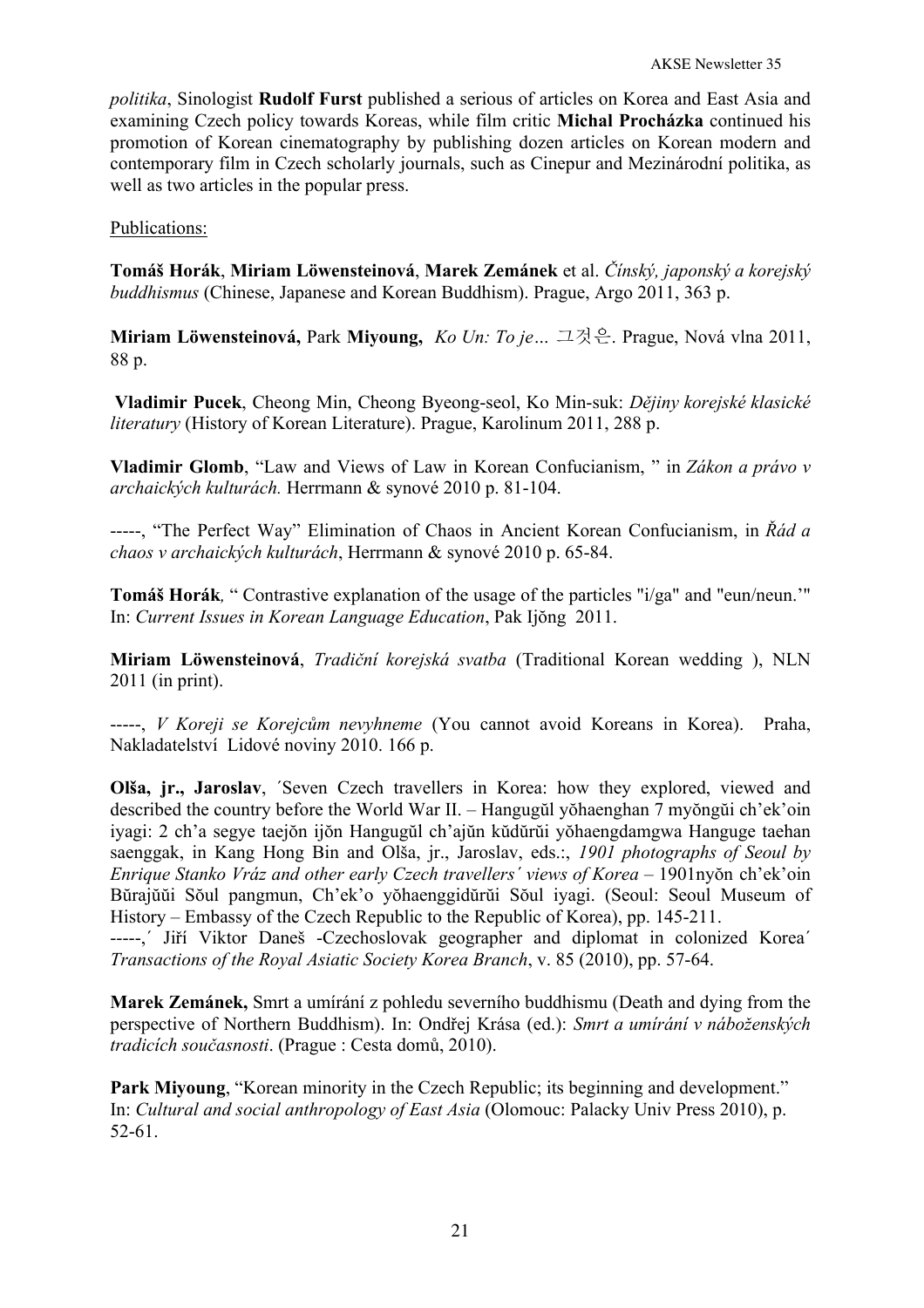*politika*, Sinologist **Rudolf Furst** published a serious of articles on Korea and East Asia and examining Czech policy towards Koreas, while film critic **Michal Procházka** continued his promotion of Korean cinematography by publishing dozen articles on Korean modern and contemporary film in Czech scholarly journals, such as Cinepur and Mezinárodní politika, as well as two articles in the popular press.

Publications:

**Tomáš Horák**, **Miriam Löwensteinová**, **Marek Zemánek** et al. *Čínský, japonský a korejský buddhismus* (Chinese, Japanese and Korean Buddhism). Prague, Argo 2011, 363 p.

**Miriam Löwensteinová,** Park **Miyoung,** *Ko Un: To je…* 그것은. Prague, Nová vlna 2011, 88 p.

**Vladimir Pucek**, Cheong Min, Cheong Byeong-seol, Ko Min-suk: *Dějiny korejské klasické literatury* (History of Korean Literature). Prague, Karolinum 2011, 288 p.

**Vladimir Glomb**, "Law and Views of Law in Korean Confucianism, " in *Zákon a právo v archaických kulturách.* Herrmann & synové 2010 p. 81-104.

-----, "The Perfect Way" Elimination of Chaos in Ancient Korean Confucianism, in *Řád a chaos v archaických kulturách*, Herrmann & synové 2010 p. 65-84.

**Tomáš Horák***,* " Contrastive explanation of the usage of the particles "i/ga" and "eun/neun.'" In: *Current Issues in Korean Language Education*, Pak Ijŏng 2011.

**Miriam Löwensteinová**, *Tradiční korejská svatba* (Traditional Korean wedding ), NLN 2011 (in print).

-----, *V Koreji se Korejcům nevyhneme* (You cannot avoid Koreans in Korea). Praha, Nakladatelství Lidové noviny 2010. 166 p.

**Olša, ir., Jaroslav,** *Seven Czech travellers* in Korea: how they explored, viewed and described the country before the World War II. – Hangugŭl yŏhaenghan 7 myŏngŭi ch'ek'oin iyagi: 2 ch'a segye taejŏn ijŏn Hangugŭl ch'ajŭn kŭdŭrŭi yŏhaengdamgwa Hanguge taehan saenggak, in Kang Hong Bin and Olša, jr., Jaroslav, eds.:, *1901 photographs of Seoul by Enrique Stanko Vráz and other early Czech travellers´ views of Korea –* 1901nyŏn ch'ek'oin Bŭrajŭŭi Sŏul pangmun, Ch'ek'o yŏhaenggidŭrŭi Sŏul iyagi. (Seoul: Seoul Museum of History – Embassy of the Czech Republic to the Republic of Korea), pp. 145-211.

-----,´ Jiří Viktor Daneš -Czechoslovak geographer and diplomat in colonized Korea´ *Transactions of the Royal Asiatic Society Korea Branch*, v. 85 (2010), pp. 57-64.

**Marek Zemánek,** Smrt a umírání z pohledu severního buddhismu (Death and dying from the perspective of Northern Buddhism). In: Ondřej Krása (ed.): *Smrt a umírání v náboženských tradicích současnosti*. (Prague : Cesta domů, 2010).

Park Miyoung, "Korean minority in the Czech Republic; its beginning and development." In: *Cultural and social anthropology of East Asia* (Olomouc: Palacky Univ Press 2010), p. 52-61.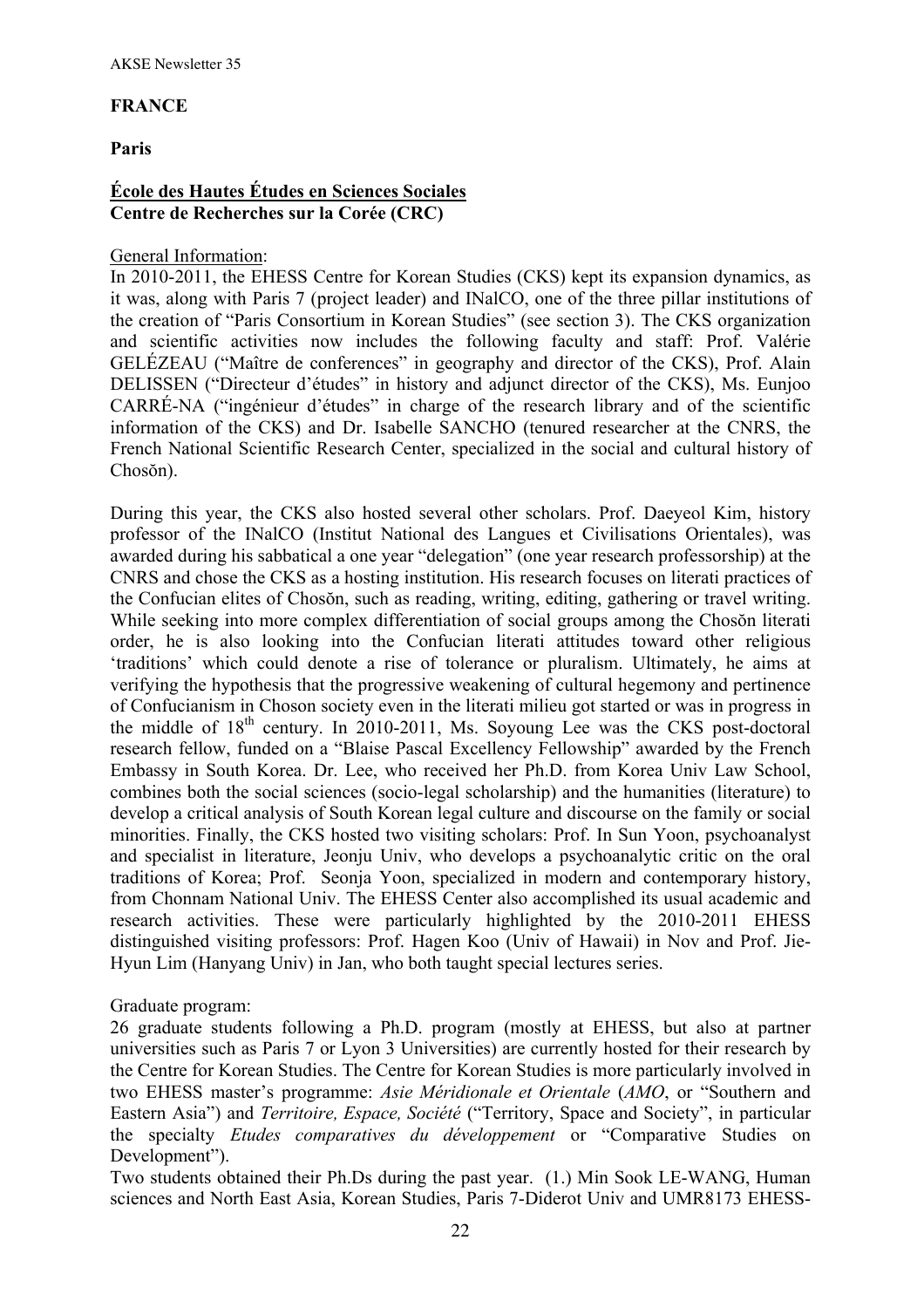#### **FRANCE**

### **Paris**

### **École des Hautes Études en Sciences Sociales Centre de Recherches sur la Corée (CRC)**

#### General Information:

In 2010-2011, the EHESS Centre for Korean Studies (CKS) kept its expansion dynamics, as it was, along with Paris 7 (project leader) and INalCO, one of the three pillar institutions of the creation of "Paris Consortium in Korean Studies" (see section 3). The CKS organization and scientific activities now includes the following faculty and staff: Prof. Valérie GELÉZEAU ("Maître de conferences" in geography and director of the CKS), Prof. Alain DELISSEN ("Directeur d'études" in history and adjunct director of the CKS), Ms. Eunjoo CARRÉ-NA ("ingénieur d'études" in charge of the research library and of the scientific information of the CKS) and Dr. Isabelle SANCHO (tenured researcher at the CNRS, the French National Scientific Research Center, specialized in the social and cultural history of Chosŏn).

During this year, the CKS also hosted several other scholars. Prof. Daeyeol Kim, history professor of the INalCO (Institut National des Langues et Civilisations Orientales), was awarded during his sabbatical a one year "delegation" (one year research professorship) at the CNRS and chose the CKS as a hosting institution. His research focuses on literati practices of the Confucian elites of Chosŏn, such as reading, writing, editing, gathering or travel writing. While seeking into more complex differentiation of social groups among the Chosŏn literati order, he is also looking into the Confucian literati attitudes toward other religious 'traditions' which could denote a rise of tolerance or pluralism. Ultimately, he aims at verifying the hypothesis that the progressive weakening of cultural hegemony and pertinence of Confucianism in Choson society even in the literati milieu got started or was in progress in the middle of  $18<sup>th</sup>$  century. In 2010-2011, Ms. Soyoung Lee was the CKS post-doctoral research fellow, funded on a "Blaise Pascal Excellency Fellowship" awarded by the French Embassy in South Korea. Dr. Lee, who received her Ph.D. from Korea Univ Law School, combines both the social sciences (socio-legal scholarship) and the humanities (literature) to develop a critical analysis of South Korean legal culture and discourse on the family or social minorities. Finally, the CKS hosted two visiting scholars: Prof. In Sun Yoon, psychoanalyst and specialist in literature, Jeonju Univ, who develops a psychoanalytic critic on the oral traditions of Korea; Prof. Seonja Yoon, specialized in modern and contemporary history, from Chonnam National Univ. The EHESS Center also accomplished its usual academic and research activities. These were particularly highlighted by the 2010-2011 EHESS distinguished visiting professors: Prof. Hagen Koo (Univ of Hawaii) in Nov and Prof. Jie-Hyun Lim (Hanyang Univ) in Jan, who both taught special lectures series.

Graduate program:

26 graduate students following a Ph.D. program (mostly at EHESS, but also at partner universities such as Paris 7 or Lyon 3 Universities) are currently hosted for their research by the Centre for Korean Studies. The Centre for Korean Studies is more particularly involved in two EHESS master's programme: *Asie Méridionale et Orientale* (*AMO*, or "Southern and Eastern Asia") and *Territoire, Espace, Société* ("Territory, Space and Society", in particular the specialty *Etudes comparatives du développement* or "Comparative Studies on Development").

Two students obtained their Ph.Ds during the past year. (1.) Min Sook LE-WANG, Human sciences and North East Asia, Korean Studies, Paris 7-Diderot Univ and UMR8173 EHESS-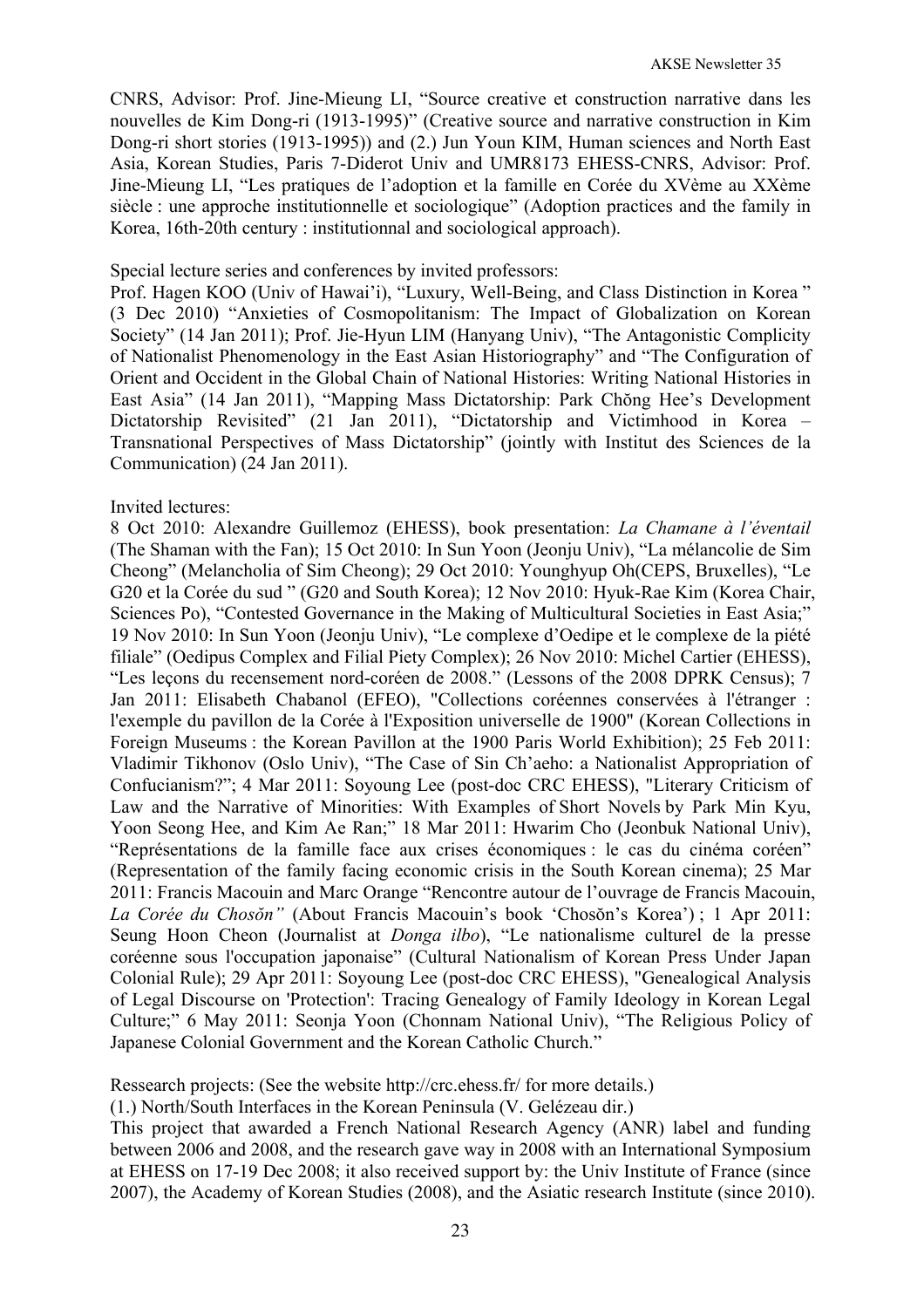CNRS, Advisor: Prof. Jine-Mieung LI, "Source creative et construction narrative dans les nouvelles de Kim Dong-ri (1913-1995)" (Creative source and narrative construction in Kim Dong-ri short stories (1913-1995)) and (2.) Jun Youn KIM, Human sciences and North East Asia, Korean Studies, Paris 7-Diderot Univ and UMR8173 EHESS-CNRS, Advisor: Prof. Jine-Mieung LI, "Les pratiques de l'adoption et la famille en Corée du XVème au XXème siècle : une approche institutionnelle et sociologique" (Adoption practices and the family in Korea, 16th-20th century : institutionnal and sociological approach).

#### Special lecture series and conferences by invited professors:

Prof. Hagen KOO (Univ of Hawai'i), "Luxury, Well-Being, and Class Distinction in Korea " (3 Dec 2010) "Anxieties of Cosmopolitanism: The Impact of Globalization on Korean Society" (14 Jan 2011); Prof. Jie-Hyun LIM (Hanyang Univ), "The Antagonistic Complicity of Nationalist Phenomenology in the East Asian Historiography" and "The Configuration of Orient and Occident in the Global Chain of National Histories: Writing National Histories in East Asia" (14 Jan 2011), "Mapping Mass Dictatorship: Park Chŏng Hee's Development Dictatorship Revisited" (21 Jan 2011), "Dictatorship and Victimhood in Korea – Transnational Perspectives of Mass Dictatorship" (jointly with Institut des Sciences de la Communication) (24 Jan 2011).

## Invited lectures:

8 Oct 2010: Alexandre Guillemoz (EHESS), book presentation: *La Chamane à l'éventail* (The Shaman with the Fan); 15 Oct 2010: In Sun Yoon (Jeonju Univ), "La mélancolie de Sim Cheong" (Melancholia of Sim Cheong); 29 Oct 2010: Younghyup Oh(CEPS, Bruxelles), "Le G20 et la Corée du sud " (G20 and South Korea); 12 Nov 2010: Hyuk-Rae Kim (Korea Chair, Sciences Po), "Contested Governance in the Making of Multicultural Societies in East Asia;" 19 Nov 2010: In Sun Yoon (Jeonju Univ), "Le complexe d'Oedipe et le complexe de la piété filiale" (Oedipus Complex and Filial Piety Complex); 26 Nov 2010: Michel Cartier (EHESS), "Les leçons du recensement nord-coréen de 2008." (Lessons of the 2008 DPRK Census); 7 Jan 2011: Elisabeth Chabanol (EFEO), "Collections coréennes conservées à l'étranger : l'exemple du pavillon de la Corée à l'Exposition universelle de 1900" (Korean Collections in Foreign Museums : the Korean Pavillon at the 1900 Paris World Exhibition); 25 Feb 2011: Vladimir Tikhonov (Oslo Univ), "The Case of Sin Ch'aeho: a Nationalist Appropriation of Confucianism?"; 4 Mar 2011: Soyoung Lee (post-doc CRC EHESS), "Literary Criticism of Law and the Narrative of Minorities: With Examples of Short Novels by Park Min Kyu, Yoon Seong Hee, and Kim Ae Ran;" 18 Mar 2011: Hwarim Cho (Jeonbuk National Univ), "Représentations de la famille face aux crises économiques : le cas du cinéma coréen" (Representation of the family facing economic crisis in the South Korean cinema); 25 Mar 2011: Francis Macouin and Marc Orange "Rencontre autour de l'ouvrage de Francis Macouin, *La Corée du Chosŏn"* (About Francis Macouin's book 'Chosŏn's Korea') ; 1 Apr 2011: Seung Hoon Cheon (Journalist at *Donga ilbo*), "Le nationalisme culturel de la presse coréenne sous l'occupation japonaise" (Cultural Nationalism of Korean Press Under Japan Colonial Rule); 29 Apr 2011: Soyoung Lee (post-doc CRC EHESS), "Genealogical Analysis of Legal Discourse on 'Protection': Tracing Genealogy of Family Ideology in Korean Legal Culture;" 6 May 2011: Seonja Yoon (Chonnam National Univ), "The Religious Policy of Japanese Colonial Government and the Korean Catholic Church."

Ressearch projects: (See the website http://crc.ehess.fr/ for more details.)

(1.) North/South Interfaces in the Korean Peninsula (V. Gelézeau dir.)

This project that awarded a French National Research Agency (ANR) label and funding between 2006 and 2008, and the research gave way in 2008 with an International Symposium at EHESS on 17-19 Dec 2008; it also received support by: the Univ Institute of France (since 2007), the Academy of Korean Studies (2008), and the Asiatic research Institute (since 2010).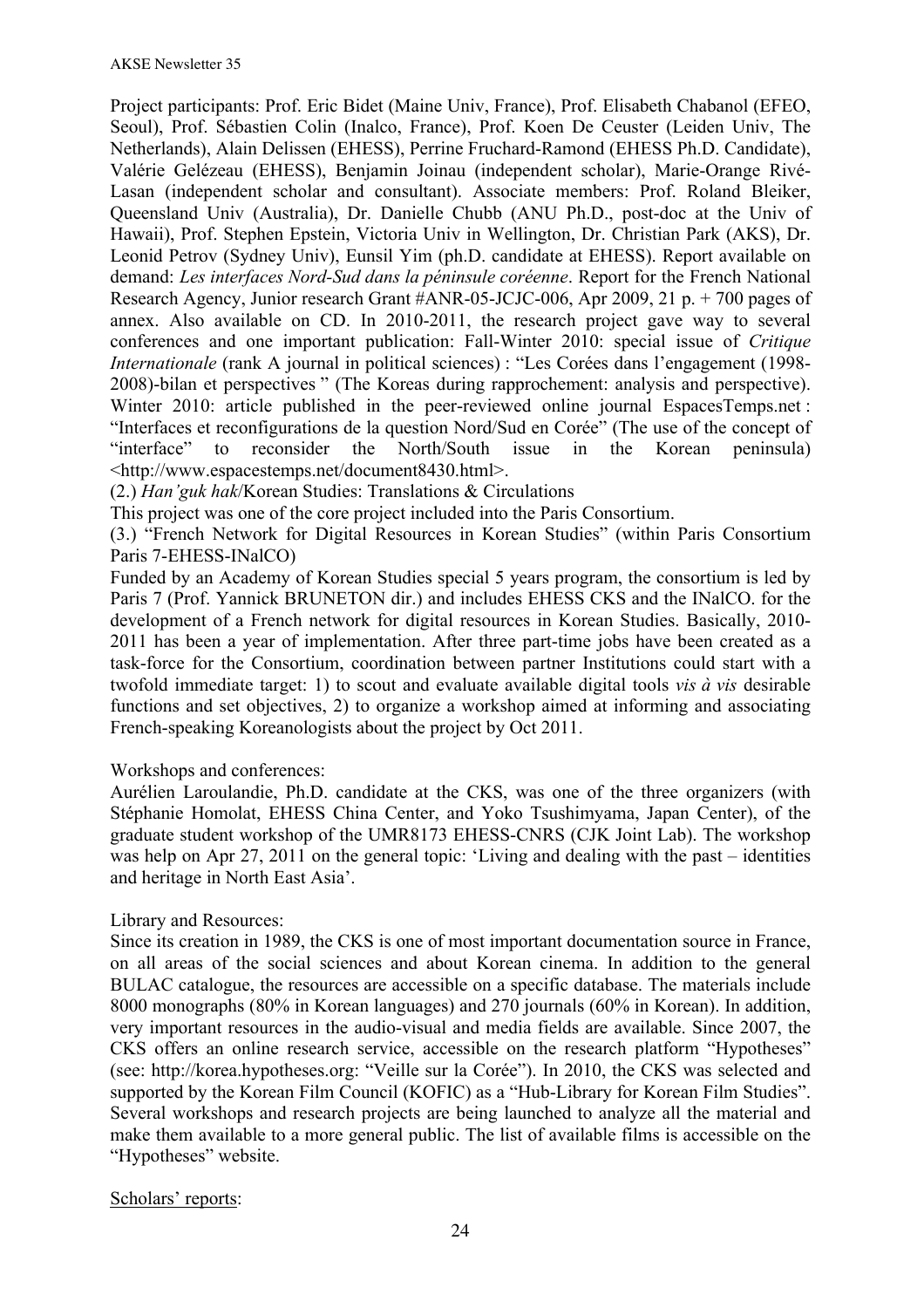Project participants: Prof. Eric Bidet (Maine Univ, France), Prof. Elisabeth Chabanol (EFEO, Seoul), Prof. Sébastien Colin (Inalco, France), Prof. Koen De Ceuster (Leiden Univ, The Netherlands), Alain Delissen (EHESS), Perrine Fruchard-Ramond (EHESS Ph.D. Candidate), Valérie Gelézeau (EHESS), Benjamin Joinau (independent scholar), Marie-Orange Rivé-Lasan (independent scholar and consultant). Associate members: Prof. Roland Bleiker, Queensland Univ (Australia), Dr. Danielle Chubb (ANU Ph.D., post-doc at the Univ of Hawaii), Prof. Stephen Epstein, Victoria Univ in Wellington, Dr. Christian Park (AKS), Dr. Leonid Petrov (Sydney Univ), Eunsil Yim (ph.D. candidate at EHESS). Report available on demand: *Les interfaces Nord-Sud dans la péninsule coréenne*. Report for the French National Research Agency, Junior research Grant #ANR-05-JCJC-006, Apr 2009, 21 p. + 700 pages of annex. Also available on CD. In 2010-2011, the research project gave way to several conferences and one important publication: Fall-Winter 2010: special issue of *Critique Internationale* (rank A journal in political sciences) : "Les Corées dans l'engagement (1998- 2008)-bilan et perspectives " (The Koreas during rapprochement: analysis and perspective). Winter 2010: article published in the peer-reviewed online journal EspacesTemps.net: "Interfaces et reconfigurations de la question Nord/Sud en Corée" (The use of the concept of "interface" to reconsider the North/South issue in the Korean peninsula) <http://www.espacestemps.net/document8430.html>.

(2.) *Han'guk hak*/Korean Studies: Translations & Circulations

This project was one of the core project included into the Paris Consortium.

(3.) "French Network for Digital Resources in Korean Studies" (within Paris Consortium Paris 7-EHESS-INalCO)

Funded by an Academy of Korean Studies special 5 years program, the consortium is led by Paris 7 (Prof. Yannick BRUNETON dir.) and includes EHESS CKS and the INalCO. for the development of a French network for digital resources in Korean Studies. Basically, 2010- 2011 has been a year of implementation. After three part-time jobs have been created as a task-force for the Consortium, coordination between partner Institutions could start with a twofold immediate target: 1) to scout and evaluate available digital tools *vis à vis* desirable functions and set objectives, 2) to organize a workshop aimed at informing and associating French-speaking Koreanologists about the project by Oct 2011.

#### Workshops and conferences:

Aurélien Laroulandie, Ph.D. candidate at the CKS, was one of the three organizers (with Stéphanie Homolat, EHESS China Center, and Yoko Tsushimyama, Japan Center), of the graduate student workshop of the UMR8173 EHESS-CNRS (CJK Joint Lab). The workshop was help on Apr 27, 2011 on the general topic: 'Living and dealing with the past – identities and heritage in North East Asia'.

#### Library and Resources:

Since its creation in 1989, the CKS is one of most important documentation source in France, on all areas of the social sciences and about Korean cinema. In addition to the general BULAC catalogue, the resources are accessible on a specific database. The materials include 8000 monographs (80% in Korean languages) and 270 journals (60% in Korean). In addition, very important resources in the audio-visual and media fields are available. Since 2007, the CKS offers an online research service, accessible on the research platform "Hypotheses" (see: http://korea.hypotheses.org: "Veille sur la Corée"). In 2010, the CKS was selected and supported by the Korean Film Council (KOFIC) as a "Hub-Library for Korean Film Studies". Several workshops and research projects are being launched to analyze all the material and make them available to a more general public. The list of available films is accessible on the "Hypotheses" website.

#### Scholars' reports: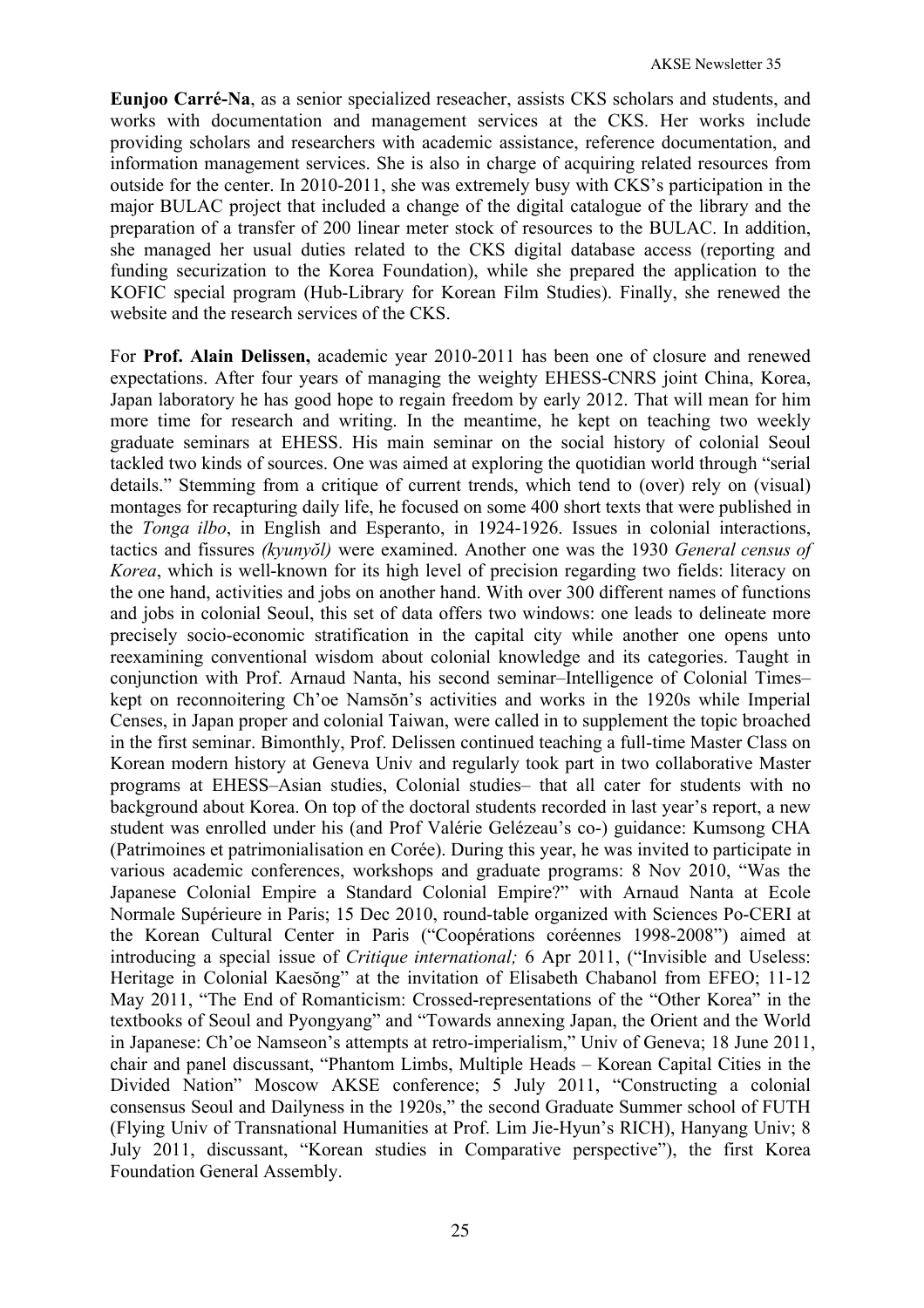**Eunjoo Carré-Na**, as a senior specialized reseacher, assists CKS scholars and students, and works with documentation and management services at the CKS. Her works include providing scholars and researchers with academic assistance, reference documentation, and information management services. She is also in charge of acquiring related resources from outside for the center. In 2010-2011, she was extremely busy with CKS's participation in the major BULAC project that included a change of the digital catalogue of the library and the preparation of a transfer of 200 linear meter stock of resources to the BULAC. In addition, she managed her usual duties related to the CKS digital database access (reporting and funding securization to the Korea Foundation), while she prepared the application to the KOFIC special program (Hub-Library for Korean Film Studies). Finally, she renewed the website and the research services of the CKS.

For **Prof. Alain Delissen,** academic year 2010-2011 has been one of closure and renewed expectations. After four years of managing the weighty EHESS-CNRS joint China, Korea, Japan laboratory he has good hope to regain freedom by early 2012. That will mean for him more time for research and writing. In the meantime, he kept on teaching two weekly graduate seminars at EHESS. His main seminar on the social history of colonial Seoul tackled two kinds of sources. One was aimed at exploring the quotidian world through "serial details." Stemming from a critique of current trends, which tend to (over) rely on (visual) montages for recapturing daily life, he focused on some 400 short texts that were published in the *Tonga ilbo*, in English and Esperanto, in 1924-1926. Issues in colonial interactions, tactics and fissures *(kyunyŏl)* were examined. Another one was the 1930 *General census of Korea*, which is well-known for its high level of precision regarding two fields: literacy on the one hand, activities and jobs on another hand. With over 300 different names of functions and jobs in colonial Seoul, this set of data offers two windows: one leads to delineate more precisely socio-economic stratification in the capital city while another one opens unto reexamining conventional wisdom about colonial knowledge and its categories. Taught in conjunction with Prof. Arnaud Nanta, his second seminar–Intelligence of Colonial Times– kept on reconnoitering Ch'oe Namsŏn's activities and works in the 1920s while Imperial Censes, in Japan proper and colonial Taiwan, were called in to supplement the topic broached in the first seminar. Bimonthly, Prof. Delissen continued teaching a full-time Master Class on Korean modern history at Geneva Univ and regularly took part in two collaborative Master programs at EHESS–Asian studies, Colonial studies– that all cater for students with no background about Korea. On top of the doctoral students recorded in last year's report, a new student was enrolled under his (and Prof Valérie Gelézeau's co-) guidance: Kumsong CHA (Patrimoines et patrimonialisation en Corée). During this year, he was invited to participate in various academic conferences, workshops and graduate programs: 8 Nov 2010, "Was the Japanese Colonial Empire a Standard Colonial Empire?" with Arnaud Nanta at Ecole Normale Supérieure in Paris; 15 Dec 2010, round-table organized with Sciences Po-CERI at the Korean Cultural Center in Paris ("Coopérations coréennes 1998-2008") aimed at introducing a special issue of *Critique international;* 6 Apr 2011, ("Invisible and Useless: Heritage in Colonial Kaesŏng" at the invitation of Elisabeth Chabanol from EFEO; 11-12 May 2011, "The End of Romanticism: Crossed-representations of the "Other Korea" in the textbooks of Seoul and Pyongyang" and "Towards annexing Japan, the Orient and the World in Japanese: Ch'oe Namseon's attempts at retro-imperialism," Univ of Geneva; 18 June 2011, chair and panel discussant, "Phantom Limbs, Multiple Heads – Korean Capital Cities in the Divided Nation" Moscow AKSE conference; 5 July 2011, "Constructing a colonial consensus Seoul and Dailyness in the 1920s," the second Graduate Summer school of FUTH (Flying Univ of Transnational Humanities at Prof. Lim Jie-Hyun's RICH), Hanyang Univ; 8 July 2011, discussant, "Korean studies in Comparative perspective"), the first Korea Foundation General Assembly.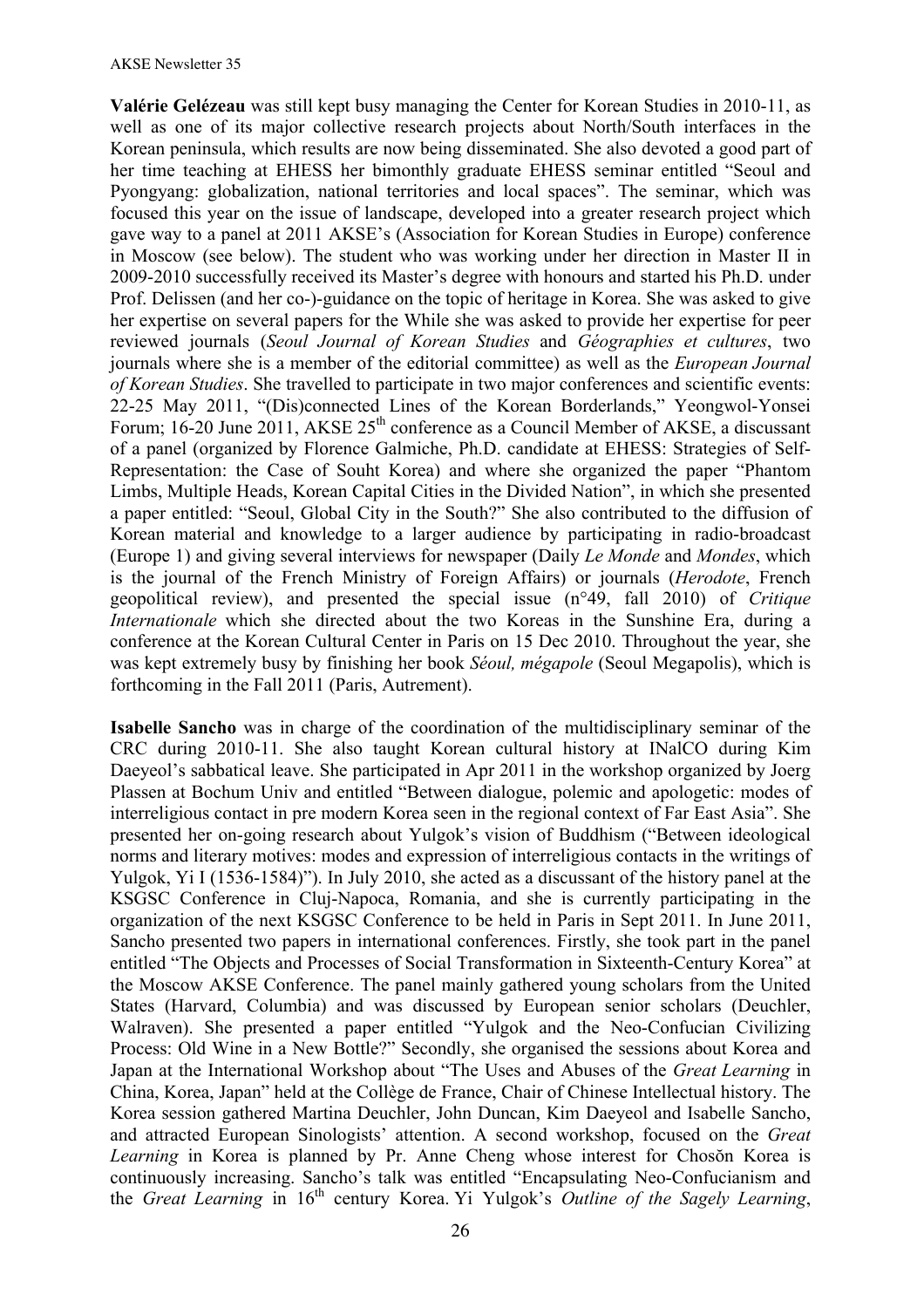**Valérie Gelézeau** was still kept busy managing the Center for Korean Studies in 2010-11, as well as one of its major collective research projects about North/South interfaces in the Korean peninsula, which results are now being disseminated. She also devoted a good part of her time teaching at EHESS her bimonthly graduate EHESS seminar entitled "Seoul and Pyongyang: globalization, national territories and local spaces". The seminar, which was focused this year on the issue of landscape, developed into a greater research project which gave way to a panel at 2011 AKSE's (Association for Korean Studies in Europe) conference in Moscow (see below). The student who was working under her direction in Master II in 2009-2010 successfully received its Master's degree with honours and started his Ph.D. under Prof. Delissen (and her co-)-guidance on the topic of heritage in Korea. She was asked to give her expertise on several papers for the While she was asked to provide her expertise for peer reviewed journals (*Seoul Journal of Korean Studies* and *Géographies et cultures*, two journals where she is a member of the editorial committee) as well as the *European Journal of Korean Studies*. She travelled to participate in two major conferences and scientific events: 22-25 May 2011, "(Dis)connected Lines of the Korean Borderlands," Yeongwol-Yonsei Forum;  $16-20$  June  $2011$ , AKSE  $25<sup>th</sup>$  conference as a Council Member of AKSE, a discussant of a panel (organized by Florence Galmiche, Ph.D. candidate at EHESS: Strategies of Self-Representation: the Case of Souht Korea) and where she organized the paper "Phantom Limbs, Multiple Heads, Korean Capital Cities in the Divided Nation", in which she presented a paper entitled: "Seoul, Global City in the South?" She also contributed to the diffusion of Korean material and knowledge to a larger audience by participating in radio-broadcast (Europe 1) and giving several interviews for newspaper (Daily *Le Monde* and *Mondes*, which is the journal of the French Ministry of Foreign Affairs) or journals (*Herodote*, French geopolitical review), and presented the special issue (n°49, fall 2010) of *Critique Internationale* which she directed about the two Koreas in the Sunshine Era, during a conference at the Korean Cultural Center in Paris on 15 Dec 2010. Throughout the year, she was kept extremely busy by finishing her book *Séoul, mégapole* (Seoul Megapolis), which is forthcoming in the Fall 2011 (Paris, Autrement).

**Isabelle Sancho** was in charge of the coordination of the multidisciplinary seminar of the CRC during 2010-11. She also taught Korean cultural history at INalCO during Kim Daeyeol's sabbatical leave. She participated in Apr 2011 in the workshop organized by Joerg Plassen at Bochum Univ and entitled "Between dialogue, polemic and apologetic: modes of interreligious contact in pre modern Korea seen in the regional context of Far East Asia". She presented her on-going research about Yulgok's vision of Buddhism ("Between ideological norms and literary motives: modes and expression of interreligious contacts in the writings of Yulgok, Yi I (1536-1584)"). In July 2010, she acted as a discussant of the history panel at the KSGSC Conference in Cluj-Napoca, Romania, and she is currently participating in the organization of the next KSGSC Conference to be held in Paris in Sept 2011. In June 2011, Sancho presented two papers in international conferences. Firstly, she took part in the panel entitled "The Objects and Processes of Social Transformation in Sixteenth-Century Korea" at the Moscow AKSE Conference. The panel mainly gathered young scholars from the United States (Harvard, Columbia) and was discussed by European senior scholars (Deuchler, Walraven). She presented a paper entitled "Yulgok and the Neo-Confucian Civilizing Process: Old Wine in a New Bottle?" Secondly, she organised the sessions about Korea and Japan at the International Workshop about "The Uses and Abuses of the *Great Learning* in China, Korea, Japan" held at the Collège de France, Chair of Chinese Intellectual history. The Korea session gathered Martina Deuchler, John Duncan, Kim Daeyeol and Isabelle Sancho, and attracted European Sinologists' attention. A second workshop, focused on the *Great Learning* in Korea is planned by Pr. Anne Cheng whose interest for Choson Korea is continuously increasing. Sancho's talk was entitled "Encapsulating Neo-Confucianism and the *Great Learning* in 16th century Korea. Yi Yulgok's *Outline of the Sagely Learning*,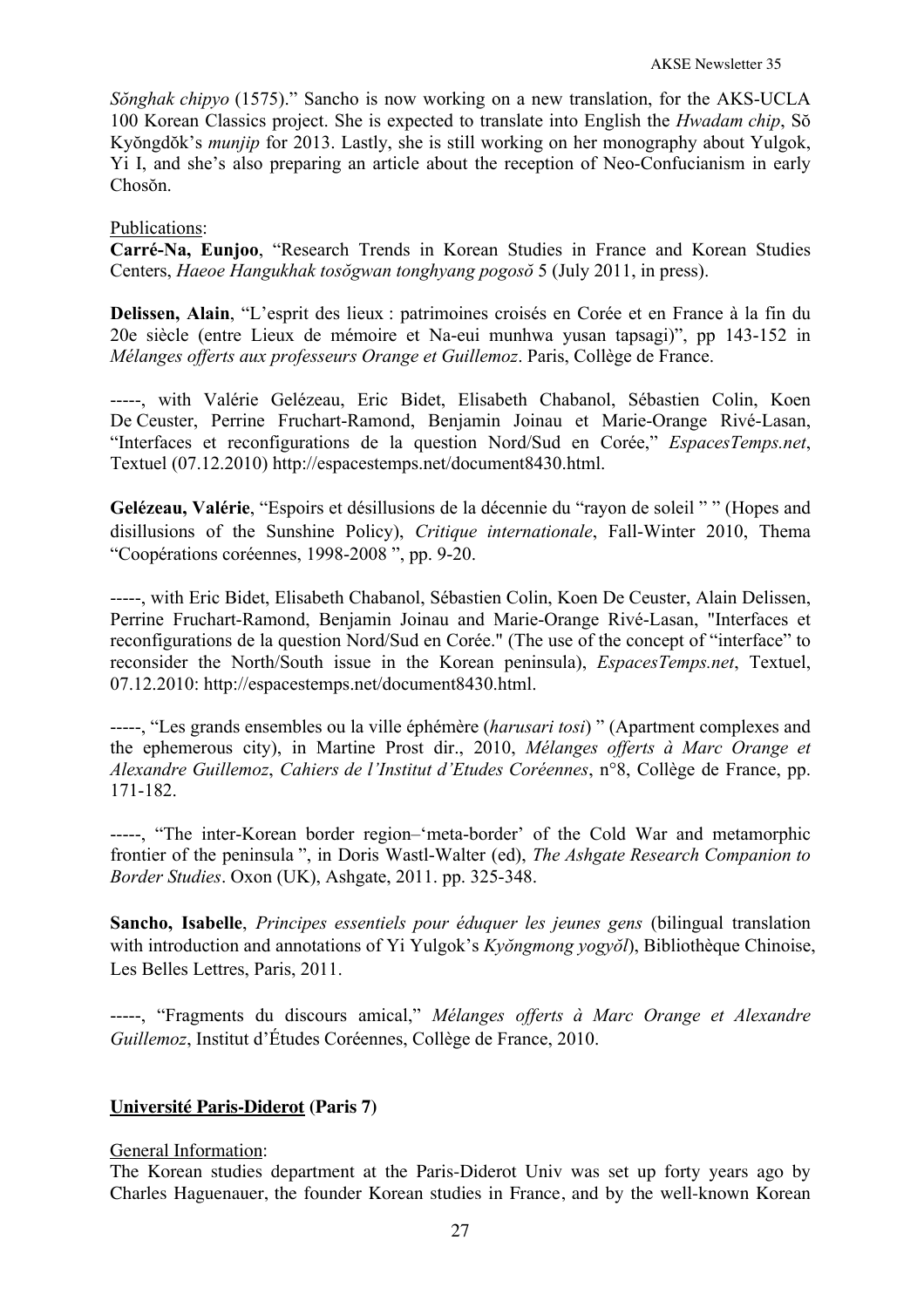*Sŏnghak chipyo* (1575)." Sancho is now working on a new translation, for the AKS-UCLA 100 Korean Classics project. She is expected to translate into English the *Hwadam chip*, Sŏ Kyŏngdŏk's *munjip* for 2013. Lastly, she is still working on her monography about Yulgok, Yi I, and she's also preparing an article about the reception of Neo-Confucianism in early Chosŏn.

### Publications:

**Carré-Na, Eunjoo**, "Research Trends in Korean Studies in France and Korean Studies Centers, *Haeoe Hangukhak tosŏgwan tonghyang pogosŏ* 5 (July 2011, in press).

**Delissen, Alain**, "L'esprit des lieux : patrimoines croisés en Corée et en France à la fin du 20e siècle (entre Lieux de mémoire et Na-eui munhwa yusan tapsagi)", pp 143-152 in *Mélanges offerts aux professeurs Orange et Guillemoz*. Paris, Collège de France.

-----, with Valérie Gelézeau, Eric Bidet, Elisabeth Chabanol, Sébastien Colin, Koen De Ceuster, Perrine Fruchart-Ramond, Benjamin Joinau et Marie-Orange Rivé-Lasan, "Interfaces et reconfigurations de la question Nord/Sud en Corée," *EspacesTemps.net*, Textuel (07.12.2010) http://espacestemps.net/document8430.html.

**Gelézeau, Valérie**, "Espoirs et désillusions de la décennie du "rayon de soleil " " (Hopes and disillusions of the Sunshine Policy), *Critique internationale*, Fall-Winter 2010, Thema "Coopérations coréennes, 1998-2008 ", pp. 9-20.

-----, with Eric Bidet, Elisabeth Chabanol, Sébastien Colin, Koen De Ceuster, Alain Delissen, Perrine Fruchart-Ramond, Benjamin Joinau and Marie-Orange Rivé-Lasan, "Interfaces et reconfigurations de la question Nord/Sud en Corée." (The use of the concept of "interface" to reconsider the North/South issue in the Korean peninsula), *EspacesTemps.net*, Textuel, 07.12.2010: http://espacestemps.net/document8430.html.

-----, "Les grands ensembles ou la ville éphémère (*harusari tosi*) " (Apartment complexes and the ephemerous city), in Martine Prost dir., 2010, *Mélanges offerts à Marc Orange et Alexandre Guillemoz*, *Cahiers de l'Institut d'Etudes Coréennes*, n°8, Collège de France, pp. 171-182.

-----, "The inter-Korean border region–'meta-border' of the Cold War and metamorphic frontier of the peninsula ", in Doris Wastl-Walter (ed), *The Ashgate Research Companion to Border Studies*. Oxon (UK), Ashgate, 2011. pp. 325-348.

**Sancho, Isabelle**, *Principes essentiels pour éduquer les jeunes gens* (bilingual translation with introduction and annotations of Yi Yulgok's *Kyŏngmong yogyŏl*), Bibliothèque Chinoise, Les Belles Lettres, Paris, 2011.

-----, "Fragments du discours amical," *Mélanges offerts à Marc Orange et Alexandre Guillemoz*, Institut d'Études Coréennes, Collège de France, 2010.

# **Université Paris-Diderot (Paris 7)**

#### General Information:

The Korean studies department at the Paris-Diderot Univ was set up forty years ago by Charles Haguenauer, the founder Korean studies in France, and by the well-known Korean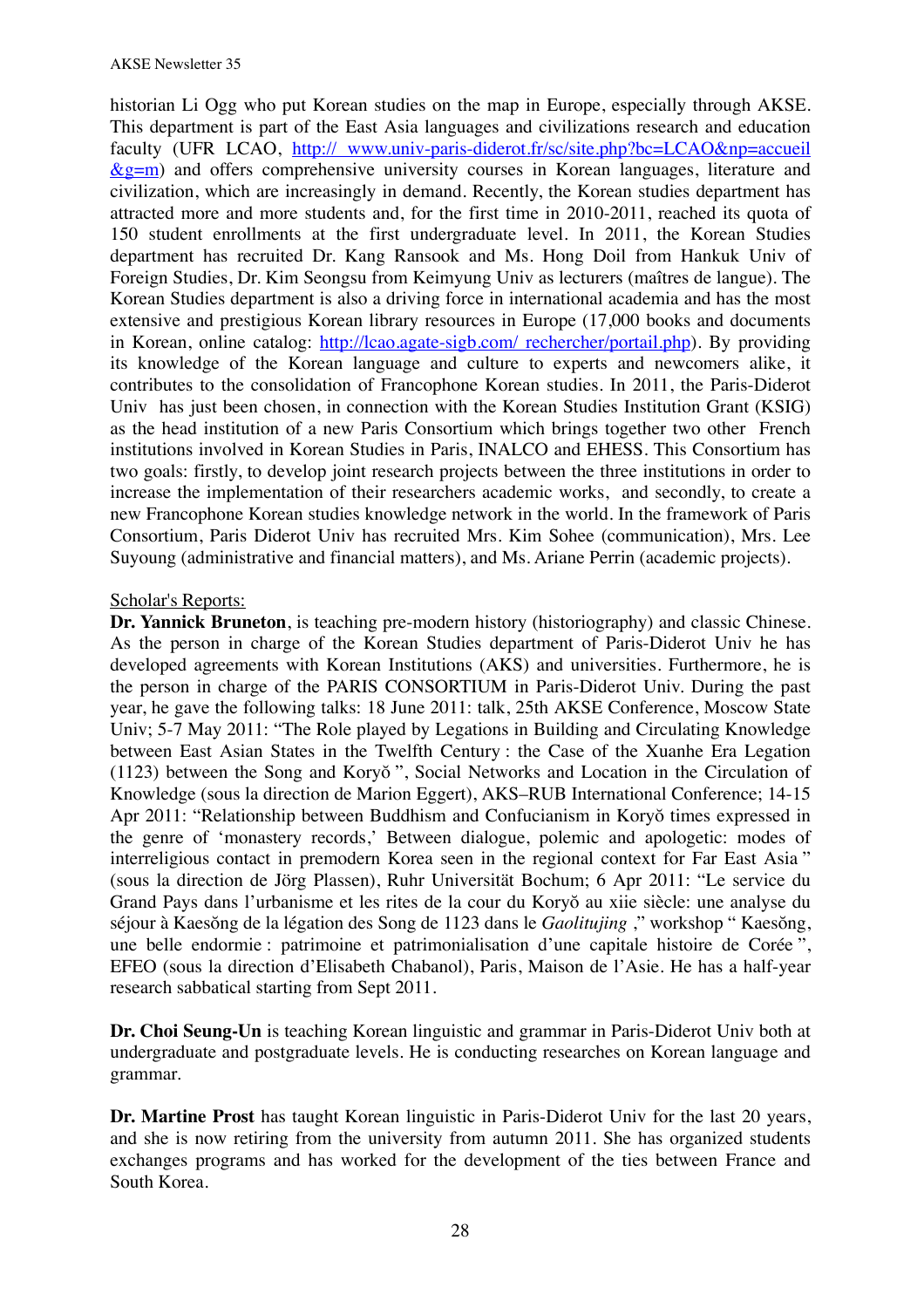historian Li Ogg who put Korean studies on the map in Europe, especially through AKSE. This department is part of the East Asia languages and civilizations research and education faculty (UFR LCAO, http:// www.univ-paris-diderot.fr/sc/site.php?bc=LCAO&np=accueil  $\&$ g=m) and offers comprehensive university courses in Korean languages, literature and civilization, which are increasingly in demand. Recently, the Korean studies department has attracted more and more students and, for the first time in 2010-2011, reached its quota of 150 student enrollments at the first undergraduate level. In 2011, the Korean Studies department has recruited Dr. Kang Ransook and Ms. Hong Doil from Hankuk Univ of Foreign Studies, Dr. Kim Seongsu from Keimyung Univ as lecturers (maîtres de langue). The Korean Studies department is also a driving force in international academia and has the most extensive and prestigious Korean library resources in Europe (17,000 books and documents in Korean, online catalog: http://lcao.agate-sigb.com/ rechercher/portail.php). By providing its knowledge of the Korean language and culture to experts and newcomers alike, it contributes to the consolidation of Francophone Korean studies. In 2011, the Paris-Diderot Univ has just been chosen, in connection with the Korean Studies Institution Grant (KSIG) as the head institution of a new Paris Consortium which brings together two other French institutions involved in Korean Studies in Paris, INALCO and EHESS. This Consortium has two goals: firstly, to develop joint research projects between the three institutions in order to increase the implementation of their researchers academic works, and secondly, to create a new Francophone Korean studies knowledge network in the world. In the framework of Paris Consortium, Paris Diderot Univ has recruited Mrs. Kim Sohee (communication), Mrs. Lee Suyoung (administrative and financial matters), and Ms. Ariane Perrin (academic projects).

#### Scholar's Reports:

**Dr. Yannick Bruneton**, is teaching pre-modern history (historiography) and classic Chinese. As the person in charge of the Korean Studies department of Paris-Diderot Univ he has developed agreements with Korean Institutions (AKS) and universities. Furthermore, he is the person in charge of the PARIS CONSORTIUM in Paris-Diderot Univ. During the past year, he gave the following talks: 18 June 2011: talk, 25th AKSE Conference, Moscow State Univ; 5-7 May 2011: "The Role played by Legations in Building and Circulating Knowledge between East Asian States in the Twelfth Century : the Case of the Xuanhe Era Legation (1123) between the Song and Koryŏ ", Social Networks and Location in the Circulation of Knowledge (sous la direction de Marion Eggert), AKS–RUB International Conference; 14-15 Apr 2011: "Relationship between Buddhism and Confucianism in Koryŏ times expressed in the genre of 'monastery records,' Between dialogue, polemic and apologetic: modes of interreligious contact in premodern Korea seen in the regional context for Far East Asia " (sous la direction de Jörg Plassen), Ruhr Universität Bochum; 6 Apr 2011: "Le service du Grand Pays dans l'urbanisme et les rites de la cour du Koryŏ au xiie siècle: une analyse du séjour à Kaesŏng de la légation des Song de 1123 dans le *Gaolitujing* ," workshop " Kaesŏng, une belle endormie : patrimoine et patrimonialisation d'une capitale histoire de Corée ", EFEO (sous la direction d'Elisabeth Chabanol), Paris, Maison de l'Asie. He has a half-year research sabbatical starting from Sept 2011.

**Dr. Choi Seung-Un** is teaching Korean linguistic and grammar in Paris-Diderot Univ both at undergraduate and postgraduate levels. He is conducting researches on Korean language and grammar.

**Dr. Martine Prost** has taught Korean linguistic in Paris-Diderot Univ for the last 20 years, and she is now retiring from the university from autumn 2011. She has organized students exchanges programs and has worked for the development of the ties between France and South Korea.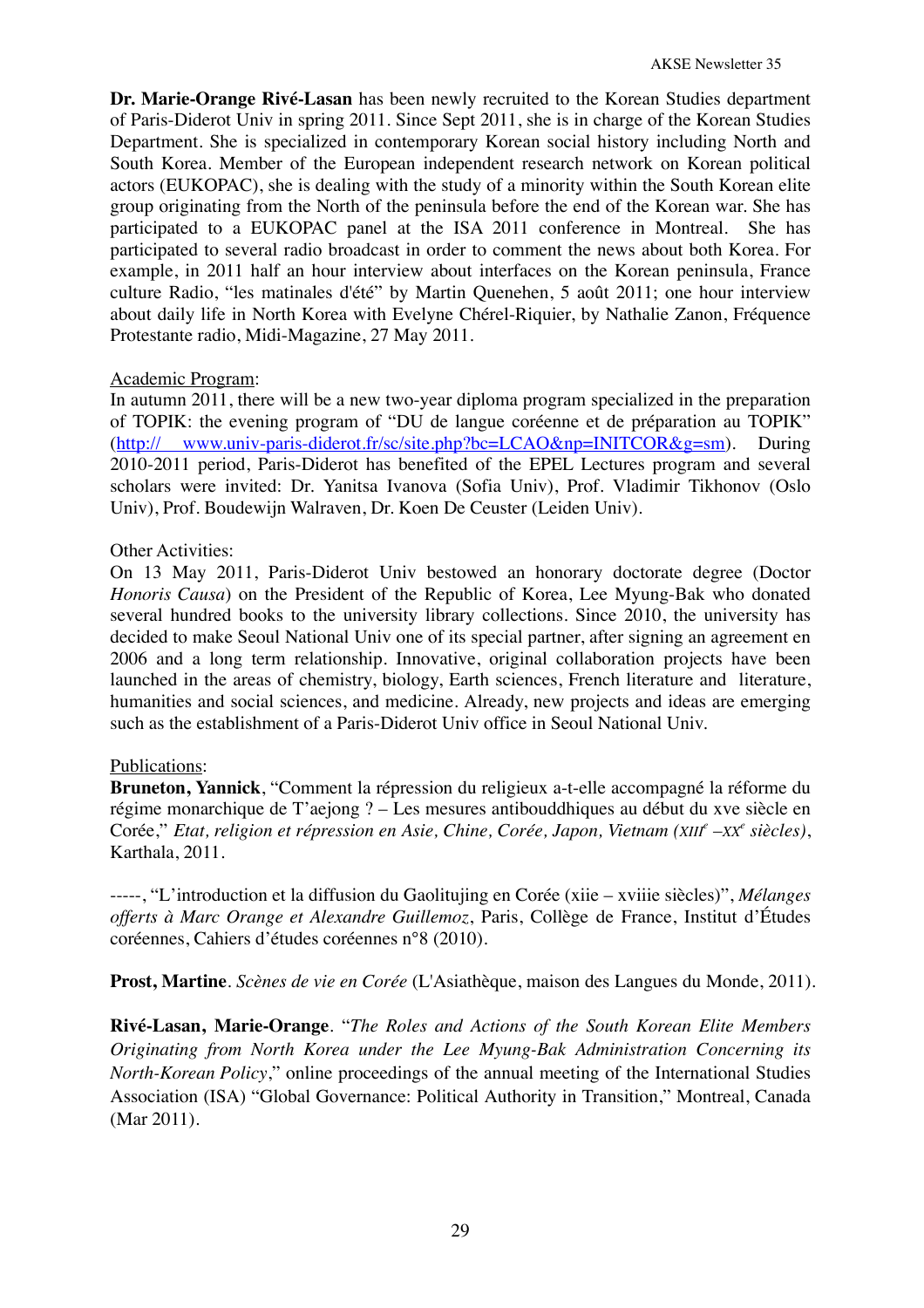**Dr. Marie-Orange Rivé-Lasan** has been newly recruited to the Korean Studies department of Paris-Diderot Univ in spring 2011. Since Sept 2011, she is in charge of the Korean Studies Department. She is specialized in contemporary Korean social history including North and South Korea. Member of the European independent research network on Korean political actors (EUKOPAC), she is dealing with the study of a minority within the South Korean elite group originating from the North of the peninsula before the end of the Korean war. She has participated to a EUKOPAC panel at the ISA 2011 conference in Montreal. She has participated to several radio broadcast in order to comment the news about both Korea. For example, in 2011 half an hour interview about interfaces on the Korean peninsula, France culture Radio, "les matinales d'été" by Martin Quenehen, 5 août 2011; one hour interview about daily life in North Korea with Evelyne Chérel-Riquier, by Nathalie Zanon, Fréquence Protestante radio, Midi-Magazine, 27 May 2011.

#### Academic Program:

In autumn 2011, there will be a new two-year diploma program specialized in the preparation of TOPIK: the evening program of "DU de langue coréenne et de préparation au TOPIK" (http:// www.univ-paris-diderot.fr/sc/site.php?bc=LCAO&np=INITCOR&g=sm). During 2010-2011 period, Paris-Diderot has benefited of the EPEL Lectures program and several scholars were invited: Dr. Yanitsa Ivanova (Sofia Univ), Prof. Vladimir Tikhonov (Oslo Univ), Prof. Boudewijn Walraven, Dr. Koen De Ceuster (Leiden Univ).

## Other Activities:

On 13 May 2011, Paris-Diderot Univ bestowed an honorary doctorate degree (Doctor *Honoris Causa*) on the President of the Republic of Korea, Lee Myung-Bak who donated several hundred books to the university library collections. Since 2010, the university has decided to make Seoul National Univ one of its special partner, after signing an agreement en 2006 and a long term relationship. Innovative, original collaboration projects have been launched in the areas of chemistry, biology, Earth sciences, French literature and literature, humanities and social sciences, and medicine. Already, new projects and ideas are emerging such as the establishment of a Paris-Diderot Univ office in Seoul National Univ.

# Publications:

**Bruneton, Yannick**, "Comment la répression du religieux a-t-elle accompagné la réforme du régime monarchique de T'aejong ? – Les mesures antibouddhiques au début du xve siècle en Corée," *Etat, religion et répression en Asie, Chine, Corée, Japon, Vietnam (XIIIe –XX<sup>e</sup> siècles)*, Karthala, 2011.

-----, "L'introduction et la diffusion du Gaolitujing en Corée (xiie – xviiie siècles)", *Mélanges offerts à Marc Orange et Alexandre Guillemoz*, Paris, Collège de France, Institut d'Études coréennes, Cahiers d'études coréennes n°8 (2010).

**Prost, Martine**. *Scènes de vie en Corée* (L'Asiathèque, maison des Langues du Monde, 2011).

**Rivé-Lasan, Marie-Orange**. "*The Roles and Actions of the South Korean Elite Members Originating from North Korea under the Lee Myung-Bak Administration Concerning its North-Korean Policy*," online proceedings of the annual meeting of the International Studies Association (ISA) "Global Governance: Political Authority in Transition," Montreal, Canada (Mar 2011).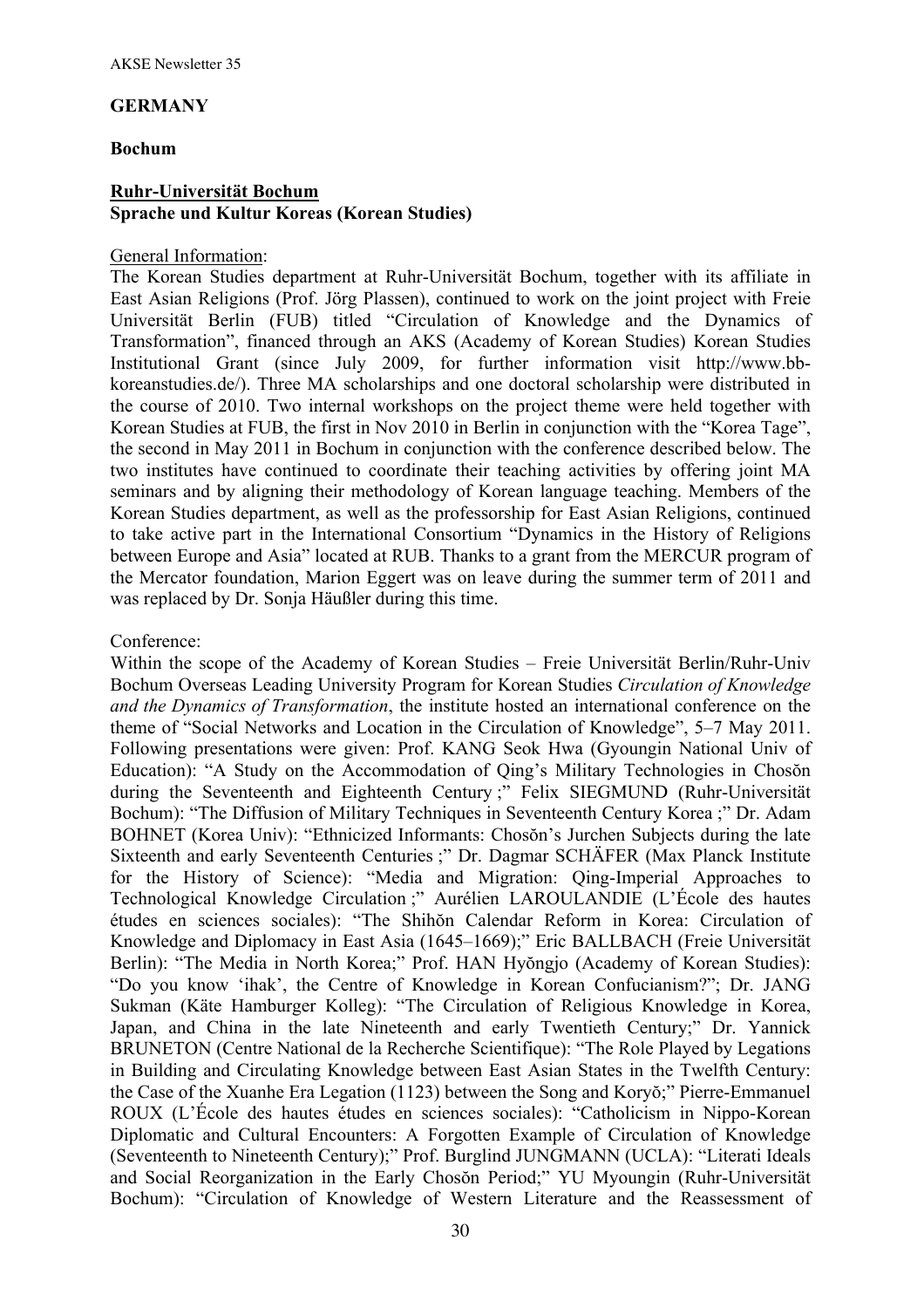#### **GERMANY**

#### **Bochum**

### **Ruhr-Universität Bochum Sprache und Kultur Koreas (Korean Studies)**

### General Information:

The Korean Studies department at Ruhr-Universität Bochum, together with its affiliate in East Asian Religions (Prof. Jörg Plassen), continued to work on the joint project with Freie Universität Berlin (FUB) titled "Circulation of Knowledge and the Dynamics of Transformation", financed through an AKS (Academy of Korean Studies) Korean Studies Institutional Grant (since July 2009, for further information visit http://www.bbkoreanstudies.de/). Three MA scholarships and one doctoral scholarship were distributed in the course of 2010. Two internal workshops on the project theme were held together with Korean Studies at FUB, the first in Nov 2010 in Berlin in conjunction with the "Korea Tage", the second in May 2011 in Bochum in conjunction with the conference described below. The two institutes have continued to coordinate their teaching activities by offering joint MA seminars and by aligning their methodology of Korean language teaching. Members of the Korean Studies department, as well as the professorship for East Asian Religions, continued to take active part in the International Consortium "Dynamics in the History of Religions between Europe and Asia" located at RUB. Thanks to a grant from the MERCUR program of the Mercator foundation, Marion Eggert was on leave during the summer term of 2011 and was replaced by Dr. Sonja Häußler during this time.

## Conference:

Within the scope of the Academy of Korean Studies – Freie Universität Berlin/Ruhr-Univ Bochum Overseas Leading University Program for Korean Studies *Circulation of Knowledge and the Dynamics of Transformation*, the institute hosted an international conference on the theme of "Social Networks and Location in the Circulation of Knowledge", 5–7 May 2011. Following presentations were given: Prof. KANG Seok Hwa (Gyoungin National Univ of Education): "A Study on the Accommodation of Qing's Military Technologies in Chosŏn during the Seventeenth and Eighteenth Century ;" Felix SIEGMUND (Ruhr-Universität Bochum): "The Diffusion of Military Techniques in Seventeenth Century Korea ;" Dr. Adam BOHNET (Korea Univ): "Ethnicized Informants: Chosŏn's Jurchen Subjects during the late Sixteenth and early Seventeenth Centuries ;" Dr. Dagmar SCHÄFER (Max Planck Institute for the History of Science): "Media and Migration: Qing-Imperial Approaches to Technological Knowledge Circulation ;" Aurélien LAROULANDIE (L'École des hautes études en sciences sociales): "The Shihŏn Calendar Reform in Korea: Circulation of Knowledge and Diplomacy in East Asia (1645–1669);" Eric BALLBACH (Freie Universität Berlin): "The Media in North Korea;" Prof. HAN Hyŏngjo (Academy of Korean Studies): "Do you know 'ihak', the Centre of Knowledge in Korean Confucianism?"; Dr. JANG Sukman (Käte Hamburger Kolleg): "The Circulation of Religious Knowledge in Korea, Japan, and China in the late Nineteenth and early Twentieth Century;" Dr. Yannick BRUNETON (Centre National de la Recherche Scientifique): "The Role Played by Legations in Building and Circulating Knowledge between East Asian States in the Twelfth Century: the Case of the Xuanhe Era Legation (1123) between the Song and Koryŏ;" Pierre-Emmanuel ROUX (L'École des hautes études en sciences sociales): "Catholicism in Nippo-Korean Diplomatic and Cultural Encounters: A Forgotten Example of Circulation of Knowledge (Seventeenth to Nineteenth Century);" Prof. Burglind JUNGMANN (UCLA): "Literati Ideals and Social Reorganization in the Early Chosŏn Period;" YU Myoungin (Ruhr-Universität Bochum): "Circulation of Knowledge of Western Literature and the Reassessment of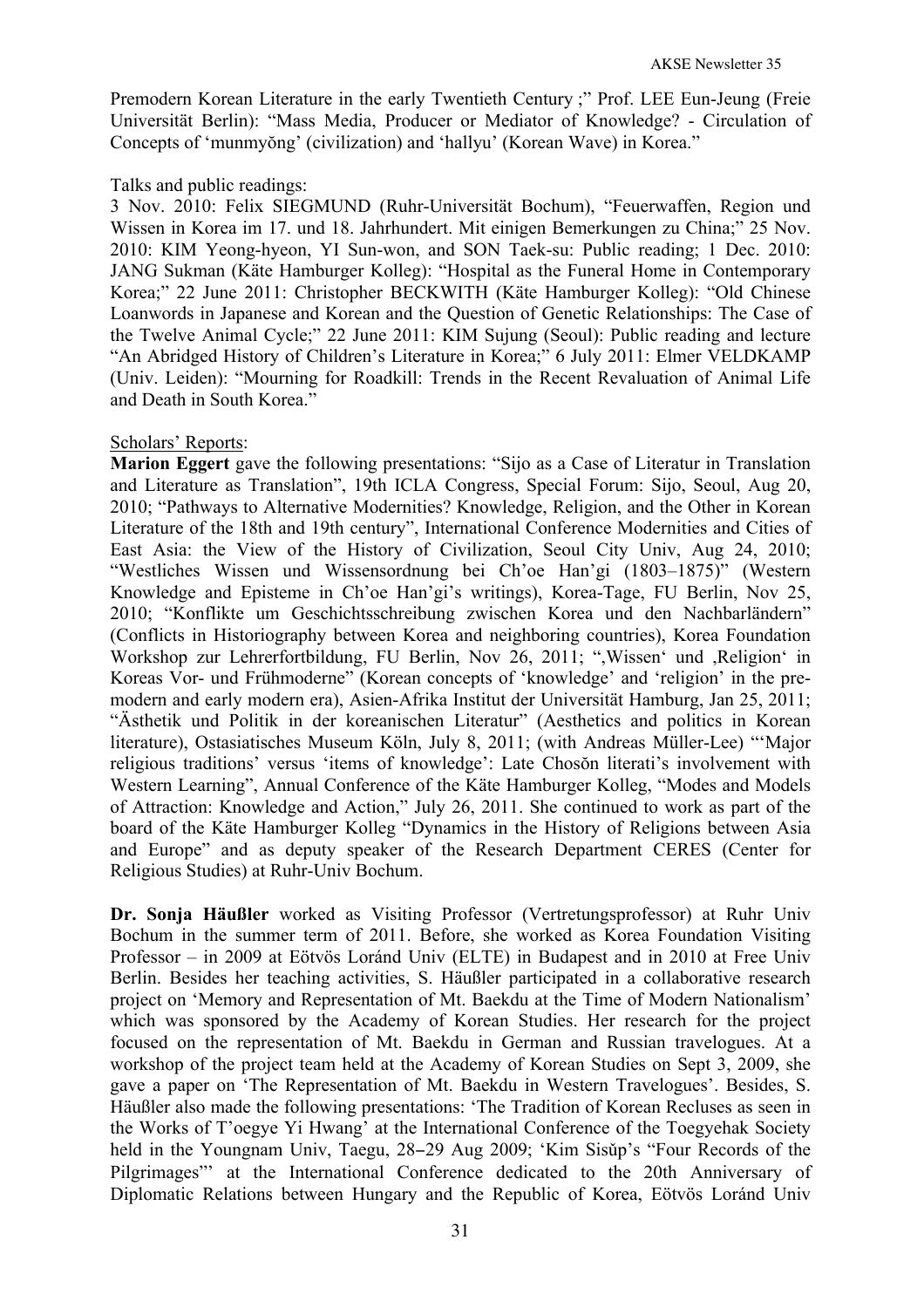Premodern Korean Literature in the early Twentieth Century ;" Prof. LEE Eun-Jeung (Freie Universität Berlin): "Mass Media, Producer or Mediator of Knowledge? - Circulation of Concepts of 'munmyŏng' (civilization) and 'hallyu' (Korean Wave) in Korea."

#### Talks and public readings:

3 Nov. 2010: Felix SIEGMUND (Ruhr-Universität Bochum), "Feuerwaffen, Region und Wissen in Korea im 17. und 18. Jahrhundert. Mit einigen Bemerkungen zu China;" 25 Nov. 2010: KIM Yeong-hyeon, YI Sun-won, and SON Taek-su: Public reading; 1 Dec. 2010: JANG Sukman (Käte Hamburger Kolleg): "Hospital as the Funeral Home in Contemporary Korea;" 22 June 2011: Christopher BECKWITH (Käte Hamburger Kolleg): "Old Chinese Loanwords in Japanese and Korean and the Question of Genetic Relationships: The Case of the Twelve Animal Cycle;" 22 June 2011: KIM Sujung (Seoul): Public reading and lecture "An Abridged History of Children's Literature in Korea;" 6 July 2011: Elmer VELDKAMP (Univ. Leiden): "Mourning for Roadkill: Trends in the Recent Revaluation of Animal Life and Death in South Korea."

#### Scholars' Reports:

**Marion Eggert** gave the following presentations: "Sijo as a Case of Literatur in Translation and Literature as Translation", 19th ICLA Congress, Special Forum: Sijo, Seoul, Aug 20, 2010; "Pathways to Alternative Modernities? Knowledge, Religion, and the Other in Korean Literature of the 18th and 19th century", International Conference Modernities and Cities of East Asia: the View of the History of Civilization, Seoul City Univ, Aug 24, 2010; "Westliches Wissen und Wissensordnung bei Ch'oe Han'gi (1803–1875)" (Western Knowledge and Episteme in Ch'oe Han'gi's writings), Korea-Tage, FU Berlin, Nov 25, 2010; "Konflikte um Geschichtsschreibung zwischen Korea und den Nachbarländern" (Conflicts in Historiography between Korea and neighboring countries), Korea Foundation Workshop zur Lehrerfortbildung, FU Berlin, Nov 26, 2011; ",Wissen' und ,Religion' in Koreas Vor- und Frühmoderne" (Korean concepts of 'knowledge' and 'religion' in the premodern and early modern era), Asien-Afrika Institut der Universität Hamburg, Jan 25, 2011; "Ästhetik und Politik in der koreanischen Literatur" (Aesthetics and politics in Korean literature), Ostasiatisches Museum Köln, July 8, 2011; (with Andreas Müller-Lee) "'Major religious traditions' versus 'items of knowledge': Late Chosŏn literati's involvement with Western Learning", Annual Conference of the Käte Hamburger Kolleg, "Modes and Models of Attraction: Knowledge and Action," July 26, 2011. She continued to work as part of the board of the Käte Hamburger Kolleg "Dynamics in the History of Religions between Asia and Europe" and as deputy speaker of the Research Department CERES (Center for Religious Studies) at Ruhr-Univ Bochum.

**Dr. Sonja Häußler** worked as Visiting Professor (Vertretungsprofessor) at Ruhr Univ Bochum in the summer term of 2011. Before, she worked as Korea Foundation Visiting Professor – in 2009 at Eötvös Loránd Univ (ELTE) in Budapest and in 2010 at Free Univ Berlin. Besides her teaching activities, S. Häußler participated in a collaborative research project on 'Memory and Representation of Mt. Baekdu at the Time of Modern Nationalism' which was sponsored by the Academy of Korean Studies. Her research for the project focused on the representation of Mt. Baekdu in German and Russian travelogues. At a workshop of the project team held at the Academy of Korean Studies on Sept 3, 2009, she gave a paper on 'The Representation of Mt. Baekdu in Western Travelogues'. Besides, S. Häußler also made the following presentations: 'The Tradition of Korean Recluses as seen in the Works of T'oegye Yi Hwang' at the International Conference of the Toegyehak Society held in the Youngnam Univ, Taegu, 28−29 Aug 2009; 'Kim Sisǔp's "Four Records of the Pilgrimages"' at the International Conference dedicated to the 20th Anniversary of Diplomatic Relations between Hungary and the Republic of Korea, Eötvös Loránd Univ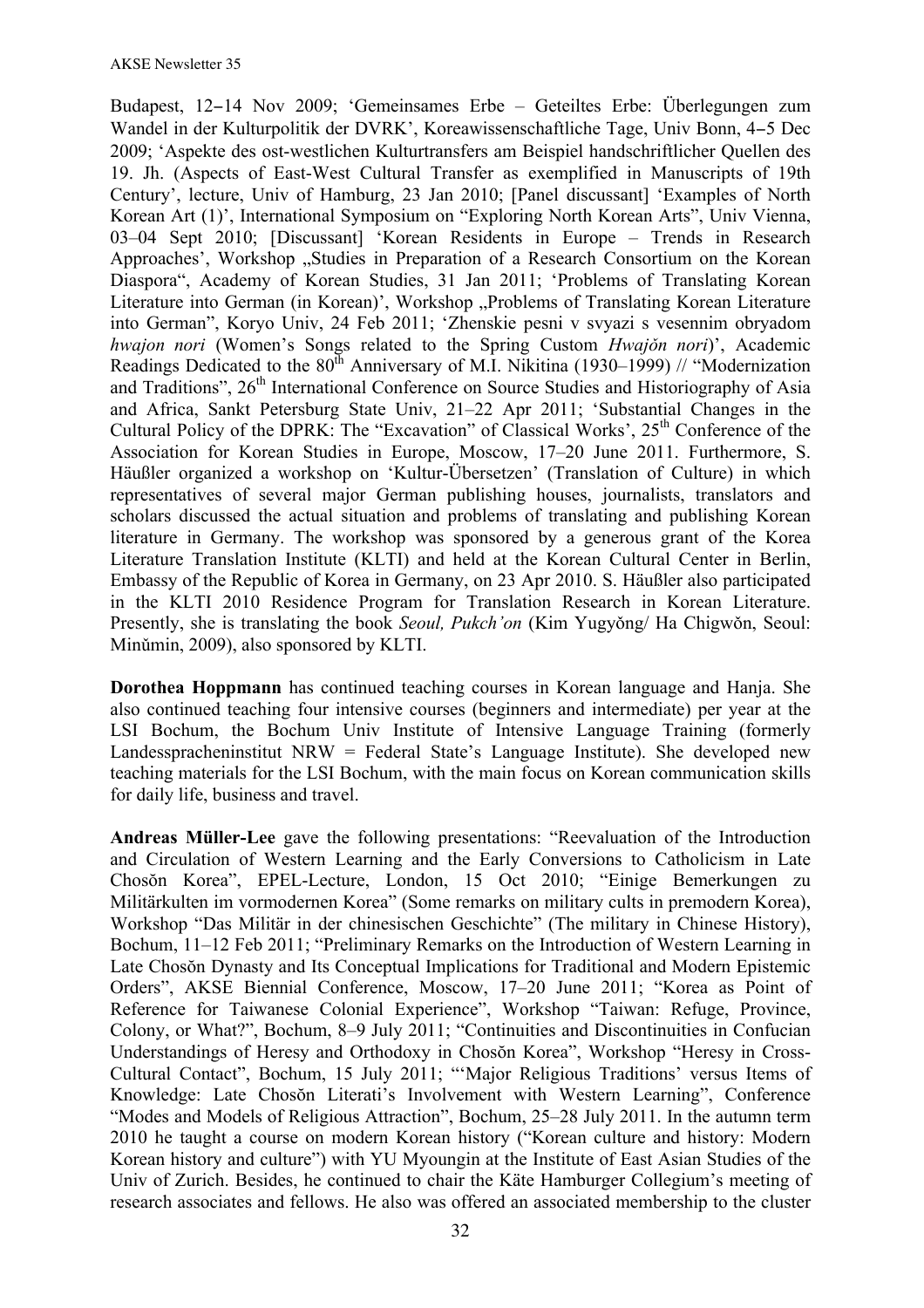Budapest, 12−14 Nov 2009; 'Gemeinsames Erbe – Geteiltes Erbe: Überlegungen zum Wandel in der Kulturpolitik der DVRK', Koreawissenschaftliche Tage, Univ Bonn, 4−5 Dec 2009; 'Aspekte des ost-westlichen Kulturtransfers am Beispiel handschriftlicher Quellen des 19. Jh. (Aspects of East-West Cultural Transfer as exemplified in Manuscripts of 19th Century', lecture, Univ of Hamburg, 23 Jan 2010; [Panel discussant] 'Examples of North Korean Art (1)', International Symposium on "Exploring North Korean Arts", Univ Vienna, 03–04 Sept 2010; [Discussant] 'Korean Residents in Europe – Trends in Research Approaches', Workshop "Studies in Preparation of a Research Consortium on the Korean Diaspora", Academy of Korean Studies, 31 Jan 2011; 'Problems of Translating Korean Literature into German (in Korean)', Workshop "Problems of Translating Korean Literature into German", Koryo Univ, 24 Feb 2011; 'Zhenskie pesni v svyazi s vesennim obryadom *hwajon nori* (Women's Songs related to the Spring Custom *Hwajǒn nori*)', Academic Readings Dedicated to the  $80^{th}$  Anniversary of M.I. Nikitina (1930–1999) // "Modernization and Traditions", 26<sup>th</sup> International Conference on Source Studies and Historiography of Asia and Africa, Sankt Petersburg State Univ, 21–22 Apr 2011; 'Substantial Changes in the Cultural Policy of the DPRK: The "Excavation" of Classical Works',  $25<sup>th</sup>$  Conference of the Association for Korean Studies in Europe, Moscow, 17–20 June 2011. Furthermore, S. Häußler organized a workshop on 'Kultur-Übersetzen' (Translation of Culture) in which representatives of several major German publishing houses, journalists, translators and scholars discussed the actual situation and problems of translating and publishing Korean literature in Germany. The workshop was sponsored by a generous grant of the Korea Literature Translation Institute (KLTI) and held at the Korean Cultural Center in Berlin, Embassy of the Republic of Korea in Germany, on 23 Apr 2010. S. Häußler also participated in the KLTI 2010 Residence Program for Translation Research in Korean Literature. Presently, she is translating the book *Seoul, Pukch'on* (Kim Yugyǒng/ Ha Chigwǒn, Seoul: Minǔmin, 2009), also sponsored by KLTI.

**Dorothea Hoppmann** has continued teaching courses in Korean language and Hanja. She also continued teaching four intensive courses (beginners and intermediate) per year at the LSI Bochum, the Bochum Univ Institute of Intensive Language Training (formerly Landesspracheninstitut NRW = Federal State's Language Institute). She developed new teaching materials for the LSI Bochum, with the main focus on Korean communication skills for daily life, business and travel.

**Andreas Müller-Lee** gave the following presentations: "Reevaluation of the Introduction and Circulation of Western Learning and the Early Conversions to Catholicism in Late Chosŏn Korea", EPEL-Lecture, London, 15 Oct 2010; "Einige Bemerkungen zu Militärkulten im vormodernen Korea" (Some remarks on military cults in premodern Korea), Workshop "Das Militär in der chinesischen Geschichte" (The military in Chinese History), Bochum, 11–12 Feb 2011; "Preliminary Remarks on the Introduction of Western Learning in Late Chosŏn Dynasty and Its Conceptual Implications for Traditional and Modern Epistemic Orders", AKSE Biennial Conference, Moscow, 17–20 June 2011; "Korea as Point of Reference for Taiwanese Colonial Experience", Workshop "Taiwan: Refuge, Province, Colony, or What?", Bochum, 8–9 July 2011; "Continuities and Discontinuities in Confucian Understandings of Heresy and Orthodoxy in Chosŏn Korea", Workshop "Heresy in Cross-Cultural Contact", Bochum, 15 July 2011; "'Major Religious Traditions' versus Items of Knowledge: Late Chosŏn Literati's Involvement with Western Learning", Conference "Modes and Models of Religious Attraction", Bochum, 25–28 July 2011. In the autumn term 2010 he taught a course on modern Korean history ("Korean culture and history: Modern Korean history and culture") with YU Myoungin at the Institute of East Asian Studies of the Univ of Zurich. Besides, he continued to chair the Käte Hamburger Collegium's meeting of research associates and fellows. He also was offered an associated membership to the cluster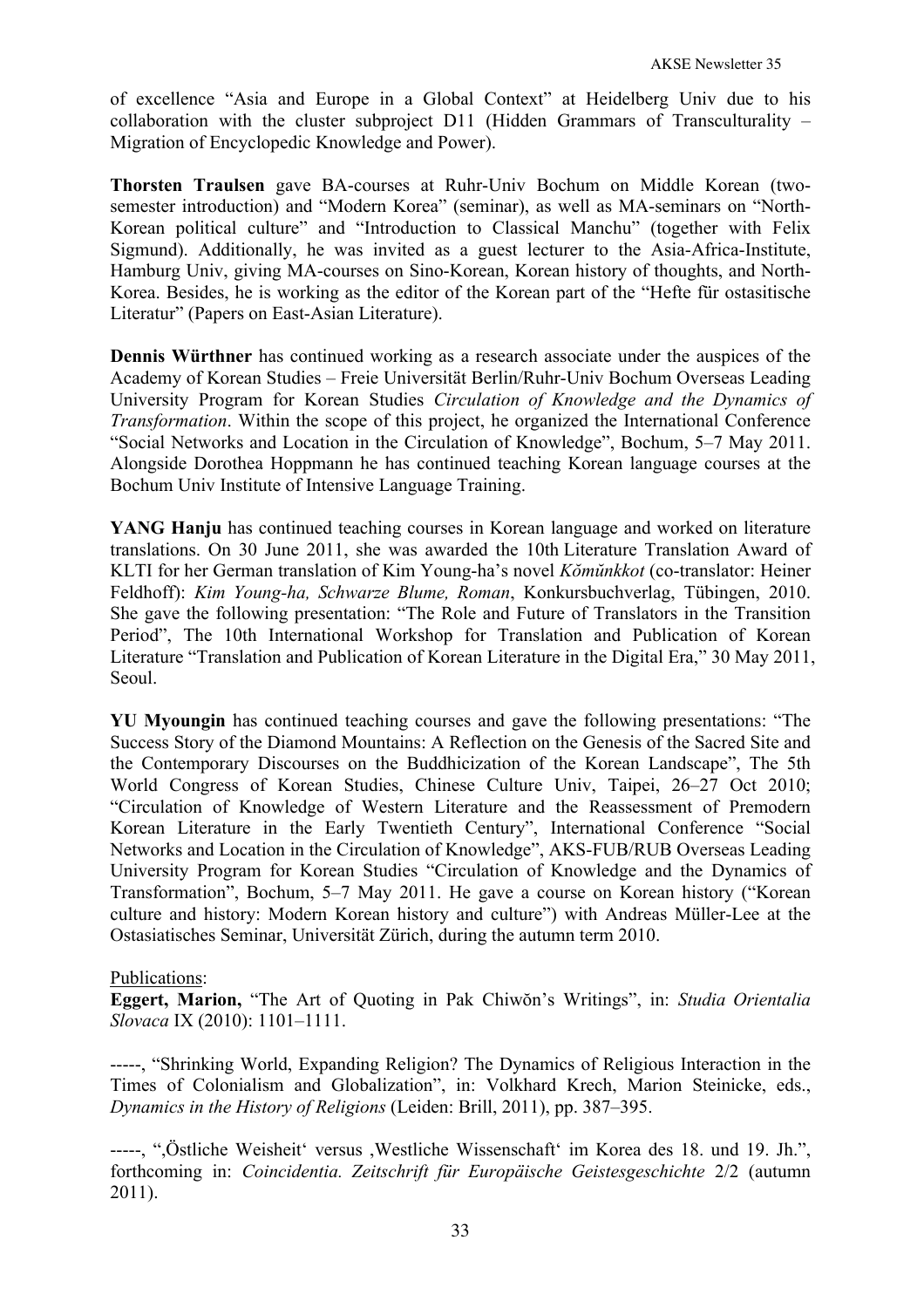of excellence "Asia and Europe in a Global Context" at Heidelberg Univ due to his collaboration with the cluster subproject D11 (Hidden Grammars of Transculturality – Migration of Encyclopedic Knowledge and Power).

**Thorsten Traulsen** gave BA-courses at Ruhr-Univ Bochum on Middle Korean (twosemester introduction) and "Modern Korea" (seminar), as well as MA-seminars on "North-Korean political culture" and "Introduction to Classical Manchu" (together with Felix Sigmund). Additionally, he was invited as a guest lecturer to the Asia-Africa-Institute, Hamburg Univ, giving MA-courses on Sino-Korean, Korean history of thoughts, and North-Korea. Besides, he is working as the editor of the Korean part of the "Hefte für ostasitische Literatur" (Papers on East-Asian Literature).

**Dennis Würthner** has continued working as a research associate under the auspices of the Academy of Korean Studies – Freie Universität Berlin/Ruhr-Univ Bochum Overseas Leading University Program for Korean Studies *Circulation of Knowledge and the Dynamics of Transformation*. Within the scope of this project, he organized the International Conference "Social Networks and Location in the Circulation of Knowledge", Bochum, 5–7 May 2011. Alongside Dorothea Hoppmann he has continued teaching Korean language courses at the Bochum Univ Institute of Intensive Language Training.

**YANG Hanju** has continued teaching courses in Korean language and worked on literature translations. On 30 June 2011, she was awarded the 10th Literature Translation Award of KLTI for her German translation of Kim Young-ha's novel *Kŏmŭnkkot* (co-translator: Heiner Feldhoff): *Kim Young-ha, Schwarze Blume, Roman*, Konkursbuchverlag, Tübingen, 2010. She gave the following presentation: "The Role and Future of Translators in the Transition Period", The 10th International Workshop for Translation and Publication of Korean Literature "Translation and Publication of Korean Literature in the Digital Era," 30 May 2011, Seoul.

**YU Myoungin** has continued teaching courses and gave the following presentations: "The Success Story of the Diamond Mountains: A Reflection on the Genesis of the Sacred Site and the Contemporary Discourses on the Buddhicization of the Korean Landscape", The 5th World Congress of Korean Studies, Chinese Culture Univ, Taipei, 26–27 Oct 2010; "Circulation of Knowledge of Western Literature and the Reassessment of Premodern Korean Literature in the Early Twentieth Century", International Conference "Social Networks and Location in the Circulation of Knowledge", AKS-FUB/RUB Overseas Leading University Program for Korean Studies "Circulation of Knowledge and the Dynamics of Transformation", Bochum, 5–7 May 2011. He gave a course on Korean history ("Korean culture and history: Modern Korean history and culture") with Andreas Müller-Lee at the Ostasiatisches Seminar, Universität Zürich, during the autumn term 2010.

#### Publications:

**Eggert, Marion,** "The Art of Quoting in Pak Chiwŏn's Writings", in: *Studia Orientalia Slovaca* IX (2010): 1101–1111.

-----, "Shrinking World, Expanding Religion? The Dynamics of Religious Interaction in the Times of Colonialism and Globalization", in: Volkhard Krech, Marion Steinicke, eds., *Dynamics in the History of Religions* (Leiden: Brill, 2011), pp. 387–395.

-----, ",Östliche Weisheit' versus ,Westliche Wissenschaft' im Korea des 18. und 19. Jh.", forthcoming in: *Coincidentia. Zeitschrift für Europäische Geistesgeschichte* 2/2 (autumn 2011).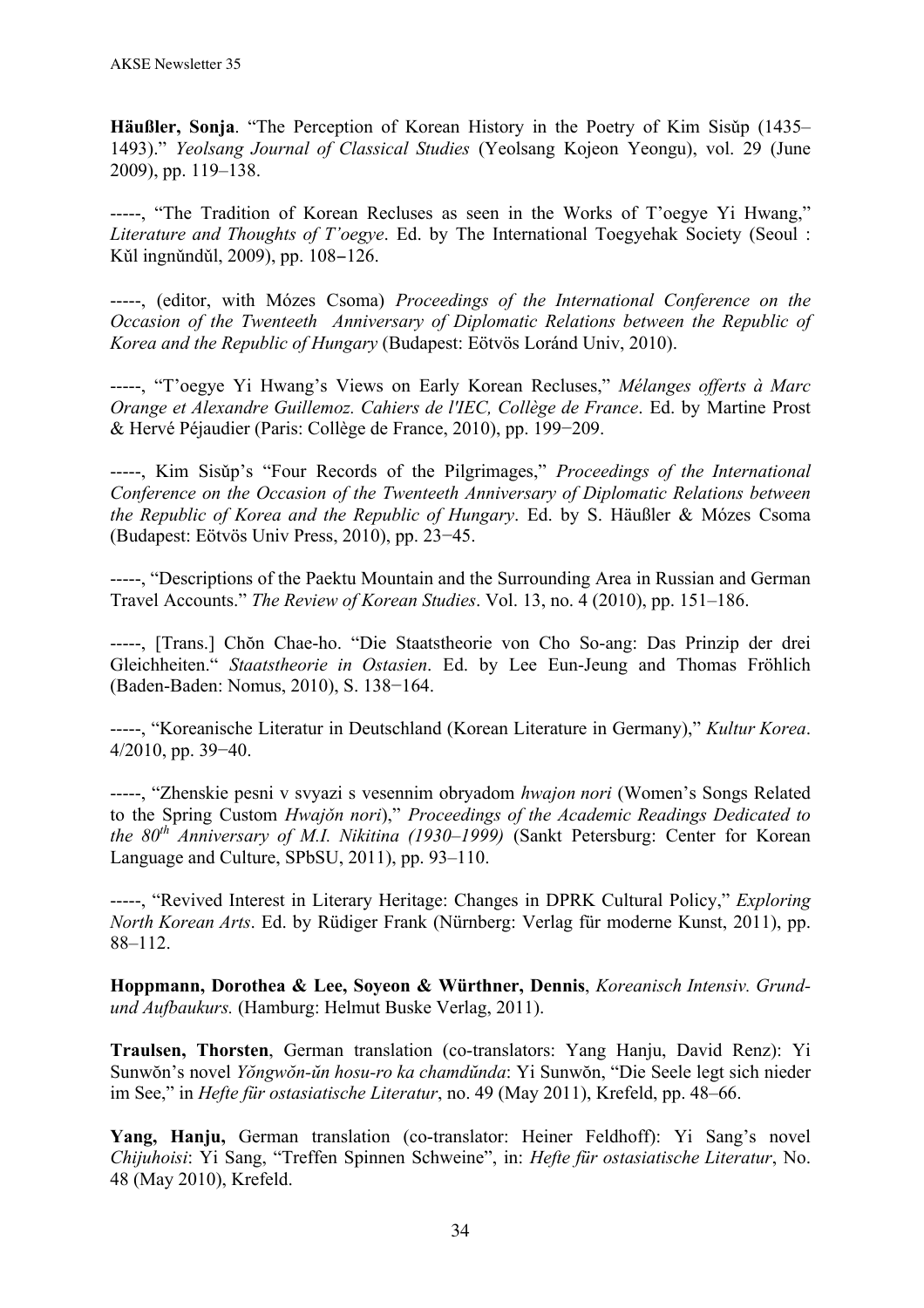**Häußler, Sonja**. "The Perception of Korean History in the Poetry of Kim Sisǔp (1435– 1493)." *Yeolsang Journal of Classical Studies* (Yeolsang Kojeon Yeongu), vol. 29 (June 2009), pp. 119–138.

-----, "The Tradition of Korean Recluses as seen in the Works of T'oegye Yi Hwang," *Literature and Thoughts of T'oegye*. Ed. by The International Toegyehak Society (Seoul : Kǔl ingnǔndǔl, 2009), pp. 108–126.

-----, (editor, with Mózes Csoma) *Proceedings of the International Conference on the Occasion of the Twenteeth Anniversary of Diplomatic Relations between the Republic of Korea and the Republic of Hungary* (Budapest: Eötvös Loránd Univ, 2010).

-----, "T'oegye Yi Hwang's Views on Early Korean Recluses," *Mélanges offerts à Marc Orange et Alexandre Guillemoz. Cahiers de l'IEC, Collège de France*. Ed. by Martine Prost & Hervé Péjaudier (Paris: Collège de France, 2010), pp. 199−209.

-----, Kim Sisǔp's "Four Records of the Pilgrimages," *Proceedings of the International Conference on the Occasion of the Twenteeth Anniversary of Diplomatic Relations between the Republic of Korea and the Republic of Hungary*. Ed. by S. Häußler & Mózes Csoma (Budapest: Eötvös Univ Press, 2010), pp. 23−45.

-----, "Descriptions of the Paektu Mountain and the Surrounding Area in Russian and German Travel Accounts." *The Review of Korean Studies*. Vol. 13, no. 4 (2010), pp. 151–186.

-----, [Trans.] Chŏn Chae-ho. "Die Staatstheorie von Cho So-ang: Das Prinzip der drei Gleichheiten." *Staatstheorie in Ostasien*. Ed. by Lee Eun-Jeung and Thomas Fröhlich (Baden-Baden: Nomus, 2010), S. 138−164.

-----, "Koreanische Literatur in Deutschland (Korean Literature in Germany)," *Kultur Korea*. 4/2010, pp. 39−40.

-----, "Zhenskie pesni v svyazi s vesennim obryadom *hwajon nori* (Women's Songs Related to the Spring Custom *Hwajǒn nori*)," *Proceedings of the Academic Readings Dedicated to the 80th Anniversary of M.I. Nikitina (1930–1999)* (Sankt Petersburg: Center for Korean Language and Culture, SPbSU, 2011), pp. 93–110.

-----, "Revived Interest in Literary Heritage: Changes in DPRK Cultural Policy," *Exploring North Korean Arts*. Ed. by Rüdiger Frank (Nürnberg: Verlag für moderne Kunst, 2011), pp. 88–112.

**Hoppmann, Dorothea & Lee, Soyeon & Würthner, Dennis**, *Koreanisch Intensiv. Grundund Aufbaukurs.* (Hamburg: Helmut Buske Verlag, 2011).

**Traulsen, Thorsten**, German translation (co-translators: Yang Hanju, David Renz): Yi Sunwŏn's novel *Yŏngwŏn-ŭn hosu-ro ka chamdŭnda*: Yi Sunwŏn, "Die Seele legt sich nieder im See," in *Hefte für ostasiatische Literatur*, no. 49 (May 2011), Krefeld, pp. 48–66.

**Yang, Hanju,** German translation (co-translator: Heiner Feldhoff): Yi Sang's novel *Chijuhoisi*: Yi Sang, "Treffen Spinnen Schweine", in: *Hefte für ostasiatische Literatur*, No. 48 (May 2010), Krefeld.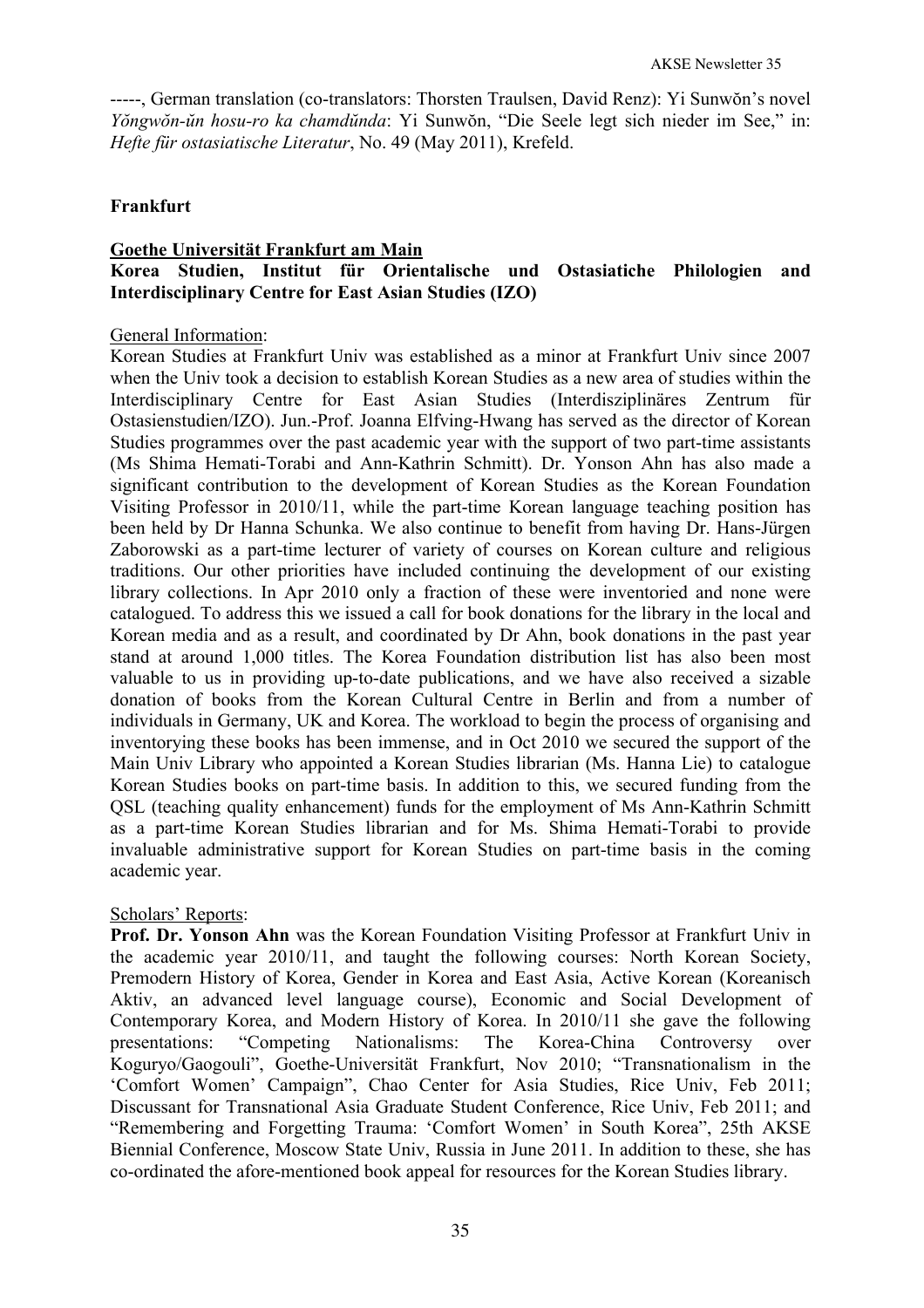-----, German translation (co-translators: Thorsten Traulsen, David Renz): Yi Sunwŏn's novel *Yŏngwŏn-ŭn hosu-ro ka chamdŭnda*: Yi Sunwŏn, "Die Seele legt sich nieder im See," in: *Hefte für ostasiatische Literatur*, No. 49 (May 2011), Krefeld.

## **Frankfurt**

# **Goethe Universität Frankfurt am Main Korea Studien, Institut für Orientalische und Ostasiatiche Philologien and Interdisciplinary Centre for East Asian Studies (IZO)**

#### General Information:

Korean Studies at Frankfurt Univ was established as a minor at Frankfurt Univ since 2007 when the Univ took a decision to establish Korean Studies as a new area of studies within the Interdisciplinary Centre for East Asian Studies (Interdisziplinäres Zentrum für Ostasienstudien/IZO). Jun.-Prof. Joanna Elfving-Hwang has served as the director of Korean Studies programmes over the past academic year with the support of two part-time assistants (Ms Shima Hemati-Torabi and Ann-Kathrin Schmitt). Dr. Yonson Ahn has also made a significant contribution to the development of Korean Studies as the Korean Foundation Visiting Professor in 2010/11, while the part-time Korean language teaching position has been held by Dr Hanna Schunka. We also continue to benefit from having Dr. Hans-Jürgen Zaborowski as a part-time lecturer of variety of courses on Korean culture and religious traditions. Our other priorities have included continuing the development of our existing library collections. In Apr 2010 only a fraction of these were inventoried and none were catalogued. To address this we issued a call for book donations for the library in the local and Korean media and as a result, and coordinated by Dr Ahn, book donations in the past year stand at around 1,000 titles. The Korea Foundation distribution list has also been most valuable to us in providing up-to-date publications, and we have also received a sizable donation of books from the Korean Cultural Centre in Berlin and from a number of individuals in Germany, UK and Korea. The workload to begin the process of organising and inventorying these books has been immense, and in Oct 2010 we secured the support of the Main Univ Library who appointed a Korean Studies librarian (Ms. Hanna Lie) to catalogue Korean Studies books on part-time basis. In addition to this, we secured funding from the QSL (teaching quality enhancement) funds for the employment of Ms Ann-Kathrin Schmitt as a part-time Korean Studies librarian and for Ms. Shima Hemati-Torabi to provide invaluable administrative support for Korean Studies on part-time basis in the coming academic year.

#### Scholars' Reports:

**Prof. Dr. Yonson Ahn** was the Korean Foundation Visiting Professor at Frankfurt Univ in the academic year 2010/11, and taught the following courses: North Korean Society, Premodern History of Korea, Gender in Korea and East Asia, Active Korean (Koreanisch Aktiv, an advanced level language course), Economic and Social Development of Contemporary Korea, and Modern History of Korea. In 2010/11 she gave the following presentations: "Competing Nationalisms: The Korea-China Controversy over Koguryo/Gaogouli", Goethe-Universität Frankfurt, Nov 2010; "Transnationalism in the 'Comfort Women' Campaign", Chao Center for Asia Studies, Rice Univ, Feb 2011; Discussant for Transnational Asia Graduate Student Conference, Rice Univ, Feb 2011; and "Remembering and Forgetting Trauma: 'Comfort Women' in South Korea", 25th AKSE Biennial Conference, Moscow State Univ, Russia in June 2011. In addition to these, she has co-ordinated the afore-mentioned book appeal for resources for the Korean Studies library.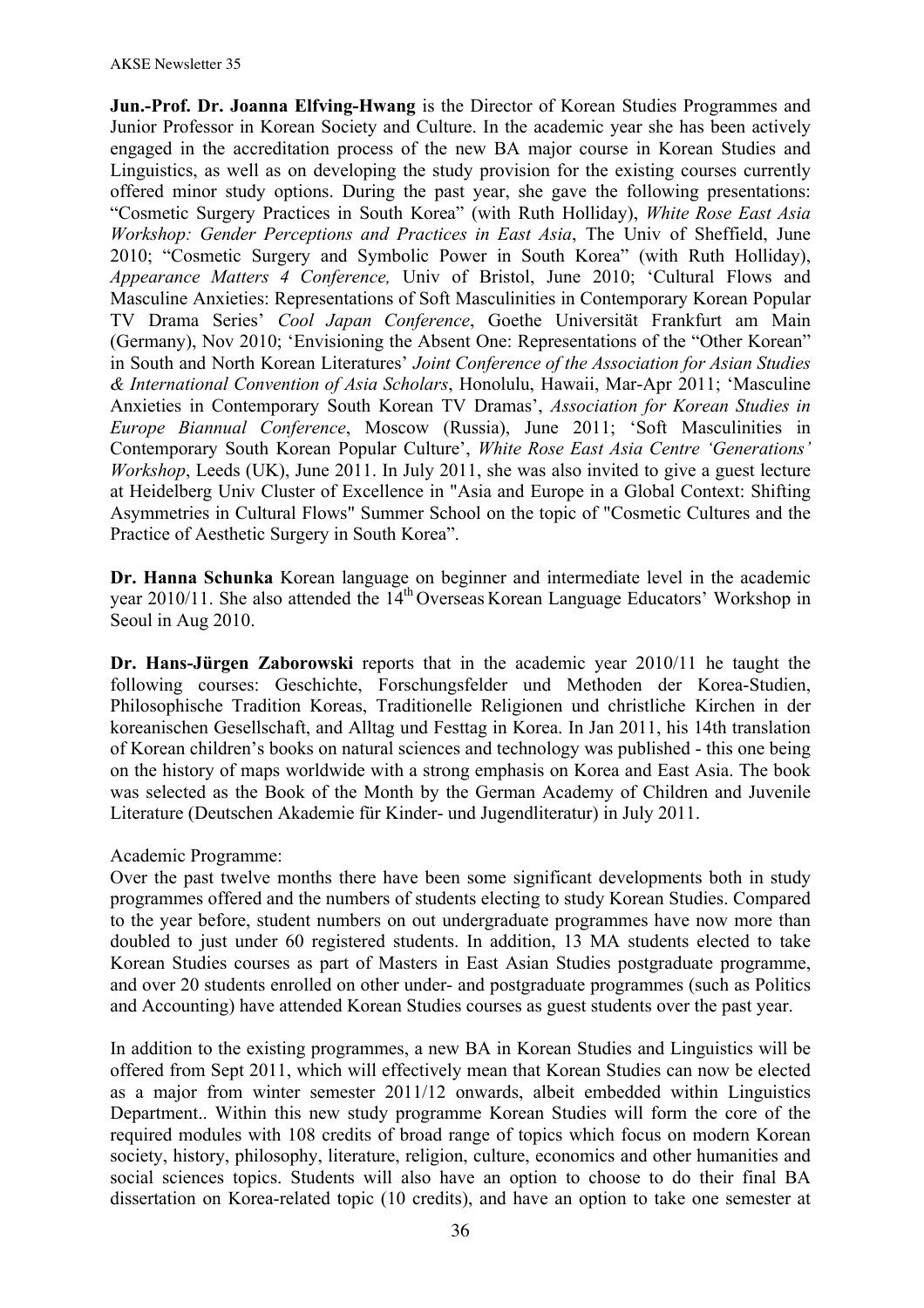**Jun.-Prof. Dr. Joanna Elfving-Hwang** is the Director of Korean Studies Programmes and Junior Professor in Korean Society and Culture. In the academic year she has been actively engaged in the accreditation process of the new BA major course in Korean Studies and Linguistics, as well as on developing the study provision for the existing courses currently offered minor study options. During the past year, she gave the following presentations: "Cosmetic Surgery Practices in South Korea" (with Ruth Holliday), *White Rose East Asia Workshop: Gender Perceptions and Practices in East Asia*, The Univ of Sheffield, June 2010; "Cosmetic Surgery and Symbolic Power in South Korea" (with Ruth Holliday), *Appearance Matters 4 Conference,* Univ of Bristol, June 2010; 'Cultural Flows and Masculine Anxieties: Representations of Soft Masculinities in Contemporary Korean Popular TV Drama Series' *Cool Japan Conference*, Goethe Universität Frankfurt am Main (Germany), Nov 2010; 'Envisioning the Absent One: Representations of the "Other Korean" in South and North Korean Literatures' *Joint Conference of the Association for Asian Studies & International Convention of Asia Scholars*, Honolulu, Hawaii, Mar-Apr 2011; 'Masculine Anxieties in Contemporary South Korean TV Dramas', *Association for Korean Studies in Europe Biannual Conference*, Moscow (Russia), June 2011; 'Soft Masculinities in Contemporary South Korean Popular Culture', *White Rose East Asia Centre 'Generations' Workshop*, Leeds (UK), June 2011. In July 2011, she was also invited to give a guest lecture at Heidelberg Univ Cluster of Excellence in "Asia and Europe in a Global Context: Shifting Asymmetries in Cultural Flows" Summer School on the topic of "Cosmetic Cultures and the Practice of Aesthetic Surgery in South Korea".

**Dr. Hanna Schunka** Korean language on beginner and intermediate level in the academic year 2010/11. She also attended the  $14<sup>th</sup>$  Overseas Korean Language Educators' Workshop in Seoul in Aug 2010.

**Dr. Hans-Jürgen Zaborowski** reports that in the academic year 2010/11 he taught the following courses: Geschichte, Forschungsfelder und Methoden der Korea-Studien, Philosophische Tradition Koreas, Traditionelle Religionen und christliche Kirchen in der koreanischen Gesellschaft, and Alltag und Festtag in Korea. In Jan 2011, his 14th translation of Korean children's books on natural sciences and technology was published - this one being on the history of maps worldwide with a strong emphasis on Korea and East Asia. The book was selected as the Book of the Month by the German Academy of Children and Juvenile Literature (Deutschen Akademie für Kinder- und Jugendliteratur) in July 2011.

#### Academic Programme:

Over the past twelve months there have been some significant developments both in study programmes offered and the numbers of students electing to study Korean Studies. Compared to the year before, student numbers on out undergraduate programmes have now more than doubled to just under 60 registered students. In addition, 13 MA students elected to take Korean Studies courses as part of Masters in East Asian Studies postgraduate programme, and over 20 students enrolled on other under- and postgraduate programmes (such as Politics and Accounting) have attended Korean Studies courses as guest students over the past year.

In addition to the existing programmes, a new BA in Korean Studies and Linguistics will be offered from Sept 2011, which will effectively mean that Korean Studies can now be elected as a major from winter semester 2011/12 onwards, albeit embedded within Linguistics Department.. Within this new study programme Korean Studies will form the core of the required modules with 108 credits of broad range of topics which focus on modern Korean society, history, philosophy, literature, religion, culture, economics and other humanities and social sciences topics. Students will also have an option to choose to do their final BA dissertation on Korea-related topic (10 credits), and have an option to take one semester at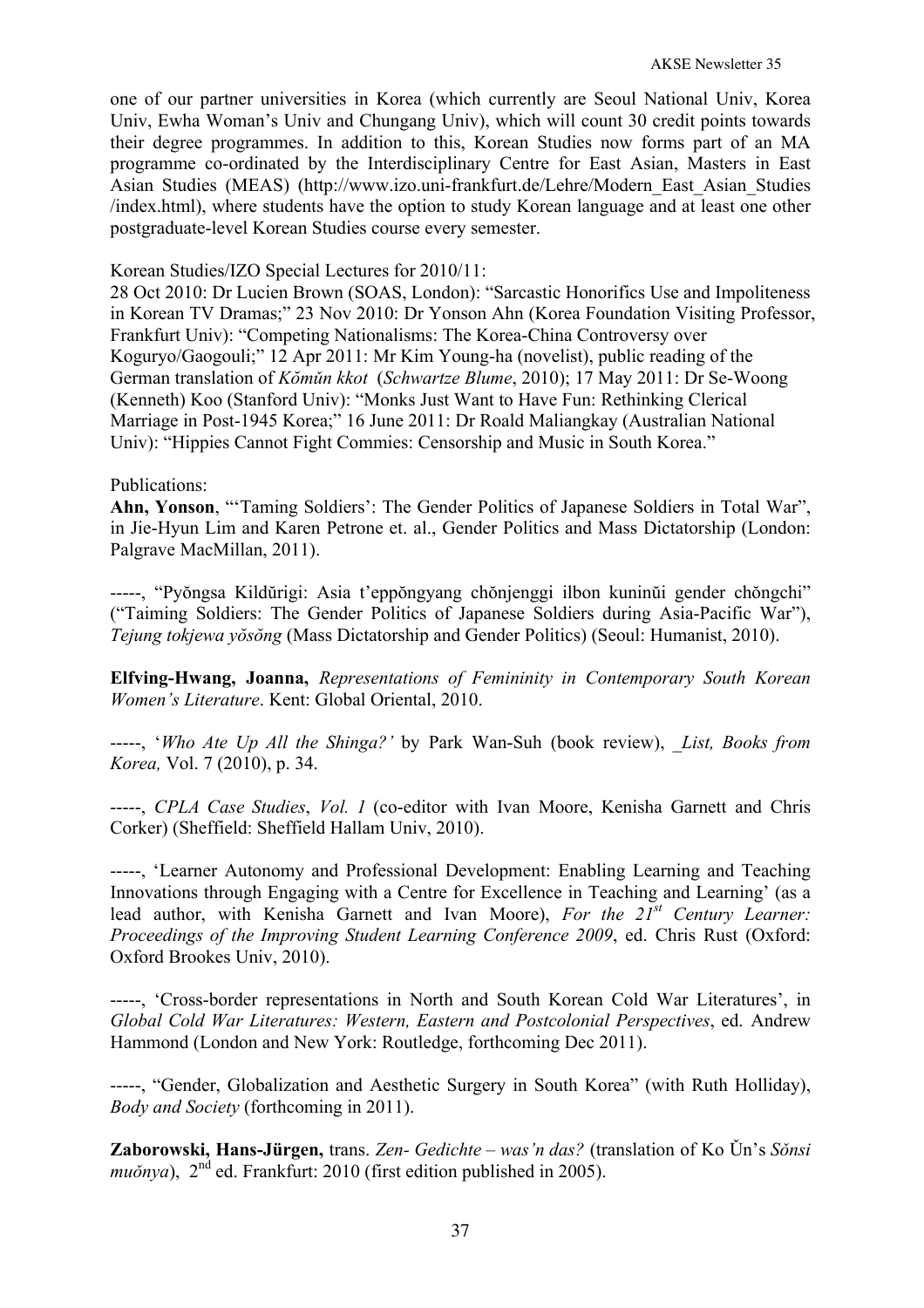one of our partner universities in Korea (which currently are Seoul National Univ, Korea Univ, Ewha Woman's Univ and Chungang Univ), which will count 30 credit points towards their degree programmes. In addition to this, Korean Studies now forms part of an MA programme co-ordinated by the Interdisciplinary Centre for East Asian, Masters in East Asian Studies (MEAS) (http://www.izo.uni-frankfurt.de/Lehre/Modern\_East\_Asian\_Studies /index.html), where students have the option to study Korean language and at least one other postgraduate-level Korean Studies course every semester.

Korean Studies/IZO Special Lectures for 2010/11:

28 Oct 2010: Dr Lucien Brown (SOAS, London): "Sarcastic Honorifics Use and Impoliteness in Korean TV Dramas;" 23 Nov 2010: Dr Yonson Ahn (Korea Foundation Visiting Professor, Frankfurt Univ): "Competing Nationalisms: The Korea-China Controversy over Koguryo/Gaogouli;" 12 Apr 2011: Mr Kim Young-ha (novelist), public reading of the German translation of *Kŏmǔn kkot* (*Schwartze Blume*, 2010); 17 May 2011: Dr Se-Woong (Kenneth) Koo (Stanford Univ): "Monks Just Want to Have Fun: Rethinking Clerical Marriage in Post-1945 Korea;" 16 June 2011: Dr Roald Maliangkay (Australian National Univ): "Hippies Cannot Fight Commies: Censorship and Music in South Korea."

### Publications:

**Ahn, Yonson**, "'Taming Soldiers': The Gender Politics of Japanese Soldiers in Total War", in Jie-Hyun Lim and Karen Petrone et. al., Gender Politics and Mass Dictatorship (London: Palgrave MacMillan, 2011).

-----, "Pyŏngsa Kildŭrigi: Asia t'eppŏngyang chŏnjenggi ilbon kuninŭi gender chŏngchi" ("Taiming Soldiers: The Gender Politics of Japanese Soldiers during Asia-Pacific War"), *Tejung tokjewa yŏsŏng* (Mass Dictatorship and Gender Politics) (Seoul: Humanist, 2010).

**Elfving-Hwang, Joanna,** *Representations of Femininity in Contemporary South Korean Women's Literature*. Kent: Global Oriental, 2010.

-----, '*Who Ate Up All the Shinga?'* by Park Wan-Suh (book review), *\_List, Books from Korea,* Vol. 7 (2010), p. 34.

-----, *CPLA Case Studies*, *Vol. 1* (co-editor with Ivan Moore, Kenisha Garnett and Chris Corker) (Sheffield: Sheffield Hallam Univ, 2010).

-----, 'Learner Autonomy and Professional Development: Enabling Learning and Teaching Innovations through Engaging with a Centre for Excellence in Teaching and Learning' (as a lead author, with Kenisha Garnett and Ivan Moore), *For the 21st Century Learner: Proceedings of the Improving Student Learning Conference 2009*, ed. Chris Rust (Oxford: Oxford Brookes Univ, 2010).

-----, 'Cross-border representations in North and South Korean Cold War Literatures', in *Global Cold War Literatures: Western, Eastern and Postcolonial Perspectives*, ed. Andrew Hammond (London and New York: Routledge, forthcoming Dec 2011).

-----, "Gender, Globalization and Aesthetic Surgery in South Korea" (with Ruth Holliday), *Body and Society* (forthcoming in 2011).

**Zaborowski, Hans-Jürgen,** trans. *Zen- Gedichte – was'n das?* (translation of Ko Ǔn's *Sǒnsi muǒnya*),  $2<sup>nd</sup>$  ed. Frankfurt: 2010 (first edition published in 2005).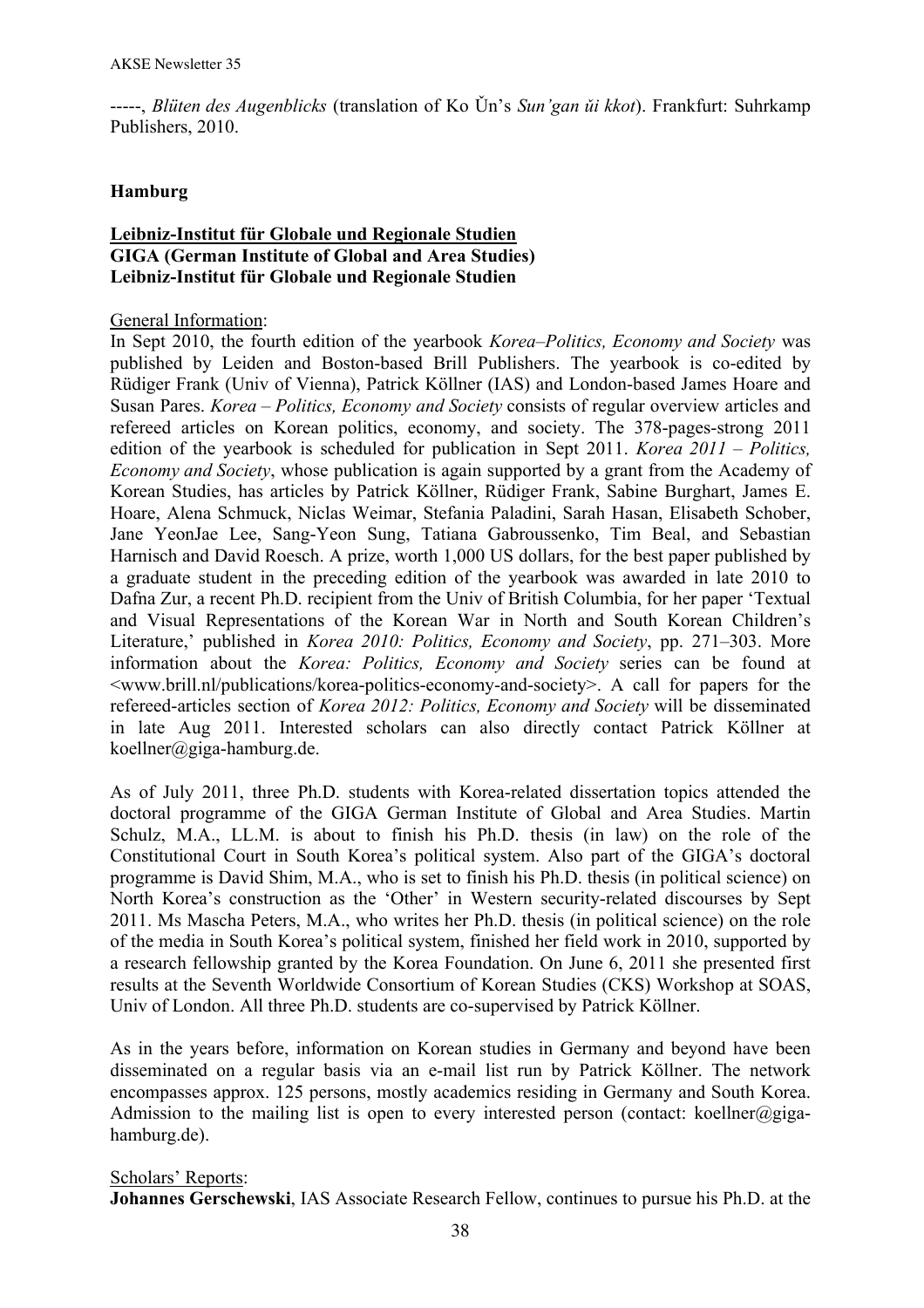-----, *Blüten des Augenblicks* (translation of Ko Ǔn's *Sun'gan ǔi kkot*). Frankfurt: Suhrkamp Publishers, 2010.

## **Hamburg**

# **Leibniz-Institut für Globale und Regionale Studien GIGA (German Institute of Global and Area Studies) Leibniz-Institut für Globale und Regionale Studien**

### General Information:

In Sept 2010, the fourth edition of the yearbook *Korea–Politics, Economy and Society* was published by Leiden and Boston-based Brill Publishers. The yearbook is co-edited by Rüdiger Frank (Univ of Vienna), Patrick Köllner (IAS) and London-based James Hoare and Susan Pares. *Korea – Politics, Economy and Society* consists of regular overview articles and refereed articles on Korean politics, economy, and society. The 378-pages-strong 2011 edition of the yearbook is scheduled for publication in Sept 2011. *Korea 2011 – Politics, Economy and Society*, whose publication is again supported by a grant from the Academy of Korean Studies, has articles by Patrick Köllner, Rüdiger Frank, Sabine Burghart, James E. Hoare, Alena Schmuck, Niclas Weimar, Stefania Paladini, Sarah Hasan, Elisabeth Schober, Jane YeonJae Lee, Sang-Yeon Sung, Tatiana Gabroussenko, Tim Beal, and Sebastian Harnisch and David Roesch. A prize, worth 1,000 US dollars, for the best paper published by a graduate student in the preceding edition of the yearbook was awarded in late 2010 to Dafna Zur, a recent Ph.D. recipient from the Univ of British Columbia, for her paper 'Textual and Visual Representations of the Korean War in North and South Korean Children's Literature,' published in *Korea 2010: Politics, Economy and Society*, pp. 271–303. More information about the *Korea: Politics, Economy and Society* series can be found at <www.brill.nl/publications/korea-politics-economy-and-society>. A call for papers for the refereed-articles section of *Korea 2012: Politics, Economy and Society* will be disseminated in late Aug 2011. Interested scholars can also directly contact Patrick Köllner at koellner@giga-hamburg.de.

As of July 2011, three Ph.D. students with Korea-related dissertation topics attended the doctoral programme of the GIGA German Institute of Global and Area Studies. Martin Schulz, M.A., LL.M. is about to finish his Ph.D. thesis (in law) on the role of the Constitutional Court in South Korea's political system. Also part of the GIGA's doctoral programme is David Shim, M.A., who is set to finish his Ph.D. thesis (in political science) on North Korea's construction as the 'Other' in Western security-related discourses by Sept 2011. Ms Mascha Peters, M.A., who writes her Ph.D. thesis (in political science) on the role of the media in South Korea's political system, finished her field work in 2010, supported by a research fellowship granted by the Korea Foundation. On June 6, 2011 she presented first results at the Seventh Worldwide Consortium of Korean Studies (CKS) Workshop at SOAS, Univ of London. All three Ph.D. students are co-supervised by Patrick Köllner.

As in the years before, information on Korean studies in Germany and beyond have been disseminated on a regular basis via an e-mail list run by Patrick Köllner. The network encompasses approx. 125 persons, mostly academics residing in Germany and South Korea. Admission to the mailing list is open to every interested person (contact: koellner@gigahamburg.de).

### Scholars' Reports:

**Johannes Gerschewski**, IAS Associate Research Fellow, continues to pursue his Ph.D. at the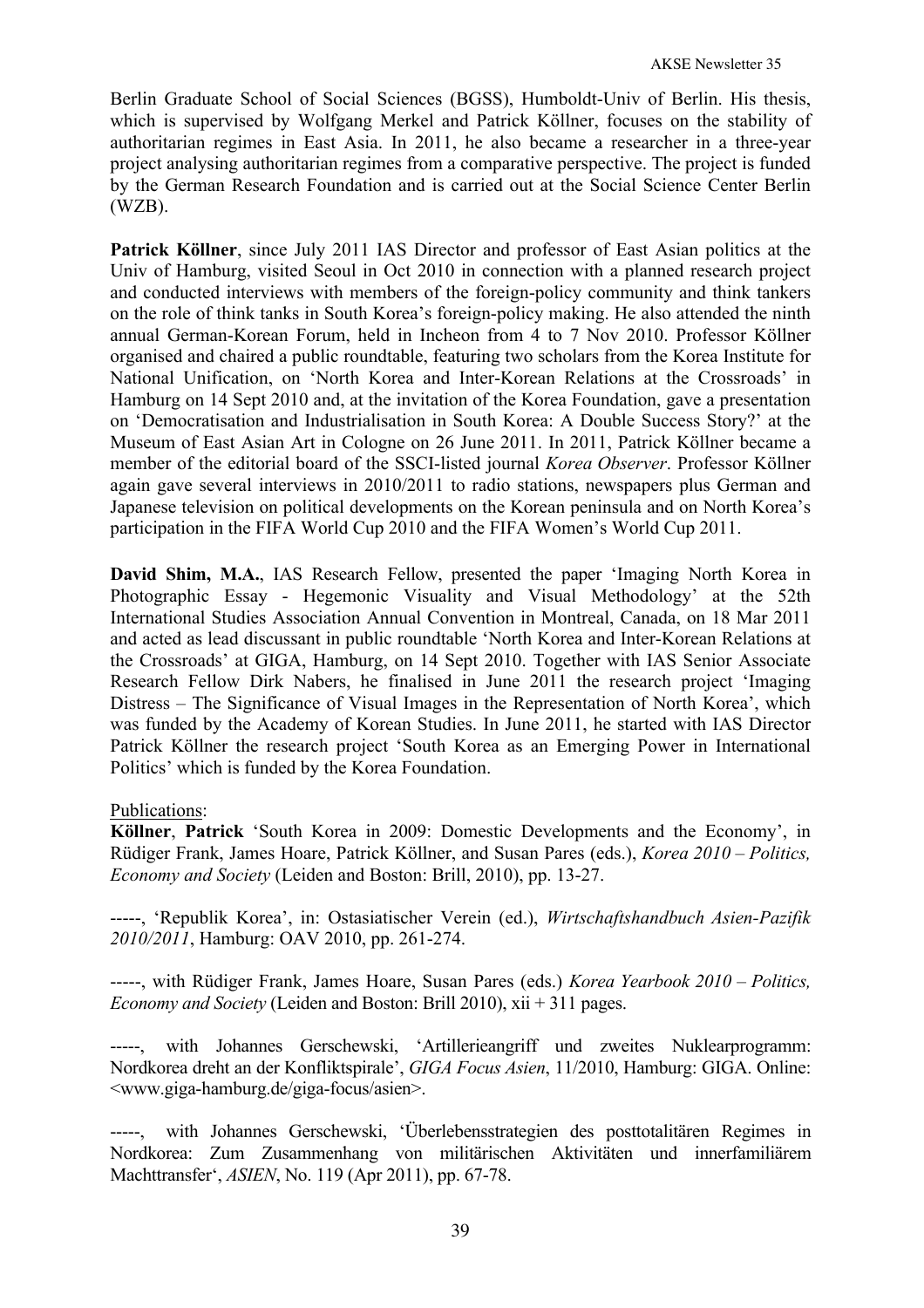Berlin Graduate School of Social Sciences (BGSS), Humboldt-Univ of Berlin. His thesis, which is supervised by Wolfgang Merkel and Patrick Köllner, focuses on the stability of authoritarian regimes in East Asia. In 2011, he also became a researcher in a three-year project analysing authoritarian regimes from a comparative perspective. The project is funded by the German Research Foundation and is carried out at the Social Science Center Berlin (WZB).

**Patrick Köllner**, since July 2011 IAS Director and professor of East Asian politics at the Univ of Hamburg, visited Seoul in Oct 2010 in connection with a planned research project and conducted interviews with members of the foreign-policy community and think tankers on the role of think tanks in South Korea's foreign-policy making. He also attended the ninth annual German-Korean Forum, held in Incheon from 4 to 7 Nov 2010. Professor Köllner organised and chaired a public roundtable, featuring two scholars from the Korea Institute for National Unification, on 'North Korea and Inter-Korean Relations at the Crossroads' in Hamburg on 14 Sept 2010 and, at the invitation of the Korea Foundation, gave a presentation on 'Democratisation and Industrialisation in South Korea: A Double Success Story?' at the Museum of East Asian Art in Cologne on 26 June 2011. In 2011, Patrick Köllner became a member of the editorial board of the SSCI-listed journal *Korea Observer*. Professor Köllner again gave several interviews in 2010/2011 to radio stations, newspapers plus German and Japanese television on political developments on the Korean peninsula and on North Korea's participation in the FIFA World Cup 2010 and the FIFA Women's World Cup 2011.

**David Shim, M.A.**, IAS Research Fellow, presented the paper 'Imaging North Korea in Photographic Essay - Hegemonic Visuality and Visual Methodology' at the 52th International Studies Association Annual Convention in Montreal, Canada, on 18 Mar 2011 and acted as lead discussant in public roundtable 'North Korea and Inter-Korean Relations at the Crossroads' at GIGA, Hamburg, on 14 Sept 2010. Together with IAS Senior Associate Research Fellow Dirk Nabers, he finalised in June 2011 the research project 'Imaging Distress – The Significance of Visual Images in the Representation of North Korea', which was funded by the Academy of Korean Studies. In June 2011, he started with IAS Director Patrick Köllner the research project 'South Korea as an Emerging Power in International Politics' which is funded by the Korea Foundation.

### Publications:

**Köllner**, **Patrick** 'South Korea in 2009: Domestic Developments and the Economy', in Rüdiger Frank, James Hoare, Patrick Köllner, and Susan Pares (eds.), *Korea 2010 – Politics, Economy and Society* (Leiden and Boston: Brill, 2010), pp. 13-27.

-----, 'Republik Korea', in: Ostasiatischer Verein (ed.), *Wirtschaftshandbuch Asien-Pazifik 2010/2011*, Hamburg: OAV 2010, pp. 261-274.

-----, with Rüdiger Frank, James Hoare, Susan Pares (eds.) *Korea Yearbook 2010 – Politics, Economy and Society* (Leiden and Boston: Brill 2010), xii + 311 pages.

with Johannes Gerschewski, 'Artillerieangriff und zweites Nuklearprogramm: Nordkorea dreht an der Konfliktspirale', *GIGA Focus Asien*, 11/2010, Hamburg: GIGA. Online: <www.giga-hamburg.de/giga-focus/asien>.

-----, with Johannes Gerschewski, 'Überlebensstrategien des posttotalitären Regimes in Nordkorea: Zum Zusammenhang von militärischen Aktivitäten und innerfamiliärem Machttransfer', *ASIEN*, No. 119 (Apr 2011), pp. 67-78.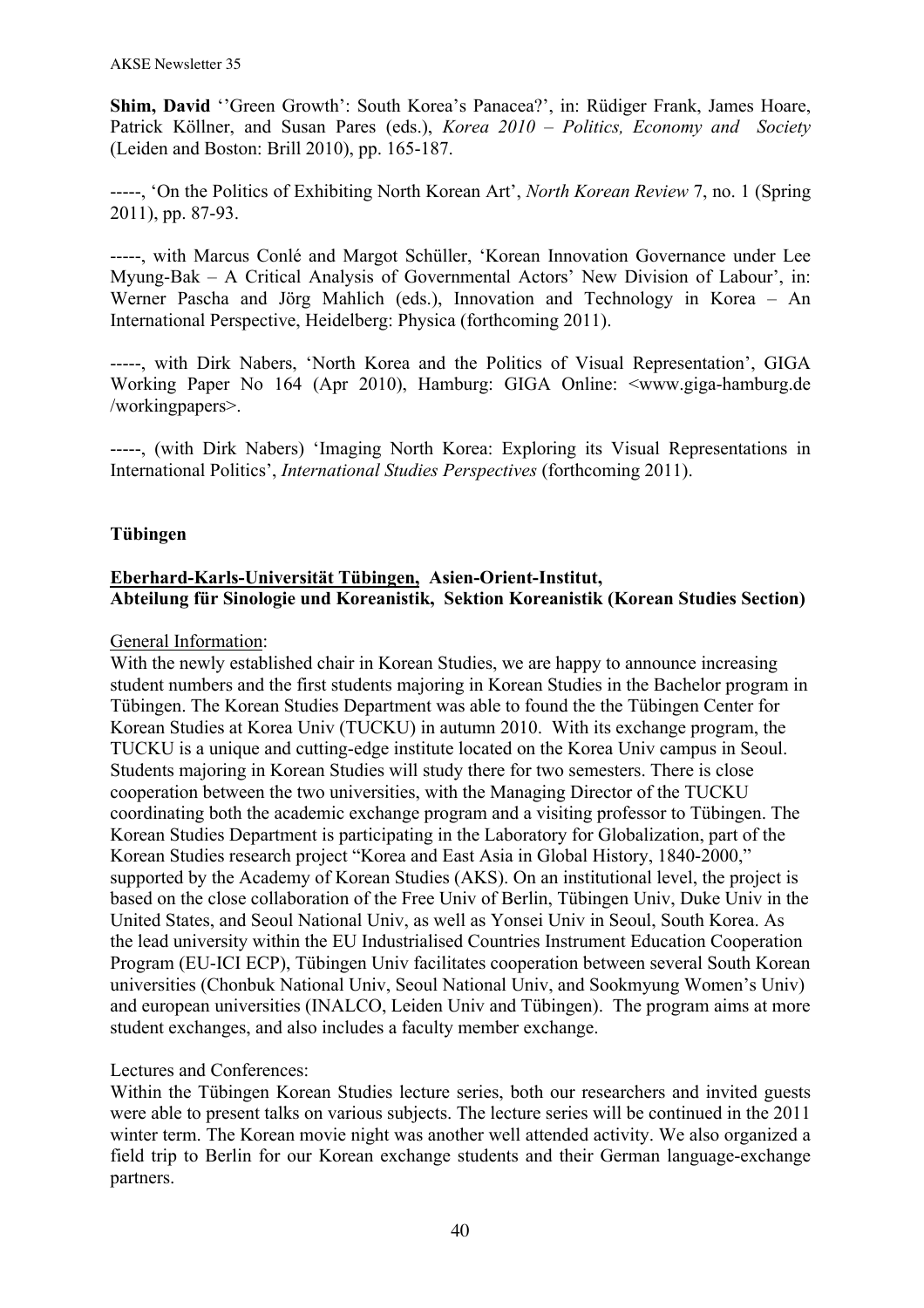Shim, David "Green Growth": South Korea's Panacea?', in: Rüdiger Frank, James Hoare, Patrick Köllner, and Susan Pares (eds.), *Korea 2010 – Politics, Economy and Society* (Leiden and Boston: Brill 2010), pp. 165-187.

-----, 'On the Politics of Exhibiting North Korean Art', *North Korean Review* 7, no. 1 (Spring 2011), pp. 87-93.

-----, with Marcus Conlé and Margot Schüller, 'Korean Innovation Governance under Lee Myung-Bak – A Critical Analysis of Governmental Actors' New Division of Labour', in: Werner Pascha and Jörg Mahlich (eds.), Innovation and Technology in Korea – An International Perspective, Heidelberg: Physica (forthcoming 2011).

-----, with Dirk Nabers, 'North Korea and the Politics of Visual Representation', GIGA Working Paper No 164 (Apr 2010), Hamburg: GIGA Online: <www.giga-hamburg.de /workingpapers>.

-----, (with Dirk Nabers) 'Imaging North Korea: Exploring its Visual Representations in International Politics', *International Studies Perspectives* (forthcoming 2011).

## **Tübingen**

# **Eberhard-Karls-Universität Tübingen, Asien-Orient-Institut, Abteilung für Sinologie und Koreanistik, Sektion Koreanistik (Korean Studies Section)**

#### General Information:

With the newly established chair in Korean Studies, we are happy to announce increasing student numbers and the first students majoring in Korean Studies in the Bachelor program in Tübingen. The Korean Studies Department was able to found the the Tübingen Center for Korean Studies at Korea Univ (TUCKU) in autumn 2010. With its exchange program, the TUCKU is a unique and cutting-edge institute located on the Korea Univ campus in Seoul. Students majoring in Korean Studies will study there for two semesters. There is close cooperation between the two universities, with the Managing Director of the TUCKU coordinating both the academic exchange program and a visiting professor to Tübingen. The Korean Studies Department is participating in the Laboratory for Globalization, part of the Korean Studies research project "Korea and East Asia in Global History, 1840-2000," supported by the Academy of Korean Studies (AKS). On an institutional level, the project is based on the close collaboration of the Free Univ of Berlin, Tübingen Univ, Duke Univ in the United States, and Seoul National Univ, as well as Yonsei Univ in Seoul, South Korea. As the lead university within the EU Industrialised Countries Instrument Education Cooperation Program (EU-ICI ECP), Tübingen Univ facilitates cooperation between several South Korean universities (Chonbuk National Univ, Seoul National Univ, and Sookmyung Women's Univ) and european universities (INALCO, Leiden Univ and Tübingen). The program aims at more student exchanges, and also includes a faculty member exchange.

### Lectures and Conferences:

Within the Tübingen Korean Studies lecture series, both our researchers and invited guests were able to present talks on various subjects. The lecture series will be continued in the 2011 winter term. The Korean movie night was another well attended activity. We also organized a field trip to Berlin for our Korean exchange students and their German language-exchange partners.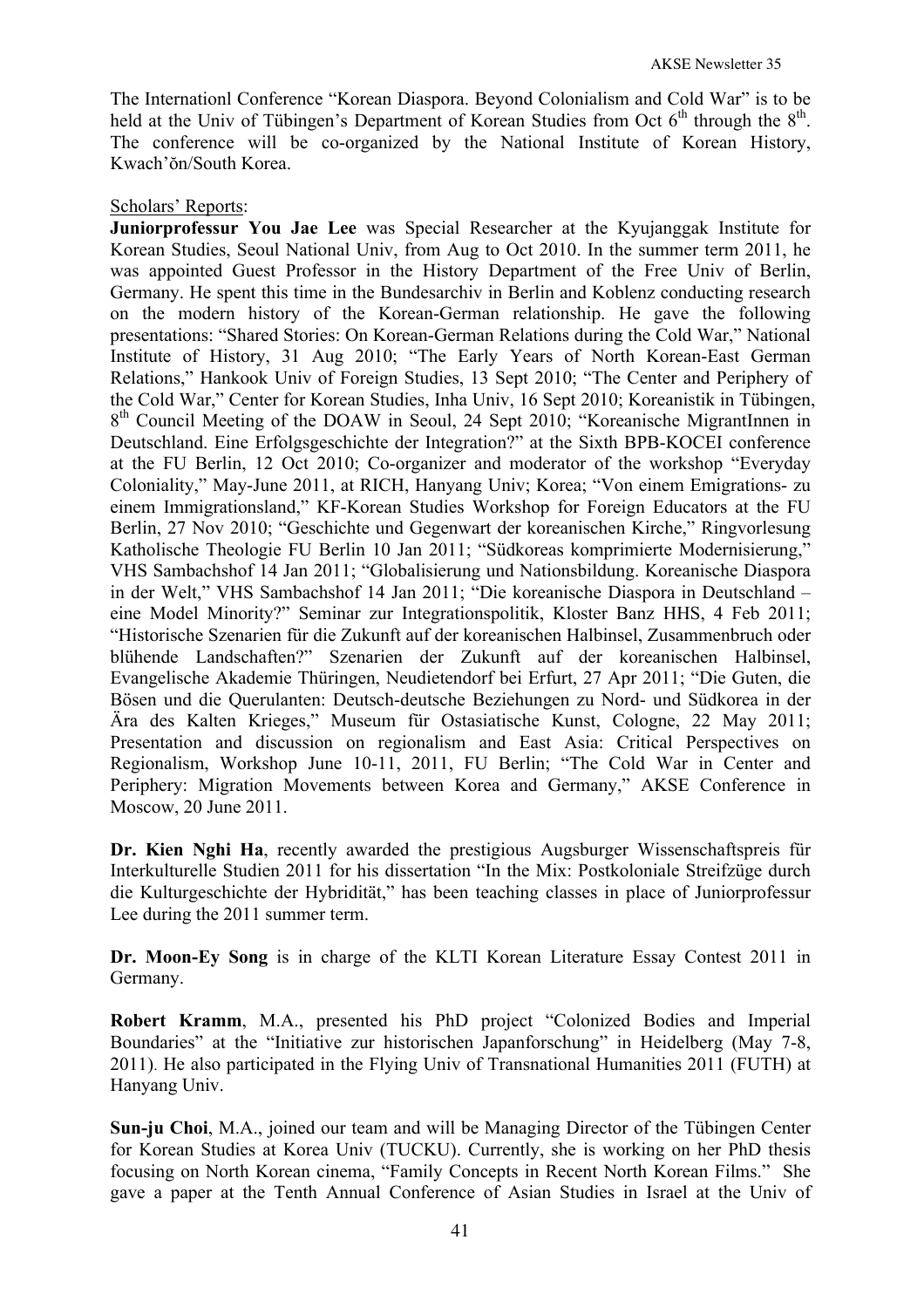The Internationl Conference "Korean Diaspora. Beyond Colonialism and Cold War" is to be held at the Univ of Tübingen's Department of Korean Studies from Oct  $6<sup>th</sup>$  through the  $8<sup>th</sup>$ . The conference will be co-organized by the National Institute of Korean History, Kwach'ŏn/South Korea.

### Scholars' Reports:

**Juniorprofessur You Jae Lee** was Special Researcher at the Kyujanggak Institute for Korean Studies, Seoul National Univ, from Aug to Oct 2010. In the summer term 2011, he was appointed Guest Professor in the History Department of the Free Univ of Berlin, Germany. He spent this time in the Bundesarchiv in Berlin and Koblenz conducting research on the modern history of the Korean-German relationship. He gave the following presentations: "Shared Stories: On Korean-German Relations during the Cold War," National Institute of History, 31 Aug 2010; "The Early Years of North Korean-East German Relations," Hankook Univ of Foreign Studies, 13 Sept 2010; "The Center and Periphery of the Cold War," Center for Korean Studies, Inha Univ, 16 Sept 2010; Koreanistik in Tübingen, 8th Council Meeting of the DOAW in Seoul, 24 Sept 2010; "Koreanische MigrantInnen in Deutschland. Eine Erfolgsgeschichte der Integration?" at the Sixth BPB-KOCEI conference at the FU Berlin, 12 Oct 2010; Co-organizer and moderator of the workshop "Everyday Coloniality," May-June 2011, at RICH, Hanyang Univ; Korea; "Von einem Emigrations- zu einem Immigrationsland," KF-Korean Studies Workshop for Foreign Educators at the FU Berlin, 27 Nov 2010; "Geschichte und Gegenwart der koreanischen Kirche," Ringvorlesung Katholische Theologie FU Berlin 10 Jan 2011; "Südkoreas komprimierte Modernisierung," VHS Sambachshof 14 Jan 2011; "Globalisierung und Nationsbildung. Koreanische Diaspora in der Welt," VHS Sambachshof 14 Jan 2011; "Die koreanische Diaspora in Deutschland – eine Model Minority?" Seminar zur Integrationspolitik, Kloster Banz HHS, 4 Feb 2011; "Historische Szenarien für die Zukunft auf der koreanischen Halbinsel, Zusammenbruch oder blühende Landschaften?" Szenarien der Zukunft auf der koreanischen Halbinsel, Evangelische Akademie Thüringen, Neudietendorf bei Erfurt, 27 Apr 2011; "Die Guten, die Bösen und die Querulanten: Deutsch-deutsche Beziehungen zu Nord- und Südkorea in der Ära des Kalten Krieges," Museum für Ostasiatische Kunst, Cologne, 22 May 2011; Presentation and discussion on regionalism and East Asia: Critical Perspectives on Regionalism, Workshop June 10-11, 2011, FU Berlin; "The Cold War in Center and Periphery: Migration Movements between Korea and Germany," AKSE Conference in Moscow, 20 June 2011.

**Dr. Kien Nghi Ha**, recently awarded the prestigious Augsburger Wissenschaftspreis für Interkulturelle Studien 2011 for his dissertation "In the Mix: Postkoloniale Streifzüge durch die Kulturgeschichte der Hybridität," has been teaching classes in place of Juniorprofessur Lee during the 2011 summer term.

**Dr. Moon-Ey Song** is in charge of the KLTI Korean Literature Essay Contest 2011 in Germany.

**Robert Kramm**, M.A., presented his PhD project "Colonized Bodies and Imperial Boundaries" at the "Initiative zur historischen Japanforschung" in Heidelberg (May 7-8, 2011). He also participated in the Flying Univ of Transnational Humanities 2011 (FUTH) at Hanyang Univ.

**Sun-ju Choi**, M.A., joined our team and will be Managing Director of the Tübingen Center for Korean Studies at Korea Univ (TUCKU). Currently, she is working on her PhD thesis focusing on North Korean cinema, "Family Concepts in Recent North Korean Films." She gave a paper at the Tenth Annual Conference of Asian Studies in Israel at the Univ of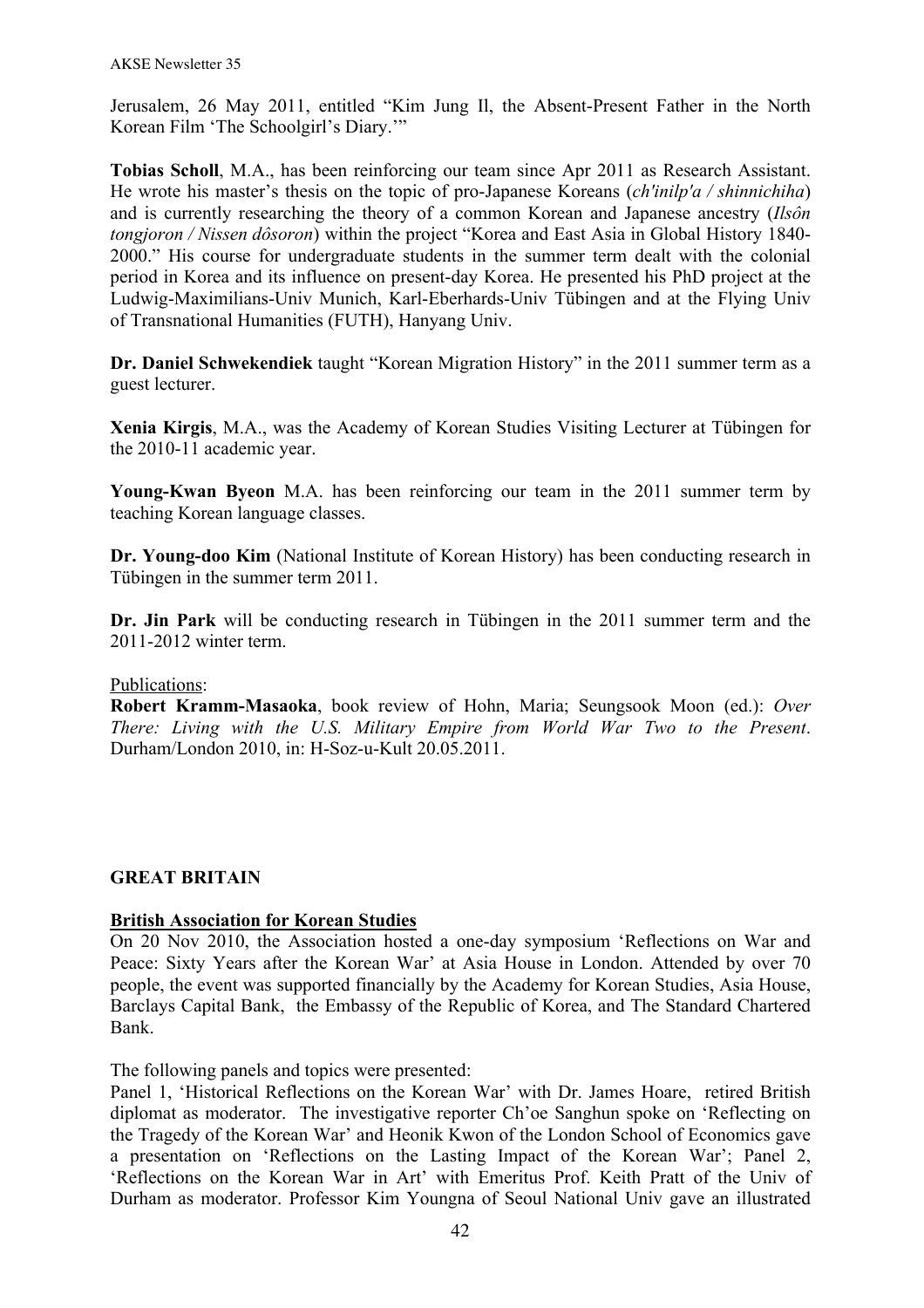Jerusalem, 26 May 2011, entitled "Kim Jung Il, the Absent-Present Father in the North Korean Film 'The Schoolgirl's Diary.'"

**Tobias Scholl**, M.A., has been reinforcing our team since Apr 2011 as Research Assistant. He wrote his master's thesis on the topic of pro-Japanese Koreans (*ch'inilp'a / shinnichiha*) and is currently researching the theory of a common Korean and Japanese ancestry (*Ilsôn tongjoron / Nissen dôsoron*) within the project "Korea and East Asia in Global History 1840- 2000." His course for undergraduate students in the summer term dealt with the colonial period in Korea and its influence on present-day Korea. He presented his PhD project at the Ludwig-Maximilians-Univ Munich, Karl-Eberhards-Univ Tübingen and at the Flying Univ of Transnational Humanities (FUTH), Hanyang Univ.

**Dr. Daniel Schwekendiek** taught "Korean Migration History" in the 2011 summer term as a guest lecturer.

**Xenia Kirgis**, M.A., was the Academy of Korean Studies Visiting Lecturer at Tübingen for the 2010-11 academic year.

**Young-Kwan Byeon** M.A. has been reinforcing our team in the 2011 summer term by teaching Korean language classes.

**Dr. Young-doo Kim** (National Institute of Korean History) has been conducting research in Tübingen in the summer term 2011.

**Dr. Jin Park** will be conducting research in Tübingen in the 2011 summer term and the 2011-2012 winter term.

### Publications:

**Robert Kramm-Masaoka**, book review of Hohn, Maria; Seungsook Moon (ed.): *Over There: Living with the U.S. Military Empire from World War Two to the Present*. Durham/London 2010, in: H-Soz-u-Kult 20.05.2011.

### **GREAT BRITAIN**

### **British Association for Korean Studies**

On 20 Nov 2010, the Association hosted a one-day symposium 'Reflections on War and Peace: Sixty Years after the Korean War' at Asia House in London. Attended by over 70 people, the event was supported financially by the Academy for Korean Studies, Asia House, Barclays Capital Bank, the Embassy of the Republic of Korea, and The Standard Chartered Bank.

The following panels and topics were presented:

Panel 1, 'Historical Reflections on the Korean War' with Dr. James Hoare, retired British diplomat as moderator. The investigative reporter Ch'oe Sanghun spoke on 'Reflecting on the Tragedy of the Korean War' and Heonik Kwon of the London School of Economics gave a presentation on 'Reflections on the Lasting Impact of the Korean War'; Panel 2, 'Reflections on the Korean War in Art' with Emeritus Prof. Keith Pratt of the Univ of Durham as moderator. Professor Kim Youngna of Seoul National Univ gave an illustrated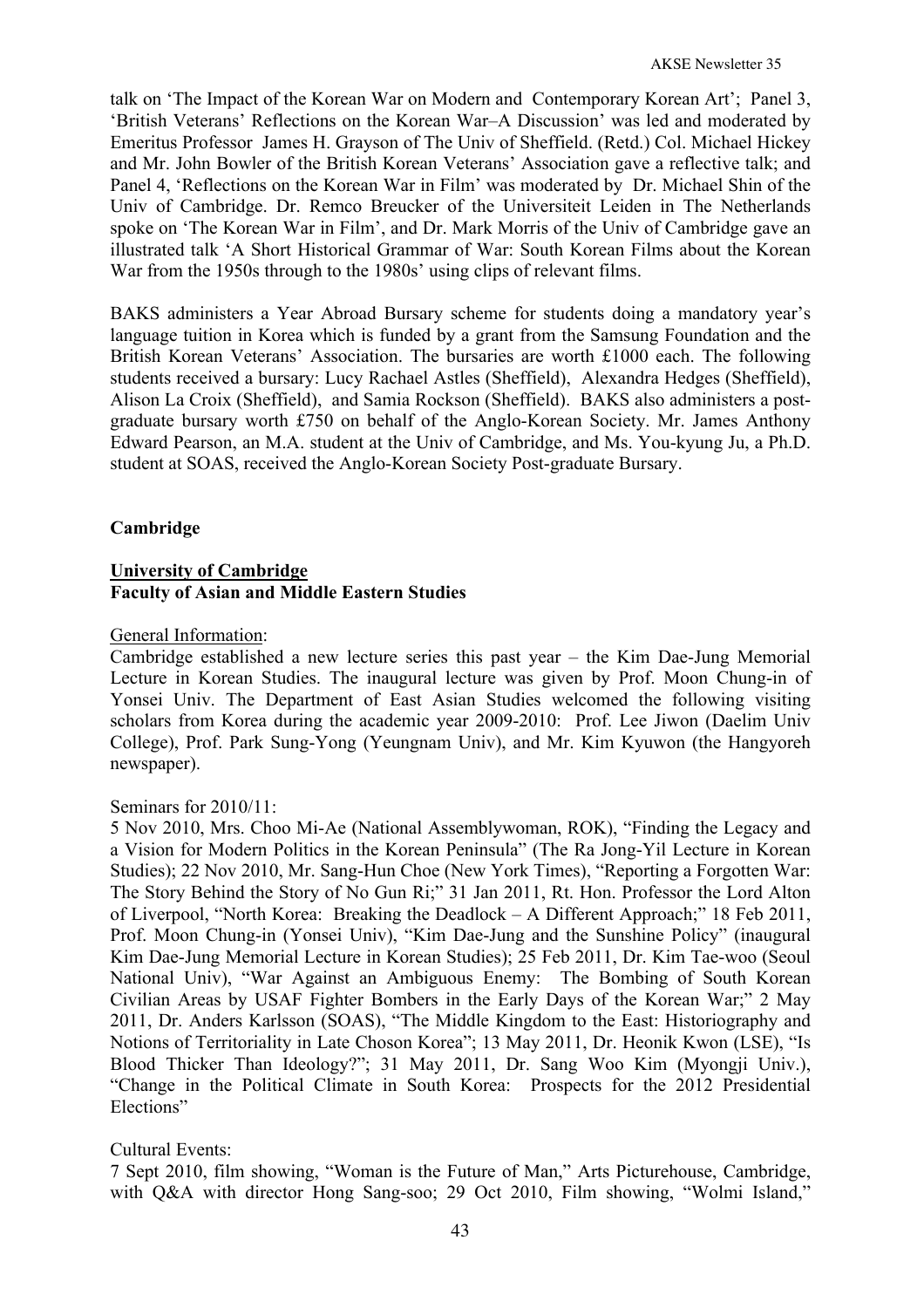talk on 'The Impact of the Korean War on Modern and Contemporary Korean Art'; Panel 3, 'British Veterans' Reflections on the Korean War–A Discussion' was led and moderated by Emeritus Professor James H. Grayson of The Univ of Sheffield. (Retd.) Col. Michael Hickey and Mr. John Bowler of the British Korean Veterans' Association gave a reflective talk; and Panel 4, 'Reflections on the Korean War in Film' was moderated by Dr. Michael Shin of the Univ of Cambridge. Dr. Remco Breucker of the Universiteit Leiden in The Netherlands spoke on 'The Korean War in Film', and Dr. Mark Morris of the Univ of Cambridge gave an illustrated talk 'A Short Historical Grammar of War: South Korean Films about the Korean War from the 1950s through to the 1980s' using clips of relevant films.

BAKS administers a Year Abroad Bursary scheme for students doing a mandatory year's language tuition in Korea which is funded by a grant from the Samsung Foundation and the British Korean Veterans' Association. The bursaries are worth £1000 each. The following students received a bursary: Lucy Rachael Astles (Sheffield), Alexandra Hedges (Sheffield), Alison La Croix (Sheffield), and Samia Rockson (Sheffield). BAKS also administers a postgraduate bursary worth £750 on behalf of the Anglo-Korean Society. Mr. James Anthony Edward Pearson, an M.A. student at the Univ of Cambridge, and Ms. You-kyung Ju, a Ph.D. student at SOAS, received the Anglo-Korean Society Post-graduate Bursary.

# **Cambridge**

## **University of Cambridge Faculty of Asian and Middle Eastern Studies**

### General Information:

Cambridge established a new lecture series this past year – the Kim Dae-Jung Memorial Lecture in Korean Studies. The inaugural lecture was given by Prof. Moon Chung-in of Yonsei Univ. The Department of East Asian Studies welcomed the following visiting scholars from Korea during the academic year 2009-2010: Prof. Lee Jiwon (Daelim Univ College), Prof. Park Sung-Yong (Yeungnam Univ), and Mr. Kim Kyuwon (the Hangyoreh newspaper).

### Seminars for 2010/11:

5 Nov 2010, Mrs. Choo Mi-Ae (National Assemblywoman, ROK), "Finding the Legacy and a Vision for Modern Politics in the Korean Peninsula" (The Ra Jong-Yil Lecture in Korean Studies); 22 Nov 2010, Mr. Sang-Hun Choe (New York Times), "Reporting a Forgotten War: The Story Behind the Story of No Gun Ri;" 31 Jan 2011, Rt. Hon. Professor the Lord Alton of Liverpool, "North Korea: Breaking the Deadlock – A Different Approach;" 18 Feb 2011, Prof. Moon Chung-in (Yonsei Univ), "Kim Dae-Jung and the Sunshine Policy" (inaugural Kim Dae-Jung Memorial Lecture in Korean Studies); 25 Feb 2011, Dr. Kim Tae-woo (Seoul National Univ), "War Against an Ambiguous Enemy: The Bombing of South Korean Civilian Areas by USAF Fighter Bombers in the Early Days of the Korean War;" 2 May 2011, Dr. Anders Karlsson (SOAS), "The Middle Kingdom to the East: Historiography and Notions of Territoriality in Late Choson Korea"; 13 May 2011, Dr. Heonik Kwon (LSE), "Is Blood Thicker Than Ideology?"; 31 May 2011, Dr. Sang Woo Kim (Myongji Univ.), "Change in the Political Climate in South Korea: Prospects for the 2012 Presidential Elections"

# Cultural Events:

7 Sept 2010, film showing, "Woman is the Future of Man," Arts Picturehouse, Cambridge, with Q&A with director Hong Sang-soo; 29 Oct 2010, Film showing, "Wolmi Island,"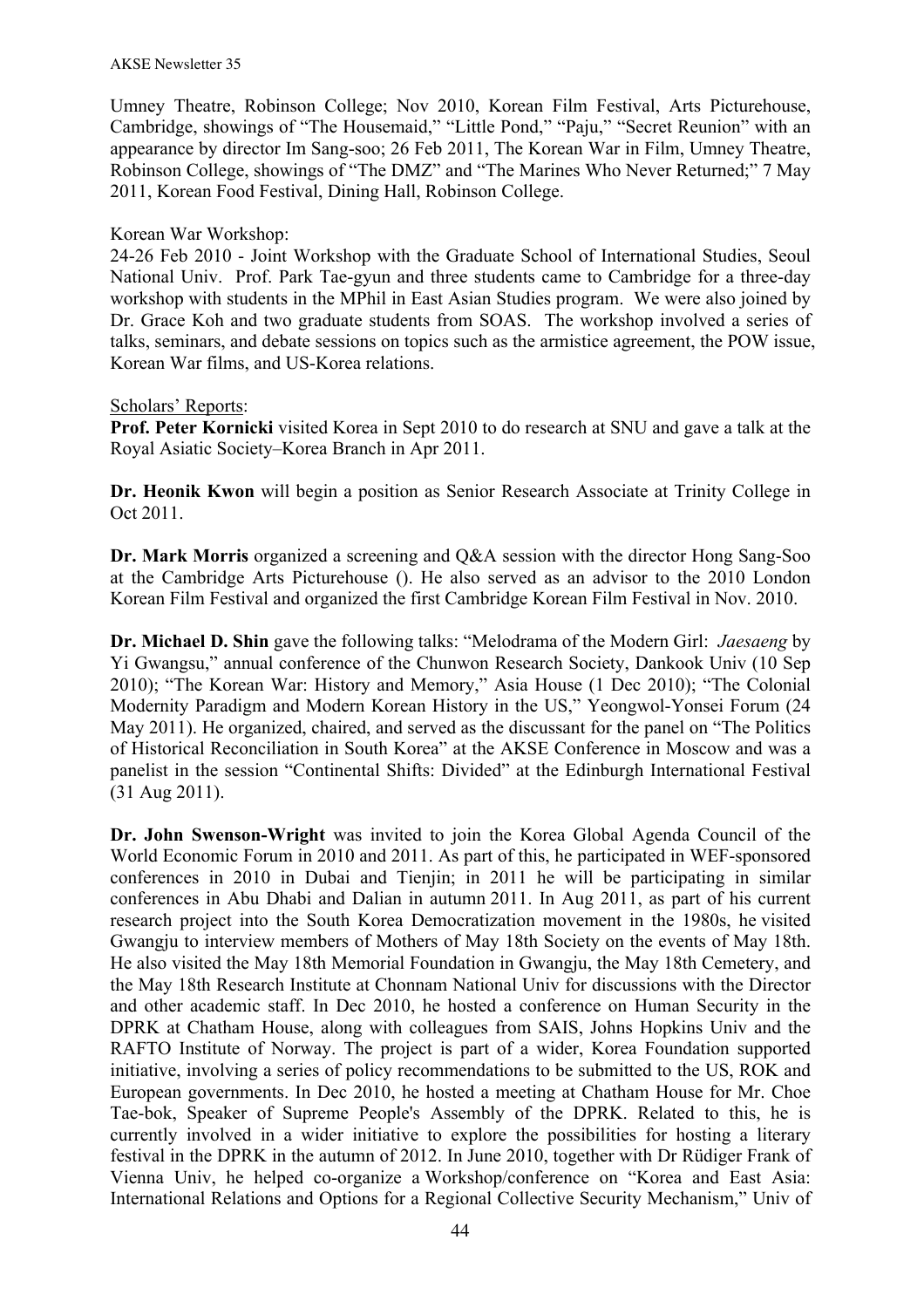Umney Theatre, Robinson College; Nov 2010, Korean Film Festival, Arts Picturehouse, Cambridge, showings of "The Housemaid," "Little Pond," "Paju," "Secret Reunion" with an appearance by director Im Sang-soo; 26 Feb 2011, The Korean War in Film, Umney Theatre, Robinson College, showings of "The DMZ" and "The Marines Who Never Returned;" 7 May 2011, Korean Food Festival, Dining Hall, Robinson College.

# Korean War Workshop:

24-26 Feb 2010 - Joint Workshop with the Graduate School of International Studies, Seoul National Univ. Prof. Park Tae-gyun and three students came to Cambridge for a three-day workshop with students in the MPhil in East Asian Studies program. We were also joined by Dr. Grace Koh and two graduate students from SOAS. The workshop involved a series of talks, seminars, and debate sessions on topics such as the armistice agreement, the POW issue, Korean War films, and US-Korea relations.

# Scholars' Reports:

**Prof. Peter Kornicki** visited Korea in Sept 2010 to do research at SNU and gave a talk at the Royal Asiatic Society–Korea Branch in Apr 2011.

**Dr. Heonik Kwon** will begin a position as Senior Research Associate at Trinity College in Oct 2011.

**Dr. Mark Morris** organized a screening and Q&A session with the director Hong Sang-Soo at the Cambridge Arts Picturehouse (). He also served as an advisor to the 2010 London Korean Film Festival and organized the first Cambridge Korean Film Festival in Nov. 2010.

**Dr. Michael D. Shin** gave the following talks: "Melodrama of the Modern Girl: *Jaesaeng* by Yi Gwangsu," annual conference of the Chunwon Research Society, Dankook Univ (10 Sep 2010); "The Korean War: History and Memory," Asia House (1 Dec 2010); "The Colonial Modernity Paradigm and Modern Korean History in the US," Yeongwol-Yonsei Forum (24 May 2011). He organized, chaired, and served as the discussant for the panel on "The Politics of Historical Reconciliation in South Korea" at the AKSE Conference in Moscow and was a panelist in the session "Continental Shifts: Divided" at the Edinburgh International Festival (31 Aug 2011).

**Dr. John Swenson-Wright** was invited to join the Korea Global Agenda Council of the World Economic Forum in 2010 and 2011. As part of this, he participated in WEF-sponsored conferences in 2010 in Dubai and Tienjin; in 2011 he will be participating in similar conferences in Abu Dhabi and Dalian in autumn 2011. In Aug 2011, as part of his current research project into the South Korea Democratization movement in the 1980s, he visited Gwangju to interview members of Mothers of May 18th Society on the events of May 18th. He also visited the May 18th Memorial Foundation in Gwangju, the May 18th Cemetery, and the May 18th Research Institute at Chonnam National Univ for discussions with the Director and other academic staff. In Dec 2010, he hosted a conference on Human Security in the DPRK at Chatham House, along with colleagues from SAIS, Johns Hopkins Univ and the RAFTO Institute of Norway. The project is part of a wider, Korea Foundation supported initiative, involving a series of policy recommendations to be submitted to the US, ROK and European governments. In Dec 2010, he hosted a meeting at Chatham House for Mr. Choe Tae-bok, Speaker of Supreme People's Assembly of the DPRK. Related to this, he is currently involved in a wider initiative to explore the possibilities for hosting a literary festival in the DPRK in the autumn of 2012. In June 2010, together with Dr Rüdiger Frank of Vienna Univ, he helped co-organize a Workshop/conference on "Korea and East Asia: International Relations and Options for a Regional Collective Security Mechanism," Univ of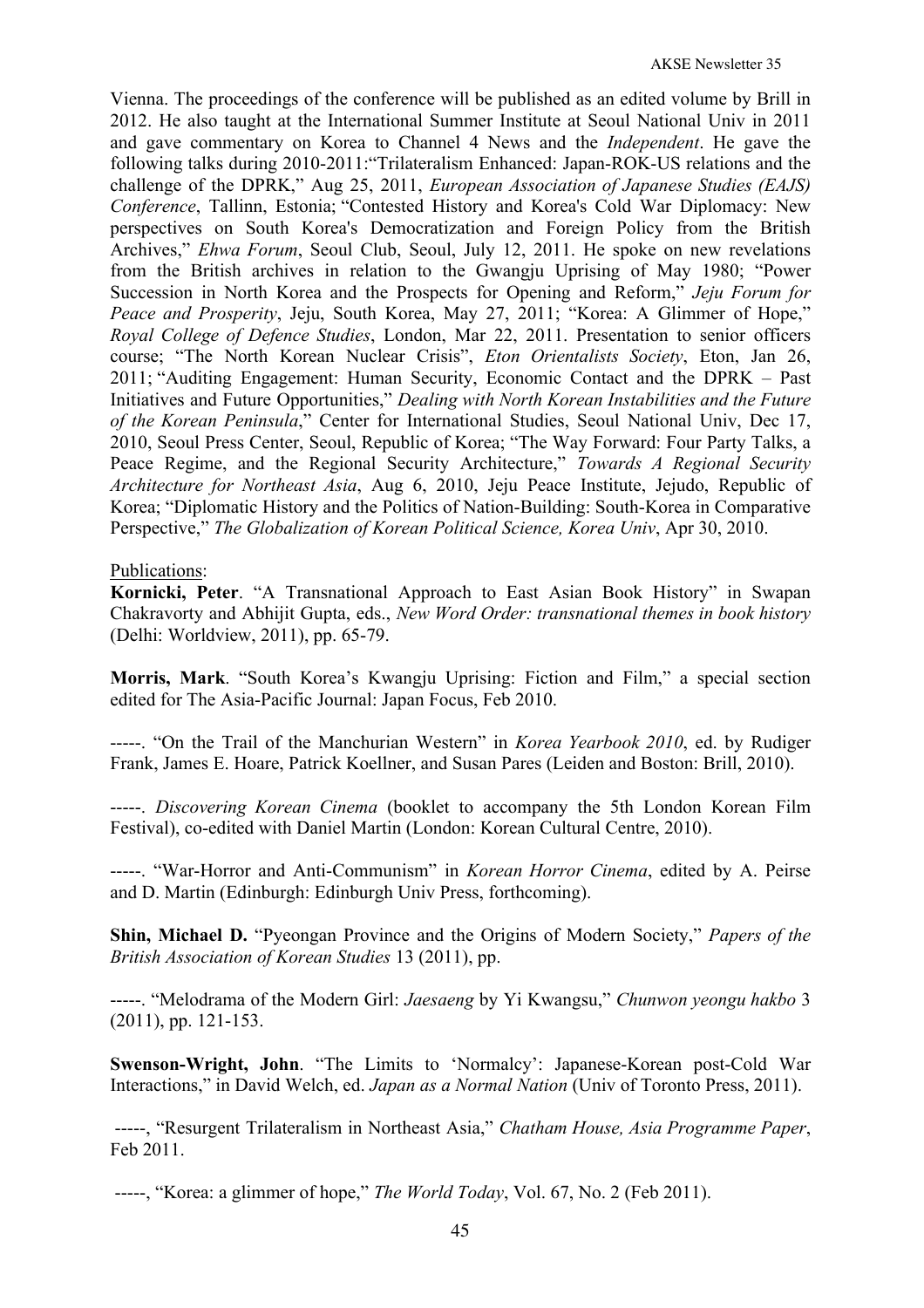Vienna. The proceedings of the conference will be published as an edited volume by Brill in 2012. He also taught at the International Summer Institute at Seoul National Univ in 2011 and gave commentary on Korea to Channel 4 News and the *Independent*. He gave the following talks during 2010-2011:"Trilateralism Enhanced: Japan-ROK-US relations and the challenge of the DPRK," Aug 25, 2011, *European Association of Japanese Studies (EAJS) Conference*, Tallinn, Estonia; "Contested History and Korea's Cold War Diplomacy: New perspectives on South Korea's Democratization and Foreign Policy from the British Archives," *Ehwa Forum*, Seoul Club, Seoul, July 12, 2011. He spoke on new revelations from the British archives in relation to the Gwangju Uprising of May 1980; "Power Succession in North Korea and the Prospects for Opening and Reform," *Jeju Forum for Peace and Prosperity*, Jeju, South Korea, May 27, 2011; "Korea: A Glimmer of Hope," *Royal College of Defence Studies*, London, Mar 22, 2011. Presentation to senior officers course; "The North Korean Nuclear Crisis", *Eton Orientalists Society*, Eton, Jan 26, 2011; "Auditing Engagement: Human Security, Economic Contact and the DPRK – Past Initiatives and Future Opportunities," *Dealing with North Korean Instabilities and the Future of the Korean Peninsula*," Center for International Studies, Seoul National Univ, Dec 17, 2010, Seoul Press Center, Seoul, Republic of Korea; "The Way Forward: Four Party Talks, a Peace Regime, and the Regional Security Architecture," *Towards A Regional Security Architecture for Northeast Asia*, Aug 6, 2010, Jeju Peace Institute, Jejudo, Republic of Korea; "Diplomatic History and the Politics of Nation-Building: South-Korea in Comparative Perspective," *The Globalization of Korean Political Science, Korea Univ*, Apr 30, 2010.

Publications:

**Kornicki, Peter**. "A Transnational Approach to East Asian Book History" in Swapan Chakravorty and Abhijit Gupta, eds., *New Word Order: transnational themes in book history* (Delhi: Worldview, 2011), pp. 65-79.

**Morris, Mark**. "South Korea's Kwangju Uprising: Fiction and Film," a special section edited for The Asia-Pacific Journal: Japan Focus, Feb 2010.

-----. "On the Trail of the Manchurian Western" in *Korea Yearbook 2010*, ed. by Rudiger Frank, James E. Hoare, Patrick Koellner, and Susan Pares (Leiden and Boston: Brill, 2010).

-----. *Discovering Korean Cinema* (booklet to accompany the 5th London Korean Film Festival), co-edited with Daniel Martin (London: Korean Cultural Centre, 2010).

-----. "War-Horror and Anti-Communism" in *Korean Horror Cinema*, edited by A. Peirse and D. Martin (Edinburgh: Edinburgh Univ Press, forthcoming).

**Shin, Michael D.** "Pyeongan Province and the Origins of Modern Society," *Papers of the British Association of Korean Studies* 13 (2011), pp.

-----. "Melodrama of the Modern Girl: *Jaesaeng* by Yi Kwangsu," *Chunwon yeongu hakbo* 3 (2011), pp. 121-153.

**Swenson-Wright, John**. "The Limits to 'Normalcy': Japanese-Korean post-Cold War Interactions," in David Welch, ed. *Japan as a Normal Nation* (Univ of Toronto Press, 2011).

-----, "Resurgent Trilateralism in Northeast Asia," *Chatham House, Asia Programme Paper*, Feb 2011.

-----, "Korea: a glimmer of hope," *The World Today*, Vol. 67, No. 2 (Feb 2011).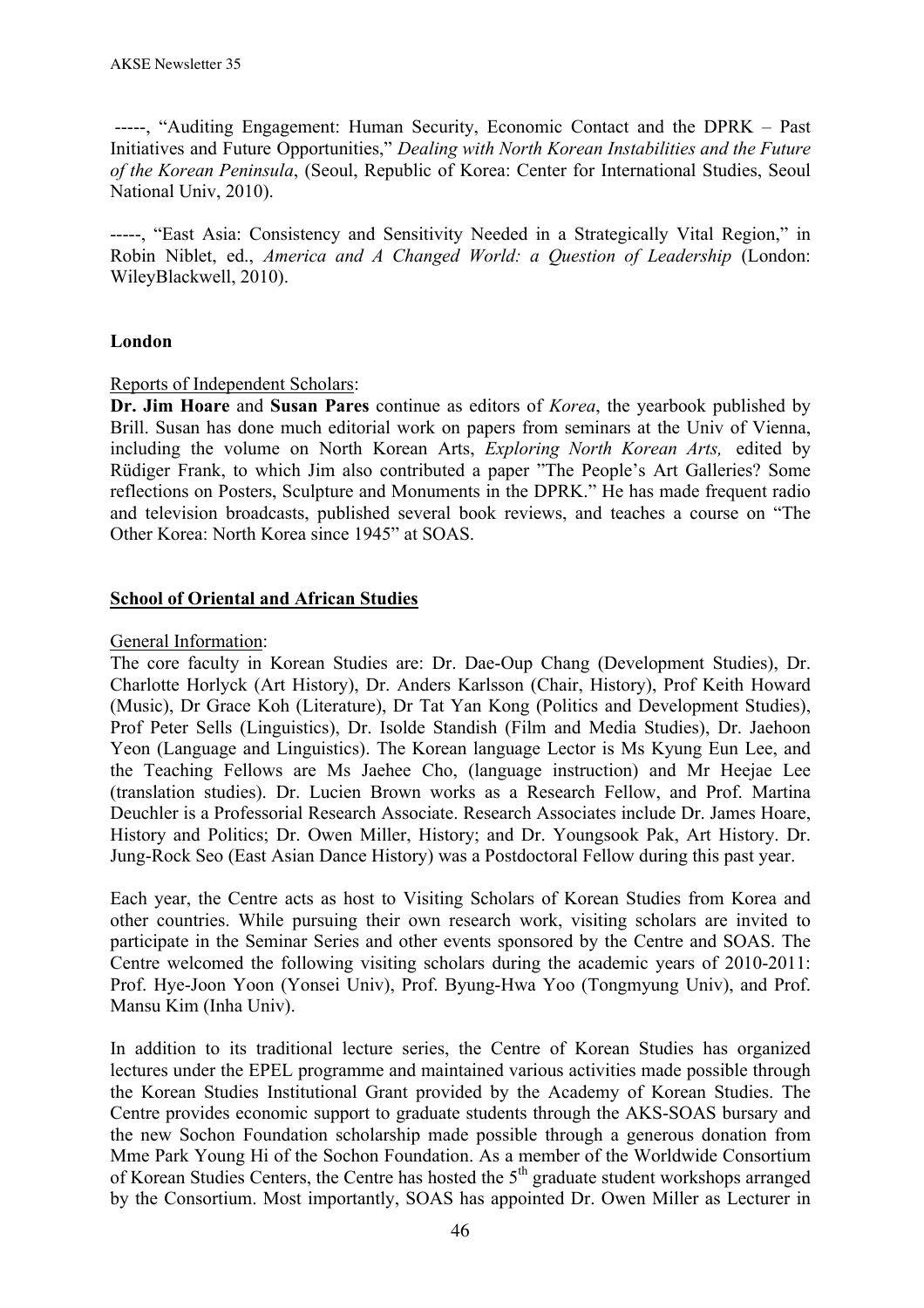-----, "Auditing Engagement: Human Security, Economic Contact and the DPRK – Past Initiatives and Future Opportunities," *Dealing with North Korean Instabilities and the Future of the Korean Peninsula*, (Seoul, Republic of Korea: Center for International Studies, Seoul National Univ, 2010).

-----, "East Asia: Consistency and Sensitivity Needed in a Strategically Vital Region," in Robin Niblet, ed., *America and A Changed World: a Question of Leadership* (London: WileyBlackwell, 2010).

## **London**

#### Reports of Independent Scholars:

**Dr. Jim Hoare** and **Susan Pares** continue as editors of *Korea*, the yearbook published by Brill. Susan has done much editorial work on papers from seminars at the Univ of Vienna, including the volume on North Korean Arts, *Exploring North Korean Arts,* edited by Rüdiger Frank, to which Jim also contributed a paper "The People's Art Galleries? Some reflections on Posters, Sculpture and Monuments in the DPRK." He has made frequent radio and television broadcasts, published several book reviews, and teaches a course on "The Other Korea: North Korea since 1945" at SOAS.

## **School of Oriental and African Studies**

#### General Information:

The core faculty in Korean Studies are: Dr. Dae-Oup Chang (Development Studies), Dr. Charlotte Horlyck (Art History), Dr. Anders Karlsson (Chair, History), Prof Keith Howard (Music), Dr Grace Koh (Literature), Dr Tat Yan Kong (Politics and Development Studies), Prof Peter Sells (Linguistics), Dr. Isolde Standish (Film and Media Studies), Dr. Jaehoon Yeon (Language and Linguistics). The Korean language Lector is Ms Kyung Eun Lee, and the Teaching Fellows are Ms Jaehee Cho, (language instruction) and Mr Heejae Lee (translation studies). Dr. Lucien Brown works as a Research Fellow, and Prof. Martina Deuchler is a Professorial Research Associate. Research Associates include Dr. James Hoare, History and Politics; Dr. Owen Miller, History; and Dr. Youngsook Pak, Art History. Dr. Jung-Rock Seo (East Asian Dance History) was a Postdoctoral Fellow during this past year.

Each year, the Centre acts as host to Visiting Scholars of Korean Studies from Korea and other countries. While pursuing their own research work, visiting scholars are invited to participate in the Seminar Series and other events sponsored by the Centre and SOAS. The Centre welcomed the following visiting scholars during the academic years of 2010-2011: Prof. Hye-Joon Yoon (Yonsei Univ), Prof. Byung-Hwa Yoo (Tongmyung Univ), and Prof. Mansu Kim (Inha Univ).

In addition to its traditional lecture series, the Centre of Korean Studies has organized lectures under the EPEL programme and maintained various activities made possible through the Korean Studies Institutional Grant provided by the Academy of Korean Studies. The Centre provides economic support to graduate students through the AKS-SOAS bursary and the new Sochon Foundation scholarship made possible through a generous donation from Mme Park Young Hi of the Sochon Foundation. As a member of the Worldwide Consortium of Korean Studies Centers, the Centre has hosted the 5<sup>th</sup> graduate student workshops arranged by the Consortium. Most importantly, SOAS has appointed Dr. Owen Miller as Lecturer in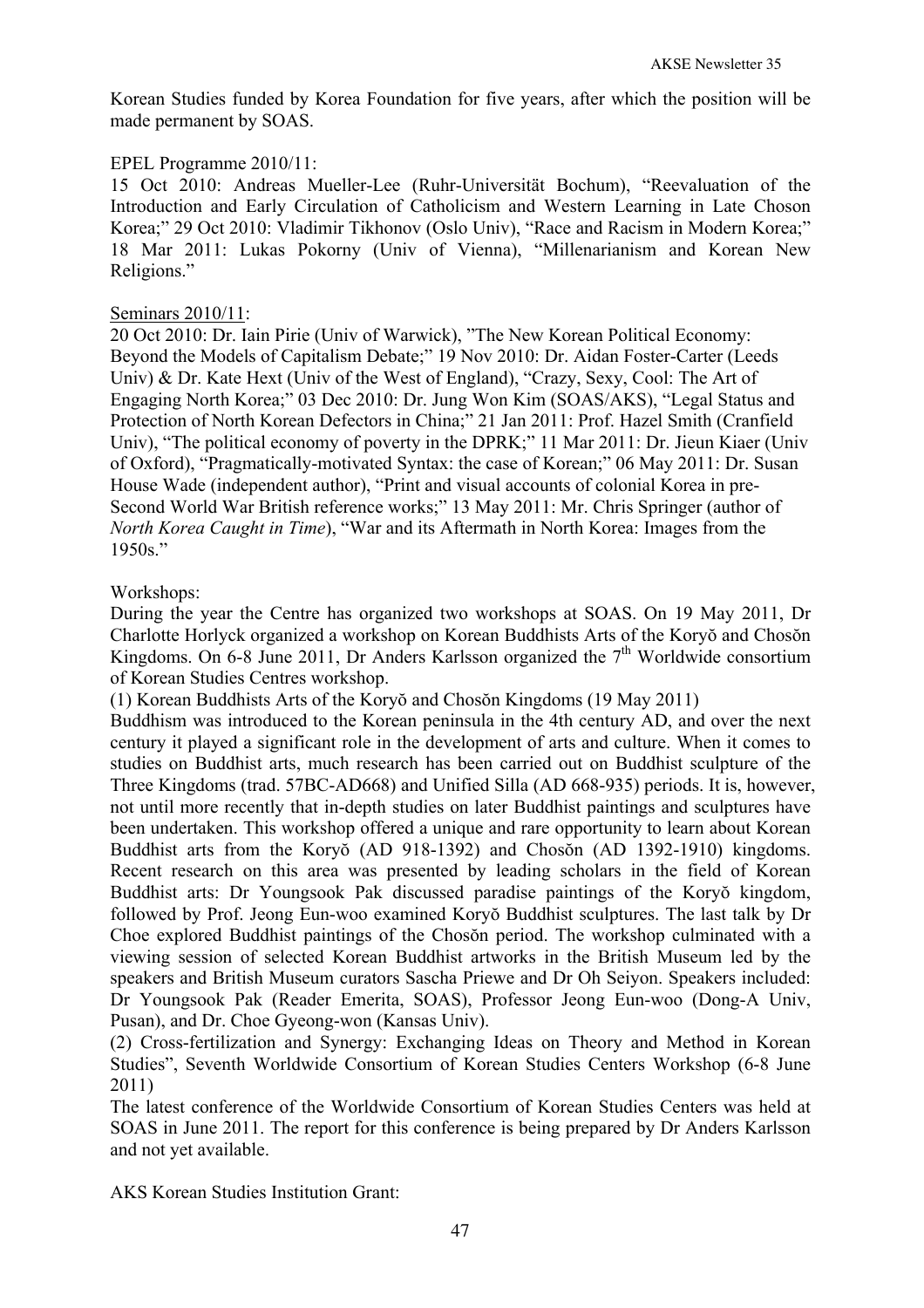Korean Studies funded by Korea Foundation for five years, after which the position will be made permanent by SOAS.

## EPEL Programme 2010/11:

15 Oct 2010: Andreas Mueller-Lee (Ruhr-Universität Bochum), "Reevaluation of the Introduction and Early Circulation of Catholicism and Western Learning in Late Choson Korea;" 29 Oct 2010: Vladimir Tikhonov (Oslo Univ), "Race and Racism in Modern Korea;" 18 Mar 2011: Lukas Pokorny (Univ of Vienna), "Millenarianism and Korean New Religions."

### Seminars 2010/11:

20 Oct 2010: Dr. Iain Pirie (Univ of Warwick), "The New Korean Political Economy: Beyond the Models of Capitalism Debate;" 19 Nov 2010: Dr. Aidan Foster-Carter (Leeds Univ) & Dr. Kate Hext (Univ of the West of England), "Crazy, Sexy, Cool: The Art of Engaging North Korea;" 03 Dec 2010: Dr. Jung Won Kim (SOAS/AKS), "Legal Status and Protection of North Korean Defectors in China;" 21 Jan 2011: Prof. Hazel Smith (Cranfield Univ), "The political economy of poverty in the DPRK;" 11 Mar 2011: Dr. Jieun Kiaer (Univ of Oxford), "Pragmatically-motivated Syntax: the case of Korean;" 06 May 2011: Dr. Susan House Wade (independent author), "Print and visual accounts of colonial Korea in pre-Second World War British reference works;" 13 May 2011: Mr. Chris Springer (author of *North Korea Caught in Time*), "War and its Aftermath in North Korea: Images from the 1950s."

## Workshops:

During the year the Centre has organized two workshops at SOAS. On 19 May 2011, Dr Charlotte Horlyck organized a workshop on Korean Buddhists Arts of the Koryŏ and Chosŏn Kingdoms. On 6-8 June 2011, Dr Anders Karlsson organized the  $7<sup>th</sup>$  Worldwide consortium of Korean Studies Centres workshop.

(1) Korean Buddhists Arts of the Koryŏ and Chosŏn Kingdoms (19 May 2011)

Buddhism was introduced to the Korean peninsula in the 4th century AD, and over the next century it played a significant role in the development of arts and culture. When it comes to studies on Buddhist arts, much research has been carried out on Buddhist sculpture of the Three Kingdoms (trad. 57BC-AD668) and Unified Silla (AD 668-935) periods. It is, however, not until more recently that in-depth studies on later Buddhist paintings and sculptures have been undertaken. This workshop offered a unique and rare opportunity to learn about Korean Buddhist arts from the Koryŏ (AD 918-1392) and Chosŏn (AD 1392-1910) kingdoms. Recent research on this area was presented by leading scholars in the field of Korean Buddhist arts: Dr Youngsook Pak discussed paradise paintings of the Koryŏ kingdom, followed by Prof. Jeong Eun-woo examined Koryŏ Buddhist sculptures. The last talk by Dr Choe explored Buddhist paintings of the Chosŏn period. The workshop culminated with a viewing session of selected Korean Buddhist artworks in the British Museum led by the speakers and British Museum curators Sascha Priewe and Dr Oh Seiyon. Speakers included: Dr Youngsook Pak (Reader Emerita, SOAS), Professor Jeong Eun-woo (Dong-A Univ, Pusan), and Dr. Choe Gyeong-won (Kansas Univ).

(2) Cross-fertilization and Synergy: Exchanging Ideas on Theory and Method in Korean Studies", Seventh Worldwide Consortium of Korean Studies Centers Workshop (6-8 June 2011)

The latest conference of the Worldwide Consortium of Korean Studies Centers was held at SOAS in June 2011. The report for this conference is being prepared by Dr Anders Karlsson and not yet available.

AKS Korean Studies Institution Grant: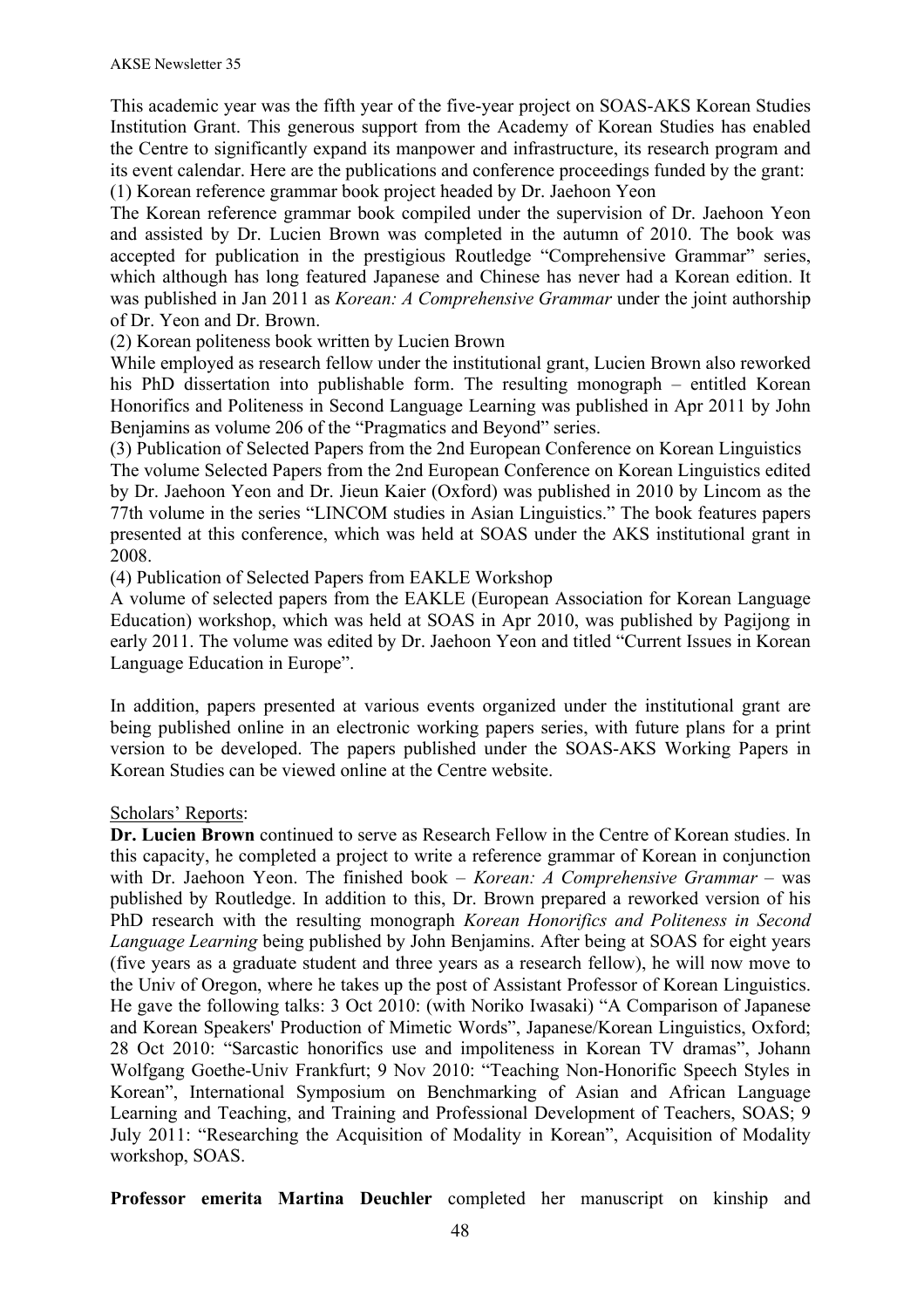This academic year was the fifth year of the five-year project on SOAS-AKS Korean Studies Institution Grant. This generous support from the Academy of Korean Studies has enabled the Centre to significantly expand its manpower and infrastructure, its research program and its event calendar. Here are the publications and conference proceedings funded by the grant: (1) Korean reference grammar book project headed by Dr. Jaehoon Yeon

The Korean reference grammar book compiled under the supervision of Dr. Jaehoon Yeon and assisted by Dr. Lucien Brown was completed in the autumn of 2010. The book was accepted for publication in the prestigious Routledge "Comprehensive Grammar" series, which although has long featured Japanese and Chinese has never had a Korean edition. It was published in Jan 2011 as *Korean: A Comprehensive Grammar* under the joint authorship of Dr. Yeon and Dr. Brown.

(2) Korean politeness book written by Lucien Brown

While employed as research fellow under the institutional grant, Lucien Brown also reworked his PhD dissertation into publishable form. The resulting monograph – entitled Korean Honorifics and Politeness in Second Language Learning was published in Apr 2011 by John Benjamins as volume 206 of the "Pragmatics and Beyond" series.

(3) Publication of Selected Papers from the 2nd European Conference on Korean Linguistics The volume Selected Papers from the 2nd European Conference on Korean Linguistics edited by Dr. Jaehoon Yeon and Dr. Jieun Kaier (Oxford) was published in 2010 by Lincom as the 77th volume in the series "LINCOM studies in Asian Linguistics." The book features papers presented at this conference, which was held at SOAS under the AKS institutional grant in 2008.

(4) Publication of Selected Papers from EAKLE Workshop

A volume of selected papers from the EAKLE (European Association for Korean Language Education) workshop, which was held at SOAS in Apr 2010, was published by Pagijong in early 2011. The volume was edited by Dr. Jaehoon Yeon and titled "Current Issues in Korean Language Education in Europe".

In addition, papers presented at various events organized under the institutional grant are being published online in an electronic working papers series, with future plans for a print version to be developed. The papers published under the SOAS-AKS Working Papers in Korean Studies can be viewed online at the Centre website.

### Scholars' Reports:

**Dr. Lucien Brown** continued to serve as Research Fellow in the Centre of Korean studies. In this capacity, he completed a project to write a reference grammar of Korean in conjunction with Dr. Jaehoon Yeon. The finished book – *Korean: A Comprehensive Grammar* – was published by Routledge. In addition to this, Dr. Brown prepared a reworked version of his PhD research with the resulting monograph *Korean Honorifics and Politeness in Second Language Learning* being published by John Benjamins. After being at SOAS for eight years (five years as a graduate student and three years as a research fellow), he will now move to the Univ of Oregon, where he takes up the post of Assistant Professor of Korean Linguistics. He gave the following talks: 3 Oct 2010: (with Noriko Iwasaki) "A Comparison of Japanese and Korean Speakers' Production of Mimetic Words", Japanese/Korean Linguistics, Oxford; 28 Oct 2010: "Sarcastic honorifics use and impoliteness in Korean TV dramas", Johann Wolfgang Goethe-Univ Frankfurt; 9 Nov 2010: "Teaching Non-Honorific Speech Styles in Korean", International Symposium on Benchmarking of Asian and African Language Learning and Teaching, and Training and Professional Development of Teachers, SOAS; 9 July 2011: "Researching the Acquisition of Modality in Korean", Acquisition of Modality workshop, SOAS.

**Professor emerita Martina Deuchler** completed her manuscript on kinship and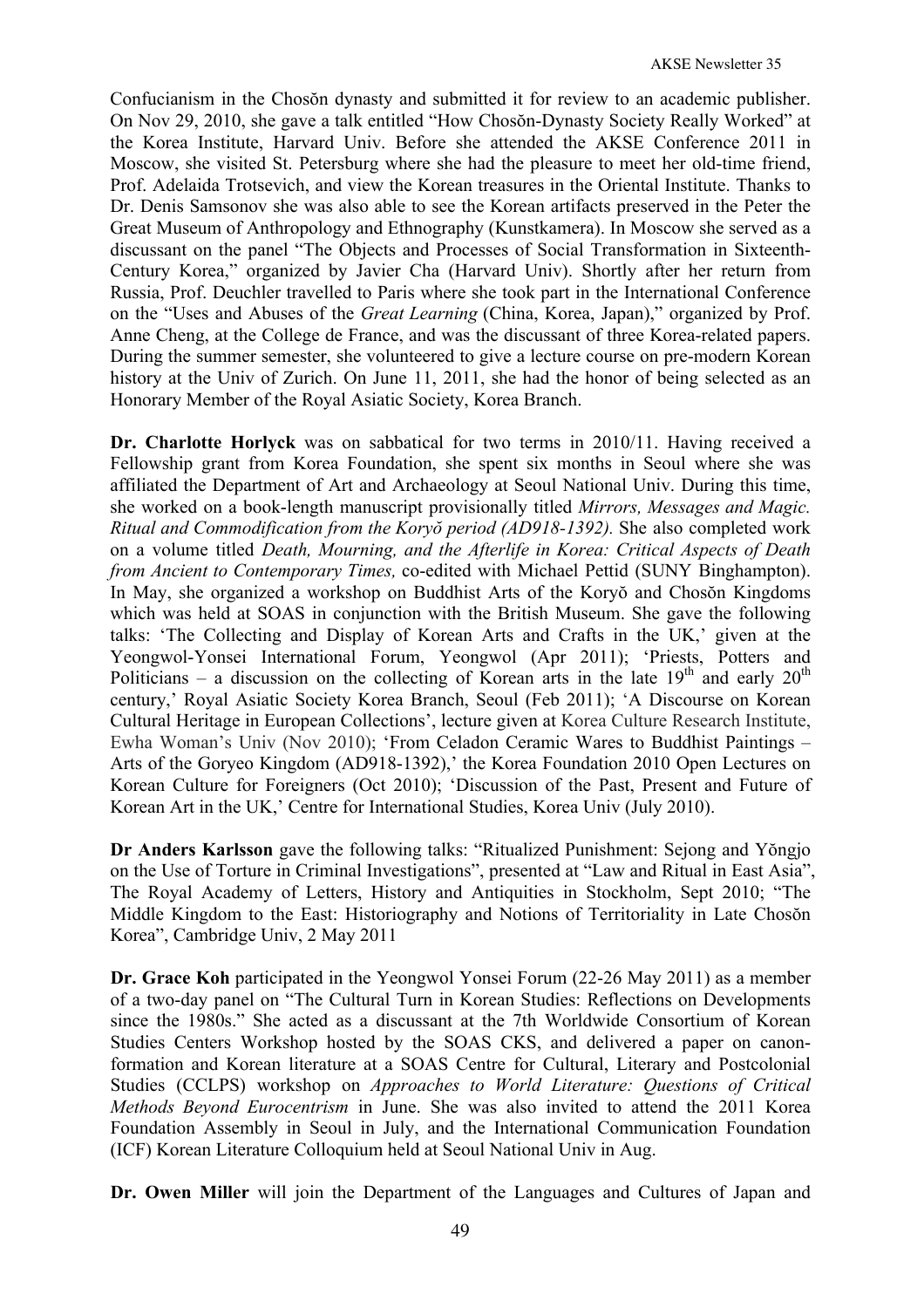Confucianism in the Chosŏn dynasty and submitted it for review to an academic publisher. On Nov 29, 2010, she gave a talk entitled "How Chosŏn-Dynasty Society Really Worked" at the Korea Institute, Harvard Univ. Before she attended the AKSE Conference 2011 in Moscow, she visited St. Petersburg where she had the pleasure to meet her old-time friend, Prof. Adelaida Trotsevich, and view the Korean treasures in the Oriental Institute. Thanks to Dr. Denis Samsonov she was also able to see the Korean artifacts preserved in the Peter the Great Museum of Anthropology and Ethnography (Kunstkamera). In Moscow she served as a discussant on the panel "The Objects and Processes of Social Transformation in Sixteenth-Century Korea," organized by Javier Cha (Harvard Univ). Shortly after her return from Russia, Prof. Deuchler travelled to Paris where she took part in the International Conference on the "Uses and Abuses of the *Great Learning* (China, Korea, Japan)," organized by Prof. Anne Cheng, at the College de France, and was the discussant of three Korea-related papers. During the summer semester, she volunteered to give a lecture course on pre-modern Korean history at the Univ of Zurich. On June 11, 2011, she had the honor of being selected as an Honorary Member of the Royal Asiatic Society, Korea Branch.

**Dr. Charlotte Horlyck** was on sabbatical for two terms in 2010/11. Having received a Fellowship grant from Korea Foundation, she spent six months in Seoul where she was affiliated the Department of Art and Archaeology at Seoul National Univ. During this time, she worked on a book-length manuscript provisionally titled *Mirrors, Messages and Magic. Ritual and Commodification from the Koryŏ period (AD918-1392).* She also completed work on a volume titled *Death, Mourning, and the Afterlife in Korea: Critical Aspects of Death from Ancient to Contemporary Times,* co-edited with Michael Pettid (SUNY Binghampton). In May, she organized a workshop on Buddhist Arts of the Koryŏ and Chosŏn Kingdoms which was held at SOAS in conjunction with the British Museum. She gave the following talks: 'The Collecting and Display of Korean Arts and Crafts in the UK,' given at the Yeongwol-Yonsei International Forum, Yeongwol (Apr 2011); 'Priests, Potters and Politicians – a discussion on the collecting of Korean arts in the late  $19<sup>th</sup>$  and early  $20<sup>th</sup>$ century,' Royal Asiatic Society Korea Branch, Seoul (Feb 2011); 'A Discourse on Korean Cultural Heritage in European Collections', lecture given at Korea Culture Research Institute, Ewha Woman's Univ (Nov 2010); 'From Celadon Ceramic Wares to Buddhist Paintings – Arts of the Goryeo Kingdom (AD918-1392),' the Korea Foundation 2010 Open Lectures on Korean Culture for Foreigners (Oct 2010); 'Discussion of the Past, Present and Future of Korean Art in the UK,' Centre for International Studies, Korea Univ (July 2010).

**Dr Anders Karlsson** gave the following talks: "Ritualized Punishment: Sejong and Yŏngjo on the Use of Torture in Criminal Investigations", presented at "Law and Ritual in East Asia", The Royal Academy of Letters, History and Antiquities in Stockholm, Sept 2010; "The Middle Kingdom to the East: Historiography and Notions of Territoriality in Late Chosŏn Korea", Cambridge Univ, 2 May 2011

**Dr. Grace Koh** participated in the Yeongwol Yonsei Forum (22-26 May 2011) as a member of a two-day panel on "The Cultural Turn in Korean Studies: Reflections on Developments since the 1980s." She acted as a discussant at the 7th Worldwide Consortium of Korean Studies Centers Workshop hosted by the SOAS CKS, and delivered a paper on canonformation and Korean literature at a SOAS Centre for Cultural, Literary and Postcolonial Studies (CCLPS) workshop on *Approaches to World Literature: Questions of Critical Methods Beyond Eurocentrism* in June. She was also invited to attend the 2011 Korea Foundation Assembly in Seoul in July, and the International Communication Foundation (ICF) Korean Literature Colloquium held at Seoul National Univ in Aug.

**Dr. Owen Miller** will join the Department of the Languages and Cultures of Japan and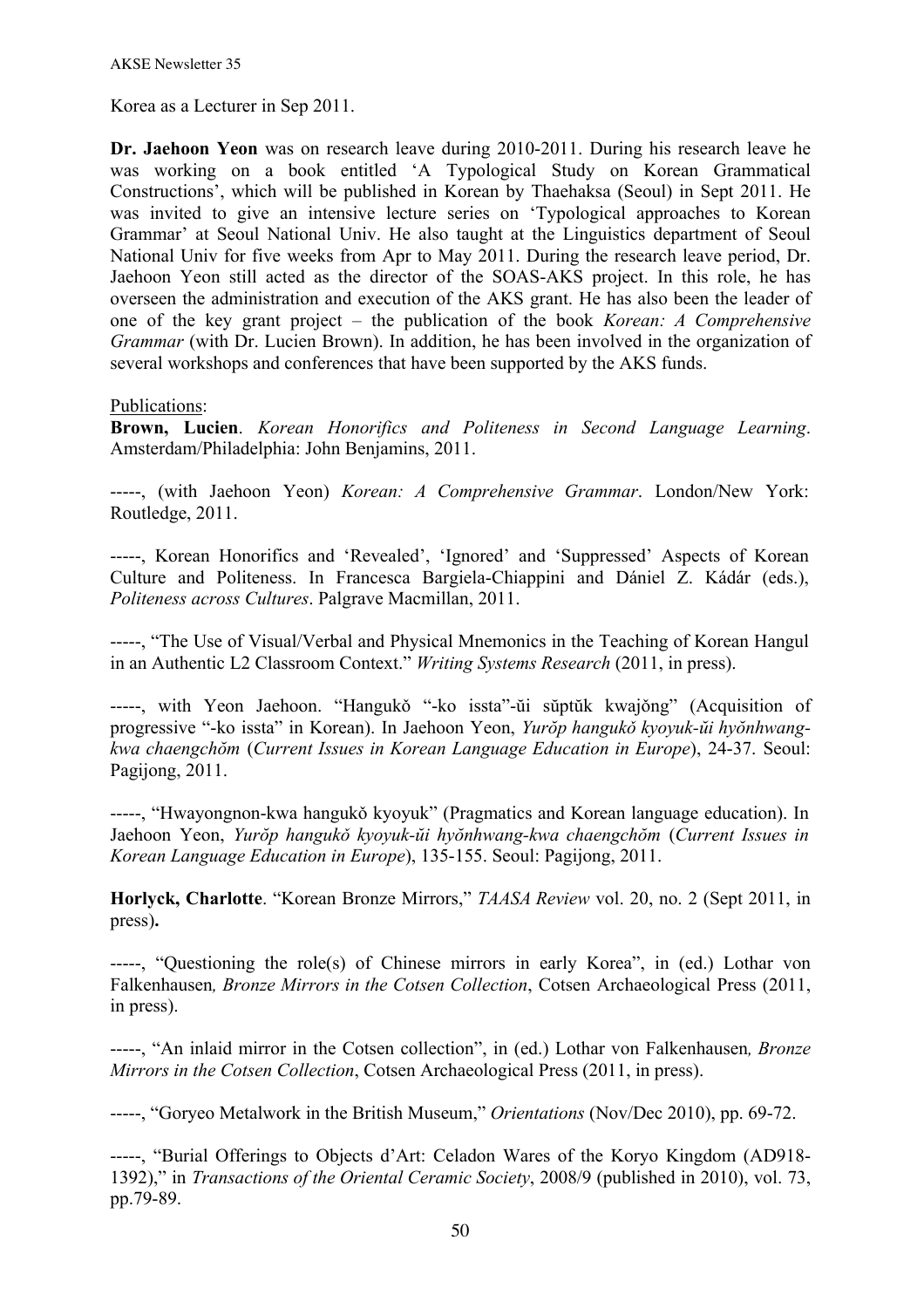Korea as a Lecturer in Sep 2011.

**Dr. Jaehoon Yeon** was on research leave during 2010-2011. During his research leave he was working on a book entitled 'A Typological Study on Korean Grammatical Constructions', which will be published in Korean by Thaehaksa (Seoul) in Sept 2011. He was invited to give an intensive lecture series on 'Typological approaches to Korean Grammar' at Seoul National Univ. He also taught at the Linguistics department of Seoul National Univ for five weeks from Apr to May 2011. During the research leave period, Dr. Jaehoon Yeon still acted as the director of the SOAS-AKS project. In this role, he has overseen the administration and execution of the AKS grant. He has also been the leader of one of the key grant project – the publication of the book *Korean: A Comprehensive Grammar* (with Dr. Lucien Brown). In addition, he has been involved in the organization of several workshops and conferences that have been supported by the AKS funds.

Publications:

**Brown, Lucien**. *Korean Honorifics and Politeness in Second Language Learning*. Amsterdam/Philadelphia: John Benjamins, 2011.

-----, (with Jaehoon Yeon) *Korean: A Comprehensive Grammar*. London/New York: Routledge, 2011.

-----, Korean Honorifics and 'Revealed', 'Ignored' and 'Suppressed' Aspects of Korean Culture and Politeness. In Francesca Bargiela-Chiappini and Dániel Z. Kádár (eds.), *Politeness across Cultures*. Palgrave Macmillan, 2011.

-----, "The Use of Visual/Verbal and Physical Mnemonics in the Teaching of Korean Hangul in an Authentic L2 Classroom Context." *Writing Systems Research* (2011, in press).

-----, with Yeon Jaehoon. "Hangukǒ "-ko issta"-ŭi sŭptŭk kwajǒng" (Acquisition of progressive "-ko issta" in Korean). In Jaehoon Yeon, *Yurŏp hangukǒ kyoyuk-ŭi hyŏnhwangkwa chaengchŏm* (*Current Issues in Korean Language Education in Europe*), 24-37. Seoul: Pagijong, 2011.

-----, "Hwayongnon-kwa hangukǒ kyoyuk" (Pragmatics and Korean language education). In Jaehoon Yeon, *Yurŏp hangukǒ kyoyuk-ŭi hyŏnhwang-kwa chaengchŏm* (*Current Issues in Korean Language Education in Europe*), 135-155. Seoul: Pagijong, 2011.

**Horlyck, Charlotte**. "Korean Bronze Mirrors," *TAASA Review* vol. 20, no. 2 (Sept 2011, in press)**.**

-----, "Questioning the role(s) of Chinese mirrors in early Korea", in (ed.) Lothar von Falkenhausen*, Bronze Mirrors in the Cotsen Collection*, Cotsen Archaeological Press (2011, in press).

-----, "An inlaid mirror in the Cotsen collection", in (ed.) Lothar von Falkenhausen*, Bronze Mirrors in the Cotsen Collection*, Cotsen Archaeological Press (2011, in press).

-----, "Goryeo Metalwork in the British Museum," *Orientations* (Nov/Dec 2010), pp. 69-72.

-----, "Burial Offerings to Objects d'Art: Celadon Wares of the Koryo Kingdom (AD918- 1392)," in *Transactions of the Oriental Ceramic Society*, 2008/9 (published in 2010), vol. 73, pp.79-89.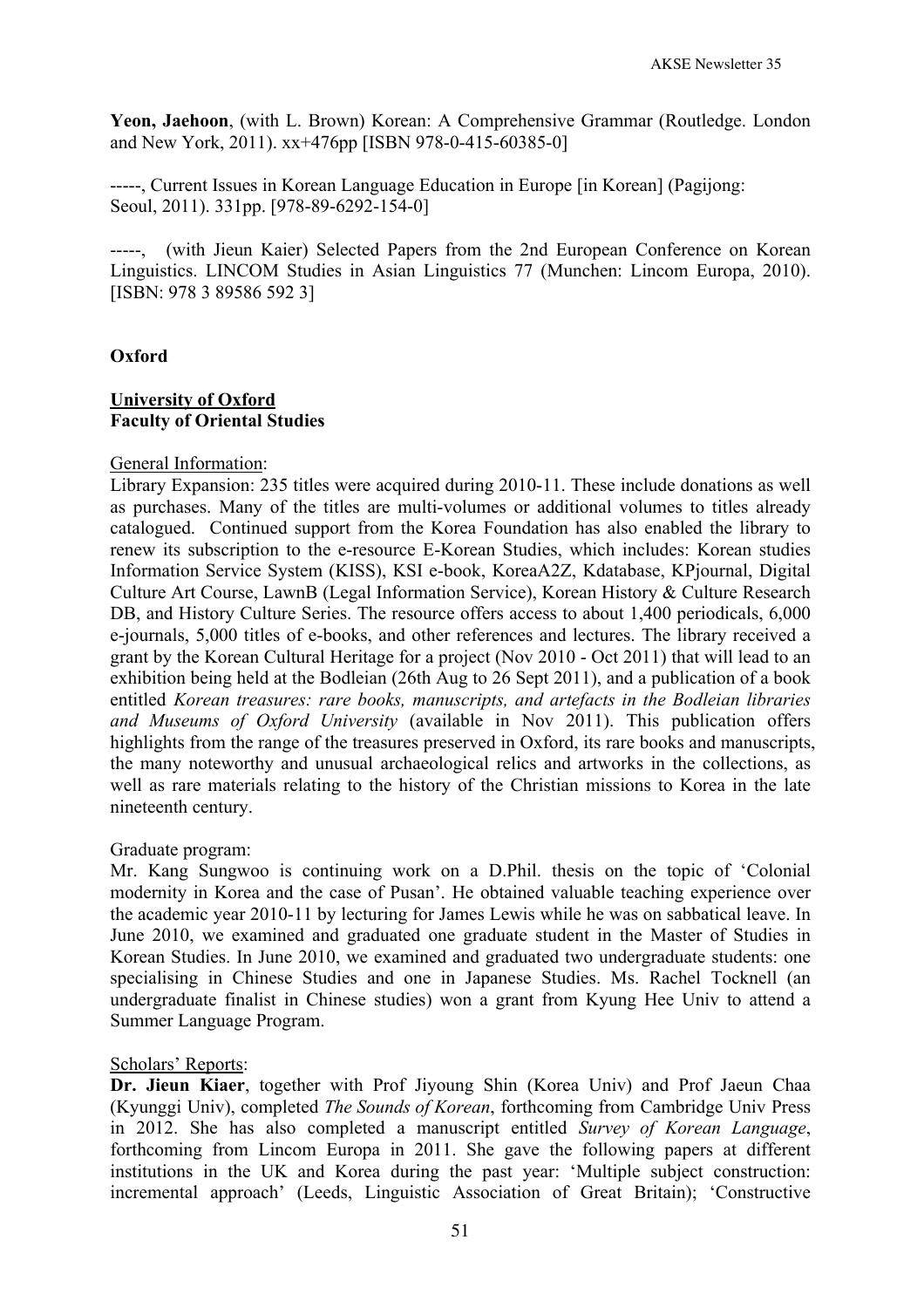**Yeon, Jaehoon**, (with L. Brown) Korean: A Comprehensive Grammar (Routledge. London and New York, 2011). xx+476pp [ISBN 978-0-415-60385-0]

-----, Current Issues in Korean Language Education in Europe [in Korean] (Pagijong: Seoul, 2011). 331pp. [978-89-6292-154-0]

-----, (with Jieun Kaier) Selected Papers from the 2nd European Conference on Korean Linguistics. LINCOM Studies in Asian Linguistics 77 (Munchen: Lincom Europa, 2010). [ISBN: 978 3 89586 592 3]

## **Oxford**

### **University of Oxford Faculty of Oriental Studies**

#### General Information:

Library Expansion: 235 titles were acquired during 2010-11. These include donations as well as purchases. Many of the titles are multi-volumes or additional volumes to titles already catalogued. Continued support from the Korea Foundation has also enabled the library to renew its subscription to the e-resource E-Korean Studies, which includes: Korean studies Information Service System (KISS), KSI e-book, KoreaA2Z, Kdatabase, KPjournal, Digital Culture Art Course, LawnB (Legal Information Service), Korean History & Culture Research DB, and History Culture Series. The resource offers access to about 1,400 periodicals, 6,000 e-journals, 5,000 titles of e-books, and other references and lectures. The library received a grant by the Korean Cultural Heritage for a project (Nov 2010 - Oct 2011) that will lead to an exhibition being held at the Bodleian (26th Aug to 26 Sept 2011), and a publication of a book entitled *Korean treasures: rare books, manuscripts, and artefacts in the Bodleian libraries and Museums of Oxford University* (available in Nov 2011). This publication offers highlights from the range of the treasures preserved in Oxford, its rare books and manuscripts, the many noteworthy and unusual archaeological relics and artworks in the collections, as well as rare materials relating to the history of the Christian missions to Korea in the late nineteenth century.

#### Graduate program:

Mr. Kang Sungwoo is continuing work on a D.Phil. thesis on the topic of 'Colonial modernity in Korea and the case of Pusan'. He obtained valuable teaching experience over the academic year 2010-11 by lecturing for James Lewis while he was on sabbatical leave. In June 2010, we examined and graduated one graduate student in the Master of Studies in Korean Studies. In June 2010, we examined and graduated two undergraduate students: one specialising in Chinese Studies and one in Japanese Studies. Ms. Rachel Tocknell (an undergraduate finalist in Chinese studies) won a grant from Kyung Hee Univ to attend a Summer Language Program.

### Scholars' Reports:

**Dr. Jieun Kiaer**, together with Prof Jiyoung Shin (Korea Univ) and Prof Jaeun Chaa (Kyunggi Univ), completed *The Sounds of Korean*, forthcoming from Cambridge Univ Press in 2012. She has also completed a manuscript entitled *Survey of Korean Language*, forthcoming from Lincom Europa in 2011. She gave the following papers at different institutions in the UK and Korea during the past year: 'Multiple subject construction: incremental approach' (Leeds, Linguistic Association of Great Britain); 'Constructive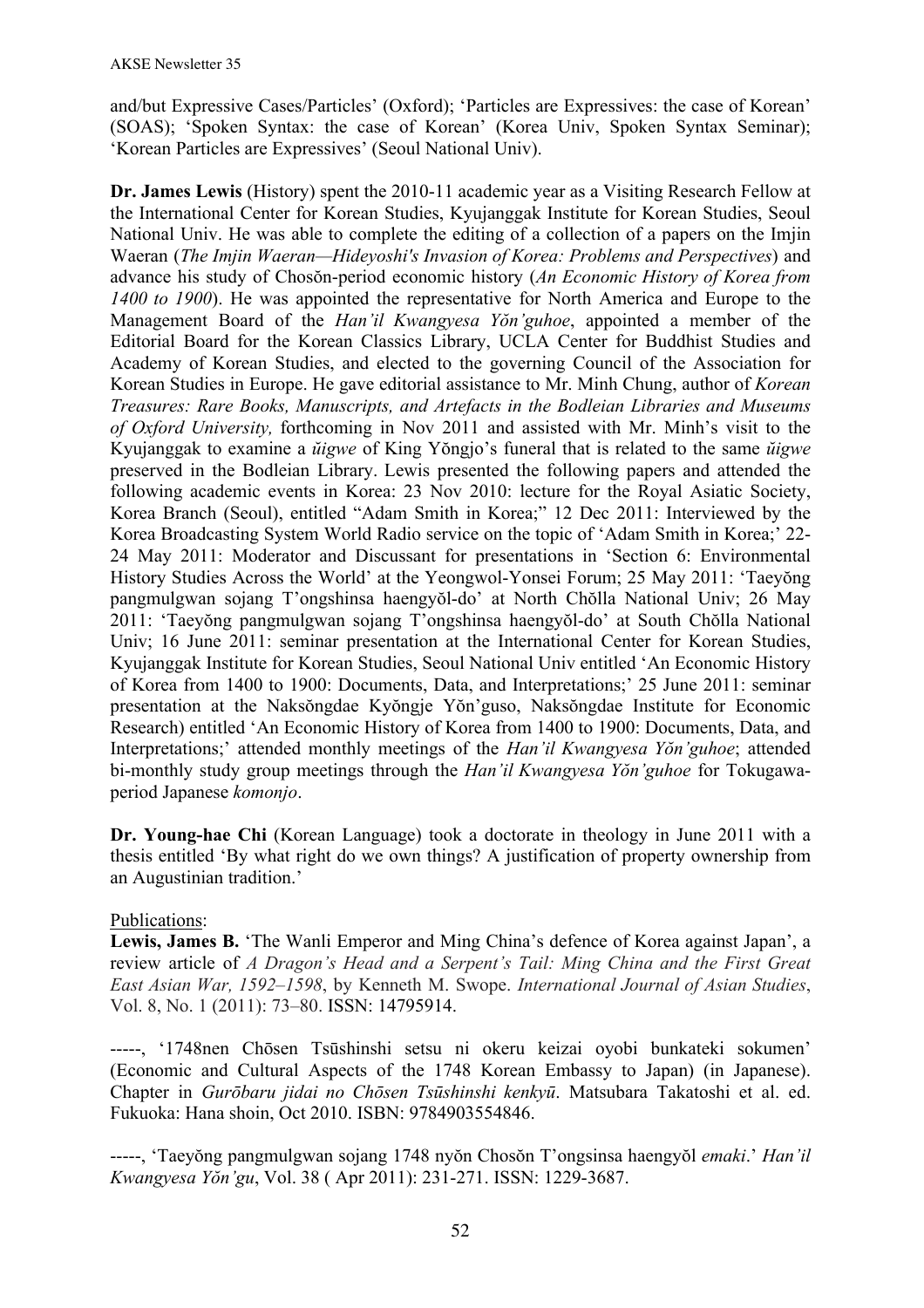and/but Expressive Cases/Particles' (Oxford); 'Particles are Expressives: the case of Korean' (SOAS); 'Spoken Syntax: the case of Korean' (Korea Univ, Spoken Syntax Seminar); 'Korean Particles are Expressives' (Seoul National Univ).

**Dr. James Lewis** (History) spent the 2010-11 academic year as a Visiting Research Fellow at the International Center for Korean Studies, Kyujanggak Institute for Korean Studies, Seoul National Univ. He was able to complete the editing of a collection of a papers on the Imjin Waeran (*The Imjin Waeran—Hideyoshi's Invasion of Korea: Problems and Perspectives*) and advance his study of Chosŏn-period economic history (*An Economic History of Korea from 1400 to 1900*). He was appointed the representative for North America and Europe to the Management Board of the *Han'il Kwangyesa Yŏn'guhoe*, appointed a member of the Editorial Board for the Korean Classics Library, UCLA Center for Buddhist Studies and Academy of Korean Studies, and elected to the governing Council of the Association for Korean Studies in Europe. He gave editorial assistance to Mr. Minh Chung, author of *Korean Treasures: Rare Books, Manuscripts, and Artefacts in the Bodleian Libraries and Museums of Oxford University,* forthcoming in Nov 2011 and assisted with Mr. Minh's visit to the Kyujanggak to examine a *ŭigwe* of King Yŏngjo's funeral that is related to the same *ŭigwe* preserved in the Bodleian Library. Lewis presented the following papers and attended the following academic events in Korea: 23 Nov 2010: lecture for the Royal Asiatic Society, Korea Branch (Seoul), entitled "Adam Smith in Korea;" 12 Dec 2011: Interviewed by the Korea Broadcasting System World Radio service on the topic of 'Adam Smith in Korea;' 22- 24 May 2011: Moderator and Discussant for presentations in 'Section 6: Environmental History Studies Across the World' at the Yeongwol-Yonsei Forum; 25 May 2011: 'Taeyŏng pangmulgwan sojang T'ongshinsa haengyŏl-do' at North Chŏlla National Univ; 26 May 2011: 'Taeyŏng pangmulgwan sojang T'ongshinsa haengyŏl-do' at South Chŏlla National Univ; 16 June 2011: seminar presentation at the International Center for Korean Studies, Kyujanggak Institute for Korean Studies, Seoul National Univ entitled 'An Economic History of Korea from 1400 to 1900: Documents, Data, and Interpretations;' 25 June 2011: seminar presentation at the Naksŏngdae Kyŏngje Yŏn'guso, Naksŏngdae Institute for Economic Research) entitled 'An Economic History of Korea from 1400 to 1900: Documents, Data, and Interpretations;' attended monthly meetings of the *Han'il Kwangyesa Yŏn'guhoe*; attended bi-monthly study group meetings through the *Han'il Kwangyesa Yŏn'guhoe* for Tokugawaperiod Japanese *komonjo*.

**Dr. Young-hae Chi** (Korean Language) took a doctorate in theology in June 2011 with a thesis entitled 'By what right do we own things? A justification of property ownership from an Augustinian tradition.'

# Publications:

Lewis, James B. 'The Wanli Emperor and Ming China's defence of Korea against Japan', a review article of *A Dragon's Head and a Serpent's Tail: Ming China and the First Great East Asian War, 1592–1598*, by Kenneth M. Swope. *International Journal of Asian Studies*, Vol. 8, No. 1 (2011): 73–80. ISSN: 14795914.

-----, '1748nen Chōsen Tsūshinshi setsu ni okeru keizai oyobi bunkateki sokumen' (Economic and Cultural Aspects of the 1748 Korean Embassy to Japan) (in Japanese). Chapter in *Gurōbaru jidai no Chōsen Tsūshinshi kenkyū*. Matsubara Takatoshi et al. ed. Fukuoka: Hana shoin, Oct 2010. ISBN: 9784903554846.

-----, 'Taeyŏng pangmulgwan sojang 1748 nyŏn Chosŏn T'ongsinsa haengyŏl *emaki*.' *Han'il Kwangyesa Yŏn'gu*, Vol. 38 ( Apr 2011): 231-271. ISSN: 1229-3687.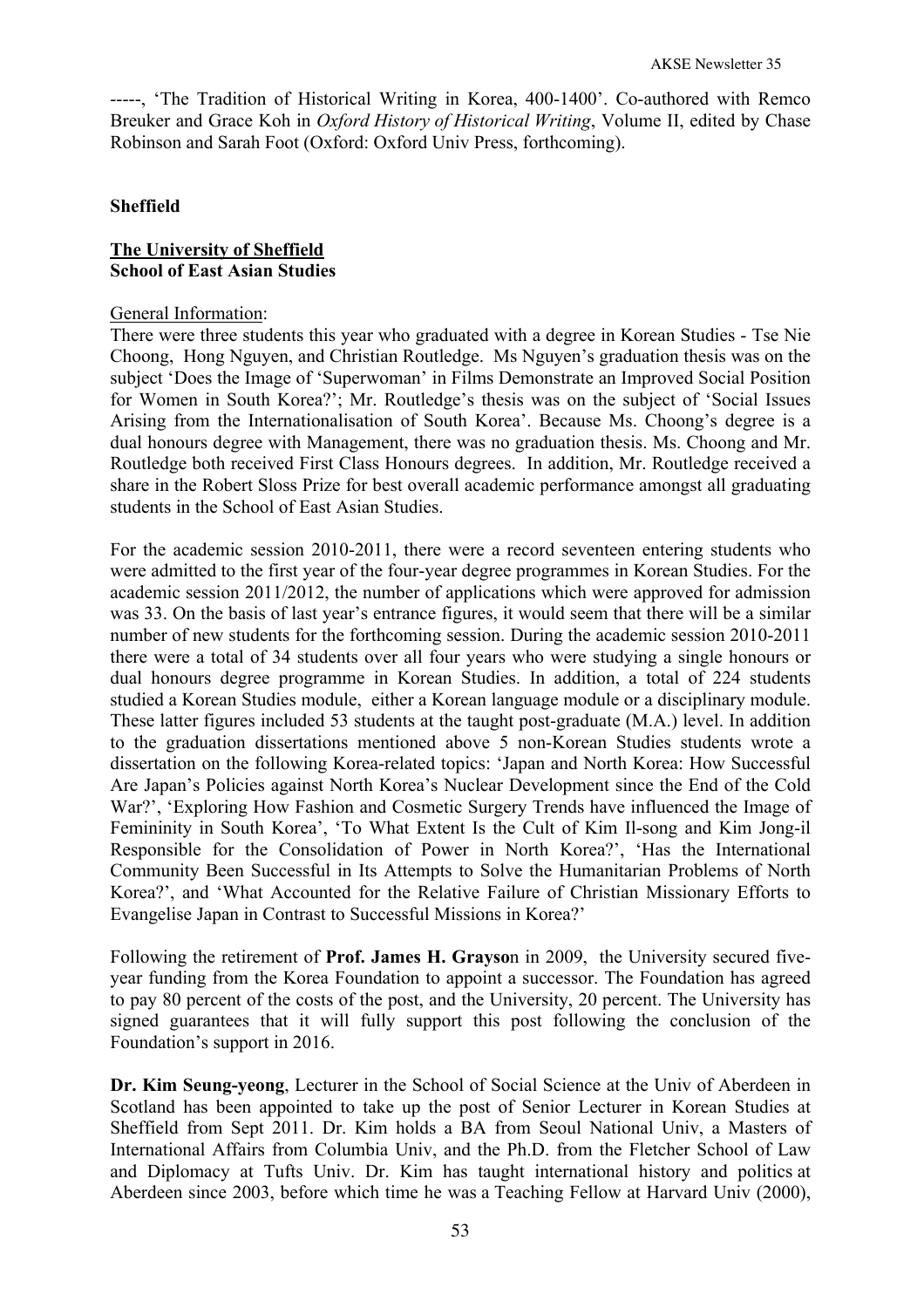-----, 'The Tradition of Historical Writing in Korea, 400-1400'. Co-authored with Remco Breuker and Grace Koh in *Oxford History of Historical Writing*, Volume II, edited by Chase Robinson and Sarah Foot (Oxford: Oxford Univ Press, forthcoming).

## **Sheffield**

## **The University of Sheffield School of East Asian Studies**

### General Information:

There were three students this year who graduated with a degree in Korean Studies - Tse Nie Choong, Hong Nguyen, and Christian Routledge. Ms Nguyen's graduation thesis was on the subject 'Does the Image of 'Superwoman' in Films Demonstrate an Improved Social Position for Women in South Korea?'; Mr. Routledge's thesis was on the subject of 'Social Issues Arising from the Internationalisation of South Korea'. Because Ms. Choong's degree is a dual honours degree with Management, there was no graduation thesis. Ms. Choong and Mr. Routledge both received First Class Honours degrees. In addition, Mr. Routledge received a share in the Robert Sloss Prize for best overall academic performance amongst all graduating students in the School of East Asian Studies.

For the academic session 2010-2011, there were a record seventeen entering students who were admitted to the first year of the four-year degree programmes in Korean Studies. For the academic session 2011/2012, the number of applications which were approved for admission was 33. On the basis of last year's entrance figures, it would seem that there will be a similar number of new students for the forthcoming session. During the academic session 2010-2011 there were a total of 34 students over all four years who were studying a single honours or dual honours degree programme in Korean Studies. In addition, a total of 224 students studied a Korean Studies module, either a Korean language module or a disciplinary module. These latter figures included 53 students at the taught post-graduate (M.A.) level. In addition to the graduation dissertations mentioned above 5 non-Korean Studies students wrote a dissertation on the following Korea-related topics: 'Japan and North Korea: How Successful Are Japan's Policies against North Korea's Nuclear Development since the End of the Cold War?', 'Exploring How Fashion and Cosmetic Surgery Trends have influenced the Image of Femininity in South Korea', 'To What Extent Is the Cult of Kim Il-song and Kim Jong-il Responsible for the Consolidation of Power in North Korea?', 'Has the International Community Been Successful in Its Attempts to Solve the Humanitarian Problems of North Korea?', and 'What Accounted for the Relative Failure of Christian Missionary Efforts to Evangelise Japan in Contrast to Successful Missions in Korea?'

Following the retirement of **Prof. James H. Grayso**n in 2009, the University secured fiveyear funding from the Korea Foundation to appoint a successor. The Foundation has agreed to pay 80 percent of the costs of the post, and the University, 20 percent. The University has signed guarantees that it will fully support this post following the conclusion of the Foundation's support in 2016.

**Dr. Kim Seung-yeong**, Lecturer in the School of Social Science at the Univ of Aberdeen in Scotland has been appointed to take up the post of Senior Lecturer in Korean Studies at Sheffield from Sept 2011. Dr. Kim holds a BA from Seoul National Univ, a Masters of International Affairs from Columbia Univ, and the Ph.D. from the Fletcher School of Law and Diplomacy at Tufts Univ. Dr. Kim has taught international history and politics at Aberdeen since 2003, before which time he was a Teaching Fellow at Harvard Univ (2000),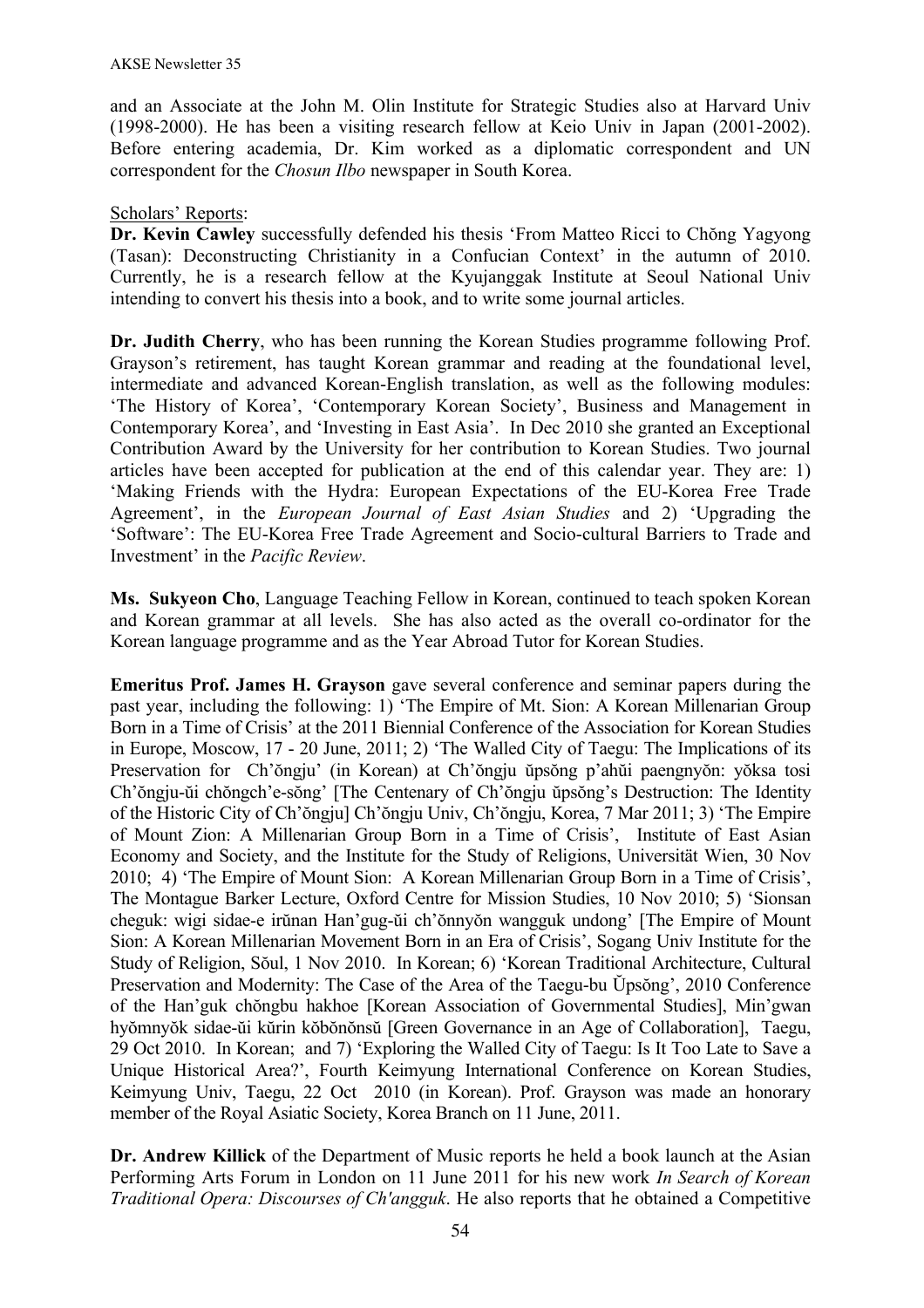and an Associate at the John M. Olin Institute for Strategic Studies also at Harvard Univ (1998-2000). He has been a visiting research fellow at Keio Univ in Japan (2001-2002). Before entering academia, Dr. Kim worked as a diplomatic correspondent and UN correspondent for the *Chosun Ilbo* newspaper in South Korea.

## Scholars' Reports:

**Dr. Kevin Cawley** successfully defended his thesis 'From Matteo Ricci to Chŏng Yagyong (Tasan): Deconstructing Christianity in a Confucian Context' in the autumn of 2010. Currently, he is a research fellow at the Kyujanggak Institute at Seoul National Univ intending to convert his thesis into a book, and to write some journal articles.

**Dr. Judith Cherry**, who has been running the Korean Studies programme following Prof. Grayson's retirement, has taught Korean grammar and reading at the foundational level, intermediate and advanced Korean-English translation, as well as the following modules: 'The History of Korea', 'Contemporary Korean Society', Business and Management in Contemporary Korea', and 'Investing in East Asia'. In Dec 2010 she granted an Exceptional Contribution Award by the University for her contribution to Korean Studies. Two journal articles have been accepted for publication at the end of this calendar year. They are: 1) 'Making Friends with the Hydra: European Expectations of the EU-Korea Free Trade Agreement', in the *European Journal of East Asian Studies* and 2) 'Upgrading the 'Software': The EU-Korea Free Trade Agreement and Socio-cultural Barriers to Trade and Investment' in the *Pacific Review*.

**Ms. Sukyeon Cho**, Language Teaching Fellow in Korean, continued to teach spoken Korean and Korean grammar at all levels. She has also acted as the overall co-ordinator for the Korean language programme and as the Year Abroad Tutor for Korean Studies.

**Emeritus Prof. James H. Grayson** gave several conference and seminar papers during the past year, including the following: 1) 'The Empire of Mt. Sion: A Korean Millenarian Group Born in a Time of Crisis' at the 2011 Biennial Conference of the Association for Korean Studies in Europe, Moscow, 17 - 20 June, 2011; 2) 'The Walled City of Taegu: The Implications of its Preservation for Ch'ŏngju' (in Korean) at Ch'ŏngju ŭpsŏng p'ahŭi paengnyŏn: yŏksa tosi Ch'ŏngju-ŭi chŏngch'e-sŏng' [The Centenary of Ch'ŏngju ŭpsŏng's Destruction: The Identity of the Historic City of Ch'ŏngju] Ch'ŏngju Univ, Ch'ŏngju, Korea, 7 Mar 2011; 3) 'The Empire of Mount Zion: A Millenarian Group Born in a Time of Crisis', Institute of East Asian Economy and Society, and the Institute for the Study of Religions, Universität Wien, 30 Nov 2010; 4) 'The Empire of Mount Sion: A Korean Millenarian Group Born in a Time of Crisis', The Montague Barker Lecture, Oxford Centre for Mission Studies, 10 Nov 2010; 5) 'Sionsan cheguk: wigi sidae-e irŭnan Han'gug-ŭi ch'ŏnnyŏn wangguk undong' [The Empire of Mount Sion: A Korean Millenarian Movement Born in an Era of Crisis', Sogang Univ Institute for the Study of Religion, Sŏul, 1 Nov 2010. In Korean; 6) 'Korean Traditional Architecture, Cultural Preservation and Modernity: The Case of the Area of the Taegu-bu Ŭpsŏng', 2010 Conference of the Han'guk chŏngbu hakhoe [Korean Association of Governmental Studies], Min'gwan hyŏmnyŏk sidae-ŭi kŭrin kŏbŏnŏnsŭ [Green Governance in an Age of Collaboration], Taegu, 29 Oct 2010. In Korean; and 7) 'Exploring the Walled City of Taegu: Is It Too Late to Save a Unique Historical Area?', Fourth Keimyung International Conference on Korean Studies, Keimyung Univ, Taegu, 22 Oct 2010 (in Korean). Prof. Grayson was made an honorary member of the Royal Asiatic Society, Korea Branch on 11 June, 2011.

**Dr. Andrew Killick** of the Department of Music reports he held a book launch at the Asian Performing Arts Forum in London on 11 June 2011 for his new work *In Search of Korean Traditional Opera: Discourses of Ch'angguk*. He also reports that he obtained a Competitive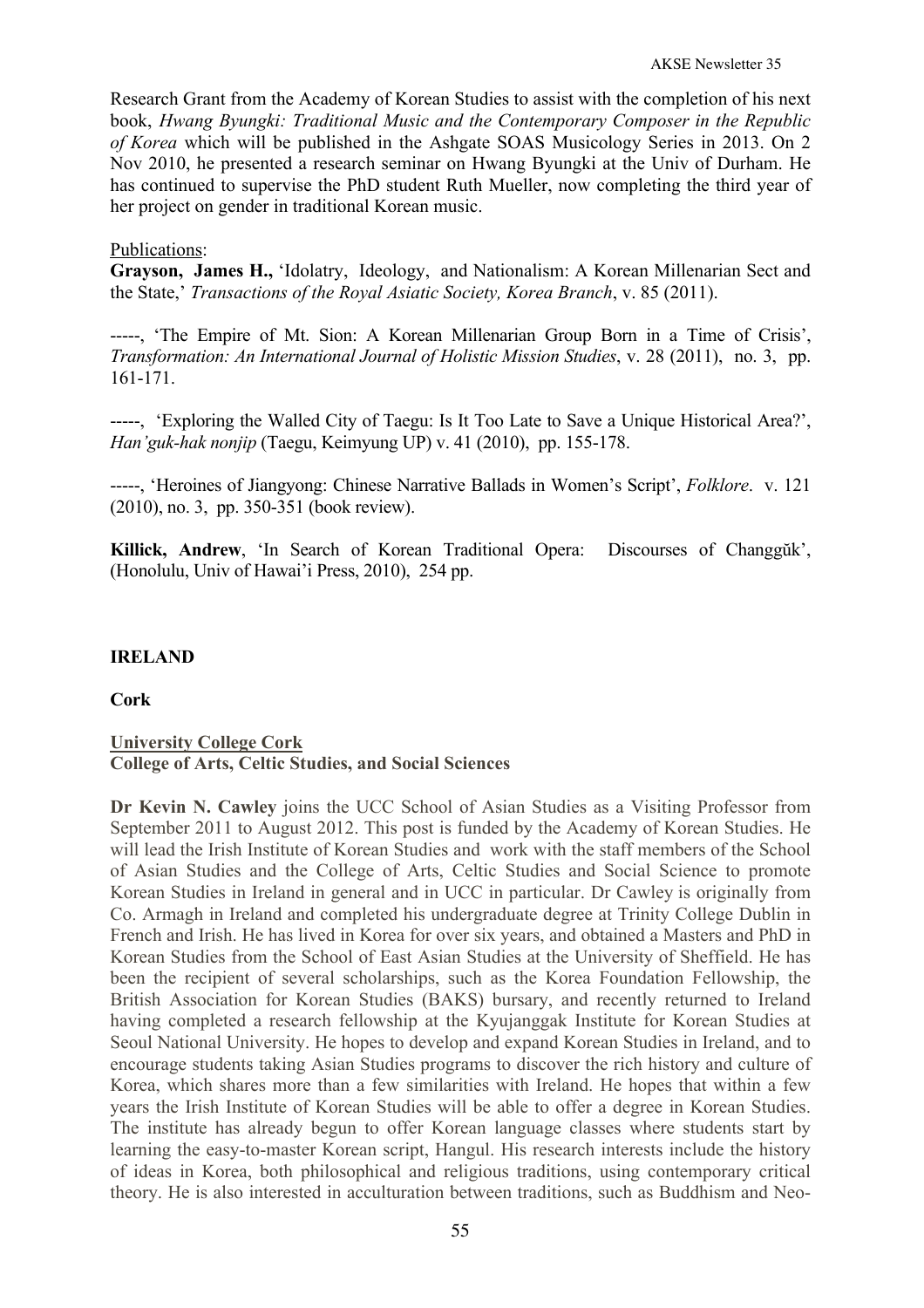Research Grant from the Academy of Korean Studies to assist with the completion of his next book, *Hwang Byungki: Traditional Music and the Contemporary Composer in the Republic of Korea* which will be published in the Ashgate SOAS Musicology Series in 2013. On 2 Nov 2010, he presented a research seminar on Hwang Byungki at the Univ of Durham. He has continued to supervise the PhD student Ruth Mueller, now completing the third year of her project on gender in traditional Korean music.

# Publications:

**Grayson, James H.,** 'Idolatry, Ideology, and Nationalism: A Korean Millenarian Sect and the State,' *Transactions of the Royal Asiatic Society, Korea Branch*, v. 85 (2011).

-----, 'The Empire of Mt. Sion: A Korean Millenarian Group Born in a Time of Crisis', *Transformation: An International Journal of Holistic Mission Studies*, v. 28 (2011), no. 3, pp. 161-171.

-----, 'Exploring the Walled City of Taegu: Is It Too Late to Save a Unique Historical Area?', *Han'guk-hak nonjip* (Taegu, Keimyung UP) v. 41 (2010), pp. 155-178.

-----, 'Heroines of Jiangyong: Chinese Narrative Ballads in Women's Script', *Folklore*. v. 121 (2010), no. 3, pp. 350-351 (book review).

**Killick, Andrew**, 'In Search of Korean Traditional Opera: Discourses of Changgŭk', (Honolulu, Univ of Hawai'i Press, 2010), 254 pp.

# **IRELAND**

### **Cork**

# **University College Cork College of Arts, Celtic Studies, and Social Sciences**

**Dr Kevin N. Cawley** joins the UCC School of Asian Studies as a Visiting Professor from September 2011 to August 2012. This post is funded by the Academy of Korean Studies. He will lead the Irish Institute of Korean Studies and work with the staff members of the School of Asian Studies and the College of Arts, Celtic Studies and Social Science to promote Korean Studies in Ireland in general and in UCC in particular. Dr Cawley is originally from Co. Armagh in Ireland and completed his undergraduate degree at Trinity College Dublin in French and Irish. He has lived in Korea for over six years, and obtained a Masters and PhD in Korean Studies from the School of East Asian Studies at the University of Sheffield. He has been the recipient of several scholarships, such as the Korea Foundation Fellowship, the British Association for Korean Studies (BAKS) bursary, and recently returned to Ireland having completed a research fellowship at the Kyujanggak Institute for Korean Studies at Seoul National University. He hopes to develop and expand Korean Studies in Ireland, and to encourage students taking Asian Studies programs to discover the rich history and culture of Korea, which shares more than a few similarities with Ireland. He hopes that within a few years the Irish Institute of Korean Studies will be able to offer a degree in Korean Studies. The institute has already begun to offer Korean language classes where students start by learning the easy-to-master Korean script, Hangul. His research interests include the history of ideas in Korea, both philosophical and religious traditions, using contemporary critical theory. He is also interested in acculturation between traditions, such as Buddhism and Neo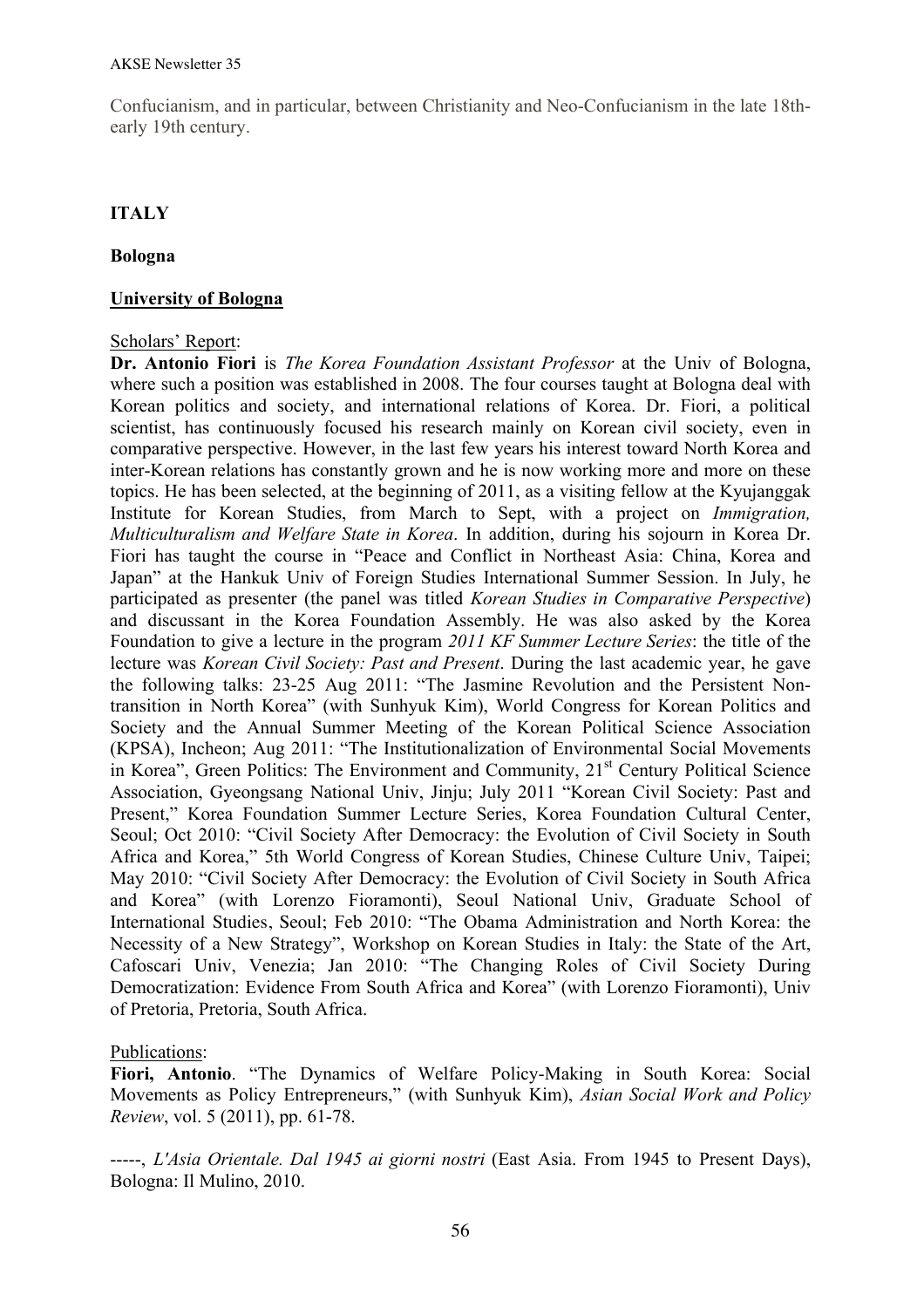Confucianism, and in particular, between Christianity and Neo-Confucianism in the late 18thearly 19th century.

# **ITALY**

## **Bologna**

## **University of Bologna**

### Scholars' Report:

**Dr. Antonio Fiori** is *The Korea Foundation Assistant Professor* at the Univ of Bologna, where such a position was established in 2008. The four courses taught at Bologna deal with Korean politics and society, and international relations of Korea. Dr. Fiori, a political scientist, has continuously focused his research mainly on Korean civil society, even in comparative perspective. However, in the last few years his interest toward North Korea and inter-Korean relations has constantly grown and he is now working more and more on these topics. He has been selected, at the beginning of 2011, as a visiting fellow at the Kyujanggak Institute for Korean Studies, from March to Sept, with a project on *Immigration, Multiculturalism and Welfare State in Korea*. In addition, during his sojourn in Korea Dr. Fiori has taught the course in "Peace and Conflict in Northeast Asia: China, Korea and Japan" at the Hankuk Univ of Foreign Studies International Summer Session. In July, he participated as presenter (the panel was titled *Korean Studies in Comparative Perspective*) and discussant in the Korea Foundation Assembly. He was also asked by the Korea Foundation to give a lecture in the program *2011 KF Summer Lecture Series*: the title of the lecture was *Korean Civil Society: Past and Present*. During the last academic year, he gave the following talks: 23-25 Aug 2011: "The Jasmine Revolution and the Persistent Nontransition in North Korea" (with Sunhyuk Kim), World Congress for Korean Politics and Society and the Annual Summer Meeting of the Korean Political Science Association (KPSA), Incheon; Aug 2011: "The Institutionalization of Environmental Social Movements in Korea", Green Politics: The Environment and Community, 21<sup>st</sup> Century Political Science Association, Gyeongsang National Univ, Jinju; July 2011 "Korean Civil Society: Past and Present," Korea Foundation Summer Lecture Series, Korea Foundation Cultural Center, Seoul; Oct 2010: "Civil Society After Democracy: the Evolution of Civil Society in South Africa and Korea," 5th World Congress of Korean Studies, Chinese Culture Univ, Taipei; May 2010: "Civil Society After Democracy: the Evolution of Civil Society in South Africa and Korea" (with Lorenzo Fioramonti), Seoul National Univ, Graduate School of International Studies, Seoul; Feb 2010: "The Obama Administration and North Korea: the Necessity of a New Strategy", Workshop on Korean Studies in Italy: the State of the Art, Cafoscari Univ, Venezia; Jan 2010: "The Changing Roles of Civil Society During Democratization: Evidence From South Africa and Korea" (with Lorenzo Fioramonti), Univ of Pretoria, Pretoria, South Africa.

### Publications:

**Fiori, Antonio**. "The Dynamics of Welfare Policy-Making in South Korea: Social Movements as Policy Entrepreneurs," (with Sunhyuk Kim), *Asian Social Work and Policy Review*, vol. 5 (2011), pp. 61-78.

-----, *L'Asia Orientale. Dal 1945 ai giorni nostri* (East Asia. From 1945 to Present Days), Bologna: Il Mulino, 2010.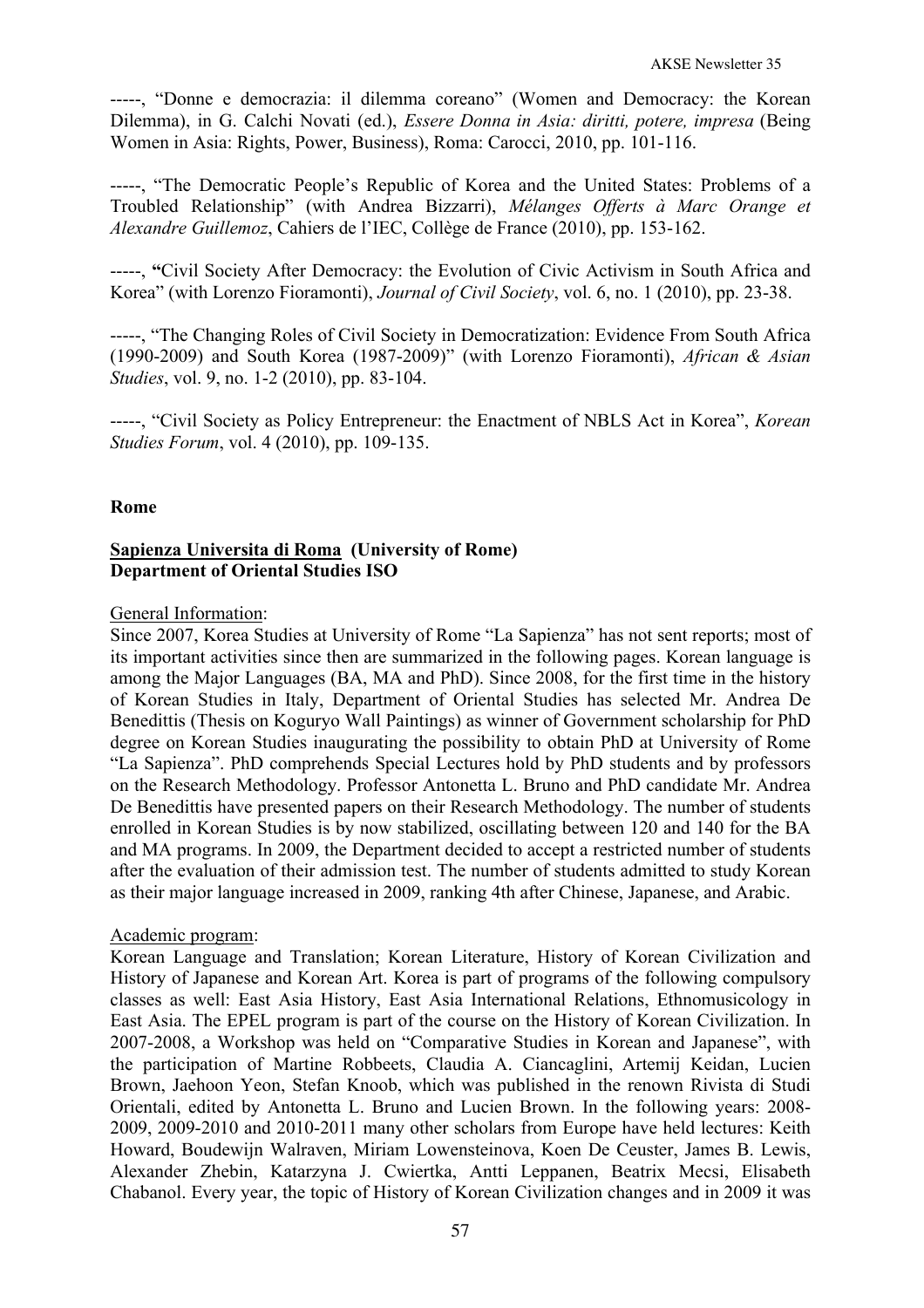-----, "Donne e democrazia: il dilemma coreano" (Women and Democracy: the Korean Dilemma), in G. Calchi Novati (ed.), *Essere Donna in Asia: diritti, potere, impresa* (Being Women in Asia: Rights, Power, Business), Roma: Carocci, 2010, pp. 101-116.

-----, "The Democratic People's Republic of Korea and the United States: Problems of a Troubled Relationship" (with Andrea Bizzarri), *Mélanges Offerts à Marc Orange et Alexandre Guillemoz*, Cahiers de l'IEC, Collège de France (2010), pp. 153-162.

-----, **"**Civil Society After Democracy: the Evolution of Civic Activism in South Africa and Korea" (with Lorenzo Fioramonti), *Journal of Civil Society*, vol. 6, no. 1 (2010), pp. 23-38.

-----, "The Changing Roles of Civil Society in Democratization: Evidence From South Africa (1990-2009) and South Korea (1987-2009)" (with Lorenzo Fioramonti), *African & Asian Studies*, vol. 9, no. 1-2 (2010), pp. 83-104.

-----, "Civil Society as Policy Entrepreneur: the Enactment of NBLS Act in Korea", *Korean Studies Forum*, vol. 4 (2010), pp. 109-135.

### **Rome**

## **Sapienza Universita di Roma (University of Rome) Department of Oriental Studies ISO**

#### General Information:

Since 2007, Korea Studies at University of Rome "La Sapienza" has not sent reports; most of its important activities since then are summarized in the following pages. Korean language is among the Major Languages (BA, MA and PhD). Since 2008, for the first time in the history of Korean Studies in Italy, Department of Oriental Studies has selected Mr. Andrea De Benedittis (Thesis on Koguryo Wall Paintings) as winner of Government scholarship for PhD degree on Korean Studies inaugurating the possibility to obtain PhD at University of Rome "La Sapienza". PhD comprehends Special Lectures hold by PhD students and by professors on the Research Methodology. Professor Antonetta L. Bruno and PhD candidate Mr. Andrea De Benedittis have presented papers on their Research Methodology. The number of students enrolled in Korean Studies is by now stabilized, oscillating between 120 and 140 for the BA and MA programs. In 2009, the Department decided to accept a restricted number of students after the evaluation of their admission test. The number of students admitted to study Korean as their major language increased in 2009, ranking 4th after Chinese, Japanese, and Arabic.

#### Academic program:

Korean Language and Translation; Korean Literature, History of Korean Civilization and History of Japanese and Korean Art. Korea is part of programs of the following compulsory classes as well: East Asia History, East Asia International Relations, Ethnomusicology in East Asia. The EPEL program is part of the course on the History of Korean Civilization. In 2007-2008, a Workshop was held on "Comparative Studies in Korean and Japanese", with the participation of Martine Robbeets, Claudia A. Ciancaglini, Artemij Keidan, Lucien Brown, Jaehoon Yeon, Stefan Knoob, which was published in the renown Rivista di Studi Orientali, edited by Antonetta L. Bruno and Lucien Brown. In the following years: 2008- 2009, 2009-2010 and 2010-2011 many other scholars from Europe have held lectures: Keith Howard, Boudewijn Walraven, Miriam Lowensteinova, Koen De Ceuster, James B. Lewis, Alexander Zhebin, Katarzyna J. Cwiertka, Antti Leppanen, Beatrix Mecsi, Elisabeth Chabanol. Every year, the topic of History of Korean Civilization changes and in 2009 it was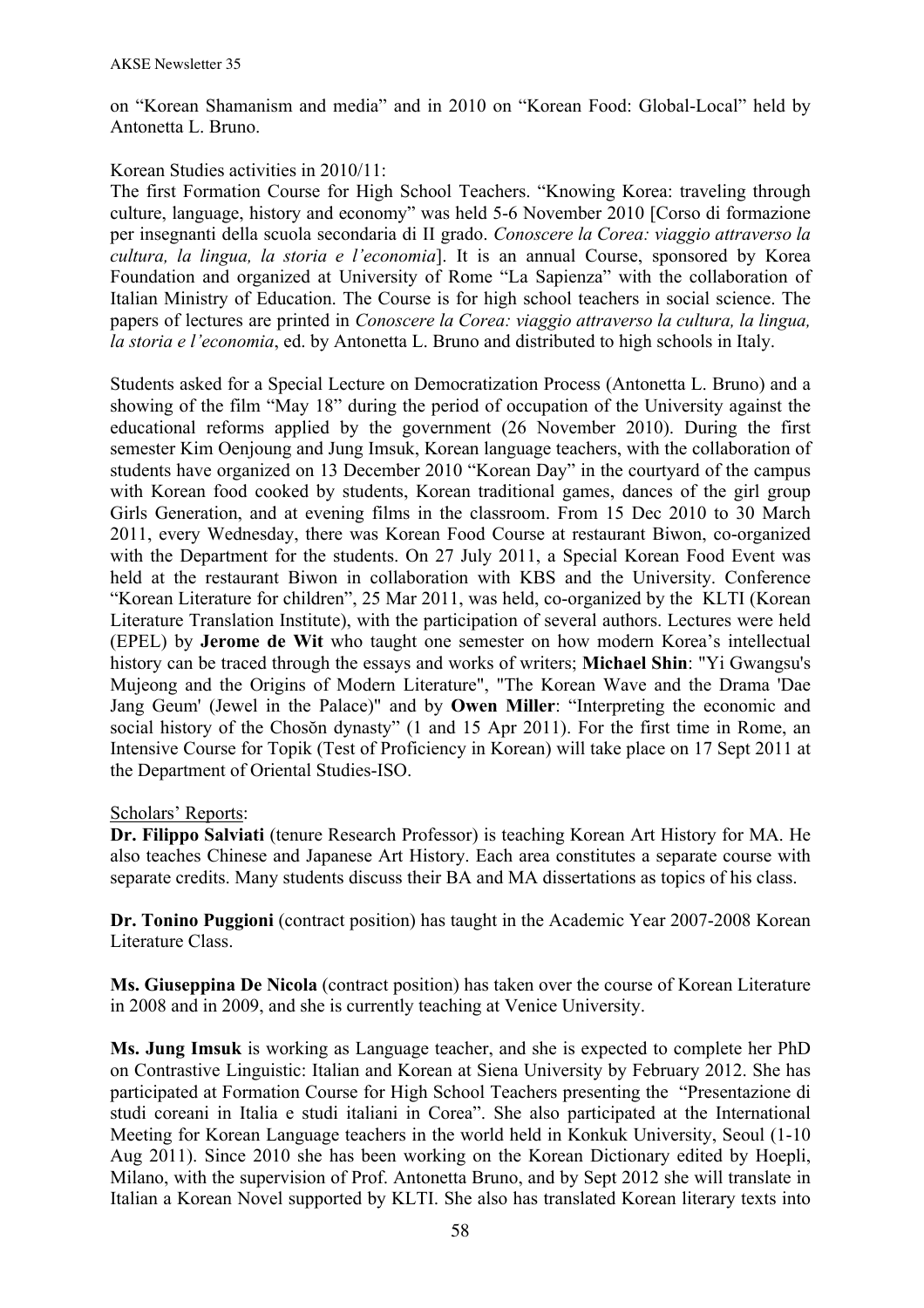on "Korean Shamanism and media" and in 2010 on "Korean Food: Global-Local" held by Antonetta L. Bruno.

## Korean Studies activities in 2010/11:

The first Formation Course for High School Teachers. "Knowing Korea: traveling through culture, language, history and economy" was held 5-6 November 2010 [Corso di formazione per insegnanti della scuola secondaria di II grado. *Conoscere la Corea: viaggio attraverso la cultura, la lingua, la storia e l'economia*]. It is an annual Course, sponsored by Korea Foundation and organized at University of Rome "La Sapienza" with the collaboration of Italian Ministry of Education. The Course is for high school teachers in social science. The papers of lectures are printed in *Conoscere la Corea: viaggio attraverso la cultura, la lingua, la storia e l'economia*, ed. by Antonetta L. Bruno and distributed to high schools in Italy.

Students asked for a Special Lecture on Democratization Process (Antonetta L. Bruno) and a showing of the film "May 18" during the period of occupation of the University against the educational reforms applied by the government (26 November 2010). During the first semester Kim Oenjoung and Jung Imsuk, Korean language teachers, with the collaboration of students have organized on 13 December 2010 "Korean Day" in the courtyard of the campus with Korean food cooked by students. Korean traditional games, dances of the girl group Girls Generation, and at evening films in the classroom. From 15 Dec 2010 to 30 March 2011, every Wednesday, there was Korean Food Course at restaurant Biwon, co-organized with the Department for the students. On 27 July 2011, a Special Korean Food Event was held at the restaurant Biwon in collaboration with KBS and the University. Conference "Korean Literature for children", 25 Mar 2011, was held, co-organized by the KLTI (Korean Literature Translation Institute), with the participation of several authors. Lectures were held (EPEL) by **Jerome de Wit** who taught one semester on how modern Korea's intellectual history can be traced through the essays and works of writers; **Michael Shin**: "Yi Gwangsu's Mujeong and the Origins of Modern Literature", "The Korean Wave and the Drama 'Dae Jang Geum' (Jewel in the Palace)" and by **Owen Miller**: "Interpreting the economic and social history of the Chosŏn dynasty" (1 and 15 Apr 2011). For the first time in Rome, an Intensive Course for Topik (Test of Proficiency in Korean) will take place on 17 Sept 2011 at the Department of Oriental Studies-ISO.

### Scholars' Reports:

**Dr. Filippo Salviati** (tenure Research Professor) is teaching Korean Art History for MA. He also teaches Chinese and Japanese Art History. Each area constitutes a separate course with separate credits. Many students discuss their BA and MA dissertations as topics of his class.

**Dr. Tonino Puggioni** (contract position) has taught in the Academic Year 2007-2008 Korean Literature Class.

**Ms. Giuseppina De Nicola** (contract position) has taken over the course of Korean Literature in 2008 and in 2009, and she is currently teaching at Venice University.

**Ms. Jung Imsuk** is working as Language teacher, and she is expected to complete her PhD on Contrastive Linguistic: Italian and Korean at Siena University by February 2012. She has participated at Formation Course for High School Teachers presenting the "Presentazione di studi coreani in Italia e studi italiani in Corea". She also participated at the International Meeting for Korean Language teachers in the world held in Konkuk University, Seoul (1-10 Aug 2011). Since 2010 she has been working on the Korean Dictionary edited by Hoepli, Milano, with the supervision of Prof. Antonetta Bruno, and by Sept 2012 she will translate in Italian a Korean Novel supported by KLTI. She also has translated Korean literary texts into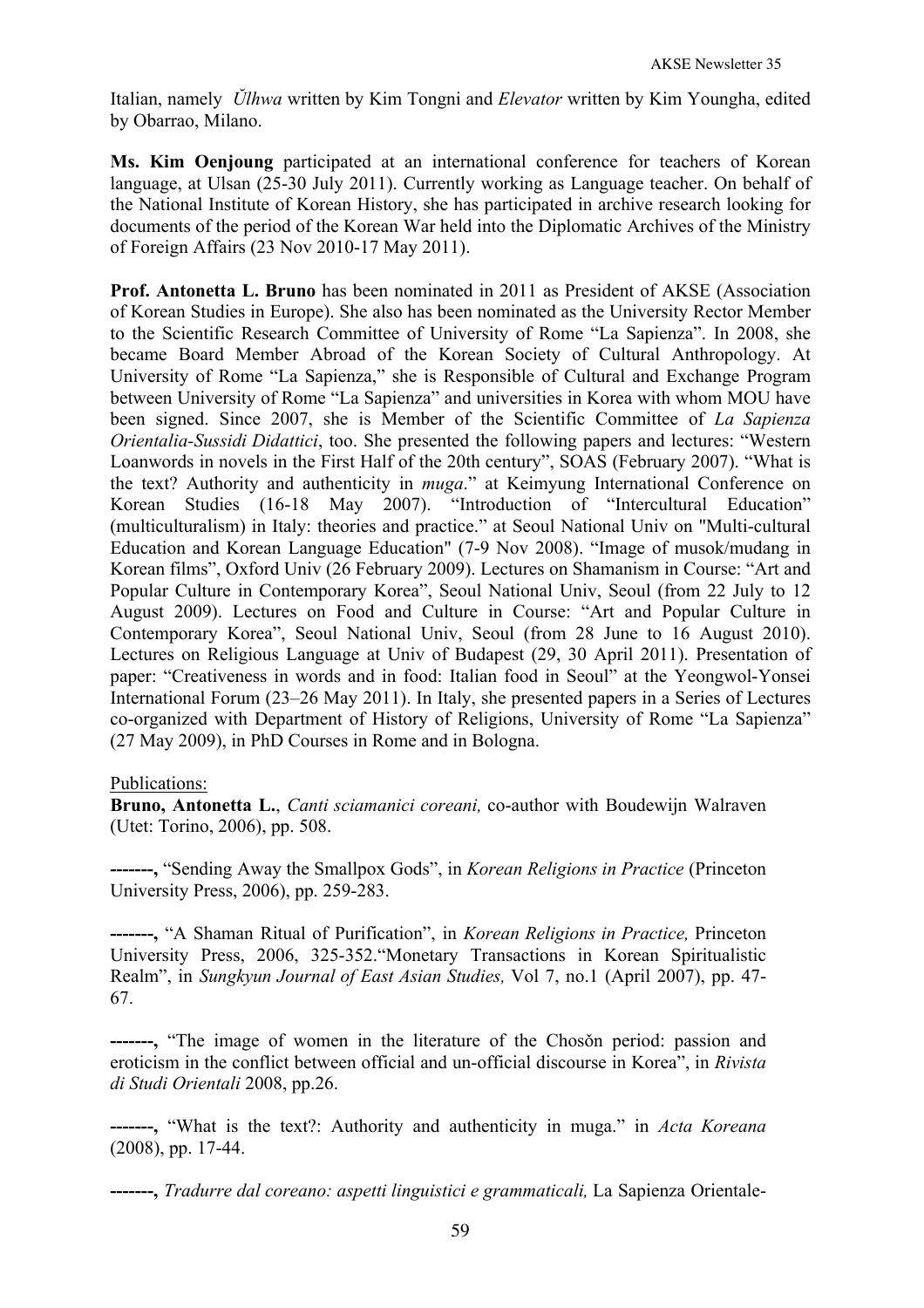Italian, namely *Ŭlhwa* written by Kim Tongni and *Elevator* written by Kim Youngha, edited by Obarrao, Milano.

**Ms. Kim Oenjoung** participated at an international conference for teachers of Korean language, at Ulsan (25-30 July 2011). Currently working as Language teacher. On behalf of the National Institute of Korean History, she has participated in archive research looking for documents of the period of the Korean War held into the Diplomatic Archives of the Ministry of Foreign Affairs (23 Nov 2010-17 May 2011).

**Prof. Antonetta L. Bruno** has been nominated in 2011 as President of AKSE (Association of Korean Studies in Europe). She also has been nominated as the University Rector Member to the Scientific Research Committee of University of Rome "La Sapienza". In 2008, she became Board Member Abroad of the Korean Society of Cultural Anthropology. At University of Rome "La Sapienza," she is Responsible of Cultural and Exchange Program between University of Rome "La Sapienza" and universities in Korea with whom MOU have been signed. Since 2007, she is Member of the Scientific Committee of *La Sapienza Orientalia-Sussidi Didattici*, too. She presented the following papers and lectures: "Western Loanwords in novels in the First Half of the 20th century", SOAS (February 2007). "What is the text? Authority and authenticity in *muga*." at Keimyung International Conference on Korean Studies (16-18 May 2007). "Introduction of "Intercultural Education" (multiculturalism) in Italy: theories and practice." at Seoul National Univ on "Multi-cultural Education and Korean Language Education" (7-9 Nov 2008). "Image of musok/mudang in Korean films", Oxford Univ (26 February 2009). Lectures on Shamanism in Course: "Art and Popular Culture in Contemporary Korea", Seoul National Univ, Seoul (from 22 July to 12 August 2009). Lectures on Food and Culture in Course: "Art and Popular Culture in Contemporary Korea", Seoul National Univ, Seoul (from 28 June to 16 August 2010). Lectures on Religious Language at Univ of Budapest (29, 30 April 2011). Presentation of paper: "Creativeness in words and in food: Italian food in Seoul" at the Yeongwol-Yonsei International Forum (23–26 May 2011). In Italy, she presented papers in a Series of Lectures co-organized with Department of History of Religions, University of Rome "La Sapienza" (27 May 2009), in PhD Courses in Rome and in Bologna.

# Publications:

**Bruno, Antonetta L.**, *Canti sciamanici coreani,* co-author with Boudewijn Walraven (Utet: Torino, 2006), pp. 508.

**-------,** "Sending Away the Smallpox Gods", in *Korean Religions in Practice* (Princeton University Press, 2006), pp. 259-283.

**-------,** "A Shaman Ritual of Purification", in *Korean Religions in Practice,* Princeton University Press, 2006, 325-352."Monetary Transactions in Korean Spiritualistic Realm", in *Sungkyun Journal of East Asian Studies,* Vol 7, no.1 (April 2007), pp. 47- 67.

**-------,** "The image of women in the literature of the Chosǒn period: passion and eroticism in the conflict between official and un-official discourse in Korea", in *Rivista di Studi Orientali* 2008, pp.26.

**-------,** "What is the text?: Authority and authenticity in muga." in *Acta Koreana*  (2008), pp. 17-44.

**-------,** *Tradurre dal coreano: aspetti linguistici e grammaticali,* La Sapienza Orientale-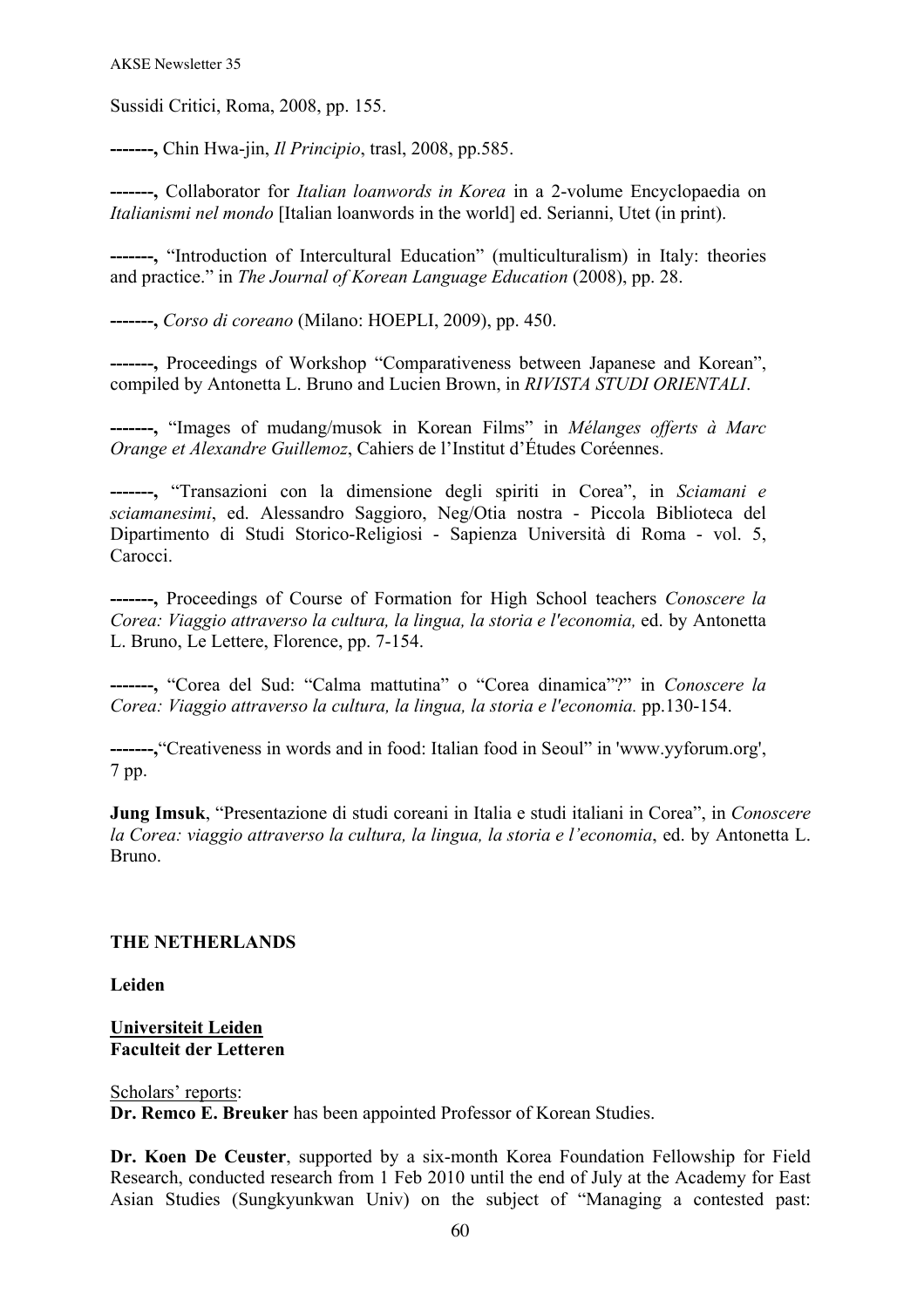Sussidi Critici, Roma, 2008, pp. 155.

**-------,** Chin Hwa-jin, *Il Principio*, trasl, 2008, pp.585.

**-------,** Collaborator for *Italian loanwords in Korea* in a 2-volume Encyclopaedia on *Italianismi nel mondo* [Italian loanwords in the world] ed. Serianni, Utet (in print).

**-------,** "Introduction of Intercultural Education" (multiculturalism) in Italy: theories and practice." in *The Journal of Korean Language Education* (2008), pp. 28.

**-------,** *Corso di coreano* (Milano: HOEPLI, 2009), pp. 450.

**-------,** Proceedings of Workshop "Comparativeness between Japanese and Korean", compiled by Antonetta L. Bruno and Lucien Brown, in *RIVISTA STUDI ORIENTALI*.

**-------,** "Images of mudang/musok in Korean Films" in *Mélanges offerts à Marc Orange et Alexandre Guillemoz*, Cahiers de l'Institut d'Études Coréennes.

**-------,** "Transazioni con la dimensione degli spiriti in Corea", in *Sciamani e sciamanesimi*, ed. Alessandro Saggioro, Neg/Otia nostra - Piccola Biblioteca del Dipartimento di Studi Storico-Religiosi - Sapienza Università di Roma - vol. 5, Carocci.

**-------,** Proceedings of Course of Formation for High School teachers *Conoscere la Corea: Viaggio attraverso la cultura, la lingua, la storia e l'economia,* ed. by Antonetta L. Bruno, Le Lettere, Florence, pp. 7-154.

**-------,** "Corea del Sud: "Calma mattutina" o "Corea dinamica"?" in *Conoscere la Corea: Viaggio attraverso la cultura, la lingua, la storia e l'economia.* pp.130-154.

**-------,**"Creativeness in words and in food: Italian food in Seoul" in 'www.yyforum.org', 7 pp.

**Jung Imsuk**, "Presentazione di studi coreani in Italia e studi italiani in Corea", in *Conoscere la Corea: viaggio attraverso la cultura, la lingua, la storia e l'economia*, ed. by Antonetta L. Bruno.

# **THE NETHERLANDS**

**Leiden**

### **Universiteit Leiden Faculteit der Letteren**

### Scholars' reports:

**Dr. Remco E. Breuker** has been appointed Professor of Korean Studies.

**Dr. Koen De Ceuster**, supported by a six-month Korea Foundation Fellowship for Field Research, conducted research from 1 Feb 2010 until the end of July at the Academy for East Asian Studies (Sungkyunkwan Univ) on the subject of "Managing a contested past: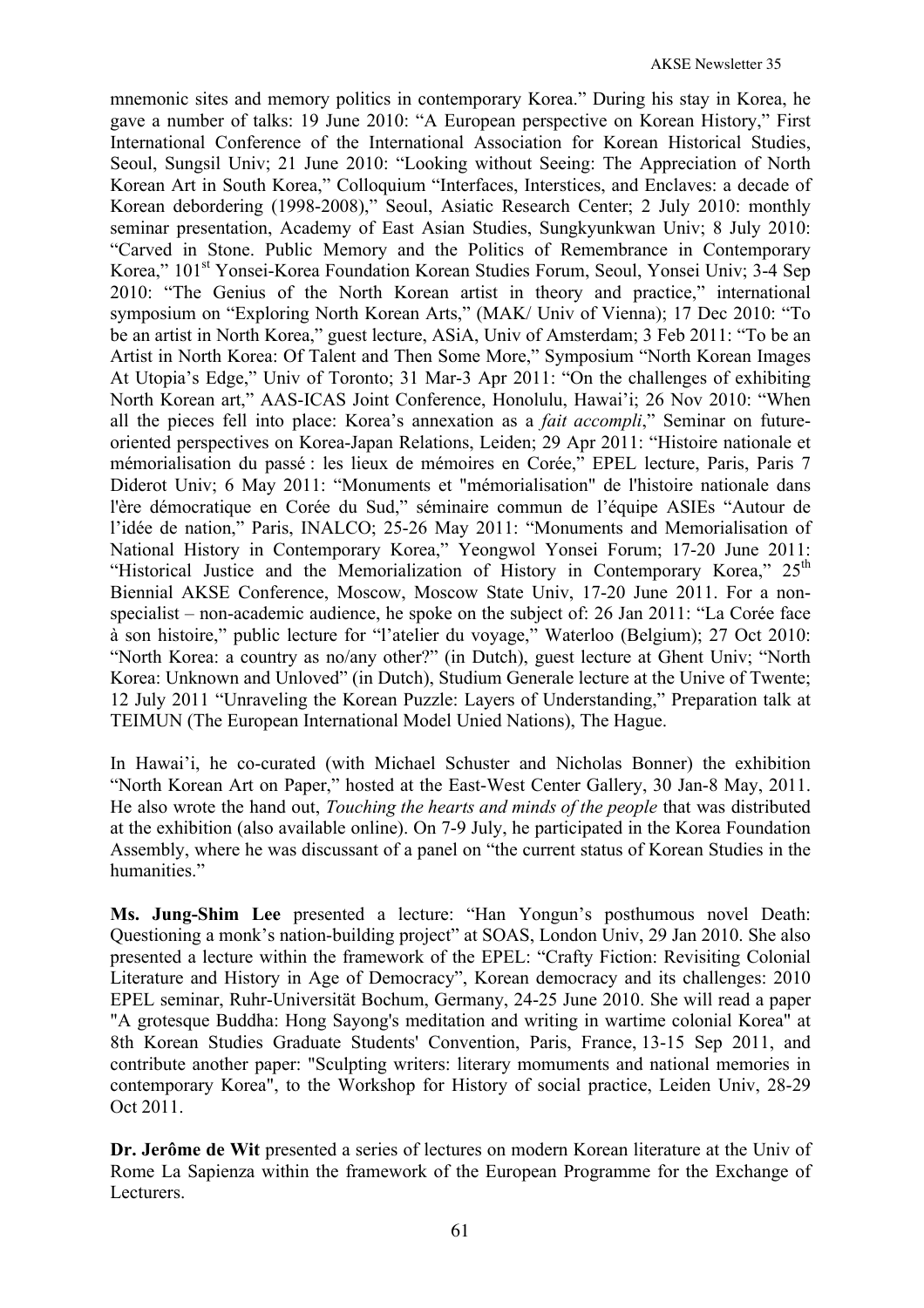mnemonic sites and memory politics in contemporary Korea." During his stay in Korea, he gave a number of talks: 19 June 2010: "A European perspective on Korean History," First International Conference of the International Association for Korean Historical Studies, Seoul, Sungsil Univ; 21 June 2010: "Looking without Seeing: The Appreciation of North Korean Art in South Korea," Colloquium "Interfaces, Interstices, and Enclaves: a decade of Korean debordering (1998-2008)," Seoul, Asiatic Research Center; 2 July 2010: monthly seminar presentation, Academy of East Asian Studies, Sungkyunkwan Univ; 8 July 2010: "Carved in Stone. Public Memory and the Politics of Remembrance in Contemporary Korea," 101<sup>st</sup> Yonsei-Korea Foundation Korean Studies Forum, Seoul, Yonsei Univ; 3-4 Sep 2010: "The Genius of the North Korean artist in theory and practice," international symposium on "Exploring North Korean Arts," (MAK/ Univ of Vienna); 17 Dec 2010: "To be an artist in North Korea," guest lecture, ASiA, Univ of Amsterdam; 3 Feb 2011: "To be an Artist in North Korea: Of Talent and Then Some More," Symposium "North Korean Images At Utopia's Edge," Univ of Toronto; 31 Mar-3 Apr 2011: "On the challenges of exhibiting North Korean art," AAS-ICAS Joint Conference, Honolulu, Hawai'i; 26 Nov 2010: "When all the pieces fell into place: Korea's annexation as a *fait accompli*," Seminar on futureoriented perspectives on Korea-Japan Relations, Leiden; 29 Apr 2011: "Histoire nationale et mémorialisation du passé : les lieux de mémoires en Corée," EPEL lecture, Paris, Paris 7 Diderot Univ; 6 May 2011: "Monuments et "mémorialisation" de l'histoire nationale dans l'ère démocratique en Corée du Sud," séminaire commun de l'équipe ASIEs "Autour de l'idée de nation," Paris, INALCO; 25-26 May 2011: "Monuments and Memorialisation of National History in Contemporary Korea," Yeongwol Yonsei Forum; 17-20 June 2011: "Historical Justice and the Memorialization of History in Contemporary Korea,"  $25<sup>th</sup>$ Biennial AKSE Conference, Moscow, Moscow State Univ, 17-20 June 2011. For a nonspecialist – non-academic audience, he spoke on the subject of: 26 Jan 2011: "La Corée face à son histoire," public lecture for "l'atelier du voyage," Waterloo (Belgium); 27 Oct 2010: "North Korea: a country as no/any other?" (in Dutch), guest lecture at Ghent Univ; "North Korea: Unknown and Unloved" (in Dutch), Studium Generale lecture at the Unive of Twente; 12 July 2011 "Unraveling the Korean Puzzle: Layers of Understanding," Preparation talk at TEIMUN (The European International Model Unied Nations), The Hague.

In Hawai'i, he co-curated (with Michael Schuster and Nicholas Bonner) the exhibition "North Korean Art on Paper," hosted at the East-West Center Gallery, 30 Jan-8 May, 2011. He also wrote the hand out, *Touching the hearts and minds of the people* that was distributed at the exhibition (also available online). On 7-9 July, he participated in the Korea Foundation Assembly, where he was discussant of a panel on "the current status of Korean Studies in the humanities."

**Ms. Jung-Shim Lee** presented a lecture: "Han Yongun's posthumous novel Death: Questioning a monk's nation-building project" at SOAS, London Univ, 29 Jan 2010. She also presented a lecture within the framework of the EPEL: "Crafty Fiction: Revisiting Colonial Literature and History in Age of Democracy", Korean democracy and its challenges: 2010 EPEL seminar, Ruhr-Universitӓt Bochum, Germany, 24-25 June 2010. She will read a paper "A grotesque Buddha: Hong Sayong's meditation and writing in wartime colonial Korea" at 8th Korean Studies Graduate Students' Convention, Paris, France, 13-15 Sep 2011, and contribute another paper: "Sculpting writers: literary momuments and national memories in contemporary Korea", to the Workshop for History of social practice, Leiden Univ, 28-29 Oct 2011.

**Dr. Jerôme de Wit** presented a series of lectures on modern Korean literature at the Univ of Rome La Sapienza within the framework of the European Programme for the Exchange of Lecturers.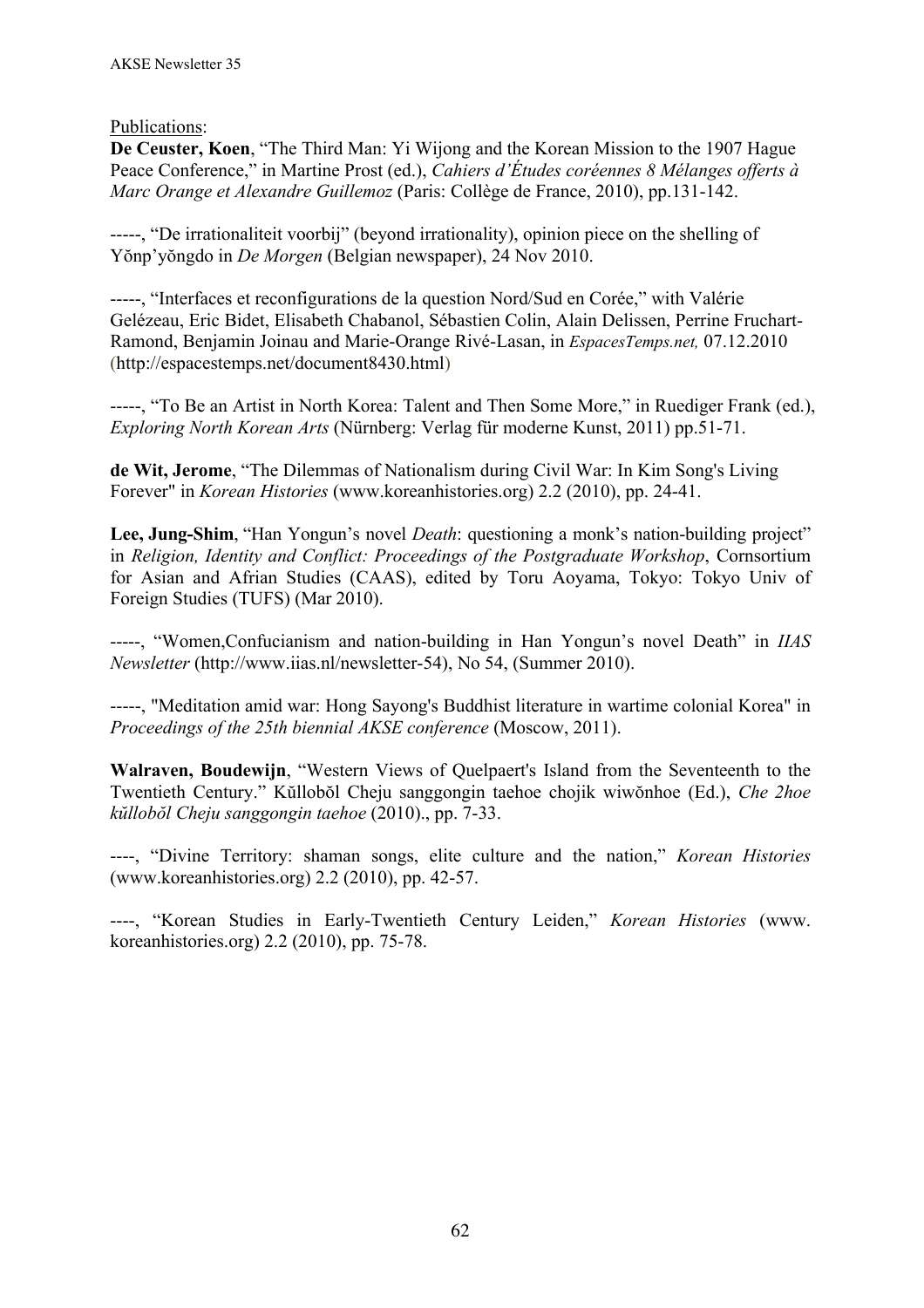Publications:

**De Ceuster, Koen**, "The Third Man: Yi Wijong and the Korean Mission to the 1907 Hague Peace Conference," in Martine Prost (ed.), *Cahiers d'Études coréennes 8 Mélanges offerts à Marc Orange et Alexandre Guillemoz* (Paris: Collège de France, 2010), pp.131-142.

-----, "De irrationaliteit voorbij" (beyond irrationality), opinion piece on the shelling of Yŏnp'yŏngdo in *De Morgen* (Belgian newspaper), 24 Nov 2010.

-----, "Interfaces et reconfigurations de la question Nord/Sud en Corée," with Valérie Gelézeau, Eric Bidet, Elisabeth Chabanol, Sébastien Colin, Alain Delissen, Perrine Fruchart-Ramond, Benjamin Joinau and Marie-Orange Rivé-Lasan, in *EspacesTemps.net,* 07.12.2010 (http://espacestemps.net/document8430.html)

-----, "To Be an Artist in North Korea: Talent and Then Some More," in Ruediger Frank (ed.), *Exploring North Korean Arts* (Nürnberg: Verlag für moderne Kunst, 2011) pp.51-71.

**de Wit, Jerome**, "The Dilemmas of Nationalism during Civil War: In Kim Song's Living Forever" in *Korean Histories* (www.koreanhistories.org) 2.2 (2010), pp. 24-41.

**Lee, Jung-Shim**, "Han Yongun's novel *Death*: questioning a monk's nation-building project" in *Religion, Identity and Conflict: Proceedings of the Postgraduate Workshop*, Cornsortium for Asian and Afrian Studies (CAAS), edited by Toru Aoyama, Tokyo: Tokyo Univ of Foreign Studies (TUFS) (Mar 2010).

-----, "Women,Confucianism and nation-building in Han Yongun's novel Death" in *IIAS Newsletter* (http://www.iias.nl/newsletter-54), No 54, (Summer 2010).

-----, "Meditation amid war: Hong Sayong's Buddhist literature in wartime colonial Korea" in *Proceedings of the 25th biennial AKSE conference* (Moscow, 2011).

**Walraven, Boudewijn**, "Western Views of Quelpaert's Island from the Seventeenth to the Twentieth Century." Kŭllobŏl Cheju sanggongin taehoe chojik wiwŏnhoe (Ed.), *Che 2hoe kŭllobŏl Cheju sanggongin taehoe* (2010)., pp. 7-33.

----, "Divine Territory: shaman songs, elite culture and the nation," *Korean Histories* (www.koreanhistories.org) 2.2 (2010), pp. 42-57.

----, "Korean Studies in Early-Twentieth Century Leiden," *Korean Histories* (www. koreanhistories.org) 2.2 (2010), pp. 75-78.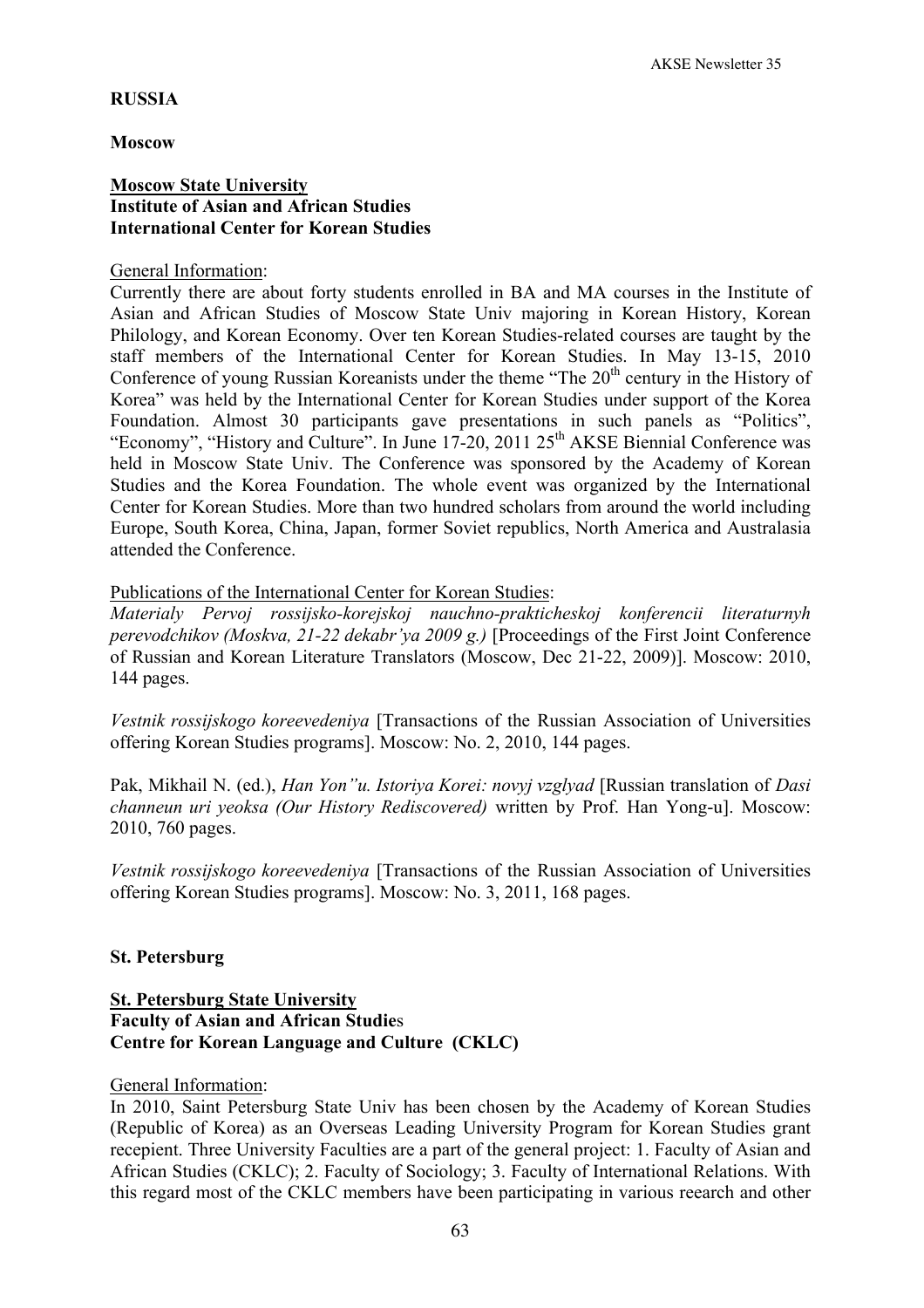#### **RUSSIA**

#### **Moscow**

## **Moscow State University Institute of Asian and African Studies International Center for Korean Studies**

#### General Information:

Currently there are about forty students enrolled in BA and MA courses in the Institute of Asian and African Studies of Moscow State Univ majoring in Korean History, Korean Philology, and Korean Economy. Over ten Korean Studies-related courses are taught by the staff members of the International Center for Korean Studies. In May 13-15, 2010 Conference of young Russian Koreanists under the theme "The  $20<sup>th</sup>$  century in the History of Korea" was held by the International Center for Korean Studies under support of the Korea Foundation. Almost 30 participants gave presentations in such panels as "Politics", "Economy", "History and Culture". In June 17-20, 2011 25<sup>th</sup> AKSE Biennial Conference was held in Moscow State Univ. The Conference was sponsored by the Academy of Korean Studies and the Korea Foundation. The whole event was organized by the International Center for Korean Studies. More than two hundred scholars from around the world including Europe, South Korea, China, Japan, former Soviet republics, North America and Australasia attended the Conference.

Publications of the International Center for Korean Studies:

*Materialy Pervoj rossijsko-korejskoj nauchno-prakticheskoj konferencii literaturnyh perevodchikov (Moskva, 21-22 dekabr'ya 2009 g.)* [Proceedings of the First Joint Conference of Russian and Korean Literature Translators (Moscow, Dec 21-22, 2009)]. Moscow: 2010, 144 pages.

*Vestnik rossijskogo koreevedeniya* [Transactions of the Russian Association of Universities offering Korean Studies programs]. Moscow: No. 2, 2010, 144 pages.

Pak, Mikhail N. (ed.), *Han Yon"u. Istoriya Korei: novyj vzglyad* [Russian translation of *Dasi channeun uri yeoksa (Our History Rediscovered)* written by Prof. Han Yong-u]. Moscow: 2010, 760 pages.

*Vestnik rossijskogo koreevedeniya* [Transactions of the Russian Association of Universities offering Korean Studies programs]. Moscow: No. 3, 2011, 168 pages.

### **St. Petersburg**

# **St. Petersburg State University Faculty of Asian and African Studie**s **Centre for Korean Language and Culture (CKLC)**

#### General Information:

In 2010, Saint Petersburg State Univ has been chosen by the Academy of Korean Studies (Republic of Korea) as an Overseas Leading University Program for Korean Studies grant recepient. Three University Faculties are a part of the general project: 1. Faculty of Asian and African Studies (CKLC); 2. Faculty of Sociology; 3. Faculty of International Relations. With this regard most of the CKLC members have been participating in various reearch and other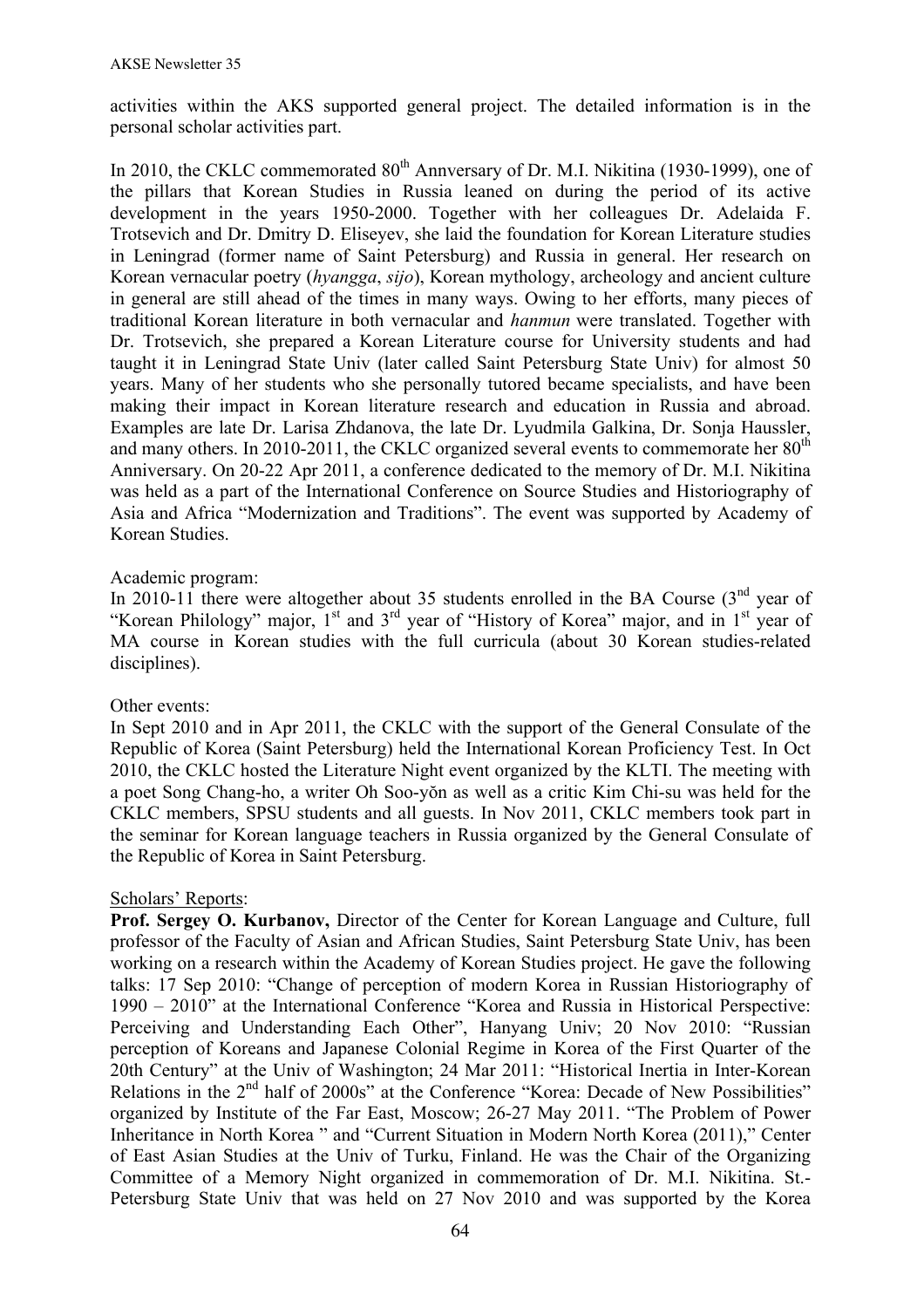activities within the AKS supported general project. The detailed information is in the personal scholar activities part.

In 2010, the CKLC commemorated 80<sup>th</sup> Annyersary of Dr. M.I. Nikitina (1930-1999), one of the pillars that Korean Studies in Russia leaned on during the period of its active development in the years 1950-2000. Together with her colleagues Dr. Adelaida F. Trotsevich and Dr. Dmitry D. Eliseyev, she laid the foundation for Korean Literature studies in Leningrad (former name of Saint Petersburg) and Russia in general. Her research on Korean vernacular poetry (*hyangga*, *sijo*), Korean mythology, archeology and ancient culture in general are still ahead of the times in many ways. Owing to her efforts, many pieces of traditional Korean literature in both vernacular and *hanmun* were translated. Together with Dr. Trotsevich, she prepared a Korean Literature course for University students and had taught it in Leningrad State Univ (later called Saint Petersburg State Univ) for almost 50 years. Many of her students who she personally tutored became specialists, and have been making their impact in Korean literature research and education in Russia and abroad. Examples are late Dr. Larisa Zhdanova, the late Dr. Lyudmila Galkina, Dr. Sonja Haussler, and many others. In 2010-2011, the CKLC organized several events to commemorate her  $80<sup>th</sup>$ Anniversary. On 20-22 Apr 2011, a conference dedicated to the memory of Dr. M.I. Nikitina was held as a part of the International Conference on Source Studies and Historiography of Asia and Africa "Modernization and Traditions". The event was supported by Academy of Korean Studies.

## Academic program:

In 2010-11 there were altogether about 35 students enrolled in the BA Course  $(3<sup>nd</sup>$  year of "Korean Philology" major, 1<sup>st</sup> and 3<sup>rd</sup> year of "History of Korea" major, and in 1<sup>st</sup> year of MA course in Korean studies with the full curricula (about 30 Korean studies-related disciplines).

### Other events:

In Sept 2010 and in Apr 2011, the CKLC with the support of the General Consulate of the Republic of Korea (Saint Petersburg) held the International Korean Proficiency Test. In Oct 2010, the CKLC hosted the Literature Night event organized by the KLTI. The meeting with a poet Song Chang-ho, a writer Oh Soo-yŏn as well as a critic Kim Chi-su was held for the CKLC members, SPSU students and all guests. In Nov 2011, CKLC members took part in the seminar for Korean language teachers in Russia organized by the General Consulate of the Republic of Korea in Saint Petersburg.

### Scholars' Reports:

**Prof. Sergey O. Kurbanov,** Director of the Center for Korean Language and Culture, full professor of the Faculty of Asian and African Studies, Saint Petersburg State Univ, has been working on a research within the Academy of Korean Studies project. He gave the following talks: 17 Sep 2010: "Change of perception of modern Korea in Russian Historiography of 1990 – 2010" at the International Conference "Korea and Russia in Historical Perspective: Perceiving and Understanding Each Other", Hanyang Univ; 20 Nov 2010: "Russian perception of Koreans and Japanese Colonial Regime in Korea of the First Quarter of the 20th Century" at the Univ of Washington; 24 Mar 2011: "Historical Inertia in Inter-Korean Relations in the 2<sup>nd</sup> half of 2000s" at the Conference "Korea: Decade of New Possibilities" organized by Institute of the Far East, Moscow; 26-27 May 2011. "The Problem of Power Inheritance in North Korea " and "Current Situation in Modern North Korea (2011)," Center of East Asian Studies at the Univ of Turku, Finland. He was the Chair of the Organizing Committee of a Memory Night organized in commemoration of Dr. M.I. Nikitina. St.- Petersburg State Univ that was held on 27 Nov 2010 and was supported by the Korea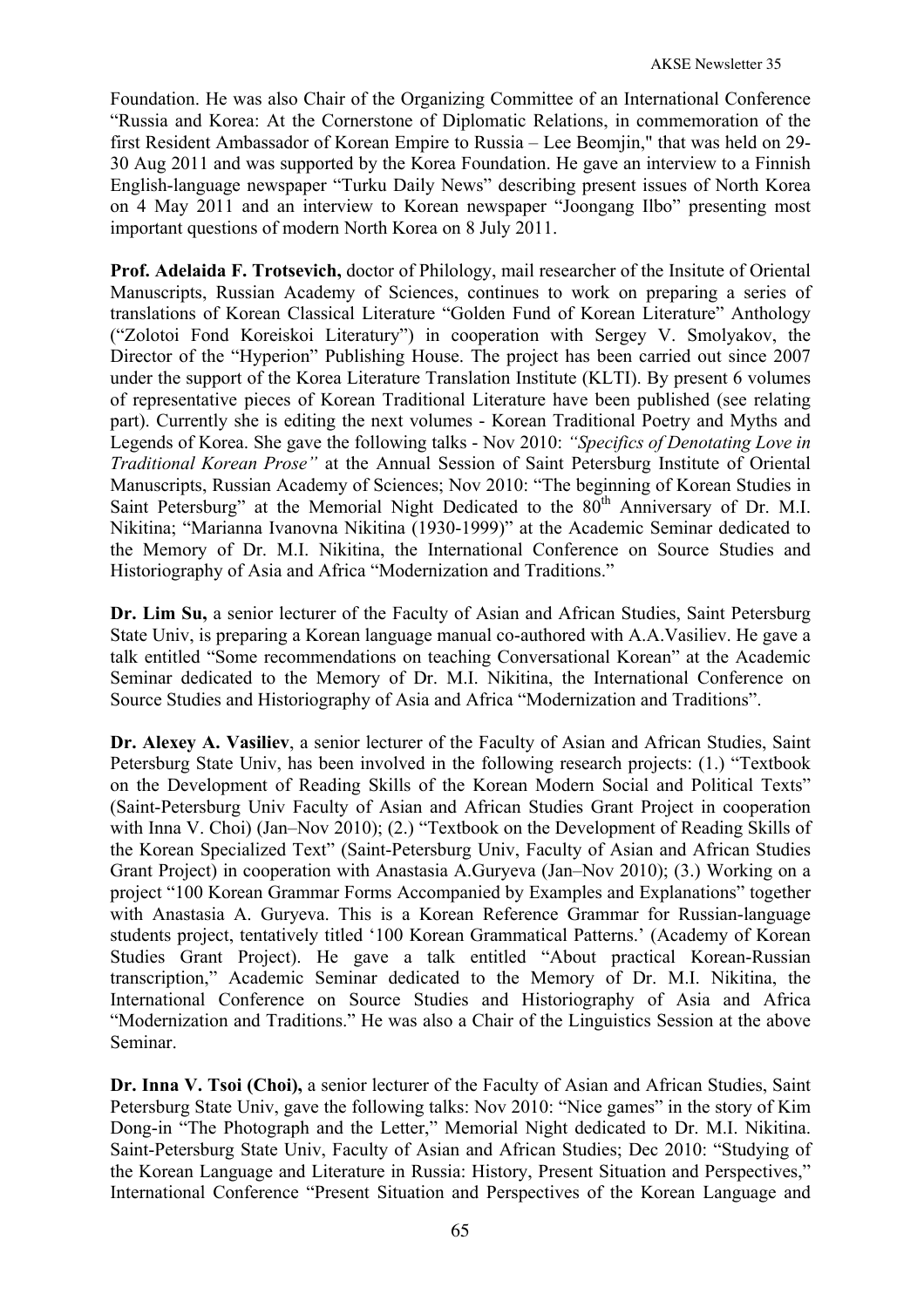Foundation. He was also Chair of the Organizing Committee of an International Conference "Russia and Korea: At the Cornerstone of Diplomatic Relations, in commemoration of the first Resident Ambassador of Korean Empire to Russia – Lee Beomjin," that was held on 29- 30 Aug 2011 and was supported by the Korea Foundation. He gave an interview to a Finnish English-language newspaper "Turku Daily News" describing present issues of North Korea on 4 May 2011 and an interview to Korean newspaper "Joongang Ilbo" presenting most important questions of modern North Korea on 8 July 2011.

**Prof. Adelaida F. Trotsevich,** doctor of Philology, mail researcher of the Insitute of Oriental Manuscripts, Russian Academy of Sciences, continues to work on preparing a series of translations of Korean Classical Literature "Golden Fund of Korean Literature" Anthology ("Zolotoi Fond Koreiskoi Literatury") in cooperation with Sergey V. Smolyakov, the Director of the "Hyperion" Publishing House. The project has been carried out since 2007 under the support of the Korea Literature Translation Institute (KLTI). By present 6 volumes of representative pieces of Korean Traditional Literature have been published (see relating part). Currently she is editing the next volumes - Korean Traditional Poetry and Myths and Legends of Korea. She gave the following talks - Nov 2010: *"Specifics of Denotating Love in Traditional Korean Prose"* at the Annual Session of Saint Petersburg Institute of Oriental Manuscripts, Russian Academy of Sciences; Nov 2010: "The beginning of Korean Studies in Saint Petersburg" at the Memorial Night Dedicated to the 80<sup>th</sup> Anniversary of Dr. M.I. Nikitina; "Marianna Ivanovna Nikitina (1930-1999)" at the Academic Seminar dedicated to the Memory of Dr. M.I. Nikitina, the International Conference on Source Studies and Historiography of Asia and Africa "Modernization and Traditions."

**Dr. Lim Su,** a senior lecturer of the Faculty of Asian and African Studies, Saint Petersburg State Univ, is preparing a Korean language manual co-authored with A.A.Vasiliev. He gave a talk entitled "Some recommendations on teaching Conversational Korean" at the Academic Seminar dedicated to the Memory of Dr. M.I. Nikitina, the International Conference on Source Studies and Historiography of Asia and Africa "Modernization and Traditions".

**Dr. Alexey A. Vasiliev**, a senior lecturer of the Faculty of Asian and African Studies, Saint Petersburg State Univ, has been involved in the following research projects: (1.) "Textbook on the Development of Reading Skills of the Korean Modern Social and Political Texts" (Saint-Petersburg Univ Faculty of Asian and African Studies Grant Project in cooperation with Inna V. Choi) (Jan–Nov 2010); (2.) "Textbook on the Development of Reading Skills of the Korean Specialized Text" (Saint-Petersburg Univ, Faculty of Asian and African Studies Grant Project) in cooperation with Anastasia A.Guryeva (Jan–Nov 2010); (3.) Working on a project "100 Korean Grammar Forms Accompanied by Examples and Explanations" together with Anastasia A. Guryeva. This is a Korean Reference Grammar for Russian-language students project, tentatively titled '100 Korean Grammatical Patterns.' (Academy of Korean Studies Grant Project). He gave a talk entitled "About practical Korean-Russian transcription," Academic Seminar dedicated to the Memory of Dr. M.I. Nikitina, the International Conference on Source Studies and Historiography of Asia and Africa "Modernization and Traditions." He was also a Chair of the Linguistics Session at the above Seminar.

Dr. Inna V. Tsoi (Choi), a senior lecturer of the Faculty of Asian and African Studies, Saint Petersburg State Univ, gave the following talks: Nov 2010: "Nice games" in the story of Kim Dong-in "The Photograph and the Letter," Memorial Night dedicated to Dr. M.I. Nikitina. Saint-Petersburg State Univ, Faculty of Asian and African Studies; Dec 2010: "Studying of the Korean Language and Literature in Russia: History, Present Situation and Perspectives," International Conference "Present Situation and Perspectives of the Korean Language and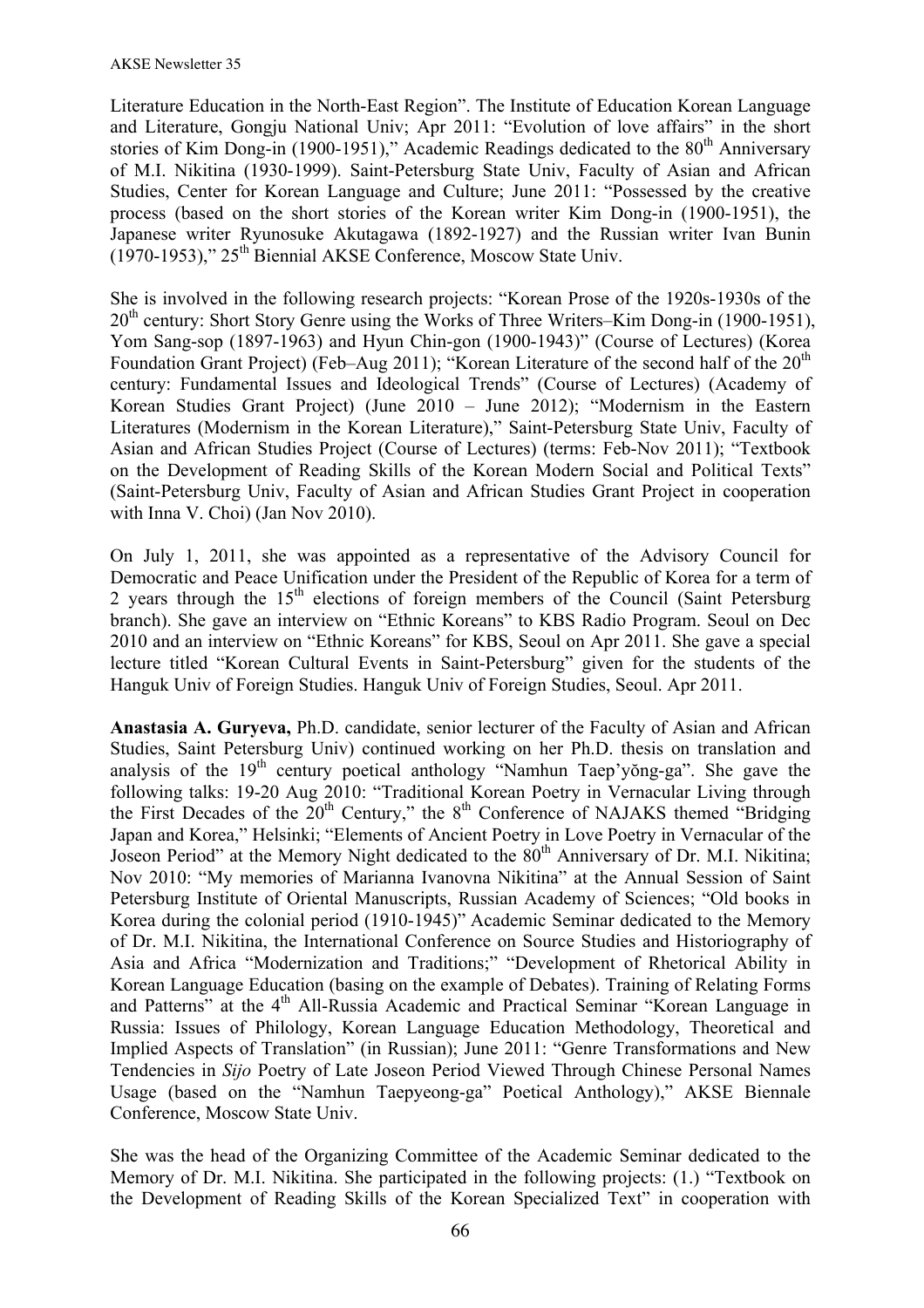Literature Education in the North-East Region". The Institute of Education Korean Language and Literature, Gongju National Univ; Apr 2011: "Evolution of love affairs" in the short stories of Kim Dong-in (1900-1951)," Academic Readings dedicated to the  $80<sup>th</sup>$  Anniversary of M.I. Nikitina (1930-1999). Saint-Petersburg State Univ, Faculty of Asian and African Studies, Center for Korean Language and Culture; June 2011: "Possessed by the creative process (based on the short stories of the Korean writer Kim Dong-in (1900-1951), the Japanese writer Ryunosuke Akutagawa (1892-1927) and the Russian writer Ivan Bunin (1970-1953)," 25th Biennial AKSE Conference, Moscow State Univ.

She is involved in the following research projects: "Korean Prose of the 1920s-1930s of the  $20<sup>th</sup>$  century: Short Story Genre using the Works of Three Writers–Kim Dong-in (1900-1951), Yom Sang-sop (1897-1963) and Hyun Chin-gon (1900-1943)" (Course of Lectures) (Korea Foundation Grant Project) (Feb–Aug 2011); "Korean Literature of the second half of the  $20<sup>th</sup>$ century: Fundamental Issues and Ideological Trends" (Course of Lectures) (Academy of Korean Studies Grant Project) (June 2010 – June 2012); "Modernism in the Eastern Literatures (Modernism in the Korean Literature)," Saint-Petersburg State Univ, Faculty of Asian and African Studies Project (Course of Lectures) (terms: Feb-Nov 2011); "Textbook on the Development of Reading Skills of the Korean Modern Social and Political Texts" (Saint-Petersburg Univ, Faculty of Asian and African Studies Grant Project in cooperation with Inna V. Choi) (Jan Nov 2010).

On July 1, 2011, she was appointed as a representative of the Advisory Council for Democratic and Peace Unification under the President of the Republic of Korea for a term of 2 years through the  $15<sup>th</sup>$  elections of foreign members of the Council (Saint Petersburg branch). She gave an interview on "Ethnic Koreans" to KBS Radio Program. Seoul on Dec 2010 and an interview on "Ethnic Koreans" for KBS, Seoul on Apr 2011. She gave a special lecture titled "Korean Cultural Events in Saint-Petersburg" given for the students of the Hanguk Univ of Foreign Studies. Hanguk Univ of Foreign Studies, Seoul. Apr 2011.

**Anastasia A. Guryeva,** Ph.D. candidate, senior lecturer of the Faculty of Asian and African Studies, Saint Petersburg Univ) continued working on her Ph.D. thesis on translation and analysis of the  $19<sup>th</sup>$  century poetical anthology "Namhun Taep'yŏng-ga". She gave the following talks: 19-20 Aug 2010: "Traditional Korean Poetry in Vernacular Living through the First Decades of the 20<sup>th</sup> Century," the 8<sup>th</sup> Conference of NAJAKS themed "Bridging" Japan and Korea," Helsinki; "Elements of Ancient Poetry in Love Poetry in Vernacular of the Joseon Period" at the Memory Night dedicated to the 80<sup>th</sup> Anniversary of Dr. M.I. Nikitina; Nov 2010: "My memories of Marianna Ivanovna Nikitina" at the Annual Session of Saint Petersburg Institute of Oriental Manuscripts, Russian Academy of Sciences; "Old books in Korea during the colonial period (1910-1945)" Academic Seminar dedicated to the Memory of Dr. M.I. Nikitina, the International Conference on Source Studies and Historiography of Asia and Africa "Modernization and Traditions;" "Development of Rhetorical Ability in Korean Language Education (basing on the example of Debates). Training of Relating Forms and Patterns" at the 4<sup>th</sup> All-Russia Academic and Practical Seminar "Korean Language in Russia: Issues of Philology, Korean Language Education Methodology, Theoretical and Implied Aspects of Translation" (in Russian); June 2011: "Genre Transformations and New Tendencies in *Sijo* Poetry of Late Joseon Period Viewed Through Chinese Personal Names Usage (based on the "Namhun Taepyeong-ga" Poetical Anthology)," AKSE Biennale Conference, Moscow State Univ.

She was the head of the Organizing Committee of the Academic Seminar dedicated to the Memory of Dr. M.I. Nikitina. She participated in the following projects: (1.) "Textbook on the Development of Reading Skills of the Korean Specialized Text" in cooperation with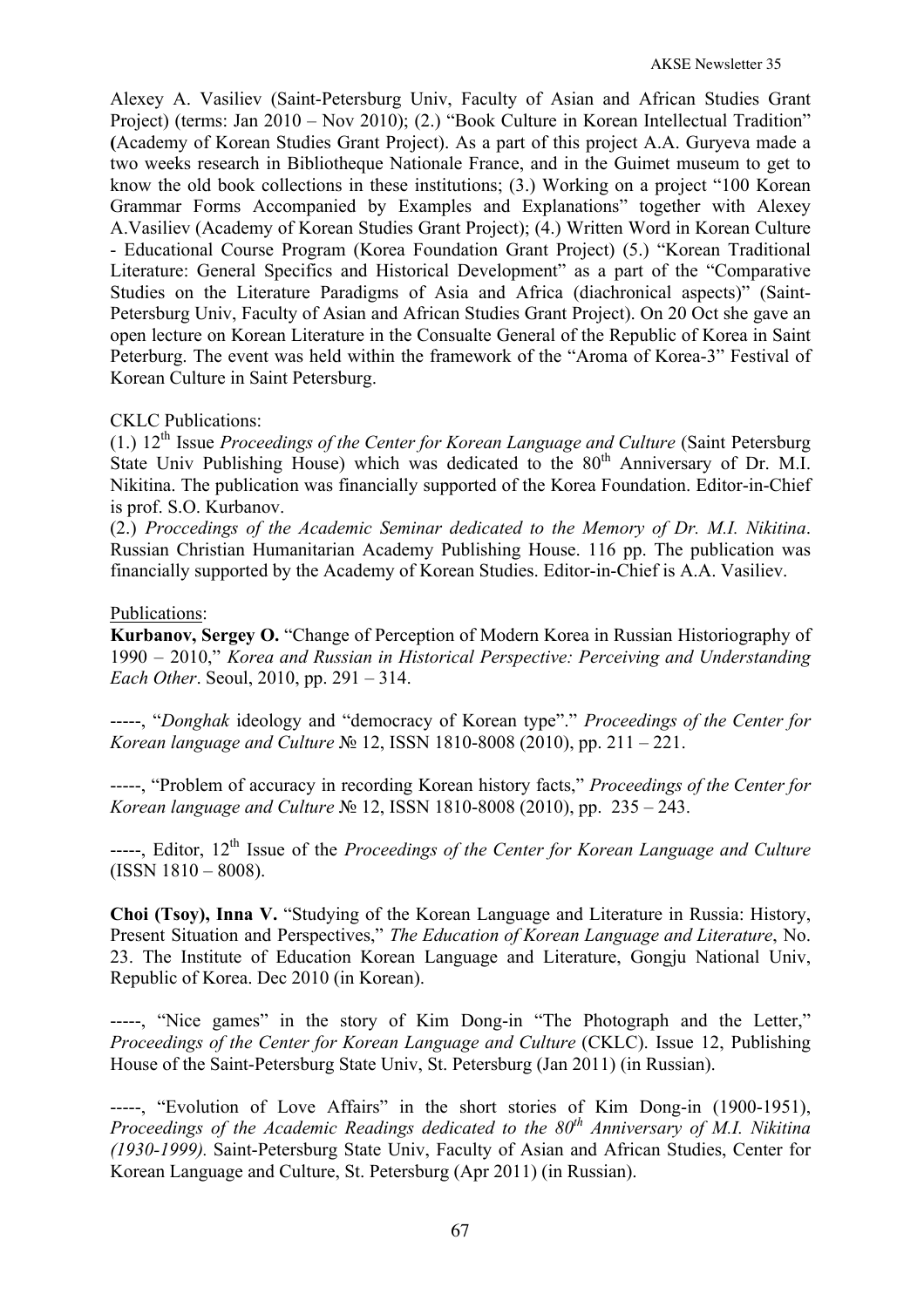Alexey A. Vasiliev (Saint-Petersburg Univ, Faculty of Asian and African Studies Grant Project) (terms: Jan 2010 – Nov 2010); (2.) "Book Culture in Korean Intellectual Tradition" **(**Academy of Korean Studies Grant Project). As a part of this project A.A. Guryeva made a two weeks research in Bibliotheque Nationale France, and in the Guimet museum to get to know the old book collections in these institutions; (3.) Working on a project "100 Korean Grammar Forms Accompanied by Examples and Explanations" together with Alexey A.Vasiliev (Academy of Korean Studies Grant Project); (4.) Written Word in Korean Culture - Educational Course Program (Korea Foundation Grant Project) (5.) "Korean Traditional Literature: General Specifics and Historical Development" as a part of the "Comparative Studies on the Literature Paradigms of Asia and Africa (diachronical aspects)" (Saint-Petersburg Univ, Faculty of Asian and African Studies Grant Project). On 20 Oct she gave an open lecture on Korean Literature in the Consualte General of the Republic of Korea in Saint Peterburg. The event was held within the framework of the "Aroma of Korea-3" Festival of Korean Culture in Saint Petersburg.

## CKLC Publications:

(1.) 12th Issue *Proceedings of the Center for Korean Language and Culture* (Saint Petersburg State Univ Publishing House) which was dedicated to the  $80<sup>th</sup>$  Anniversary of Dr. M.I. Nikitina. The publication was financially supported of the Korea Foundation. Editor-in-Chief is prof. S.O. Kurbanov.

(2.) *Proccedings of the Academic Seminar dedicated to the Memory of Dr. M.I. Nikitina*. Russian Christian Humanitarian Academy Publishing House. 116 pp. The publication was financially supported by the Academy of Korean Studies. Editor-in-Chief is A.A. Vasiliev.

### Publications:

**Kurbanov, Sergey O.** "Change of Perception of Modern Korea in Russian Historiography of 1990 – 2010," *Korea and Russian in Historical Perspective: Perceiving and Understanding Each Other*. Seoul, 2010, pp. 291 – 314.

-----, "*Donghak* ideology and "democracy of Korean type"." *Proceedings of the Center for Korean language and Culture* № 12, ISSN 1810-8008 (2010), pp. 211 – 221.

-----, "Problem of accuracy in recording Korean history facts," *Proceedings of the Center for Korean language and Culture* № 12, ISSN 1810-8008 (2010), pp. 235 – 243.

-----, Editor, 12th Issue of the *Proceedings of the Center for Korean Language and Culture* (ISSN 1810 – 8008).

**Choi (Tsoy), Inna V.** "Studying of the Korean Language and Literature in Russia: History, Present Situation and Perspectives," *The Education of Korean Language and Literature*, No. 23. The Institute of Education Korean Language and Literature, Gongju National Univ, Republic of Korea. Dec 2010 (in Korean).

-----, "Nice games" in the story of Kim Dong-in "The Photograph and the Letter," *Proceedings of the Center for Korean Language and Culture (CKLC). Issue 12, Publishing* House of the Saint-Petersburg State Univ, St. Petersburg (Jan 2011) (in Russian).

-----, "Evolution of Love Affairs" in the short stories of Kim Dong-in (1900-1951), *Proceedings of the Academic Readings dedicated to the 80th Anniversary of M.I. Nikitina (1930-1999).* Saint-Petersburg State Univ, Faculty of Asian and African Studies, Center for Korean Language and Culture, St. Petersburg (Apr 2011) (in Russian).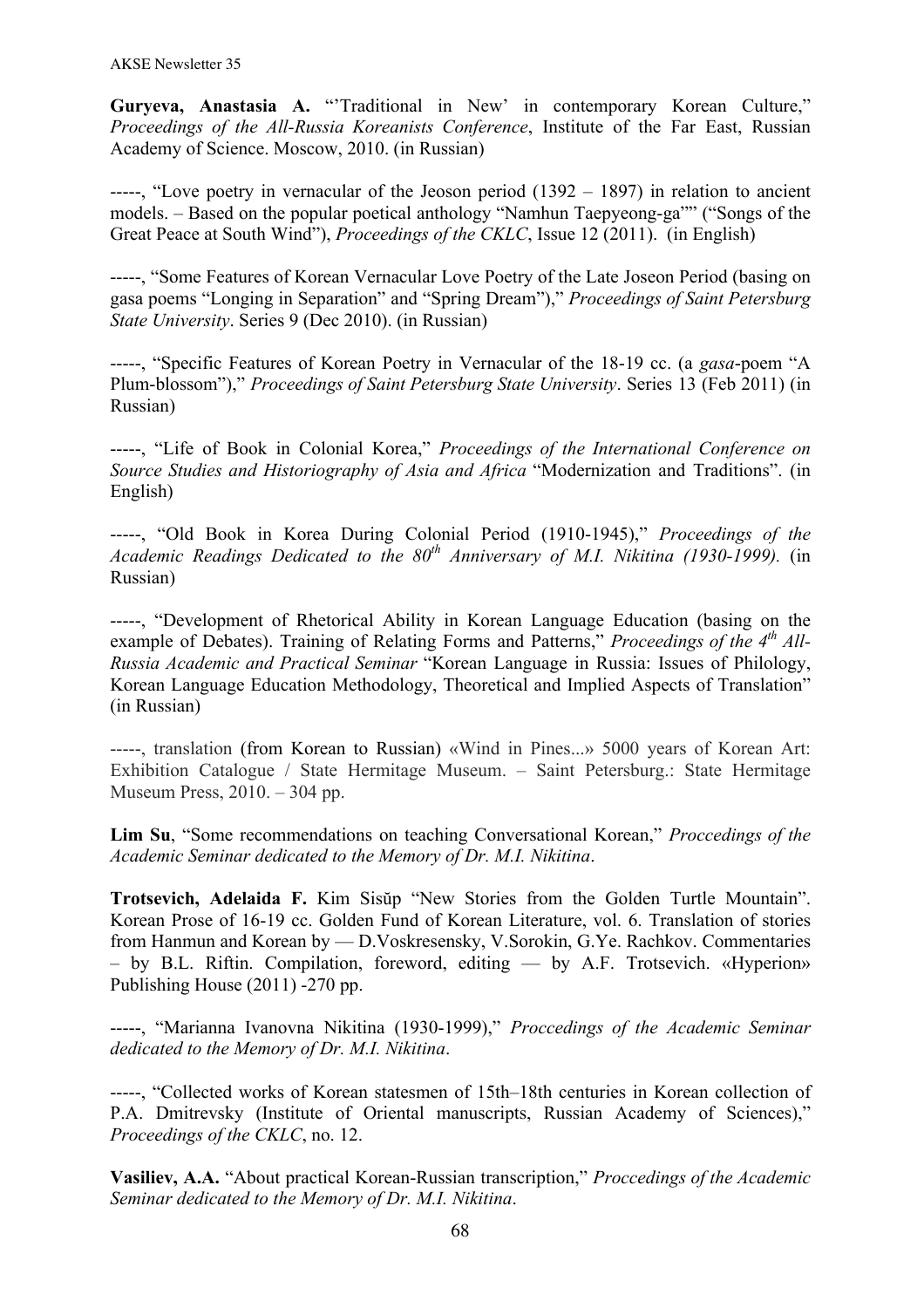Guryeva, Anastasia A. "Traditional in New' in contemporary Korean Culture." *Proceedings of the All-Russia Koreanists Conference*, Institute of the Far East, Russian Academy of Science. Moscow, 2010. (in Russian)

-----, "Love poetry in vernacular of the Jeoson period (1392 – 1897) in relation to ancient models. – Based on the popular poetical anthology "Namhun Taepyeong-ga"" ("Songs of the Great Peace at South Wind"), *Proceedings of the CKLC*, Issue 12 (2011). (in English)

-----, "Some Features of Korean Vernacular Love Poetry of the Late Joseon Period (basing on gasa poems "Longing in Separation" and "Spring Dream")," *Proceedings of Saint Petersburg State University*. Series 9 (Dec 2010). (in Russian)

-----, "Specific Features of Korean Poetry in Vernacular of the 18-19 cc. (a *gasa*-poem "A Plum-blossom")," *Proceedings of Saint Petersburg State University*. Series 13 (Feb 2011) (in Russian)

-----, "Life of Book in Colonial Korea," *Proceedings of the International Conference on Source Studies and Historiography of Asia and Africa* "Modernization and Traditions". (in English)

-----, "Old Book in Korea During Colonial Period (1910-1945)," *Proceedings of the Academic Readings Dedicated to the 80th Anniversary of M.I. Nikitina (1930-1999).* (in Russian)

-----, "Development of Rhetorical Ability in Korean Language Education (basing on the example of Debates). Training of Relating Forms and Patterns," *Proceedings of the 4th All-Russia Academic and Practical Seminar* "Korean Language in Russia: Issues of Philology, Korean Language Education Methodology, Theoretical and Implied Aspects of Translation" (in Russian)

-----, translation (from Korean to Russian) «Wind in Pines...» 5000 years of Korean Art: Exhibition Catalogue / State Hermitage Museum. – Saint Petersburg.: State Hermitage Museum Press, 2010. – 304 pp.

**Lim Su**, "Some recommendations on teaching Conversational Korean," *Proccedings of the Academic Seminar dedicated to the Memory of Dr. M.I. Nikitina*.

**Trotsevich, Adelaida F.** Kim Sisŭp "New Stories from the Golden Turtle Mountain". Korean Prose of 16-19 cc. Golden Fund of Korean Literature, vol. 6. Translation of stories from Hanmun and Korean by — D.Voskresensky, V.Sorokin, G.Ye. Rachkov. Commentaries – by B.L. Riftin. Compilation, foreword, editing — by A.F. Trotsevich. «Hyperion» Publishing House (2011) -270 pp.

-----, "Marianna Ivanovna Nikitina (1930-1999)," *Proccedings of the Academic Seminar dedicated to the Memory of Dr. M.I. Nikitina*.

-----, "Collected works of Korean statesmen of 15th–18th centuries in Korean collection of P.A. Dmitrevsky (Institute of Oriental manuscripts, Russian Academy of Sciences)," *Proceedings of the CKLC*, no. 12.

**Vasiliev, A.A.** "About practical Korean-Russian transcription," *Proccedings of the Academic Seminar dedicated to the Memory of Dr. M.I. Nikitina*.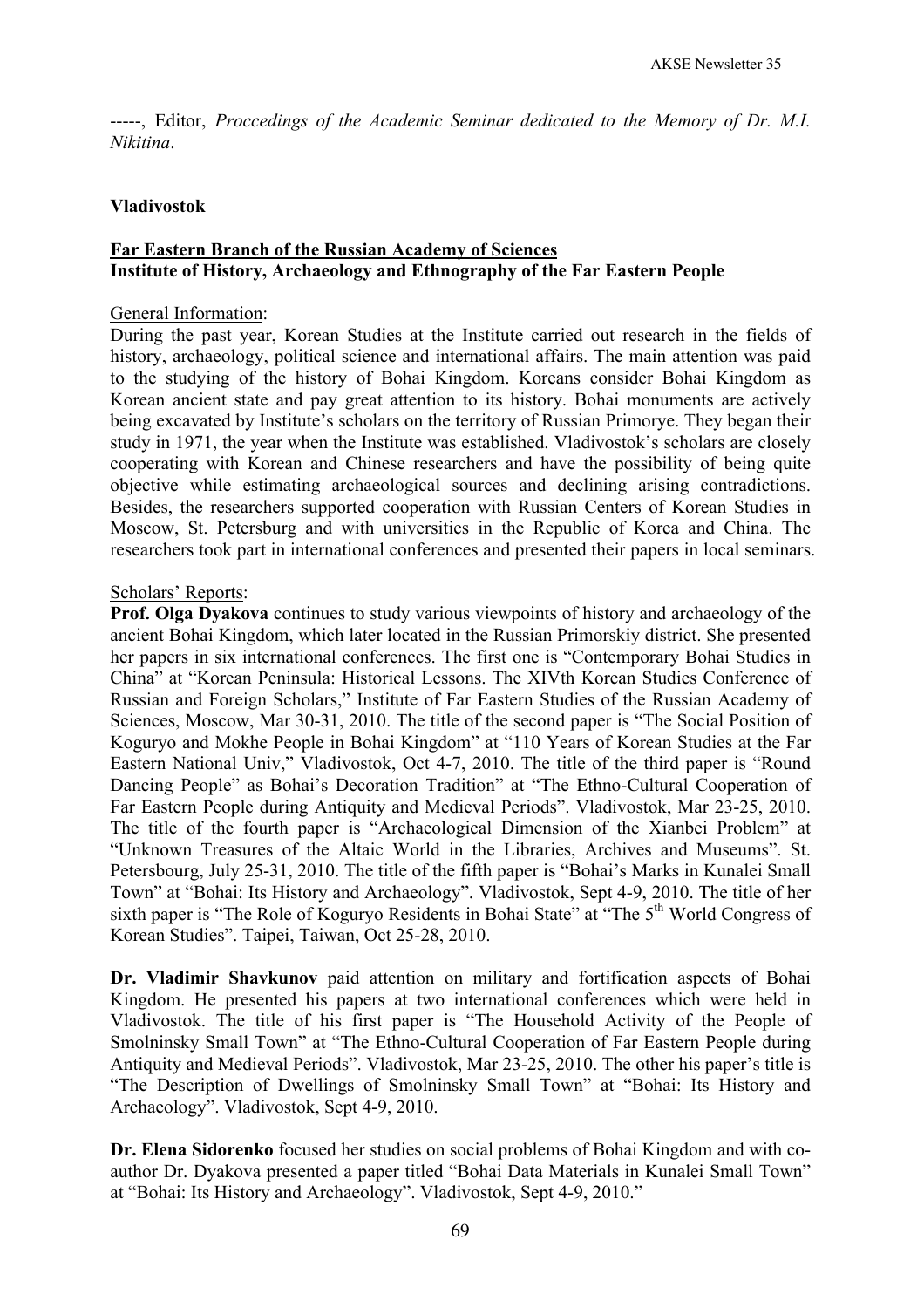-----, Editor, *Proccedings of the Academic Seminar dedicated to the Memory of Dr. M.I. Nikitina*.

#### **Vladivostok**

# **Far Eastern Branch of the Russian Academy of Sciences Institute of History, Archaeology and Ethnography of the Far Eastern People**

#### General Information:

During the past year, Korean Studies at the Institute carried out research in the fields of history, archaeology, political science and international affairs. The main attention was paid to the studying of the history of Bohai Kingdom. Koreans consider Bohai Kingdom as Korean ancient state and pay great attention to its history. Bohai monuments are actively being excavated by Institute's scholars on the territory of Russian Primorye. They began their study in 1971, the year when the Institute was established. Vladivostok's scholars are closely cooperating with Korean and Chinese researchers and have the possibility of being quite objective while estimating archaeological sources and declining arising contradictions. Besides, the researchers supported cooperation with Russian Centers of Korean Studies in Moscow, St. Petersburg and with universities in the Republic of Korea and China. The researchers took part in international conferences and presented their papers in local seminars.

#### Scholars' Reports:

**Prof. Olga Dyakova** continues to study various viewpoints of history and archaeology of the ancient Bohai Kingdom, which later located in the Russian Primorskiy district. She presented her papers in six international conferences. The first one is "Contemporary Bohai Studies in China" at "Korean Peninsula: Historical Lessons. The XIVth Korean Studies Conference of Russian and Foreign Scholars," Institute of Far Eastern Studies of the Russian Academy of Sciences, Moscow, Mar 30-31, 2010. The title of the second paper is "The Social Position of Koguryo and Mokhe People in Bohai Kingdom" at "110 Years of Korean Studies at the Far Eastern National Univ," Vladivostok, Oct 4-7, 2010. The title of the third paper is "Round Dancing People" as Bohai's Decoration Tradition" at "The Ethno-Cultural Cooperation of Far Eastern People during Antiquity and Medieval Periods". Vladivostok, Mar 23-25, 2010. The title of the fourth paper is "Archaeological Dimension of the Xianbei Problem" at "Unknown Treasures of the Altaic World in the Libraries, Archives and Museums". St. Petersbourg, July 25-31, 2010. The title of the fifth paper is "Bohai's Marks in Kunalei Small Town" at "Bohai: Its History and Archaeology". Vladivostok, Sept 4-9, 2010. The title of her sixth paper is "The Role of Koguryo Residents in Bohai State" at "The 5<sup>th</sup> World Congress of Korean Studies". Taipei, Taiwan, Oct 25-28, 2010.

**Dr. Vladimir Shavkunov** paid attention on military and fortification aspects of Bohai Kingdom. He presented his papers at two international conferences which were held in Vladivostok. The title of his first paper is "The Household Activity of the People of Smolninsky Small Town" at "The Ethno-Cultural Cooperation of Far Eastern People during Antiquity and Medieval Periods". Vladivostok, Mar 23-25, 2010. The other his paper's title is "The Description of Dwellings of Smolninsky Small Town" at "Bohai: Its History and Archaeology". Vladivostok, Sept 4-9, 2010.

**Dr. Elena Sidorenko** focused her studies on social problems of Bohai Kingdom and with coauthor Dr. Dyakova presented a paper titled "Bohai Data Materials in Kunalei Small Town" at "Bohai: Its History and Archaeology". Vladivostok, Sept 4-9, 2010."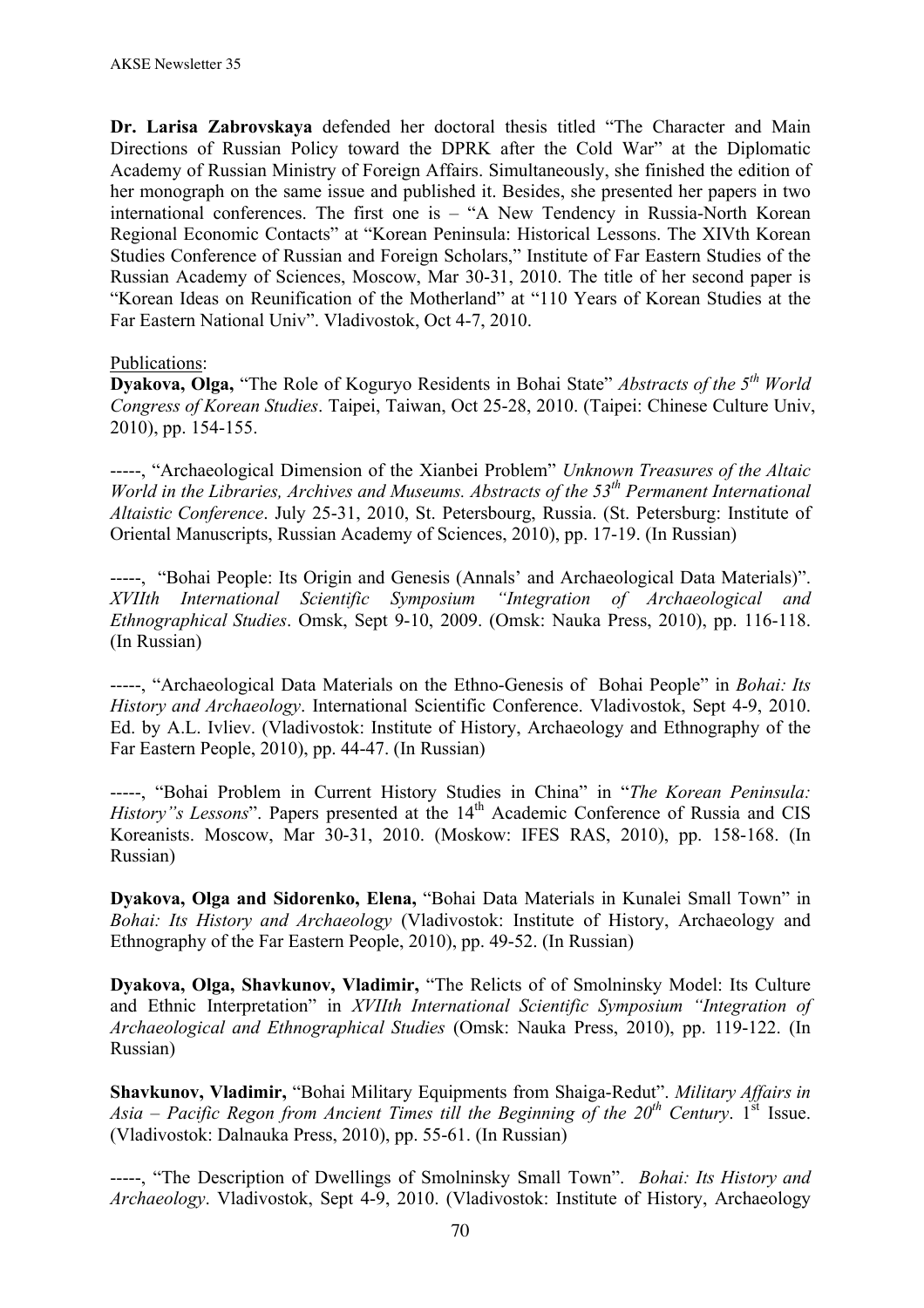**Dr. Larisa Zabrovskaya** defended her doctoral thesis titled "The Character and Main Directions of Russian Policy toward the DPRK after the Cold War" at the Diplomatic Academy of Russian Ministry of Foreign Affairs. Simultaneously, she finished the edition of her monograph on the same issue and published it. Besides, she presented her papers in two international conferences. The first one is – "A New Tendency in Russia-North Korean Regional Economic Contacts" at "Korean Peninsula: Historical Lessons. The XIVth Korean Studies Conference of Russian and Foreign Scholars," Institute of Far Eastern Studies of the Russian Academy of Sciences, Moscow, Mar 30-31, 2010. The title of her second paper is "Korean Ideas on Reunification of the Motherland" at "110 Years of Korean Studies at the Far Eastern National Univ". Vladivostok, Oct 4-7, 2010.

### Publications:

**Dyakova, Olga,** "The Role of Koguryo Residents in Bohai State" *Abstracts of the 5th World Congress of Korean Studies*. Taipei, Taiwan, Oct 25-28, 2010. (Taipei: Chinese Culture Univ, 2010), pp. 154-155.

-----, "Archaeological Dimension of the Xianbei Problem" *Unknown Treasures of the Altaic World in the Libraries, Archives and Museums. Abstracts of the 53th Permanent International Altaistic Conference*. July 25-31, 2010, St. Petersbourg, Russia. (St. Petersburg: Institute of Oriental Manuscripts, Russian Academy of Sciences, 2010), pp. 17-19. (In Russian)

-----, "Bohai People: Its Origin and Genesis (Annals' and Archaeological Data Materials)". *XVIIth International Scientific Symposium "Integration of Archaeological and Ethnographical Studies*. Omsk, Sept 9-10, 2009. (Omsk: Nauka Press, 2010), pp. 116-118. (In Russian)

-----, "Archaeological Data Materials on the Ethno-Genesis of Bohai People" in *Bohai: Its History and Archaeology*. International Scientific Conference. Vladivostok, Sept 4-9, 2010. Ed. by A.L. Ivliev. (Vladivostok: Institute of History, Archaeology and Ethnography of the Far Eastern People, 2010), pp. 44-47. (In Russian)

-----, "Bohai Problem in Current History Studies in China" in "*The Korean Peninsula: History"s Lessons*". Papers presented at the 14<sup>th</sup> Academic Conference of Russia and CIS Koreanists. Moscow, Mar 30-31, 2010. (Moskow: IFES RAS, 2010), pp. 158-168. (In Russian)

**Dyakova, Olga and Sidorenko, Elena,** "Bohai Data Materials in Kunalei Small Town" in *Bohai: Its History and Archaeology* (Vladivostok: Institute of History, Archaeology and Ethnography of the Far Eastern People, 2010), pp. 49-52. (In Russian)

**Dyakova, Olga, Shavkunov, Vladimir,** "The Relicts of of Smolninsky Model: Its Culture and Ethnic Interpretation" in *XVIIth International Scientific Symposium "Integration of Archaeological and Ethnographical Studies* (Omsk: Nauka Press, 2010), pp. 119-122. (In Russian)

**Shavkunov, Vladimir,** "Bohai Military Equipments from Shaiga-Redut". *Military Affairs in Asia – Pacific Regon from Ancient Times till the Beginning of the*  $20<sup>th</sup>$  *Century.* 1<sup>st</sup> Issue. (Vladivostok: Dalnauka Press, 2010), pp. 55-61. (In Russian)

-----, "The Description of Dwellings of Smolninsky Small Town". *Bohai: Its History and Archaeology*. Vladivostok, Sept 4-9, 2010. (Vladivostok: Institute of History, Archaeology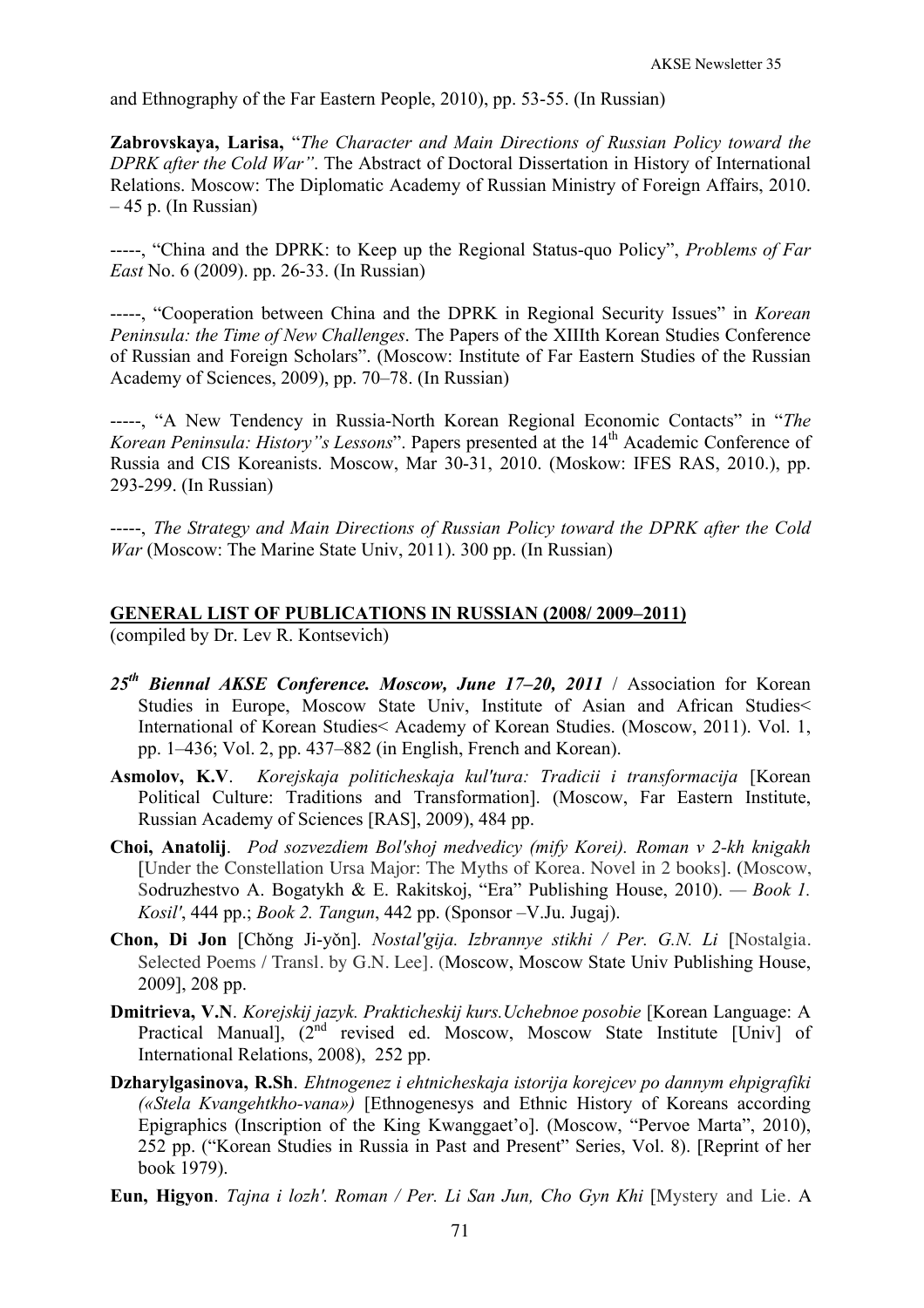and Ethnography of the Far Eastern People, 2010), pp. 53-55. (In Russian)

**Zabrovskaya, Larisa,** "*The Character and Main Directions of Russian Policy toward the DPRK after the Cold War"*. The Abstract of Doctoral Dissertation in History of International Relations. Moscow: The Diplomatic Academy of Russian Ministry of Foreign Affairs, 2010.  $-45$  p. (In Russian)

-----, "China and the DPRK: to Keep up the Regional Status-quo Policy", *Problems of Far East* No. 6 (2009). pp. 26-33. (In Russian)

-----, "Cooperation between China and the DPRK in Regional Security Issues" in *Korean Peninsula: the Time of New Challenges*. The Papers of the XIIIth Korean Studies Conference of Russian and Foreign Scholars". (Moscow: Institute of Far Eastern Studies of the Russian Academy of Sciences, 2009), pp. 70–78. (In Russian)

-----, "A New Tendency in Russia-North Korean Regional Economic Contacts" in "*The Korean Peninsula: History"s Lessons*". Papers presented at the 14<sup>th</sup> Academic Conference of Russia and CIS Koreanists. Moscow, Mar 30-31, 2010. (Moskow: IFES RAS, 2010.), pp. 293-299. (In Russian)

-----, *The Strategy and Main Directions of Russian Policy toward the DPRK after the Cold War* (Moscow: The Marine State Univ, 2011). 300 pp. (In Russian)

# **GENERAL LIST OF PUBLICATIONS IN RUSSIAN (2008/ 2009–2011)**

(compiled by Dr. Lev R. Kontsevich)

- *25th Biennal AKSE Conference. Moscow, June 17–20, 2011* / Association for Korean Studies in Europe, Moscow State Univ, Institute of Asian and African Studies< International of Korean Studies< Academy of Korean Studies. (Moscow, 2011). Vol. 1, pp. 1–436; Vol. 2, pp. 437–882 (in English, French and Korean).
- **Asmolov, K.V**. *Korejskaja politicheskaja kul'tura: Tradicii i transformacija* [Korean Political Culture: Traditions and Transformation]. (Moscow, Far Eastern Institute, Russian Academy of Sciences [RAS], 2009), 484 pp.
- **Choi, Anatolij**. *Pod sozvezdiem Bol'shoj medvedicy (mify Korei). Roman v 2-kh knigakh* [Under the Constellation Ursa Major: The Myths of Korea. Novel in 2 books]. (Moscow, Sodruzhestvo A. Bogatykh & E. Rakitskoj, "Era" Publishing House, 2010). *— Book 1. Kosil'*, 444 pp.; *Book 2. Tangun*, 442 pp. (Sponsor –V.Ju. Jugaj).
- **Chon, Di Jon** [Chǒng Ji-yǒn]. *Nostal'gija. Izbrannye stikhi / Per. G.N. Li* [Nostalgia. Selected Poems / Transl. by G.N. Lee]. (Moscow, Moscow State Univ Publishing House, 2009], 208 pp.
- **Dmitrieva, V.N**. *Korejskij jazyk. Prakticheskij kurs.Uchebnoe posobie* [Korean Language: A Practical Manual],  $(2^{nd}$  revised ed. Moscow, Moscow State Institute [Univ] of International Relations, 2008), 252 pp.
- **Dzharylgasinova, R.Sh**. *Ehtnogenez i ehtnicheskaja istorija korejcev po dannym ehpigrafiki («Stela Kvangehtkho-vana»)* [Ethnogenesys and Ethnic History of Koreans according Epigraphics (Inscription of the King Kwanggaet'o]. (Moscow, "Pervoe Marta", 2010), 252 pp. ("Korean Studies in Russia in Past and Present" Series, Vol. 8). [Reprint of her book 1979).
- **Eun, Higyon**. *Tajna i lozh'. Roman / Per. Li San Jun, Cho Gyn Khi* [Mystery and Lie. A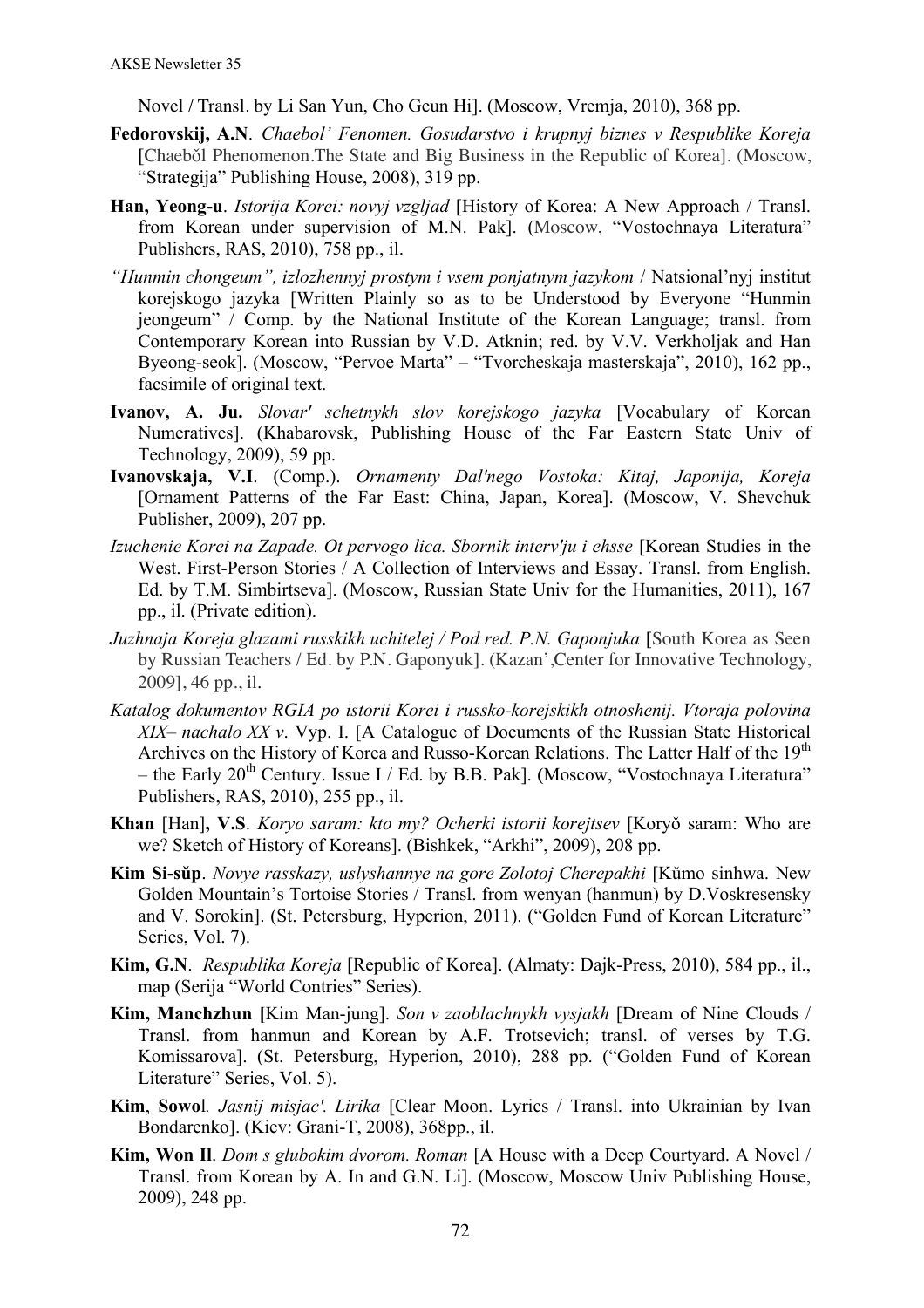Novel / Transl. by Li San Yun, Cho Geun Hi]. (Moscow, Vremja, 2010), 368 pp.

- **Fedorovskij, A.N**. *Chaebol' Fenomen. Gosudarstvo i krupnyj biznes v Respublike Koreja* [Chaebǒl Phenomenon.The State and Big Business in the Republic of Korea]. (Moscow, "Strategija" Publishing House, 2008), 319 pp.
- **Han, Yeong-u**. *Istorija Korei: novyj vzgljad* [History of Korea: A New Approach / Transl. from Korean under supervision of M.N. Pak]. (Moscow, "Vostochnaya Literatura" Publishers, RAS, 2010), 758 pp., il.
- *"Hunmin chongeum", izlozhennyj prostym i vsem ponjatnym jazykom* / Natsional'nyj institut korejskogo jazyka [Written Plainly so as to be Understood by Everyone "Hunmin jeongeum" / Comp. by the National Institute of the Korean Language; transl. from Contemporary Korean into Russian by V.D. Atknin; red. by V.V. Verkholjak and Han Byeong-seok]. (Moscow, "Pervoe Marta" – "Tvorcheskaja masterskaja", 2010), 162 pp., facsimile of original text.
- **Ivanov, A. Ju.** *Slovar' schetnykh slov korejskogo jazyka* [Vocabulary of Korean Numeratives]. (Khabarovsk, Publishing House of the Far Eastern State Univ of Technology, 2009), 59 pp.
- **Ivanovskaja, V.I**. (Comp.). *Ornamenty Dal'nego Vostoka: Kitaj, Japonija, Koreja* [Ornament Patterns of the Far East: China, Japan, Korea]. (Moscow, V. Shevchuk Publisher, 2009), 207 pp.
- *Izuchenie Korei na Zapade. Ot pervogo lica. Sbornik interv'ju i ehsse* [Korean Studies in the West. First-Person Stories / A Collection of Interviews and Essay. Transl. from English. Ed. by T.M. Simbirtseva]. (Moscow, Russian State Univ for the Humanities, 2011), 167 pp., il. (Private edition).
- *Juzhnaja Koreja glazami russkikh uchitelej / Pod red. P.N. Gaponjuka* [South Korea as Seen by Russian Teachers / Ed. by P.N. Gaponyuk]. (Kazan',Center for Innovative Technology, 2009], 46 pp., il.
- *Katalog dokumentov RGIA po istorii Korei i russko-korejskikh otnoshenij. Vtoraja polovina XIX– nachalo XX v*. Vyp. I. [A Catalogue of Documents of the Russian State Historical Archives on the History of Korea and Russo-Korean Relations. The Latter Half of the 19<sup>th</sup> – the Early 20th Century. Issue I / Ed. by B.B. Pak]. **(**Moscow, "Vostochnaya Literatura" Publishers, RAS, 2010), 255 pp., il.
- **Khan** [Han]**, V.S**. *Koryo saram: kto my? Ocherki istorii korejtsev* [Koryǒ saram: Who are we? Sketch of History of Koreans]. (Bishkek, "Arkhi", 2009), 208 pp.
- **Kim Si-sǔp**. *Novye rasskazy, uslyshannye na gore Zolotoj Cherepakhi* [Kǔmo sinhwa. New Golden Mountain's Tortoise Stories / Transl. from wenyan (hanmun) by D.Voskresensky and V. Sorokin]. (St. Petersburg, Hyperion, 2011). ("Golden Fund of Korean Literature" Series, Vol. 7).
- **Kim, G.N**. *Respublika Koreja* [Republic of Korea]. (Almaty: Dajk-Press, 2010), 584 pp., il., map (Serija "World Contries" Series).
- **Kim, Manchzhun [**Kim Man-jung]. *Son v zaoblachnykh vysjakh* [Dream of Nine Clouds / Transl. from hanmun and Korean by A.F. Trotsevich; transl. of verses by T.G. Komissarova]. (St. Petersburg, Hyperion, 2010), 288 pp. ("Golden Fund of Korean Literature" Series, Vol. 5).
- **Kim**, **Sowo**l*. Jasnij misjac'. Lirika* [Clear Moon. Lyrics / Transl. into Ukrainian by Ivan Bondarenko]. (Kiev: Grani-T, 2008), 368pp., il.
- **Kim, Won Il**. *Dom s glubokim dvorom. Roman* [A House with a Deep Courtyard. A Novel / Transl. from Korean by A. In and G.N. Li]. (Moscow, Moscow Univ Publishing House, 2009), 248 pp.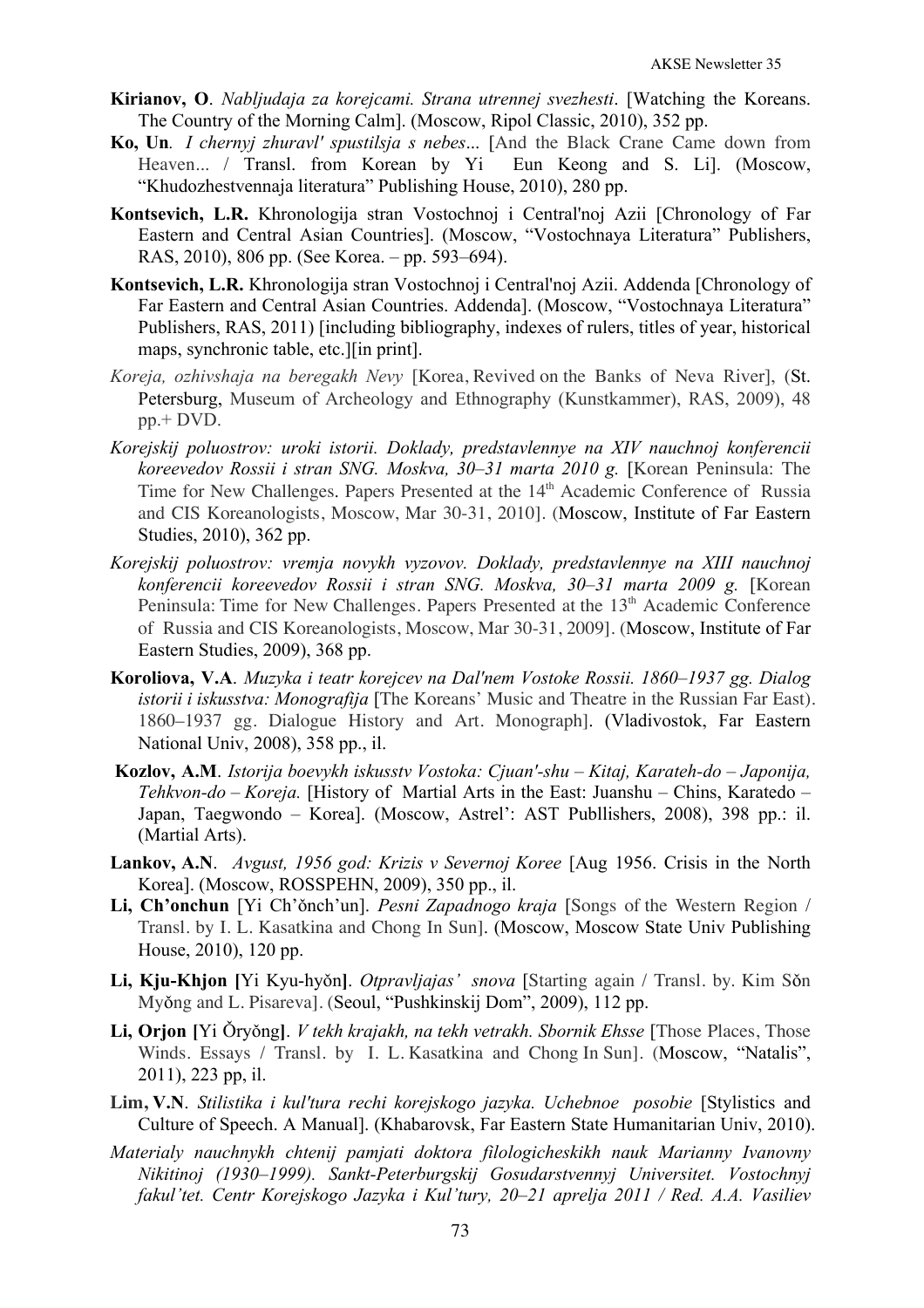- **Kirianov, O**. *Nabljudaja za korejcami. Strana utrennej svezhesti*. [Watching the Koreans. The Country of the Morning Calm]. (Moscow, Ripol Classic, 2010), 352 pp.
- **Ko, Un***. I chernyj zhuravl' spustilsja s nebes*... [And the Black Crane Came down from Heaven... / Transl. from Korean by Yi Eun Keong and S. Li]. (Moscow, "Khudozhestvennaja literatura" Publishing House, 2010), 280 pp.
- **Kontsevich, L.R.** Khronologija stran Vostochnoj i Central'noj Azii [Chronology of Far Eastern and Central Asian Countries]. (Moscow, "Vostochnaya Literatura" Publishers, RAS, 2010), 806 pp. (See Korea. – pp. 593–694).
- **Kontsevich, L.R.** Khronologija stran Vostochnoj i Central'noj Azii. Addenda [Chronology of Far Eastern and Central Asian Countries. Addenda]. (Moscow, "Vostochnaya Literatura" Publishers, RAS, 2011) [including bibliography, indexes of rulers, titles of year, historical maps, synchronic table, etc.][in print].
- *Koreja, ozhivshaja na beregakh Nevy* [Korea, Revived on the Banks of Neva River], (St. Petersburg, Museum of Archeology and Ethnography (Kunstkammer), RAS, 2009), 48 pp.+ DVD.
- *Korejskij poluostrov: uroki istorii. Doklady, predstavlennye na XIV nauchnoj konferencii koreevedov Rossii i stran SNG. Moskva, 30–31 marta 2010 g.* [Korean Peninsula: The Time for New Challenges. Papers Presented at the 14<sup>th</sup> Academic Conference of Russia and CIS Koreanologists, Moscow, Mar 30-31, 2010]. (Moscow, Institute of Far Eastern Studies, 2010), 362 pp.
- *Korejskij poluostrov: vremja novykh vyzovov. Doklady, predstavlennye na XIII nauchnoj konferencii koreevedov Rossii i stran SNG. Moskva, 30–31 marta 2009 g.* [Korean Peninsula: Time for New Challenges. Papers Presented at the 13<sup>th</sup> Academic Conference of Russia and CIS Koreanologists, Moscow, Mar 30-31, 2009]. (Moscow, Institute of Far Eastern Studies, 2009), 368 pp.
- **Koroliova, V.A**. *Muzyka i teatr korejcev na Dal'nem Vostoke Rossii. 1860–1937 gg. Dialog istorii i iskusstva: Monografija* [The Koreans' Music and Theatre in the Russian Far East). 1860–1937 gg. Dialogue History and Art. Monograph]. (Vladivostok, Far Eastern National Univ, 2008), 358 pp., il.
- **Kozlov, A.M**. *Istorija boevykh iskusstv Vostoka: Cjuan'-shu Kitaj, Karateh-do Japonija, Tehkvon-do – Koreja.* [History of Martial Arts in the East: Juanshu – Chins, Karatedo – Japan, Taegwondo – Korea]. (Moscow, Astrel': AST Publlishers, 2008), 398 pp.: il. (Martial Arts).
- **Lankov, A.N**. *Avgust, 1956 god: Krizis v Severnoj Koree* [Aug 1956. Crisis in the North Korea]. (Moscow, ROSSPEHN, 2009), 350 pp., il.
- **Li, Ch'onchun** [Yi Ch'ǒnch'un]. *Pesni Zapadnogo kraja* [Songs of the Western Region / Transl. by I. L. Kasatkina and Chong In Sun]. (Moscow, Moscow State Univ Publishing House, 2010), 120 pp.
- **Li, Kju-Khjon [**Yi Kyu-hyǒn**]**. *Otpravljajas' snova* [Starting again / Transl. by. Kim Sǒn Myǒng and L. Pisareva]. (Seoul, "Pushkinskij Dom", 2009), 112 pp.
- Li, Orion IYi <u>Örvŏngl.</u> *V tekh krajakh, na tekh vetrakh. Sbornik Ehsse* [Those Places, Those Winds. Essays / Transl. by I. L. Kasatkina and Chong In Sun]. (Moscow, "Natalis", 2011), 223 pp, il.
- **Lim, V.N**. *Stilistika i kul'tura rechi korejskogo jazyka. Uchebnoe posobie* [Stylistics and Culture of Speech. A Manual]. (Khabarovsk, Far Eastern State Humanitarian Univ, 2010).
- *Materialy nauchnykh chtenij pamjati doktora filologicheskikh nauk Marianny Ivanovny Nikitinoj (1930–1999). Sankt-Peterburgskij Gosudarstvennyj Universitet. Vostochnyj fakul'tet. Centr Korejskogo Jazyka i Kul'tury, 20–21 aprelja 2011 / Red. A.A. Vasiliev*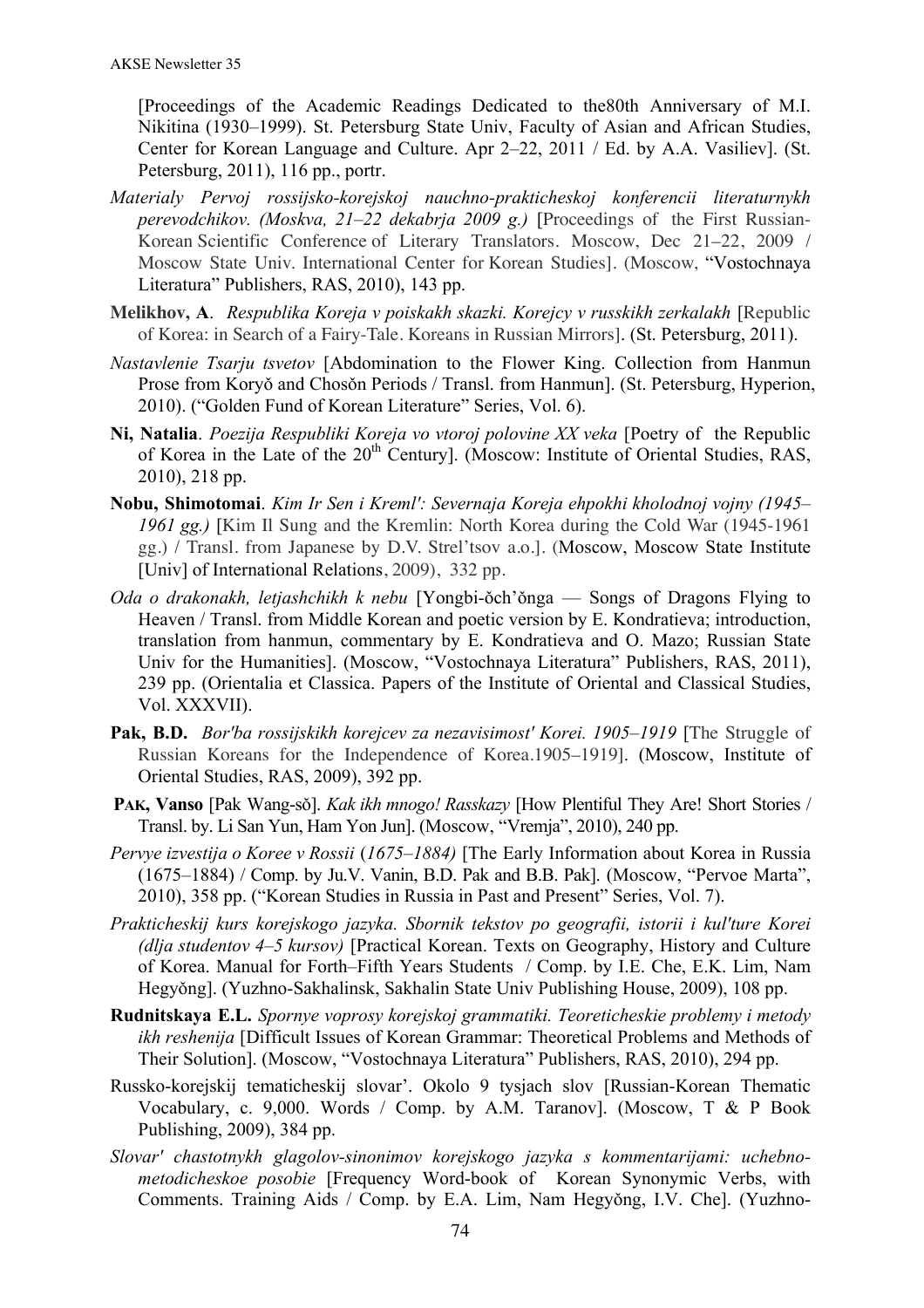[Proceedings of the Academic Readings Dedicated to the80th Anniversary of M.I. Nikitina (1930–1999). St. Petersburg State Univ, Faculty of Asian and African Studies, Center for Korean Language and Culture. Apr 2–22, 2011 / Ed. by A.A. Vasiliev]. (St. Petersburg, 2011), 116 pp., portr.

- *Materialy Pervoj rossijsko-korejskoj nauchno-prakticheskoj konferencii literaturnykh perevodchikov. (Moskva, 21–22 dekabrja 2009 g.)* [Proceedings of the First Russian-Korean Scientific Conference of Literary Translators. Moscow, Dec 21–22, 2009 / Moscow State Univ. International Center for Korean Studies]. (Moscow, "Vostochnaya Literatura" Publishers, RAS, 2010), 143 pp.
- **Melikhov, A**. *Respublika Koreja v poiskakh skazki. Korejcy v russkikh zerkalakh* [Republic of Korea: in Search of a Fairy-Tale. Koreans in Russian Mirrors]. (St. Petersburg, 2011).
- *Nastavlenie Tsarju tsvetov* [Abdomination to the Flower King. Collection from Hanmun Prose from Koryŏ and Chosŏn Periods / Transl. from Hanmun]. (St. Petersburg, Hyperion, 2010). ("Golden Fund of Korean Literature" Series, Vol. 6).
- **Ni, Natalia**. *Poezija Respubliki Koreja vo vtoroj polovine XX veka* [Poetry of the Republic of Korea in the Late of the 20th Century]. (Moscow: Institute of Oriental Studies, RAS, 2010), 218 pp.
- **Nobu, Shimotomai**. *Kim Ir Sen i Kreml': Severnaja Koreja ehpokhi kholodnoj vojny (1945– 1961 gg.)* [Kim Il Sung and the Kremlin: North Korea during the Cold War (1945-1961 gg.) / Transl. from Japanese by D.V. Strel'tsov a.o.]. (Moscow, Moscow State Institute [Univ] of International Relations, 2009), 332 pp.
- *Oda o drakonakh, letjashchikh k nebu* [Yongbi-ǒch'ǒnga Songs of Dragons Flying to Heaven / Transl. from Middle Korean and poetic version by E. Kondratieva; introduction, translation from hanmun, commentary by E. Kondratieva and O. Mazo; Russian State Univ for the Humanities]. (Moscow, "Vostochnaya Literatura" Publishers, RAS, 2011), 239 pp. (Orientalia et Classica. Papers of the Institute of Oriental and Classical Studies, Vol. XXXVII).
- **Pak, B.D.** *Bor'ba rossijskikh korejcev za nezavisimost' Korei. 1905–1919* [The Struggle of Russian Koreans for the Independence of Korea.1905–1919]. (Moscow, Institute of Oriental Studies, RAS, 2009), 392 pp.
- **PAK, Vanso** [Pak Wang-sǒ]. *Kak ikh mnogo! Rasskazy* [How Plentiful They Are! Short Stories / Transl. by. Li San Yun, Ham Yon Jun]. (Moscow, "Vremja", 2010), 240 pp.
- *Pervye izvestija o Koree v Rossii* (*1675–1884)* [The Early Information about Korea in Russia (1675–1884) / Comp. by Ju.V. Vanin, B.D. Pak and B.B. Pak]. (Moscow, "Pervoe Marta", 2010), 358 pp. ("Korean Studies in Russia in Past and Present" Series, Vol. 7).
- *Prakticheskij kurs korejskogo jazyka. Sbornik tekstov po geografii, istorii i kul'ture Korei (dlja studentov 4–5 kursov)* [Practical Korean. Texts on Geography, History and Culture of Korea. Manual for Forth–Fifth Years Students / Comp. by I.E. Che, E.K. Lim, Nam Hegyǒng]. (Yuzhno-Sakhalinsk, Sakhalin State Univ Publishing House, 2009), 108 pp.
- **Rudnitskaya E.L.** *Spornye voprosy korejskoj grammatiki. Teoreticheskie problemy i metody ikh reshenija* [Difficult Issues of Korean Grammar: Theoretical Problems and Methods of Their Solution]. (Moscow, "Vostochnaya Literatura" Publishers, RAS, 2010), 294 pp.
- Russko-korejskij tematicheskij slovar'. Okolo 9 tysjach slov [Russian-Korean Thematic Vocabulary, c. 9,000. Words / Comp. by A.M. Taranov]. (Moscow, T & P Book Publishing, 2009), 384 pp.
- *Slovar' chastotnykh glagolov-sinonimov korejskogo jazyka s kommentarijami: uchebnometodicheskoe posobie* [Frequency Word-book of Korean Synonymic Verbs, with Comments. Training Aids / Comp. by E.A. Lim, Nam Hegyǒng, I.V. Che]. (Yuzhno-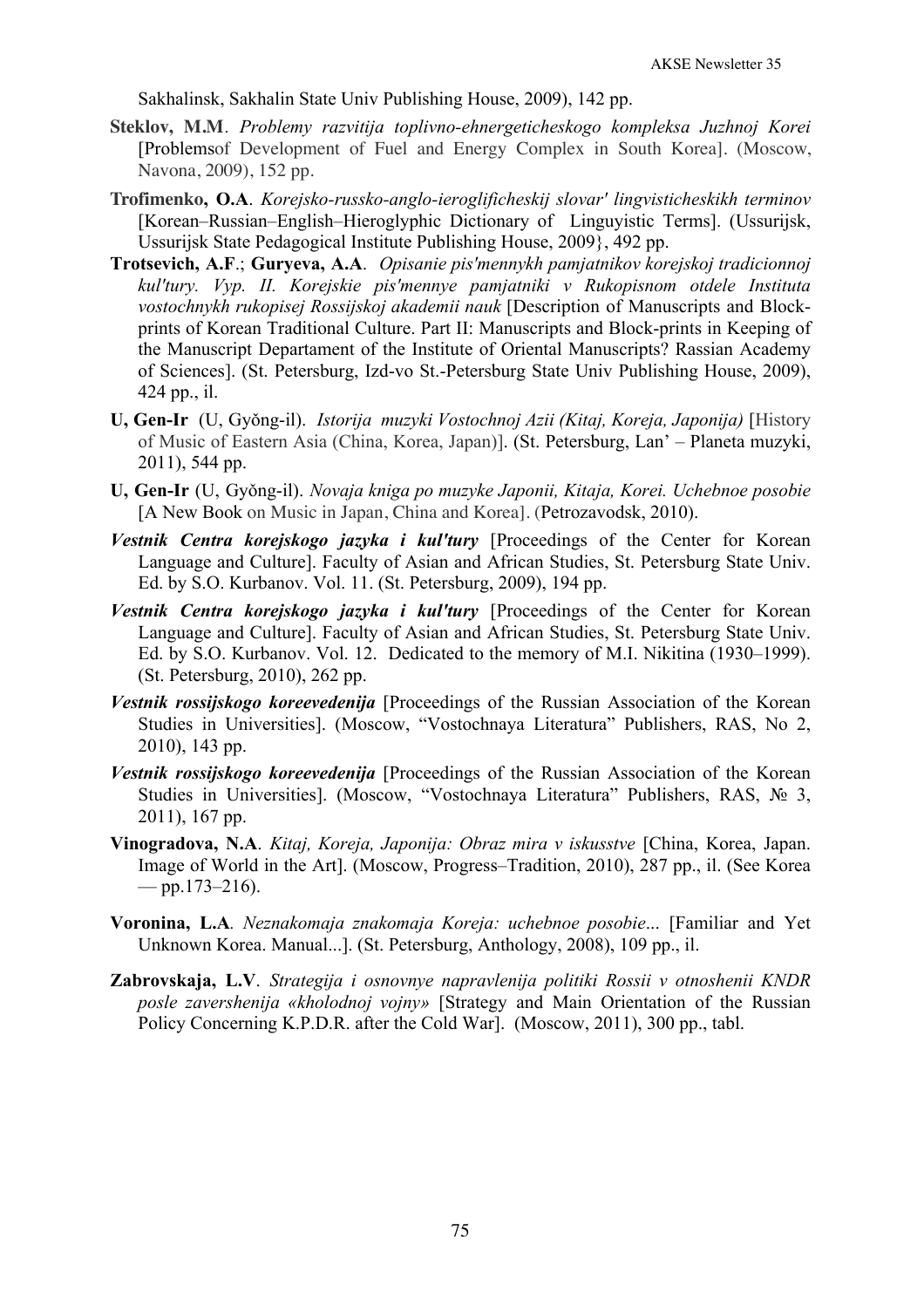Sakhalinsk, Sakhalin State Univ Publishing House, 2009), 142 pp.

- **Steklov, M.M**. *Problemy razvitija toplivno-ehnergeticheskogo kompleksa Juzhnoj Korei* [Problemsof Development of Fuel and Energy Complex in South Korea]. (Moscow, Navona, 2009), 152 pp.
- **Trofimenko, O.A**. *Korejsko-russko-anglo-ieroglificheskij slovar' lingvisticheskikh terminov* [Korean–Russian–English–Hieroglyphic Dictionary of Linguyistic Terms]. (Ussurijsk, Ussurijsk State Pedagogical Institute Publishing House, 2009}, 492 pp.
- **Trotsevich, A.F**.; **Guryeva, A.A**. *Opisanie pis'mennykh pamjatnikov korejskoj tradicionnoj kul'tury. Vyp. II. Korejskie pis'mennye pamjatniki v Rukopisnom otdele Instituta vostochnykh rukopisej Rossijskoj akademii nauk* [Description of Manuscripts and Blockprints of Korean Traditional Culture. Part II: Manuscripts and Block-prints in Keeping of the Manuscript Departament of the Institute of Oriental Manuscripts? Rassian Academy of Sciences]. (St. Petersburg, Izd-vo St.-Petersburg State Univ Publishing House, 2009), 424 pp., il.
- **U, Gen-Ir** (U, Gyǒng-il). *Istorija muzyki Vostochnoj Azii (Kitaj, Koreja, Japonija)* [History of Music of Eastern Asia (China, Korea, Japan)]. (St. Petersburg, Lan' – Planeta muzyki, 2011), 544 pp.
- **U, Gen-Ir** (U, Gyǒng-il). *Novaja kniga po muzyke Japonii, Kitaja, Korei. Uchebnoe posobie* [A New Book on Music in Japan, China and Korea]. (Petrozavodsk, 2010).
- *Vestnik Centra korejskogo jazyka i kul'tury* [Proceedings of the Center for Korean Language and Culture]. Faculty of Asian and African Studies, St. Petersburg State Univ. Ed. by S.O. Kurbanov. Vol. 11. (St. Petersburg, 2009), 194 pp.
- *Vestnik Centra korejskogo jazyka i kul'tury* [Proceedings of the Center for Korean Language and Culture]. Faculty of Asian and African Studies, St. Petersburg State Univ. Ed. by S.O. Kurbanov. Vol. 12. Dedicated to the memory of M.I. Nikitina (1930–1999). (St. Petersburg, 2010), 262 pp.
- *Vestnik rossijskogo koreevedenija* [Proceedings of the Russian Association of the Korean Studies in Universities]. (Moscow, "Vostochnaya Literatura" Publishers, RAS, No 2, 2010), 143 pp.
- *Vestnik rossijskogo koreevedenija* [Proceedings of the Russian Association of the Korean Studies in Universities]. (Moscow, "Vostochnaya Literatura" Publishers, RAS, № 3, 2011), 167 pp.
- **Vinogradova, N.A**. *Kitaj, Koreja, Japonija: Obraz mira v iskusstve* [China, Korea, Japan. Image of World in the Art]. (Moscow, Progress–Tradition, 2010), 287 pp., il. (See Korea  $-$  pp.173–216).
- **Voronina, L.A***. Neznakomaja znakomaja Koreja: uchebnoe posobie*... [Familiar and Yet Unknown Korea. Manual...]. (St. Petersburg, Anthology, 2008), 109 pp., il.
- **Zabrovskaja, L.V**. *Strategija i osnovnye napravlenija politiki Rossii v otnoshenii KNDR posle zavershenija «kholodnoj vojny»* [Strategy and Main Orientation of the Russian Policy Concerning K.P.D.R. after the Cold War]. (Moscow, 2011), 300 pp., tabl.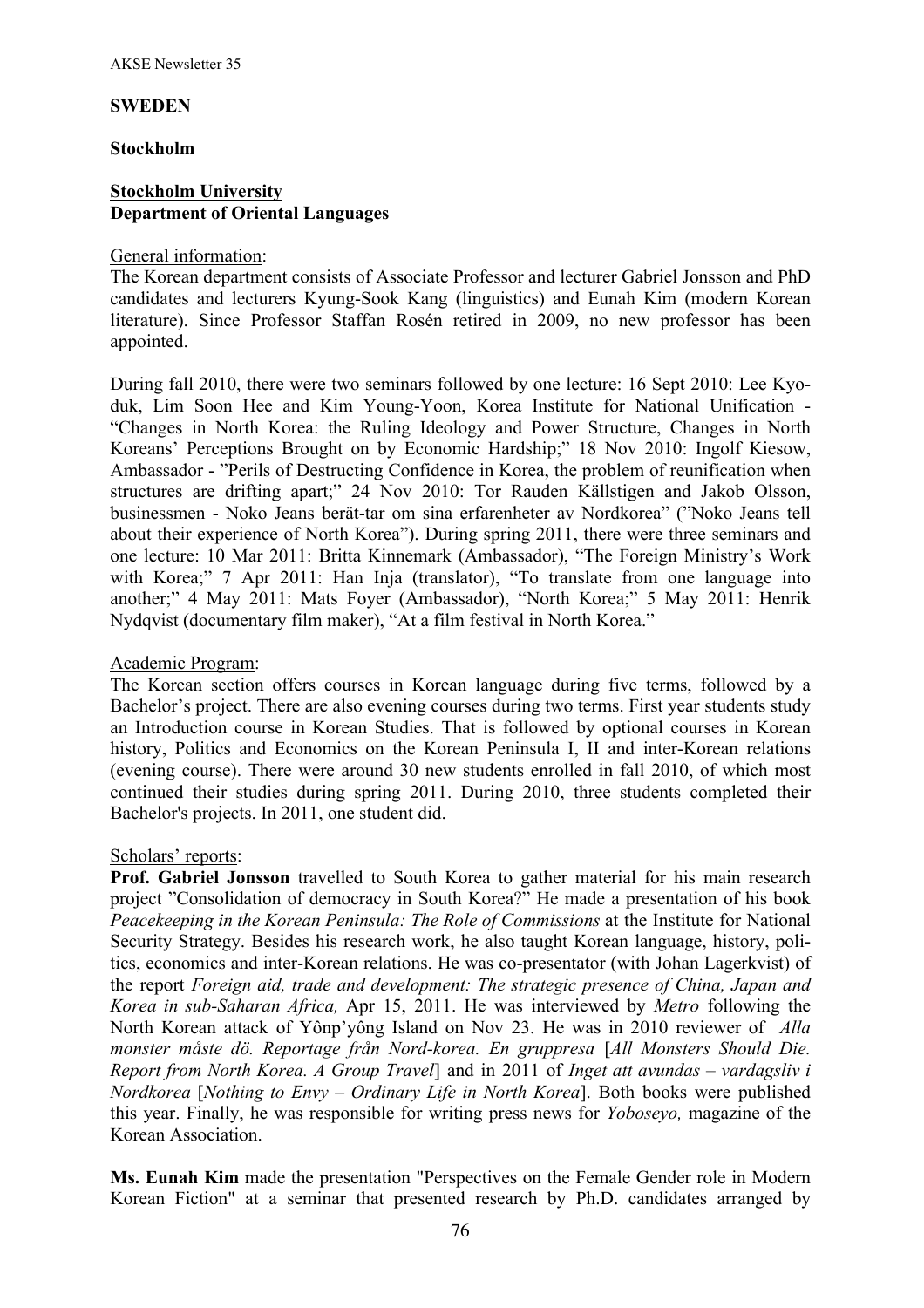#### **SWEDEN**

#### **Stockholm**

## **Stockholm University Department of Oriental Languages**

#### General information:

The Korean department consists of Associate Professor and lecturer Gabriel Jonsson and PhD candidates and lecturers Kyung-Sook Kang (linguistics) and Eunah Kim (modern Korean literature). Since Professor Staffan Rosén retired in 2009, no new professor has been appointed.

During fall 2010, there were two seminars followed by one lecture: 16 Sept 2010: Lee Kyoduk, Lim Soon Hee and Kim Young-Yoon, Korea Institute for National Unification - "Changes in North Korea: the Ruling Ideology and Power Structure, Changes in North Koreans' Perceptions Brought on by Economic Hardship;" 18 Nov 2010: Ingolf Kiesow, Ambassador - "Perils of Destructing Confidence in Korea, the problem of reunification when structures are drifting apart;" 24 Nov 2010: Tor Rauden Källstigen and Jakob Olsson, businessmen - Noko Jeans berät-tar om sina erfarenheter av Nordkorea" ("Noko Jeans tell about their experience of North Korea"). During spring 2011, there were three seminars and one lecture: 10 Mar 2011: Britta Kinnemark (Ambassador), "The Foreign Ministry's Work with Korea;" 7 Apr 2011: Han Inja (translator), "To translate from one language into another;" 4 May 2011: Mats Foyer (Ambassador), "North Korea;" 5 May 2011: Henrik Nydqvist (documentary film maker), "At a film festival in North Korea."

## Academic Program:

The Korean section offers courses in Korean language during five terms, followed by a Bachelor's project. There are also evening courses during two terms. First year students study an Introduction course in Korean Studies. That is followed by optional courses in Korean history, Politics and Economics on the Korean Peninsula I, II and inter-Korean relations (evening course). There were around 30 new students enrolled in fall 2010, of which most continued their studies during spring 2011. During 2010, three students completed their Bachelor's projects. In 2011, one student did.

## Scholars' reports:

**Prof. Gabriel Jonsson** travelled to South Korea to gather material for his main research project "Consolidation of democracy in South Korea?" He made a presentation of his book *Peacekeeping in the Korean Peninsula: The Role of Commissions* at the Institute for National Security Strategy. Besides his research work, he also taught Korean language, history, politics, economics and inter-Korean relations. He was co-presentator (with Johan Lagerkvist) of the report *Foreign aid, trade and development: The strategic presence of China, Japan and Korea in sub-Saharan Africa,* Apr 15, 2011. He was interviewed by *Metro* following the North Korean attack of Yônp'yông Island on Nov 23. He was in 2010 reviewer of *Alla monster måste dö. Reportage från Nord-korea. En gruppresa* [*All Monsters Should Die. Report from North Korea. A Group Travel*] and in 2011 of *Inget att avundas – vardagsliv i Nordkorea* [*Nothing to Envy – Ordinary Life in North Korea*]. Both books were published this year. Finally, he was responsible for writing press news for *Yoboseyo,* magazine of the Korean Association.

**Ms. Eunah Kim** made the presentation "Perspectives on the Female Gender role in Modern Korean Fiction" at a seminar that presented research by Ph.D. candidates arranged by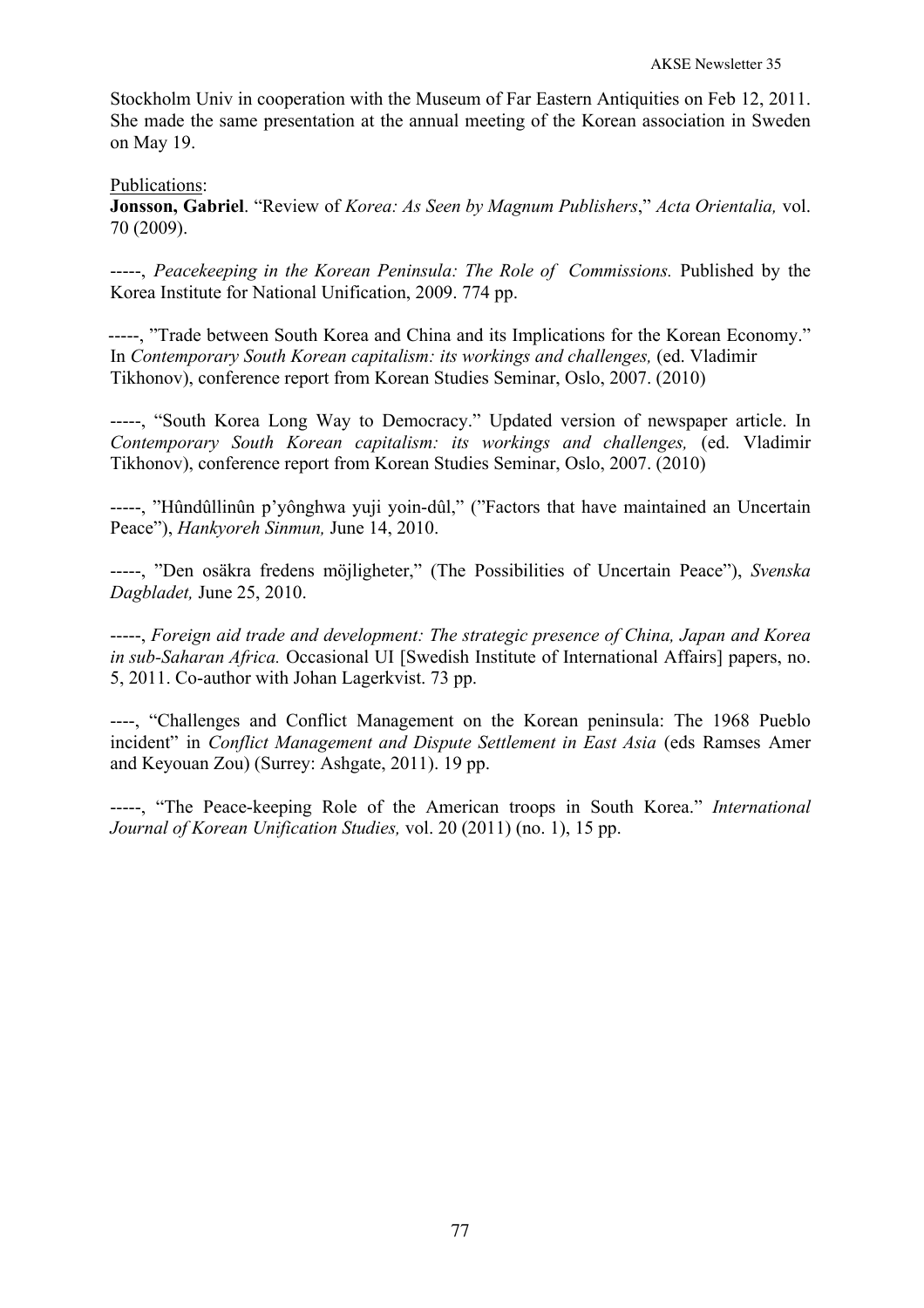Stockholm Univ in cooperation with the Museum of Far Eastern Antiquities on Feb 12, 2011. She made the same presentation at the annual meeting of the Korean association in Sweden on May 19.

Publications:

**Jonsson, Gabriel**. "Review of *Korea: As Seen by Magnum Publishers*," *Acta Orientalia,* vol. 70 (2009).

-----, *Peacekeeping in the Korean Peninsula: The Role of Commissions.* Published by the Korea Institute for National Unification, 2009. 774 pp.

-----, "Trade between South Korea and China and its Implications for the Korean Economy." In *Contemporary South Korean capitalism: its workings and challenges,* (ed. Vladimir Tikhonov), conference report from Korean Studies Seminar, Oslo, 2007. (2010)

-----, "South Korea Long Way to Democracy." Updated version of newspaper article. In *Contemporary South Korean capitalism: its workings and challenges,* (ed. Vladimir Tikhonov), conference report from Korean Studies Seminar, Oslo, 2007. (2010)

-----, "Hûndûllinûn p'yônghwa yuji yoin-dûl," ("Factors that have maintained an Uncertain Peace"), *Hankyoreh Sinmun,* June 14, 2010.

-----, "Den osäkra fredens möjligheter," (The Possibilities of Uncertain Peace"), *Svenska Dagbladet,* June 25, 2010.

-----, *Foreign aid trade and development: The strategic presence of China, Japan and Korea in sub-Saharan Africa.* Occasional UI [Swedish Institute of International Affairs] papers, no. 5, 2011. Co-author with Johan Lagerkvist. 73 pp.

----, "Challenges and Conflict Management on the Korean peninsula: The 1968 Pueblo incident" in *Conflict Management and Dispute Settlement in East Asia* (eds Ramses Amer and Keyouan Zou) (Surrey: Ashgate, 2011). 19 pp.

-----, "The Peace-keeping Role of the American troops in South Korea." *International Journal of Korean Unification Studies,* vol. 20 (2011) (no. 1), 15 pp.